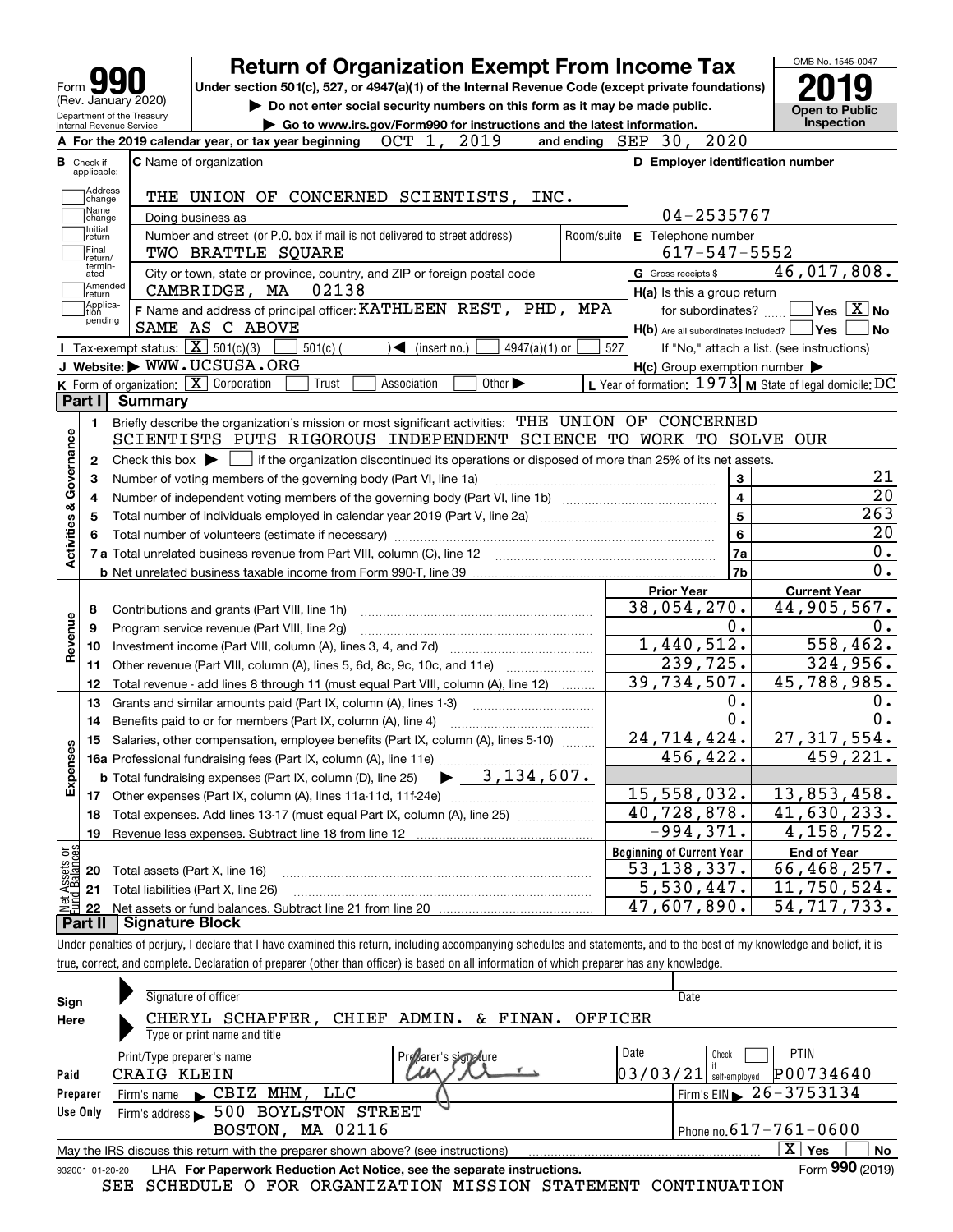|                                                                                                                                                                                                                                                |                                  |                                                                                                                                                                                                                  | <b>Return of Organization Exempt From Income Tax</b>                                                                                         |                                                     | OMB No. 1545-0047                                         |  |  |  |  |  |  |
|------------------------------------------------------------------------------------------------------------------------------------------------------------------------------------------------------------------------------------------------|----------------------------------|------------------------------------------------------------------------------------------------------------------------------------------------------------------------------------------------------------------|----------------------------------------------------------------------------------------------------------------------------------------------|-----------------------------------------------------|-----------------------------------------------------------|--|--|--|--|--|--|
| Under section 501(c), 527, or 4947(a)(1) of the Internal Revenue Code (except private foundations)<br>Form<br>(Rev. January 2020)<br>Do not enter social security numbers on this form as it may be made public.<br>Department of the Treasury |                                  |                                                                                                                                                                                                                  |                                                                                                                                              |                                                     |                                                           |  |  |  |  |  |  |
|                                                                                                                                                                                                                                                |                                  |                                                                                                                                                                                                                  |                                                                                                                                              |                                                     | <b>Open to Public</b>                                     |  |  |  |  |  |  |
|                                                                                                                                                                                                                                                | Internal Revenue Service         |                                                                                                                                                                                                                  | Go to www.irs.gov/Form990 for instructions and the latest information.<br>OCT 1, 2019<br>A For the 2019 calendar year, or tax year beginning | and ending SEP 30, 2020                             | Inspection                                                |  |  |  |  |  |  |
|                                                                                                                                                                                                                                                |                                  |                                                                                                                                                                                                                  |                                                                                                                                              |                                                     |                                                           |  |  |  |  |  |  |
|                                                                                                                                                                                                                                                | <b>B</b> Check if<br>applicable: |                                                                                                                                                                                                                  | C Name of organization                                                                                                                       | D Employer identification number                    |                                                           |  |  |  |  |  |  |
|                                                                                                                                                                                                                                                | Address<br>change<br>Name        |                                                                                                                                                                                                                  | THE UNION OF CONCERNED SCIENTISTS, INC.                                                                                                      |                                                     |                                                           |  |  |  |  |  |  |
|                                                                                                                                                                                                                                                | change<br>Initial                |                                                                                                                                                                                                                  | Doing business as                                                                                                                            | 04-2535767                                          |                                                           |  |  |  |  |  |  |
|                                                                                                                                                                                                                                                | return<br> Final                 |                                                                                                                                                                                                                  | Number and street (or P.O. box if mail is not delivered to street address)<br>TWO BRATTLE SQUARE                                             | Room/suite E Telephone number<br>$617 - 547 - 5552$ |                                                           |  |  |  |  |  |  |
|                                                                                                                                                                                                                                                | Ireturn/<br>termin-              |                                                                                                                                                                                                                  |                                                                                                                                              |                                                     | 46,017,808.                                               |  |  |  |  |  |  |
|                                                                                                                                                                                                                                                | ated<br> Amended                 |                                                                                                                                                                                                                  | City or town, state or province, country, and ZIP or foreign postal code<br>02138<br>CAMBRIDGE, MA                                           | G Gross receipts \$                                 |                                                           |  |  |  |  |  |  |
|                                                                                                                                                                                                                                                | return<br> Applica-              |                                                                                                                                                                                                                  | F Name and address of principal officer: KATHLEEN REST, PHD, MPA                                                                             | H(a) Is this a group return<br>for subordinates?    | $\overline{\mathsf{Yes}}$ $\overline{\mathsf{X}}$ No      |  |  |  |  |  |  |
|                                                                                                                                                                                                                                                | tion<br>pending                  |                                                                                                                                                                                                                  | SAME AS C ABOVE                                                                                                                              |                                                     | <b>Yes</b><br>No                                          |  |  |  |  |  |  |
|                                                                                                                                                                                                                                                |                                  |                                                                                                                                                                                                                  | Tax-exempt status: $\boxed{\mathbf{X}}$ 501(c)(3)<br>$\sqrt{\bullet}$ (insert no.)<br>$4947(a)(1)$ or<br>527<br>$501(c)$ (                   | $H(b)$ Are all subordinates included? $\Box$        | If "No," attach a list. (see instructions)                |  |  |  |  |  |  |
|                                                                                                                                                                                                                                                |                                  |                                                                                                                                                                                                                  | J Website: WWW.UCSUSA.ORG                                                                                                                    | $H(c)$ Group exemption number $\blacktriangleright$ |                                                           |  |  |  |  |  |  |
|                                                                                                                                                                                                                                                |                                  |                                                                                                                                                                                                                  | K Form of organization: $X$ Corporation<br>Other $\blacktriangleright$<br>Association<br>Trust                                               |                                                     | L Year of formation: $1973$ M State of legal domicile: DC |  |  |  |  |  |  |
|                                                                                                                                                                                                                                                | Part I                           | <b>Summary</b>                                                                                                                                                                                                   |                                                                                                                                              |                                                     |                                                           |  |  |  |  |  |  |
|                                                                                                                                                                                                                                                |                                  |                                                                                                                                                                                                                  | Briefly describe the organization's mission or most significant activities: THE UNION OF CONCERNED                                           |                                                     |                                                           |  |  |  |  |  |  |
|                                                                                                                                                                                                                                                | 1.                               |                                                                                                                                                                                                                  | SCIENTISTS PUTS RIGOROUS INDEPENDENT SCIENCE TO WORK TO SOLVE OUR                                                                            |                                                     |                                                           |  |  |  |  |  |  |
|                                                                                                                                                                                                                                                |                                  |                                                                                                                                                                                                                  |                                                                                                                                              |                                                     |                                                           |  |  |  |  |  |  |
| Activities & Governance                                                                                                                                                                                                                        | $\mathbf{2}$                     | Check this box $\blacktriangleright$ $\Box$ if the organization discontinued its operations or disposed of more than 25% of its net assets.<br>Number of voting members of the governing body (Part VI, line 1a) |                                                                                                                                              |                                                     |                                                           |  |  |  |  |  |  |
|                                                                                                                                                                                                                                                | 3                                |                                                                                                                                                                                                                  |                                                                                                                                              | 3                                                   | 21<br>$\overline{20}$                                     |  |  |  |  |  |  |
|                                                                                                                                                                                                                                                | 4                                |                                                                                                                                                                                                                  |                                                                                                                                              | $\overline{\mathbf{4}}$                             | 263                                                       |  |  |  |  |  |  |
|                                                                                                                                                                                                                                                | 5                                |                                                                                                                                                                                                                  |                                                                                                                                              | $5\phantom{a}$                                      | 20                                                        |  |  |  |  |  |  |
|                                                                                                                                                                                                                                                |                                  |                                                                                                                                                                                                                  |                                                                                                                                              | 6                                                   | $0$ .                                                     |  |  |  |  |  |  |
|                                                                                                                                                                                                                                                |                                  |                                                                                                                                                                                                                  |                                                                                                                                              | 7a                                                  |                                                           |  |  |  |  |  |  |
|                                                                                                                                                                                                                                                |                                  |                                                                                                                                                                                                                  |                                                                                                                                              | 7b                                                  | $0$ .                                                     |  |  |  |  |  |  |
|                                                                                                                                                                                                                                                |                                  |                                                                                                                                                                                                                  |                                                                                                                                              | <b>Prior Year</b>                                   | <b>Current Year</b>                                       |  |  |  |  |  |  |
|                                                                                                                                                                                                                                                | 8                                |                                                                                                                                                                                                                  | Contributions and grants (Part VIII, line 1h)                                                                                                | 38,054,270.                                         | 44,905,567.                                               |  |  |  |  |  |  |
| Revenue                                                                                                                                                                                                                                        | 9                                |                                                                                                                                                                                                                  | Program service revenue (Part VIII, line 2g)                                                                                                 | $\overline{0}$ .                                    | 0.                                                        |  |  |  |  |  |  |
|                                                                                                                                                                                                                                                | 10                               |                                                                                                                                                                                                                  |                                                                                                                                              | 1,440,512.                                          | 558, 462.                                                 |  |  |  |  |  |  |
|                                                                                                                                                                                                                                                | 11                               |                                                                                                                                                                                                                  | Other revenue (Part VIII, column (A), lines 5, 6d, 8c, 9c, 10c, and 11e)                                                                     | 239,725.                                            | 324,956.                                                  |  |  |  |  |  |  |
|                                                                                                                                                                                                                                                | 12                               |                                                                                                                                                                                                                  | Total revenue - add lines 8 through 11 (must equal Part VIII, column (A), line 12)                                                           | 39,734,507.                                         | $\overline{45,}788,985.$                                  |  |  |  |  |  |  |
|                                                                                                                                                                                                                                                | 13                               |                                                                                                                                                                                                                  | Grants and similar amounts paid (Part IX, column (A), lines 1-3)                                                                             | 0.                                                  | 0.                                                        |  |  |  |  |  |  |
|                                                                                                                                                                                                                                                | 14                               |                                                                                                                                                                                                                  | Benefits paid to or for members (Part IX, column (A), line 4)                                                                                | 0.                                                  | 0.                                                        |  |  |  |  |  |  |
| w                                                                                                                                                                                                                                              |                                  |                                                                                                                                                                                                                  | 15 Salaries, other compensation, employee benefits (Part IX, column (A), lines 5-10)                                                         | 24,714,424.                                         | 27, 317, 554.                                             |  |  |  |  |  |  |
|                                                                                                                                                                                                                                                |                                  |                                                                                                                                                                                                                  |                                                                                                                                              | 456,422.                                            | 459,221.                                                  |  |  |  |  |  |  |
| Expense                                                                                                                                                                                                                                        |                                  |                                                                                                                                                                                                                  | $\blacktriangleright$ 3, 134, 607.<br><b>b</b> Total fundraising expenses (Part IX, column (D), line 25)                                     |                                                     |                                                           |  |  |  |  |  |  |
|                                                                                                                                                                                                                                                | 17                               |                                                                                                                                                                                                                  |                                                                                                                                              | 15,558,032.                                         | 13,853,458.                                               |  |  |  |  |  |  |
|                                                                                                                                                                                                                                                | 18                               |                                                                                                                                                                                                                  | Total expenses. Add lines 13-17 (must equal Part IX, column (A), line 25)                                                                    | $\overline{40,728,878}$ .                           | 41,630,233.                                               |  |  |  |  |  |  |
|                                                                                                                                                                                                                                                | 19                               |                                                                                                                                                                                                                  |                                                                                                                                              | $-994,371.$                                         | 4, 158, 752.                                              |  |  |  |  |  |  |
|                                                                                                                                                                                                                                                |                                  |                                                                                                                                                                                                                  |                                                                                                                                              |                                                     |                                                           |  |  |  |  |  |  |
|                                                                                                                                                                                                                                                |                                  |                                                                                                                                                                                                                  |                                                                                                                                              | <b>Beginning of Current Year</b>                    | <b>End of Year</b>                                        |  |  |  |  |  |  |
|                                                                                                                                                                                                                                                | 20                               |                                                                                                                                                                                                                  | Total assets (Part X, line 16)                                                                                                               | $\overline{53}, \overline{138}, 337.$               | 66,468,257.                                               |  |  |  |  |  |  |
| <b>Vet Assets or<br/>und Balances</b>                                                                                                                                                                                                          | 21                               |                                                                                                                                                                                                                  | Total liabilities (Part X, line 26)                                                                                                          | $\overline{5,530,447}$ .<br>47,607,890.             | 11,750,524.<br>54, 717, 733.                              |  |  |  |  |  |  |

**Part II Signature Block**

Under penalties of perjury, I declare that I have examined this return, including accompanying schedules and statements, and to the best of my knowledge and belief, it is true, correct, and complete. Declaration of preparer (other than officer) is based on all information of which preparer has any knowledge.

| Sign            | Signature of officer                                                              |                                 | Date                       |                                          |  |  |  |  |  |  |  |
|-----------------|-----------------------------------------------------------------------------------|---------------------------------|----------------------------|------------------------------------------|--|--|--|--|--|--|--|
| Here            | CHERYL                                                                            | SCHAFFER, CHIEF ADMIN. & FINAN. | OFFICER                    |                                          |  |  |  |  |  |  |  |
|                 | Type or print name and title                                                      |                                 |                            |                                          |  |  |  |  |  |  |  |
|                 | Print/Type preparer's name                                                        | Presarer's signature            | Date<br>Check              | <b>PTIN</b>                              |  |  |  |  |  |  |  |
| Paid            | CRAIG KLEIN                                                                       |                                 | 03/03/21 <br>self-emploved | P00734640                                |  |  |  |  |  |  |  |
| Preparer        | Firm's name CBIZ MHM, LLC                                                         |                                 |                            | Firm's EIN $\triangleright$ 26 - 3753134 |  |  |  |  |  |  |  |
| Use Only        | Firm's address > 500 BOYLSTON STREET                                              |                                 |                            |                                          |  |  |  |  |  |  |  |
|                 | BOSTON, MA 02116                                                                  |                                 |                            | Phone no. $617 - 761 - 0600$             |  |  |  |  |  |  |  |
|                 | May the IRS discuss this return with the preparer shown above? (see instructions) |                                 |                            | $\overline{X}$ Yes<br>No                 |  |  |  |  |  |  |  |
| 932001 01-20-20 | LHA For Paperwork Reduction Act Notice, see the separate instructions.            |                                 |                            | Form 990 (2019)                          |  |  |  |  |  |  |  |
|                 | SEE SCHEDULE O FOR ORGANIZATION MISSION STATEMENT CONTINUATION                    |                                 |                            |                                          |  |  |  |  |  |  |  |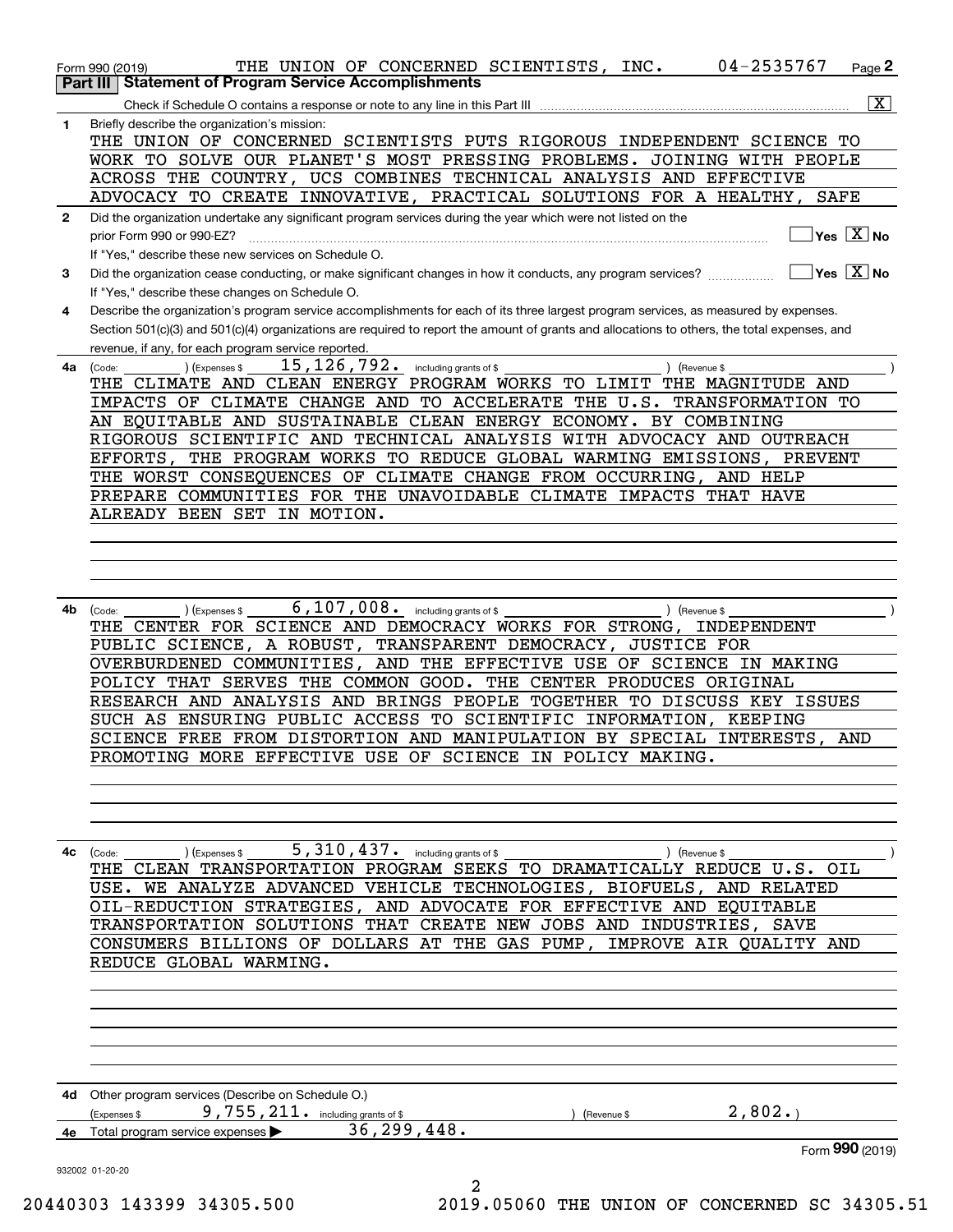| THE UNION OF CONCERNED SCIENTISTS PUTS RIGOROUS INDEPENDENT SCIENCE TO<br>WORK TO SOLVE OUR PLANET'S MOST PRESSING PROBLEMS. JOINING WITH PEOPLE<br>ACROSS THE COUNTRY, UCS COMBINES TECHNICAL ANALYSIS AND EFFECTIVE<br>ADVOCACY TO CREATE INNOVATIVE, PRACTICAL SOLUTIONS FOR A HEALTHY,<br>SAFE<br>Did the organization undertake any significant program services during the year which were not listed on the<br>prior Form 990 or 990-EZ?<br>If "Yes," describe these new services on Schedule O.<br>Did the organization cease conducting, or make significant changes in how it conducts, any program services?<br>If "Yes," describe these changes on Schedule O.<br>Describe the organization's program service accomplishments for each of its three largest program services, as measured by expenses.<br>Section 501(c)(3) and 501(c)(4) organizations are required to report the amount of grants and allocations to others, the total expenses, and<br>revenue, if any, for each program service reported.<br>15, 126, 792.<br>including grants of \$<br>(Expenses \$<br>) (Revenue \$<br>(Code:<br>THE CLIMATE AND CLEAN ENERGY PROGRAM WORKS TO LIMIT THE MAGNITUDE AND<br>IMPACTS OF CLIMATE CHANGE AND TO ACCELERATE THE U.S. TRANSFORMATION TO<br>AN EQUITABLE AND SUSTAINABLE CLEAN ENERGY ECONOMY. BY COMBINING<br>RIGOROUS SCIENTIFIC AND TECHNICAL ANALYSIS WITH ADVOCACY AND OUTREACH<br>THE PROGRAM WORKS TO REDUCE GLOBAL WARMING EMISSIONS, PREVENT<br>EFFORTS,<br>THE WORST CONSEQUENCES OF CLIMATE CHANGE FROM OCCURRING, AND HELP<br>PREPARE COMMUNITIES FOR THE UNAVOIDABLE CLIMATE IMPACTS THAT HAVE<br>ALREADY BEEN SET IN MOTION.<br>6, 107, 008. including grants of \$<br>(Code:<br>(Expenses \$<br>) (Revenue \$<br>THE CENTER FOR SCIENCE AND DEMOCRACY WORKS FOR STRONG, INDEPENDENT<br>PUBLIC SCIENCE, A ROBUST, TRANSPARENT DEMOCRACY, JUSTICE FOR<br>OVERBURDENED COMMUNITIES, AND THE EFFECTIVE USE OF SCIENCE IN MAKING<br>POLICY THAT SERVES THE COMMON GOOD. THE CENTER PRODUCES ORIGINAL<br>RESEARCH AND ANALYSIS AND BRINGS PEOPLE TOGETHER TO DISCUSS KEY ISSUES<br>SUCH AS ENSURING PUBLIC ACCESS TO SCIENTIFIC INFORMATION, KEEPING<br>SCIENCE FREE FROM DISTORTION AND MANIPULATION BY SPECIAL INTERESTS, AND<br>PROMOTING MORE EFFECTIVE USE OF SCIENCE IN POLICY MAKING<br>5, 310, 437. including grants of \$<br>(Expenses \$<br>) (Revenue \$<br>(Code:<br>THE CLEAN TRANSPORTATION PROGRAM SEEKS TO DRAMATICALLY REDUCE U.S. OIL<br>USE. WE ANALYZE ADVANCED VEHICLE TECHNOLOGIES, BIOFUELS, AND RELATED<br>OIL-REDUCTION STRATEGIES, AND ADVOCATE FOR EFFECTIVE AND EOUITABLE<br>TRANSPORTATION SOLUTIONS THAT CREATE NEW JOBS AND INDUSTRIES, SAVE<br>CONSUMERS BILLIONS OF DOLLARS AT THE GAS PUMP, IMPROVE AIR QUALITY AND<br>REDUCE GLOBAL WARMING.<br>4d Other program services (Describe on Schedule O.)<br>2,802.<br>9,755,211. including grants of \$<br>Expenses \$<br>(Revenue \$<br>36, 299, 448.<br>Total program service expenses<br>Form 990 (2019) |              | $\overline{\mathbf{x}}$<br>Briefly describe the organization's mission: |
|------------------------------------------------------------------------------------------------------------------------------------------------------------------------------------------------------------------------------------------------------------------------------------------------------------------------------------------------------------------------------------------------------------------------------------------------------------------------------------------------------------------------------------------------------------------------------------------------------------------------------------------------------------------------------------------------------------------------------------------------------------------------------------------------------------------------------------------------------------------------------------------------------------------------------------------------------------------------------------------------------------------------------------------------------------------------------------------------------------------------------------------------------------------------------------------------------------------------------------------------------------------------------------------------------------------------------------------------------------------------------------------------------------------------------------------------------------------------------------------------------------------------------------------------------------------------------------------------------------------------------------------------------------------------------------------------------------------------------------------------------------------------------------------------------------------------------------------------------------------------------------------------------------------------------------------------------------------------------------------------------------------------------------------------------------------------------------------------------------------------------------------------------------------------------------------------------------------------------------------------------------------------------------------------------------------------------------------------------------------------------------------------------------------------------------------------------------------------------------------------------------------------------------------------------------------------------------------------------------------------------------------------------------------------------------------------------------------------------------------------------------------------------------------------------------------------------------------------------------------------------------------------------------------------------------------------------------------------------------------------------------------------------|--------------|-------------------------------------------------------------------------|
|                                                                                                                                                                                                                                                                                                                                                                                                                                                                                                                                                                                                                                                                                                                                                                                                                                                                                                                                                                                                                                                                                                                                                                                                                                                                                                                                                                                                                                                                                                                                                                                                                                                                                                                                                                                                                                                                                                                                                                                                                                                                                                                                                                                                                                                                                                                                                                                                                                                                                                                                                                                                                                                                                                                                                                                                                                                                                                                                                                                                                              |              |                                                                         |
|                                                                                                                                                                                                                                                                                                                                                                                                                                                                                                                                                                                                                                                                                                                                                                                                                                                                                                                                                                                                                                                                                                                                                                                                                                                                                                                                                                                                                                                                                                                                                                                                                                                                                                                                                                                                                                                                                                                                                                                                                                                                                                                                                                                                                                                                                                                                                                                                                                                                                                                                                                                                                                                                                                                                                                                                                                                                                                                                                                                                                              |              |                                                                         |
|                                                                                                                                                                                                                                                                                                                                                                                                                                                                                                                                                                                                                                                                                                                                                                                                                                                                                                                                                                                                                                                                                                                                                                                                                                                                                                                                                                                                                                                                                                                                                                                                                                                                                                                                                                                                                                                                                                                                                                                                                                                                                                                                                                                                                                                                                                                                                                                                                                                                                                                                                                                                                                                                                                                                                                                                                                                                                                                                                                                                                              |              |                                                                         |
|                                                                                                                                                                                                                                                                                                                                                                                                                                                                                                                                                                                                                                                                                                                                                                                                                                                                                                                                                                                                                                                                                                                                                                                                                                                                                                                                                                                                                                                                                                                                                                                                                                                                                                                                                                                                                                                                                                                                                                                                                                                                                                                                                                                                                                                                                                                                                                                                                                                                                                                                                                                                                                                                                                                                                                                                                                                                                                                                                                                                                              |              |                                                                         |
|                                                                                                                                                                                                                                                                                                                                                                                                                                                                                                                                                                                                                                                                                                                                                                                                                                                                                                                                                                                                                                                                                                                                                                                                                                                                                                                                                                                                                                                                                                                                                                                                                                                                                                                                                                                                                                                                                                                                                                                                                                                                                                                                                                                                                                                                                                                                                                                                                                                                                                                                                                                                                                                                                                                                                                                                                                                                                                                                                                                                                              | $\mathbf{2}$ |                                                                         |
|                                                                                                                                                                                                                                                                                                                                                                                                                                                                                                                                                                                                                                                                                                                                                                                                                                                                                                                                                                                                                                                                                                                                                                                                                                                                                                                                                                                                                                                                                                                                                                                                                                                                                                                                                                                                                                                                                                                                                                                                                                                                                                                                                                                                                                                                                                                                                                                                                                                                                                                                                                                                                                                                                                                                                                                                                                                                                                                                                                                                                              |              | $\overline{\ }$ Yes $\overline{\phantom{X}}$ No                         |
|                                                                                                                                                                                                                                                                                                                                                                                                                                                                                                                                                                                                                                                                                                                                                                                                                                                                                                                                                                                                                                                                                                                                                                                                                                                                                                                                                                                                                                                                                                                                                                                                                                                                                                                                                                                                                                                                                                                                                                                                                                                                                                                                                                                                                                                                                                                                                                                                                                                                                                                                                                                                                                                                                                                                                                                                                                                                                                                                                                                                                              |              |                                                                         |
|                                                                                                                                                                                                                                                                                                                                                                                                                                                                                                                                                                                                                                                                                                                                                                                                                                                                                                                                                                                                                                                                                                                                                                                                                                                                                                                                                                                                                                                                                                                                                                                                                                                                                                                                                                                                                                                                                                                                                                                                                                                                                                                                                                                                                                                                                                                                                                                                                                                                                                                                                                                                                                                                                                                                                                                                                                                                                                                                                                                                                              | 3            | $\exists$ Yes $\boxed{\text{X}}$ No                                     |
|                                                                                                                                                                                                                                                                                                                                                                                                                                                                                                                                                                                                                                                                                                                                                                                                                                                                                                                                                                                                                                                                                                                                                                                                                                                                                                                                                                                                                                                                                                                                                                                                                                                                                                                                                                                                                                                                                                                                                                                                                                                                                                                                                                                                                                                                                                                                                                                                                                                                                                                                                                                                                                                                                                                                                                                                                                                                                                                                                                                                                              |              |                                                                         |
|                                                                                                                                                                                                                                                                                                                                                                                                                                                                                                                                                                                                                                                                                                                                                                                                                                                                                                                                                                                                                                                                                                                                                                                                                                                                                                                                                                                                                                                                                                                                                                                                                                                                                                                                                                                                                                                                                                                                                                                                                                                                                                                                                                                                                                                                                                                                                                                                                                                                                                                                                                                                                                                                                                                                                                                                                                                                                                                                                                                                                              | 4            |                                                                         |
|                                                                                                                                                                                                                                                                                                                                                                                                                                                                                                                                                                                                                                                                                                                                                                                                                                                                                                                                                                                                                                                                                                                                                                                                                                                                                                                                                                                                                                                                                                                                                                                                                                                                                                                                                                                                                                                                                                                                                                                                                                                                                                                                                                                                                                                                                                                                                                                                                                                                                                                                                                                                                                                                                                                                                                                                                                                                                                                                                                                                                              |              |                                                                         |
|                                                                                                                                                                                                                                                                                                                                                                                                                                                                                                                                                                                                                                                                                                                                                                                                                                                                                                                                                                                                                                                                                                                                                                                                                                                                                                                                                                                                                                                                                                                                                                                                                                                                                                                                                                                                                                                                                                                                                                                                                                                                                                                                                                                                                                                                                                                                                                                                                                                                                                                                                                                                                                                                                                                                                                                                                                                                                                                                                                                                                              |              |                                                                         |
|                                                                                                                                                                                                                                                                                                                                                                                                                                                                                                                                                                                                                                                                                                                                                                                                                                                                                                                                                                                                                                                                                                                                                                                                                                                                                                                                                                                                                                                                                                                                                                                                                                                                                                                                                                                                                                                                                                                                                                                                                                                                                                                                                                                                                                                                                                                                                                                                                                                                                                                                                                                                                                                                                                                                                                                                                                                                                                                                                                                                                              | 4a           |                                                                         |
|                                                                                                                                                                                                                                                                                                                                                                                                                                                                                                                                                                                                                                                                                                                                                                                                                                                                                                                                                                                                                                                                                                                                                                                                                                                                                                                                                                                                                                                                                                                                                                                                                                                                                                                                                                                                                                                                                                                                                                                                                                                                                                                                                                                                                                                                                                                                                                                                                                                                                                                                                                                                                                                                                                                                                                                                                                                                                                                                                                                                                              |              |                                                                         |
|                                                                                                                                                                                                                                                                                                                                                                                                                                                                                                                                                                                                                                                                                                                                                                                                                                                                                                                                                                                                                                                                                                                                                                                                                                                                                                                                                                                                                                                                                                                                                                                                                                                                                                                                                                                                                                                                                                                                                                                                                                                                                                                                                                                                                                                                                                                                                                                                                                                                                                                                                                                                                                                                                                                                                                                                                                                                                                                                                                                                                              |              |                                                                         |
|                                                                                                                                                                                                                                                                                                                                                                                                                                                                                                                                                                                                                                                                                                                                                                                                                                                                                                                                                                                                                                                                                                                                                                                                                                                                                                                                                                                                                                                                                                                                                                                                                                                                                                                                                                                                                                                                                                                                                                                                                                                                                                                                                                                                                                                                                                                                                                                                                                                                                                                                                                                                                                                                                                                                                                                                                                                                                                                                                                                                                              |              |                                                                         |
|                                                                                                                                                                                                                                                                                                                                                                                                                                                                                                                                                                                                                                                                                                                                                                                                                                                                                                                                                                                                                                                                                                                                                                                                                                                                                                                                                                                                                                                                                                                                                                                                                                                                                                                                                                                                                                                                                                                                                                                                                                                                                                                                                                                                                                                                                                                                                                                                                                                                                                                                                                                                                                                                                                                                                                                                                                                                                                                                                                                                                              |              |                                                                         |
|                                                                                                                                                                                                                                                                                                                                                                                                                                                                                                                                                                                                                                                                                                                                                                                                                                                                                                                                                                                                                                                                                                                                                                                                                                                                                                                                                                                                                                                                                                                                                                                                                                                                                                                                                                                                                                                                                                                                                                                                                                                                                                                                                                                                                                                                                                                                                                                                                                                                                                                                                                                                                                                                                                                                                                                                                                                                                                                                                                                                                              |              |                                                                         |
|                                                                                                                                                                                                                                                                                                                                                                                                                                                                                                                                                                                                                                                                                                                                                                                                                                                                                                                                                                                                                                                                                                                                                                                                                                                                                                                                                                                                                                                                                                                                                                                                                                                                                                                                                                                                                                                                                                                                                                                                                                                                                                                                                                                                                                                                                                                                                                                                                                                                                                                                                                                                                                                                                                                                                                                                                                                                                                                                                                                                                              |              |                                                                         |
|                                                                                                                                                                                                                                                                                                                                                                                                                                                                                                                                                                                                                                                                                                                                                                                                                                                                                                                                                                                                                                                                                                                                                                                                                                                                                                                                                                                                                                                                                                                                                                                                                                                                                                                                                                                                                                                                                                                                                                                                                                                                                                                                                                                                                                                                                                                                                                                                                                                                                                                                                                                                                                                                                                                                                                                                                                                                                                                                                                                                                              |              |                                                                         |
|                                                                                                                                                                                                                                                                                                                                                                                                                                                                                                                                                                                                                                                                                                                                                                                                                                                                                                                                                                                                                                                                                                                                                                                                                                                                                                                                                                                                                                                                                                                                                                                                                                                                                                                                                                                                                                                                                                                                                                                                                                                                                                                                                                                                                                                                                                                                                                                                                                                                                                                                                                                                                                                                                                                                                                                                                                                                                                                                                                                                                              |              |                                                                         |
|                                                                                                                                                                                                                                                                                                                                                                                                                                                                                                                                                                                                                                                                                                                                                                                                                                                                                                                                                                                                                                                                                                                                                                                                                                                                                                                                                                                                                                                                                                                                                                                                                                                                                                                                                                                                                                                                                                                                                                                                                                                                                                                                                                                                                                                                                                                                                                                                                                                                                                                                                                                                                                                                                                                                                                                                                                                                                                                                                                                                                              |              |                                                                         |
|                                                                                                                                                                                                                                                                                                                                                                                                                                                                                                                                                                                                                                                                                                                                                                                                                                                                                                                                                                                                                                                                                                                                                                                                                                                                                                                                                                                                                                                                                                                                                                                                                                                                                                                                                                                                                                                                                                                                                                                                                                                                                                                                                                                                                                                                                                                                                                                                                                                                                                                                                                                                                                                                                                                                                                                                                                                                                                                                                                                                                              |              |                                                                         |
|                                                                                                                                                                                                                                                                                                                                                                                                                                                                                                                                                                                                                                                                                                                                                                                                                                                                                                                                                                                                                                                                                                                                                                                                                                                                                                                                                                                                                                                                                                                                                                                                                                                                                                                                                                                                                                                                                                                                                                                                                                                                                                                                                                                                                                                                                                                                                                                                                                                                                                                                                                                                                                                                                                                                                                                                                                                                                                                                                                                                                              |              |                                                                         |
|                                                                                                                                                                                                                                                                                                                                                                                                                                                                                                                                                                                                                                                                                                                                                                                                                                                                                                                                                                                                                                                                                                                                                                                                                                                                                                                                                                                                                                                                                                                                                                                                                                                                                                                                                                                                                                                                                                                                                                                                                                                                                                                                                                                                                                                                                                                                                                                                                                                                                                                                                                                                                                                                                                                                                                                                                                                                                                                                                                                                                              |              |                                                                         |
|                                                                                                                                                                                                                                                                                                                                                                                                                                                                                                                                                                                                                                                                                                                                                                                                                                                                                                                                                                                                                                                                                                                                                                                                                                                                                                                                                                                                                                                                                                                                                                                                                                                                                                                                                                                                                                                                                                                                                                                                                                                                                                                                                                                                                                                                                                                                                                                                                                                                                                                                                                                                                                                                                                                                                                                                                                                                                                                                                                                                                              | 4b           |                                                                         |
|                                                                                                                                                                                                                                                                                                                                                                                                                                                                                                                                                                                                                                                                                                                                                                                                                                                                                                                                                                                                                                                                                                                                                                                                                                                                                                                                                                                                                                                                                                                                                                                                                                                                                                                                                                                                                                                                                                                                                                                                                                                                                                                                                                                                                                                                                                                                                                                                                                                                                                                                                                                                                                                                                                                                                                                                                                                                                                                                                                                                                              |              |                                                                         |
|                                                                                                                                                                                                                                                                                                                                                                                                                                                                                                                                                                                                                                                                                                                                                                                                                                                                                                                                                                                                                                                                                                                                                                                                                                                                                                                                                                                                                                                                                                                                                                                                                                                                                                                                                                                                                                                                                                                                                                                                                                                                                                                                                                                                                                                                                                                                                                                                                                                                                                                                                                                                                                                                                                                                                                                                                                                                                                                                                                                                                              |              |                                                                         |
|                                                                                                                                                                                                                                                                                                                                                                                                                                                                                                                                                                                                                                                                                                                                                                                                                                                                                                                                                                                                                                                                                                                                                                                                                                                                                                                                                                                                                                                                                                                                                                                                                                                                                                                                                                                                                                                                                                                                                                                                                                                                                                                                                                                                                                                                                                                                                                                                                                                                                                                                                                                                                                                                                                                                                                                                                                                                                                                                                                                                                              |              |                                                                         |
|                                                                                                                                                                                                                                                                                                                                                                                                                                                                                                                                                                                                                                                                                                                                                                                                                                                                                                                                                                                                                                                                                                                                                                                                                                                                                                                                                                                                                                                                                                                                                                                                                                                                                                                                                                                                                                                                                                                                                                                                                                                                                                                                                                                                                                                                                                                                                                                                                                                                                                                                                                                                                                                                                                                                                                                                                                                                                                                                                                                                                              |              |                                                                         |
|                                                                                                                                                                                                                                                                                                                                                                                                                                                                                                                                                                                                                                                                                                                                                                                                                                                                                                                                                                                                                                                                                                                                                                                                                                                                                                                                                                                                                                                                                                                                                                                                                                                                                                                                                                                                                                                                                                                                                                                                                                                                                                                                                                                                                                                                                                                                                                                                                                                                                                                                                                                                                                                                                                                                                                                                                                                                                                                                                                                                                              |              |                                                                         |
|                                                                                                                                                                                                                                                                                                                                                                                                                                                                                                                                                                                                                                                                                                                                                                                                                                                                                                                                                                                                                                                                                                                                                                                                                                                                                                                                                                                                                                                                                                                                                                                                                                                                                                                                                                                                                                                                                                                                                                                                                                                                                                                                                                                                                                                                                                                                                                                                                                                                                                                                                                                                                                                                                                                                                                                                                                                                                                                                                                                                                              |              |                                                                         |
|                                                                                                                                                                                                                                                                                                                                                                                                                                                                                                                                                                                                                                                                                                                                                                                                                                                                                                                                                                                                                                                                                                                                                                                                                                                                                                                                                                                                                                                                                                                                                                                                                                                                                                                                                                                                                                                                                                                                                                                                                                                                                                                                                                                                                                                                                                                                                                                                                                                                                                                                                                                                                                                                                                                                                                                                                                                                                                                                                                                                                              |              |                                                                         |
|                                                                                                                                                                                                                                                                                                                                                                                                                                                                                                                                                                                                                                                                                                                                                                                                                                                                                                                                                                                                                                                                                                                                                                                                                                                                                                                                                                                                                                                                                                                                                                                                                                                                                                                                                                                                                                                                                                                                                                                                                                                                                                                                                                                                                                                                                                                                                                                                                                                                                                                                                                                                                                                                                                                                                                                                                                                                                                                                                                                                                              |              |                                                                         |
|                                                                                                                                                                                                                                                                                                                                                                                                                                                                                                                                                                                                                                                                                                                                                                                                                                                                                                                                                                                                                                                                                                                                                                                                                                                                                                                                                                                                                                                                                                                                                                                                                                                                                                                                                                                                                                                                                                                                                                                                                                                                                                                                                                                                                                                                                                                                                                                                                                                                                                                                                                                                                                                                                                                                                                                                                                                                                                                                                                                                                              |              |                                                                         |
|                                                                                                                                                                                                                                                                                                                                                                                                                                                                                                                                                                                                                                                                                                                                                                                                                                                                                                                                                                                                                                                                                                                                                                                                                                                                                                                                                                                                                                                                                                                                                                                                                                                                                                                                                                                                                                                                                                                                                                                                                                                                                                                                                                                                                                                                                                                                                                                                                                                                                                                                                                                                                                                                                                                                                                                                                                                                                                                                                                                                                              |              |                                                                         |
|                                                                                                                                                                                                                                                                                                                                                                                                                                                                                                                                                                                                                                                                                                                                                                                                                                                                                                                                                                                                                                                                                                                                                                                                                                                                                                                                                                                                                                                                                                                                                                                                                                                                                                                                                                                                                                                                                                                                                                                                                                                                                                                                                                                                                                                                                                                                                                                                                                                                                                                                                                                                                                                                                                                                                                                                                                                                                                                                                                                                                              |              |                                                                         |
|                                                                                                                                                                                                                                                                                                                                                                                                                                                                                                                                                                                                                                                                                                                                                                                                                                                                                                                                                                                                                                                                                                                                                                                                                                                                                                                                                                                                                                                                                                                                                                                                                                                                                                                                                                                                                                                                                                                                                                                                                                                                                                                                                                                                                                                                                                                                                                                                                                                                                                                                                                                                                                                                                                                                                                                                                                                                                                                                                                                                                              | 4c           |                                                                         |
|                                                                                                                                                                                                                                                                                                                                                                                                                                                                                                                                                                                                                                                                                                                                                                                                                                                                                                                                                                                                                                                                                                                                                                                                                                                                                                                                                                                                                                                                                                                                                                                                                                                                                                                                                                                                                                                                                                                                                                                                                                                                                                                                                                                                                                                                                                                                                                                                                                                                                                                                                                                                                                                                                                                                                                                                                                                                                                                                                                                                                              |              |                                                                         |
|                                                                                                                                                                                                                                                                                                                                                                                                                                                                                                                                                                                                                                                                                                                                                                                                                                                                                                                                                                                                                                                                                                                                                                                                                                                                                                                                                                                                                                                                                                                                                                                                                                                                                                                                                                                                                                                                                                                                                                                                                                                                                                                                                                                                                                                                                                                                                                                                                                                                                                                                                                                                                                                                                                                                                                                                                                                                                                                                                                                                                              |              |                                                                         |
|                                                                                                                                                                                                                                                                                                                                                                                                                                                                                                                                                                                                                                                                                                                                                                                                                                                                                                                                                                                                                                                                                                                                                                                                                                                                                                                                                                                                                                                                                                                                                                                                                                                                                                                                                                                                                                                                                                                                                                                                                                                                                                                                                                                                                                                                                                                                                                                                                                                                                                                                                                                                                                                                                                                                                                                                                                                                                                                                                                                                                              |              |                                                                         |
|                                                                                                                                                                                                                                                                                                                                                                                                                                                                                                                                                                                                                                                                                                                                                                                                                                                                                                                                                                                                                                                                                                                                                                                                                                                                                                                                                                                                                                                                                                                                                                                                                                                                                                                                                                                                                                                                                                                                                                                                                                                                                                                                                                                                                                                                                                                                                                                                                                                                                                                                                                                                                                                                                                                                                                                                                                                                                                                                                                                                                              |              |                                                                         |
|                                                                                                                                                                                                                                                                                                                                                                                                                                                                                                                                                                                                                                                                                                                                                                                                                                                                                                                                                                                                                                                                                                                                                                                                                                                                                                                                                                                                                                                                                                                                                                                                                                                                                                                                                                                                                                                                                                                                                                                                                                                                                                                                                                                                                                                                                                                                                                                                                                                                                                                                                                                                                                                                                                                                                                                                                                                                                                                                                                                                                              |              |                                                                         |
|                                                                                                                                                                                                                                                                                                                                                                                                                                                                                                                                                                                                                                                                                                                                                                                                                                                                                                                                                                                                                                                                                                                                                                                                                                                                                                                                                                                                                                                                                                                                                                                                                                                                                                                                                                                                                                                                                                                                                                                                                                                                                                                                                                                                                                                                                                                                                                                                                                                                                                                                                                                                                                                                                                                                                                                                                                                                                                                                                                                                                              |              |                                                                         |
|                                                                                                                                                                                                                                                                                                                                                                                                                                                                                                                                                                                                                                                                                                                                                                                                                                                                                                                                                                                                                                                                                                                                                                                                                                                                                                                                                                                                                                                                                                                                                                                                                                                                                                                                                                                                                                                                                                                                                                                                                                                                                                                                                                                                                                                                                                                                                                                                                                                                                                                                                                                                                                                                                                                                                                                                                                                                                                                                                                                                                              |              |                                                                         |
|                                                                                                                                                                                                                                                                                                                                                                                                                                                                                                                                                                                                                                                                                                                                                                                                                                                                                                                                                                                                                                                                                                                                                                                                                                                                                                                                                                                                                                                                                                                                                                                                                                                                                                                                                                                                                                                                                                                                                                                                                                                                                                                                                                                                                                                                                                                                                                                                                                                                                                                                                                                                                                                                                                                                                                                                                                                                                                                                                                                                                              |              |                                                                         |
|                                                                                                                                                                                                                                                                                                                                                                                                                                                                                                                                                                                                                                                                                                                                                                                                                                                                                                                                                                                                                                                                                                                                                                                                                                                                                                                                                                                                                                                                                                                                                                                                                                                                                                                                                                                                                                                                                                                                                                                                                                                                                                                                                                                                                                                                                                                                                                                                                                                                                                                                                                                                                                                                                                                                                                                                                                                                                                                                                                                                                              |              |                                                                         |
|                                                                                                                                                                                                                                                                                                                                                                                                                                                                                                                                                                                                                                                                                                                                                                                                                                                                                                                                                                                                                                                                                                                                                                                                                                                                                                                                                                                                                                                                                                                                                                                                                                                                                                                                                                                                                                                                                                                                                                                                                                                                                                                                                                                                                                                                                                                                                                                                                                                                                                                                                                                                                                                                                                                                                                                                                                                                                                                                                                                                                              |              |                                                                         |
|                                                                                                                                                                                                                                                                                                                                                                                                                                                                                                                                                                                                                                                                                                                                                                                                                                                                                                                                                                                                                                                                                                                                                                                                                                                                                                                                                                                                                                                                                                                                                                                                                                                                                                                                                                                                                                                                                                                                                                                                                                                                                                                                                                                                                                                                                                                                                                                                                                                                                                                                                                                                                                                                                                                                                                                                                                                                                                                                                                                                                              |              |                                                                         |
|                                                                                                                                                                                                                                                                                                                                                                                                                                                                                                                                                                                                                                                                                                                                                                                                                                                                                                                                                                                                                                                                                                                                                                                                                                                                                                                                                                                                                                                                                                                                                                                                                                                                                                                                                                                                                                                                                                                                                                                                                                                                                                                                                                                                                                                                                                                                                                                                                                                                                                                                                                                                                                                                                                                                                                                                                                                                                                                                                                                                                              |              |                                                                         |
|                                                                                                                                                                                                                                                                                                                                                                                                                                                                                                                                                                                                                                                                                                                                                                                                                                                                                                                                                                                                                                                                                                                                                                                                                                                                                                                                                                                                                                                                                                                                                                                                                                                                                                                                                                                                                                                                                                                                                                                                                                                                                                                                                                                                                                                                                                                                                                                                                                                                                                                                                                                                                                                                                                                                                                                                                                                                                                                                                                                                                              |              |                                                                         |
|                                                                                                                                                                                                                                                                                                                                                                                                                                                                                                                                                                                                                                                                                                                                                                                                                                                                                                                                                                                                                                                                                                                                                                                                                                                                                                                                                                                                                                                                                                                                                                                                                                                                                                                                                                                                                                                                                                                                                                                                                                                                                                                                                                                                                                                                                                                                                                                                                                                                                                                                                                                                                                                                                                                                                                                                                                                                                                                                                                                                                              |              |                                                                         |
|                                                                                                                                                                                                                                                                                                                                                                                                                                                                                                                                                                                                                                                                                                                                                                                                                                                                                                                                                                                                                                                                                                                                                                                                                                                                                                                                                                                                                                                                                                                                                                                                                                                                                                                                                                                                                                                                                                                                                                                                                                                                                                                                                                                                                                                                                                                                                                                                                                                                                                                                                                                                                                                                                                                                                                                                                                                                                                                                                                                                                              |              |                                                                         |
|                                                                                                                                                                                                                                                                                                                                                                                                                                                                                                                                                                                                                                                                                                                                                                                                                                                                                                                                                                                                                                                                                                                                                                                                                                                                                                                                                                                                                                                                                                                                                                                                                                                                                                                                                                                                                                                                                                                                                                                                                                                                                                                                                                                                                                                                                                                                                                                                                                                                                                                                                                                                                                                                                                                                                                                                                                                                                                                                                                                                                              |              |                                                                         |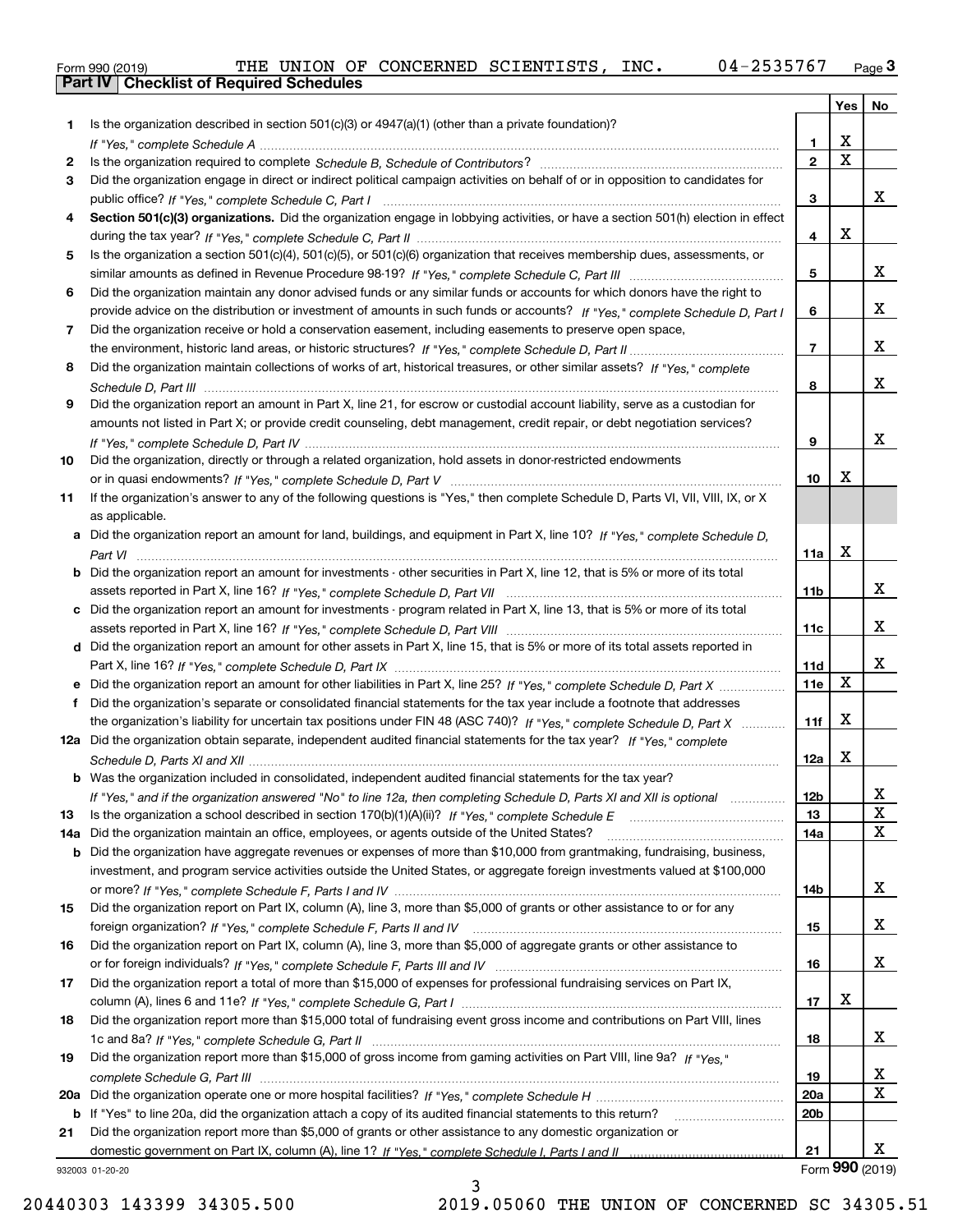|  | Form 990 (2019) |
|--|-----------------|

|     |                                                                                                                                       |                 | Yes   No                |                 |
|-----|---------------------------------------------------------------------------------------------------------------------------------------|-----------------|-------------------------|-----------------|
| 1.  | Is the organization described in section $501(c)(3)$ or $4947(a)(1)$ (other than a private foundation)?                               |                 |                         |                 |
|     |                                                                                                                                       | 1.              | X                       |                 |
| 2   |                                                                                                                                       | $\overline{2}$  | $\overline{\mathbf{x}}$ |                 |
| 3   | Did the organization engage in direct or indirect political campaign activities on behalf of or in opposition to candidates for       |                 |                         |                 |
|     |                                                                                                                                       | 3               |                         | x               |
| 4   | Section 501(c)(3) organizations. Did the organization engage in lobbying activities, or have a section 501(h) election in effect      |                 |                         |                 |
|     |                                                                                                                                       | 4               | X                       |                 |
| 5   | Is the organization a section 501(c)(4), 501(c)(5), or 501(c)(6) organization that receives membership dues, assessments, or          |                 |                         | x               |
|     |                                                                                                                                       | 5               |                         |                 |
| 6   | Did the organization maintain any donor advised funds or any similar funds or accounts for which donors have the right to             |                 |                         | x               |
|     | provide advice on the distribution or investment of amounts in such funds or accounts? If "Yes," complete Schedule D, Part I          | 6               |                         |                 |
| 7   | Did the organization receive or hold a conservation easement, including easements to preserve open space,                             | $\overline{7}$  |                         | x               |
|     | Did the organization maintain collections of works of art, historical treasures, or other similar assets? If "Yes," complete          |                 |                         |                 |
| 8   |                                                                                                                                       | 8               |                         | X               |
| 9   | Did the organization report an amount in Part X, line 21, for escrow or custodial account liability, serve as a custodian for         |                 |                         |                 |
|     | amounts not listed in Part X; or provide credit counseling, debt management, credit repair, or debt negotiation services?             |                 |                         |                 |
|     |                                                                                                                                       | 9               |                         | x               |
|     | Did the organization, directly or through a related organization, hold assets in donor-restricted endowments                          |                 |                         |                 |
| 10  |                                                                                                                                       | 10              | X                       |                 |
| 11  | If the organization's answer to any of the following questions is "Yes," then complete Schedule D, Parts VI, VII, VIII, IX, or X      |                 |                         |                 |
|     | as applicable.                                                                                                                        |                 |                         |                 |
|     | a Did the organization report an amount for land, buildings, and equipment in Part X, line 10? If "Yes." complete Schedule D.         |                 |                         |                 |
|     |                                                                                                                                       | 11a             | $\mathbf X$             |                 |
|     | <b>b</b> Did the organization report an amount for investments - other securities in Part X, line 12, that is 5% or more of its total |                 |                         |                 |
|     |                                                                                                                                       | 11 <sub>b</sub> |                         | x               |
|     | c Did the organization report an amount for investments - program related in Part X, line 13, that is 5% or more of its total         |                 |                         |                 |
|     |                                                                                                                                       | 11c             |                         | x               |
|     | d Did the organization report an amount for other assets in Part X, line 15, that is 5% or more of its total assets reported in       |                 |                         |                 |
|     |                                                                                                                                       | 11d             |                         | x               |
|     | e Did the organization report an amount for other liabilities in Part X, line 25? If "Yes," complete Schedule D, Part X               | 11e             | X                       |                 |
| f   | Did the organization's separate or consolidated financial statements for the tax year include a footnote that addresses               |                 |                         |                 |
|     | the organization's liability for uncertain tax positions under FIN 48 (ASC 740)? If "Yes," complete Schedule D, Part X                | 11f             | X                       |                 |
|     | 12a Did the organization obtain separate, independent audited financial statements for the tax year? If "Yes," complete               |                 |                         |                 |
|     |                                                                                                                                       | 12a             | X                       |                 |
|     | <b>b</b> Was the organization included in consolidated, independent audited financial statements for the tax year?                    |                 |                         |                 |
|     | If "Yes," and if the organization answered "No" to line 12a, then completing Schedule D, Parts XI and XII is optional                 | 12b             |                         | 4               |
| 13  |                                                                                                                                       | 13              |                         | X               |
| 14a | Did the organization maintain an office, employees, or agents outside of the United States?                                           | 14a             |                         | X               |
|     | <b>b</b> Did the organization have aggregate revenues or expenses of more than \$10,000 from grantmaking, fundraising, business,      |                 |                         |                 |
|     | investment, and program service activities outside the United States, or aggregate foreign investments valued at \$100,000            |                 |                         |                 |
|     |                                                                                                                                       | 14b             |                         | X               |
| 15  | Did the organization report on Part IX, column (A), line 3, more than \$5,000 of grants or other assistance to or for any             |                 |                         |                 |
|     |                                                                                                                                       | 15              |                         | X               |
| 16  | Did the organization report on Part IX, column (A), line 3, more than \$5,000 of aggregate grants or other assistance to              |                 |                         |                 |
|     |                                                                                                                                       | 16              |                         | X               |
| 17  | Did the organization report a total of more than \$15,000 of expenses for professional fundraising services on Part IX,               |                 |                         |                 |
|     |                                                                                                                                       | 17              | х                       |                 |
| 18  | Did the organization report more than \$15,000 total of fundraising event gross income and contributions on Part VIII, lines          |                 |                         |                 |
|     |                                                                                                                                       | 18              |                         | X               |
| 19  | Did the organization report more than \$15,000 of gross income from gaming activities on Part VIII, line 9a? If "Yes."                |                 |                         |                 |
|     |                                                                                                                                       | 19              |                         | x               |
|     |                                                                                                                                       | 20a             |                         | $\mathbf X$     |
|     | b If "Yes" to line 20a, did the organization attach a copy of its audited financial statements to this return?                        | 20 <sub>b</sub> |                         |                 |
| 21  | Did the organization report more than \$5,000 of grants or other assistance to any domestic organization or                           |                 |                         | x               |
|     |                                                                                                                                       | 21              |                         | Form 990 (2019) |
|     | 932003 01-20-20                                                                                                                       |                 |                         |                 |

932003 01-20-20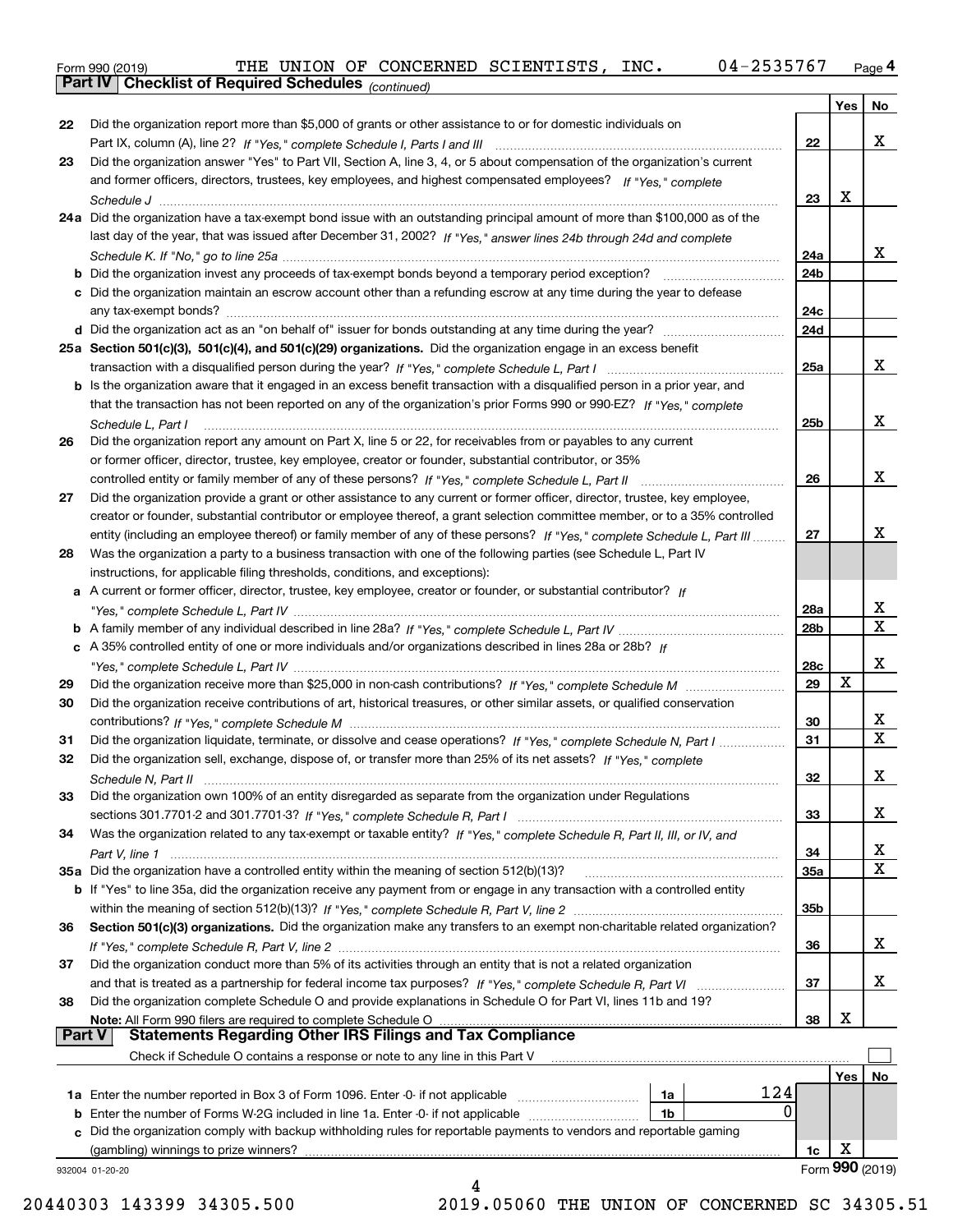Form 990 (2019) THE UNION OF CONCERNED SCIENTISTS,INC**.** 04-2535767 <sub>Page</sub> 4<br>**Part IV | Checklist of Required Schedules** <sub>(continued)</sub>

*(continued)*

|               |                                                                                                                              |                 | Yes | No                      |
|---------------|------------------------------------------------------------------------------------------------------------------------------|-----------------|-----|-------------------------|
| 22            | Did the organization report more than \$5,000 of grants or other assistance to or for domestic individuals on                |                 |     |                         |
|               |                                                                                                                              | 22              |     | x                       |
| 23            | Did the organization answer "Yes" to Part VII, Section A, line 3, 4, or 5 about compensation of the organization's current   |                 |     |                         |
|               | and former officers, directors, trustees, key employees, and highest compensated employees? If "Yes," complete               |                 |     |                         |
|               |                                                                                                                              | 23              | X   |                         |
|               | 24a Did the organization have a tax-exempt bond issue with an outstanding principal amount of more than \$100,000 as of the  |                 |     |                         |
|               | last day of the year, that was issued after December 31, 2002? If "Yes," answer lines 24b through 24d and complete           |                 |     |                         |
|               |                                                                                                                              | 24a             |     | X.                      |
|               | <b>b</b> Did the organization invest any proceeds of tax-exempt bonds beyond a temporary period exception?                   | 24b             |     |                         |
|               | c Did the organization maintain an escrow account other than a refunding escrow at any time during the year to defease       |                 |     |                         |
|               | any tax-exempt bonds?                                                                                                        | 24c             |     |                         |
|               |                                                                                                                              | 24d             |     |                         |
|               | 25a Section 501(c)(3), 501(c)(4), and 501(c)(29) organizations. Did the organization engage in an excess benefit             |                 |     |                         |
|               |                                                                                                                              | 25a             |     | x                       |
|               | b Is the organization aware that it engaged in an excess benefit transaction with a disqualified person in a prior year, and |                 |     |                         |
|               | that the transaction has not been reported on any of the organization's prior Forms 990 or 990-EZ? If "Yes." complete        |                 |     |                         |
|               | Schedule L, Part I                                                                                                           | 25 <sub>b</sub> |     | x                       |
| 26            | Did the organization report any amount on Part X, line 5 or 22, for receivables from or payables to any current              |                 |     |                         |
|               | or former officer, director, trustee, key employee, creator or founder, substantial contributor, or 35%                      |                 |     |                         |
|               | controlled entity or family member of any of these persons? If "Yes," complete Schedule L, Part II                           | 26              |     | X                       |
| 27            | Did the organization provide a grant or other assistance to any current or former officer, director, trustee, key employee,  |                 |     |                         |
|               | creator or founder, substantial contributor or employee thereof, a grant selection committee member, or to a 35% controlled  |                 |     |                         |
|               | entity (including an employee thereof) or family member of any of these persons? If "Yes," complete Schedule L, Part III     | 27              |     | x                       |
| 28            | Was the organization a party to a business transaction with one of the following parties (see Schedule L, Part IV            |                 |     |                         |
|               | instructions, for applicable filing thresholds, conditions, and exceptions):                                                 |                 |     |                         |
|               | a A current or former officer, director, trustee, key employee, creator or founder, or substantial contributor? If           |                 |     |                         |
|               |                                                                                                                              | 28a             |     | x                       |
|               |                                                                                                                              | 28b             |     | $\overline{\mathtt{x}}$ |
|               | c A 35% controlled entity of one or more individuals and/or organizations described in lines 28a or 28b? If                  |                 |     |                         |
|               |                                                                                                                              | 28c             |     | X                       |
| 29            |                                                                                                                              | 29              | X   |                         |
| 30            | Did the organization receive contributions of art, historical treasures, or other similar assets, or qualified conservation  |                 |     |                         |
|               |                                                                                                                              | 30              |     | X                       |
| 31            | Did the organization liquidate, terminate, or dissolve and cease operations? If "Yes," complete Schedule N, Part I           | 31              |     | $\overline{\mathtt{x}}$ |
| 32            | Did the organization sell, exchange, dispose of, or transfer more than 25% of its net assets? If "Yes," complete             |                 |     |                         |
|               |                                                                                                                              | 32              |     | x                       |
| 33            | Did the organization own 100% of an entity disregarded as separate from the organization under Regulations                   |                 |     |                         |
|               |                                                                                                                              | 33              |     | x                       |
| 34            | Was the organization related to any tax-exempt or taxable entity? If "Yes," complete Schedule R, Part II, III, or IV, and    |                 |     |                         |
|               |                                                                                                                              | 34              |     | <u>x</u>                |
|               | 35a Did the organization have a controlled entity within the meaning of section 512(b)(13)?                                  | 35a             |     | $\overline{\mathbf{x}}$ |
|               | b If "Yes" to line 35a, did the organization receive any payment from or engage in any transaction with a controlled entity  |                 |     |                         |
|               |                                                                                                                              | 35b             |     |                         |
| 36            | Section 501(c)(3) organizations. Did the organization make any transfers to an exempt non-charitable related organization?   |                 |     |                         |
|               |                                                                                                                              | 36              |     | x                       |
| 37            | Did the organization conduct more than 5% of its activities through an entity that is not a related organization             |                 |     |                         |
|               |                                                                                                                              | 37              |     | x                       |
| 38            | Did the organization complete Schedule O and provide explanations in Schedule O for Part VI, lines 11b and 19?               |                 |     |                         |
|               | Note: All Form 990 filers are required to complete Schedule O                                                                | 38              | x   |                         |
| <b>Part V</b> | <b>Statements Regarding Other IRS Filings and Tax Compliance</b>                                                             |                 |     |                         |
|               | Check if Schedule O contains a response or note to any line in this Part V                                                   |                 |     |                         |
|               |                                                                                                                              |                 | Yes | No                      |
|               | 124<br>1a Enter the number reported in Box 3 of Form 1096. Enter -0- if not applicable<br>1a                                 |                 |     |                         |
|               | 0<br><b>b</b> Enter the number of Forms W-2G included in line 1a. Enter -0- if not applicable<br>1b                          |                 |     |                         |
| c             | Did the organization comply with backup withholding rules for reportable payments to vendors and reportable gaming           |                 |     |                         |
|               | (gambling) winnings to prize winners?                                                                                        | 1c              | Χ   |                         |
|               | 932004 01-20-20                                                                                                              |                 |     | Form 990 (2019)         |
|               | 4                                                                                                                            |                 |     |                         |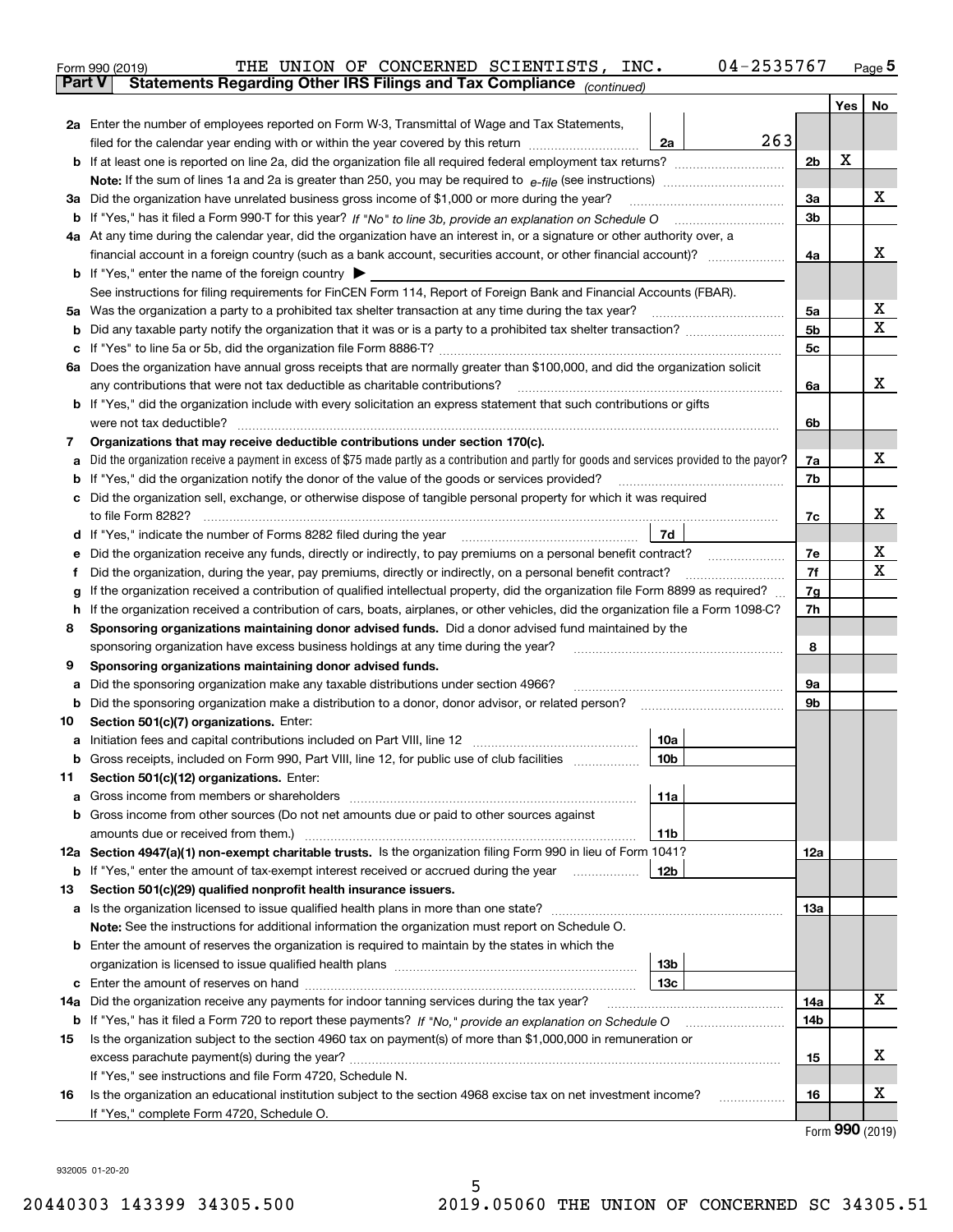|    | THE UNION OF CONCERNED SCIENTISTS, INC.<br>Form 990 (2019)                                                                                      | 04-2535767  |                |     | <u>Page</u> 5                       |
|----|-------------------------------------------------------------------------------------------------------------------------------------------------|-------------|----------------|-----|-------------------------------------|
|    | Statements Regarding Other IRS Filings and Tax Compliance (continued)<br>Part V                                                                 |             |                |     |                                     |
|    |                                                                                                                                                 |             |                | Yes | No                                  |
|    | 2a Enter the number of employees reported on Form W-3, Transmittal of Wage and Tax Statements,                                                  |             |                |     |                                     |
|    | filed for the calendar year ending with or within the year covered by this return                                                               | 263<br>2a   |                |     |                                     |
|    |                                                                                                                                                 |             | 2 <sub>b</sub> | х   |                                     |
|    |                                                                                                                                                 |             |                |     |                                     |
|    | 3a Did the organization have unrelated business gross income of \$1,000 or more during the year?                                                |             | 3a             |     | х                                   |
|    |                                                                                                                                                 |             | 3 <sub>b</sub> |     |                                     |
|    | 4a At any time during the calendar year, did the organization have an interest in, or a signature or other authority over, a                    |             |                |     |                                     |
|    | financial account in a foreign country (such as a bank account, securities account, or other financial account)?                                |             | 4a             |     | x                                   |
|    | <b>b</b> If "Yes," enter the name of the foreign country $\blacktriangleright$                                                                  |             |                |     |                                     |
|    | See instructions for filing requirements for FinCEN Form 114, Report of Foreign Bank and Financial Accounts (FBAR).                             |             |                |     |                                     |
|    |                                                                                                                                                 |             | 5a             |     | х                                   |
| b  |                                                                                                                                                 |             | 5 <sub>b</sub> |     | Χ                                   |
|    |                                                                                                                                                 |             | 5 <sub>c</sub> |     |                                     |
|    | 6a Does the organization have annual gross receipts that are normally greater than \$100,000, and did the organization solicit                  |             |                |     |                                     |
|    | any contributions that were not tax deductible as charitable contributions?                                                                     |             | 6a             |     | x                                   |
|    | <b>b</b> If "Yes," did the organization include with every solicitation an express statement that such contributions or gifts                   |             |                |     |                                     |
|    | were not tax deductible?                                                                                                                        |             | 6b             |     |                                     |
| 7  | Organizations that may receive deductible contributions under section 170(c).                                                                   |             |                |     |                                     |
| а  | Did the organization receive a payment in excess of \$75 made partly as a contribution and partly for goods and services provided to the payor? |             | 7a             |     | х                                   |
|    | <b>b</b> If "Yes," did the organization notify the donor of the value of the goods or services provided?                                        |             | 7b             |     |                                     |
|    | c Did the organization sell, exchange, or otherwise dispose of tangible personal property for which it was required                             |             |                |     |                                     |
|    |                                                                                                                                                 |             | 7c             |     | х                                   |
|    |                                                                                                                                                 | 7d          |                |     |                                     |
| е  | Did the organization receive any funds, directly or indirectly, to pay premiums on a personal benefit contract?                                 |             | 7e             |     | х                                   |
| f  | Did the organization, during the year, pay premiums, directly or indirectly, on a personal benefit contract?                                    |             | 7f             |     | Χ                                   |
| g  | If the organization received a contribution of qualified intellectual property, did the organization file Form 8899 as required?                |             | 7g             |     |                                     |
|    | h If the organization received a contribution of cars, boats, airplanes, or other vehicles, did the organization file a Form 1098-C?            |             | 7h             |     |                                     |
| 8  | Sponsoring organizations maintaining donor advised funds. Did a donor advised fund maintained by the                                            |             |                |     |                                     |
|    | sponsoring organization have excess business holdings at any time during the year?                                                              |             | 8              |     |                                     |
| 9  | Sponsoring organizations maintaining donor advised funds.                                                                                       |             |                |     |                                     |
| а  | Did the sponsoring organization make any taxable distributions under section 4966?                                                              |             | 9a             |     |                                     |
| b  | Did the sponsoring organization make a distribution to a donor, donor advisor, or related person? [[[[[[[[[[[                                   |             | 9b             |     |                                     |
| 10 | Section 501(c)(7) organizations. Enter:                                                                                                         |             |                |     |                                     |
|    | Gross receipts, included on Form 990, Part VIII, line 12, for public use of club facilities                                                     | 10a<br> 10b |                |     |                                     |
| 11 |                                                                                                                                                 |             |                |     |                                     |
| a  | Section 501(c)(12) organizations. Enter:                                                                                                        | 11a         |                |     |                                     |
|    | b Gross income from other sources (Do not net amounts due or paid to other sources against                                                      |             |                |     |                                     |
|    |                                                                                                                                                 | 11b         |                |     |                                     |
|    | 12a Section 4947(a)(1) non-exempt charitable trusts. Is the organization filing Form 990 in lieu of Form 1041?                                  |             | 12a            |     |                                     |
|    | <b>b</b> If "Yes," enter the amount of tax-exempt interest received or accrued during the year                                                  | 12b         |                |     |                                     |
| 13 | Section 501(c)(29) qualified nonprofit health insurance issuers.                                                                                |             |                |     |                                     |
|    | a Is the organization licensed to issue qualified health plans in more than one state?                                                          |             | 13а            |     |                                     |
|    | Note: See the instructions for additional information the organization must report on Schedule O.                                               |             |                |     |                                     |
|    | <b>b</b> Enter the amount of reserves the organization is required to maintain by the states in which the                                       |             |                |     |                                     |
|    |                                                                                                                                                 | 13b         |                |     |                                     |
|    |                                                                                                                                                 | 13с         |                |     |                                     |
|    | 14a Did the organization receive any payments for indoor tanning services during the tax year?                                                  |             | 14a            |     | x                                   |
|    |                                                                                                                                                 |             | 14b            |     |                                     |
| 15 | Is the organization subject to the section 4960 tax on payment(s) of more than \$1,000,000 in remuneration or                                   |             |                |     |                                     |
|    |                                                                                                                                                 |             | 15             |     | х                                   |
|    | If "Yes," see instructions and file Form 4720, Schedule N.                                                                                      |             |                |     |                                     |
| 16 | Is the organization an educational institution subject to the section 4968 excise tax on net investment income?                                 |             | 16             |     | х                                   |
|    | If "Yes," complete Form 4720, Schedule O.                                                                                                       |             |                |     |                                     |
|    |                                                                                                                                                 |             |                |     | $F_{\text{arm}}$ QQ $\Omega$ (2010) |

Form (2019) **990**

932005 01-20-20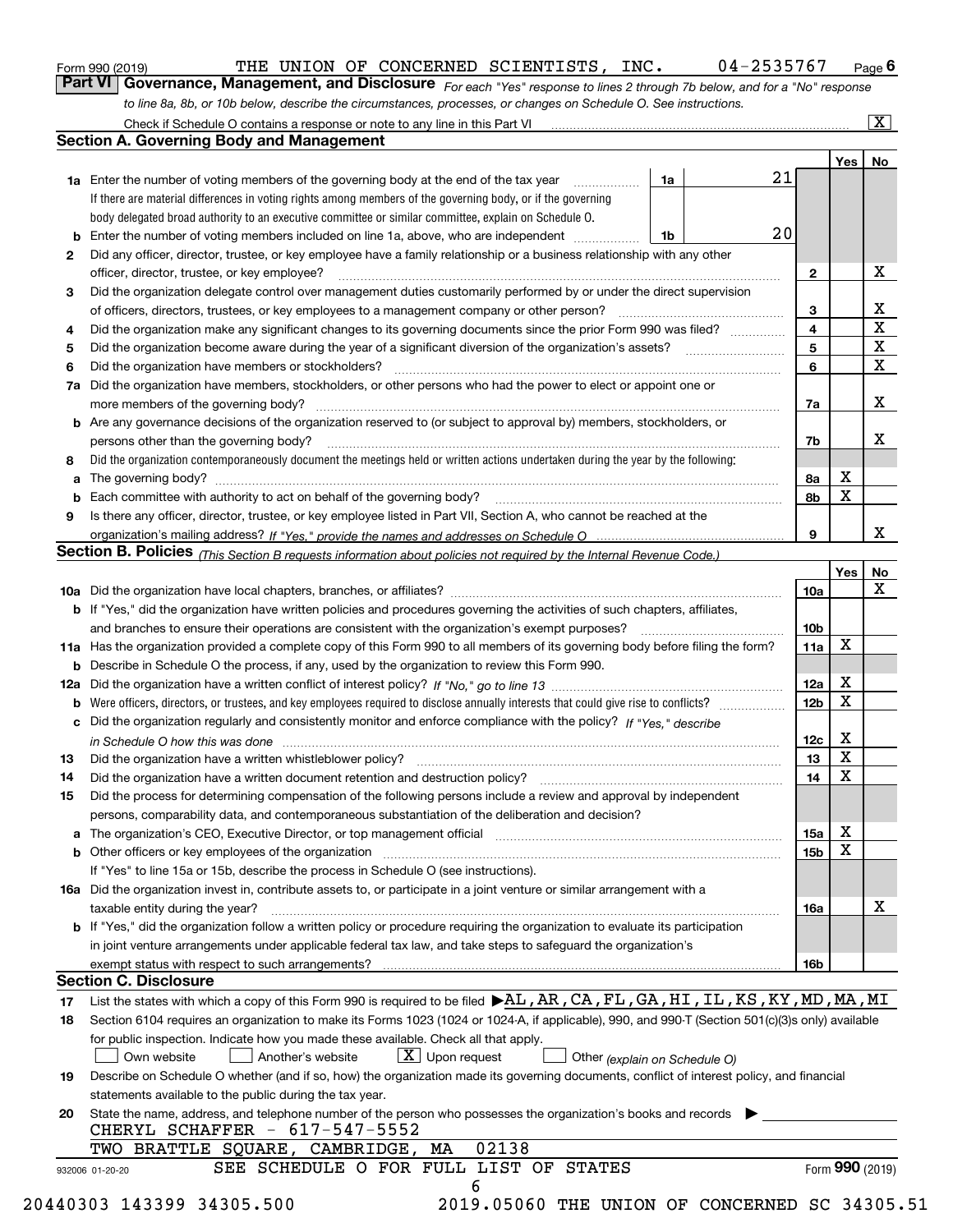| Form 990 (2019) |  |  |
|-----------------|--|--|
|                 |  |  |

*For each "Yes" response to lines 2 through 7b below, and for a "No" response to line 8a, 8b, or 10b below, describe the circumstances, processes, or changes on Schedule O. See instructions.* Form 990 (2019) **Page 6 Form 990 (2019) Page 6 <b>Part VI CONCERNED SCIENTISTS, INC.** 04-2535767 **Page 6 <b>Part VI Governance, Management, and Disclosure** *For each "Yes" response to lines 2 through 7b below, and for* 

|                 |                                                                                                                                                                            |    |  |    |                 | Yes   No        |             |  |  |  |
|-----------------|----------------------------------------------------------------------------------------------------------------------------------------------------------------------------|----|--|----|-----------------|-----------------|-------------|--|--|--|
|                 | <b>1a</b> Enter the number of voting members of the governing body at the end of the tax year <i>manumum</i>                                                               | 1a |  | 21 |                 |                 |             |  |  |  |
|                 | If there are material differences in voting rights among members of the governing body, or if the governing                                                                |    |  |    |                 |                 |             |  |  |  |
|                 | body delegated broad authority to an executive committee or similar committee, explain on Schedule O.                                                                      |    |  |    |                 |                 |             |  |  |  |
|                 |                                                                                                                                                                            | 1b |  | 20 |                 |                 |             |  |  |  |
| $\mathbf{2}$    | Did any officer, director, trustee, or key employee have a family relationship or a business relationship with any other                                                   |    |  |    |                 |                 |             |  |  |  |
|                 | officer, director, trustee, or key employee?                                                                                                                               |    |  |    | $\mathbf{2}$    |                 | X           |  |  |  |
| 3               | Did the organization delegate control over management duties customarily performed by or under the direct supervision                                                      |    |  |    |                 |                 |             |  |  |  |
|                 |                                                                                                                                                                            |    |  |    | 3               |                 | X           |  |  |  |
| 4               | Did the organization make any significant changes to its governing documents since the prior Form 990 was filed?                                                           |    |  |    | 4               |                 | $\mathbf X$ |  |  |  |
| 5               |                                                                                                                                                                            |    |  |    | 5               |                 | $\mathbf X$ |  |  |  |
| 6               | Did the organization have members or stockholders?                                                                                                                         |    |  |    | 6               |                 | X           |  |  |  |
|                 | 7a Did the organization have members, stockholders, or other persons who had the power to elect or appoint one or                                                          |    |  |    |                 |                 |             |  |  |  |
|                 |                                                                                                                                                                            |    |  |    | 7a              |                 | X           |  |  |  |
|                 | <b>b</b> Are any governance decisions of the organization reserved to (or subject to approval by) members, stockholders, or                                                |    |  |    |                 |                 |             |  |  |  |
|                 | persons other than the governing body?                                                                                                                                     |    |  |    | 7b              |                 | Х           |  |  |  |
| 8               | Did the organization contemporaneously document the meetings held or written actions undertaken during the year by the following:                                          |    |  |    |                 |                 |             |  |  |  |
| a               |                                                                                                                                                                            |    |  |    | 8a              | X               |             |  |  |  |
|                 |                                                                                                                                                                            |    |  |    | 8b              | $\mathbf X$     |             |  |  |  |
| 9               | Is there any officer, director, trustee, or key employee listed in Part VII, Section A, who cannot be reached at the                                                       |    |  |    |                 |                 |             |  |  |  |
|                 |                                                                                                                                                                            |    |  |    | 9               |                 | X           |  |  |  |
|                 | Section B. Policies <sub>(This</sub> Section B requests information about policies not required by the Internal Revenue Code.)                                             |    |  |    |                 |                 |             |  |  |  |
|                 |                                                                                                                                                                            |    |  |    |                 | Yes             | <b>No</b>   |  |  |  |
|                 |                                                                                                                                                                            |    |  |    | <b>10a</b>      |                 | X           |  |  |  |
|                 | <b>b</b> If "Yes," did the organization have written policies and procedures governing the activities of such chapters, affiliates,                                        |    |  |    |                 |                 |             |  |  |  |
|                 |                                                                                                                                                                            |    |  |    | 10 <sub>b</sub> |                 |             |  |  |  |
|                 | 11a Has the organization provided a complete copy of this Form 990 to all members of its governing body before filing the form?                                            |    |  |    | 11a             | X               |             |  |  |  |
|                 | <b>b</b> Describe in Schedule O the process, if any, used by the organization to review this Form 990.                                                                     |    |  |    |                 |                 |             |  |  |  |
|                 |                                                                                                                                                                            |    |  |    | 12a             | X               |             |  |  |  |
| b               |                                                                                                                                                                            |    |  |    | 12 <sub>b</sub> | X               |             |  |  |  |
|                 | c Did the organization regularly and consistently monitor and enforce compliance with the policy? If "Yes," describe                                                       |    |  |    |                 |                 |             |  |  |  |
|                 | in Schedule O how this was done www.communication.com/www.communications.com/www.communications.com/                                                                       |    |  |    | 12c             | X               |             |  |  |  |
| 13              |                                                                                                                                                                            |    |  |    | 13              | $\mathbf X$     |             |  |  |  |
| 14              | Did the organization have a written document retention and destruction policy? manufactured and the organization have a written document retention and destruction policy? |    |  |    | 14              | $\mathbf X$     |             |  |  |  |
| 15              | Did the process for determining compensation of the following persons include a review and approval by independent                                                         |    |  |    |                 |                 |             |  |  |  |
|                 | persons, comparability data, and contemporaneous substantiation of the deliberation and decision?                                                                          |    |  |    |                 |                 |             |  |  |  |
|                 |                                                                                                                                                                            |    |  |    |                 | X               |             |  |  |  |
|                 |                                                                                                                                                                            |    |  |    | 15a             | X               |             |  |  |  |
|                 | <b>b</b> Other officers or key employees of the organization                                                                                                               |    |  |    | 15b             |                 |             |  |  |  |
|                 | If "Yes" to line 15a or 15b, describe the process in Schedule O (see instructions).                                                                                        |    |  |    |                 |                 |             |  |  |  |
|                 | 16a Did the organization invest in, contribute assets to, or participate in a joint venture or similar arrangement with a                                                  |    |  |    |                 |                 | X           |  |  |  |
|                 | taxable entity during the year?                                                                                                                                            |    |  |    | 16a             |                 |             |  |  |  |
|                 | b If "Yes," did the organization follow a written policy or procedure requiring the organization to evaluate its participation                                             |    |  |    |                 |                 |             |  |  |  |
|                 | in joint venture arrangements under applicable federal tax law, and take steps to safequard the organization's                                                             |    |  |    |                 |                 |             |  |  |  |
|                 | exempt status with respect to such arrangements?                                                                                                                           |    |  |    | <b>16b</b>      |                 |             |  |  |  |
|                 | <b>Section C. Disclosure</b>                                                                                                                                               |    |  |    |                 |                 |             |  |  |  |
| 17              | List the states with which a copy of this Form 990 is required to be filed $\blacktriangleright$ AL, AR, CA, FL, GA, HI, IL, KS, KY, MD, MA, MI                            |    |  |    |                 |                 |             |  |  |  |
| 18              | Section 6104 requires an organization to make its Forms 1023 (1024 or 1024-A, if applicable), 990, and 990-T (Section 501(c)(3)s only) available                           |    |  |    |                 |                 |             |  |  |  |
|                 | for public inspection. Indicate how you made these available. Check all that apply.                                                                                        |    |  |    |                 |                 |             |  |  |  |
|                 | $\boxed{\text{X}}$ Upon request<br>Another's website<br>Own website<br>Other (explain on Schedule O)                                                                       |    |  |    |                 |                 |             |  |  |  |
| 19              | Describe on Schedule O whether (and if so, how) the organization made its governing documents, conflict of interest policy, and financial                                  |    |  |    |                 |                 |             |  |  |  |
|                 | statements available to the public during the tax year.                                                                                                                    |    |  |    |                 |                 |             |  |  |  |
| 20              | State the name, address, and telephone number of the person who possesses the organization's books and records                                                             |    |  |    |                 |                 |             |  |  |  |
|                 | CHERYL SCHAFFER - 617-547-5552                                                                                                                                             |    |  |    |                 |                 |             |  |  |  |
|                 | 02138<br>TWO BRATTLE SQUARE, CAMBRIDGE,<br>MA                                                                                                                              |    |  |    |                 |                 |             |  |  |  |
| 932006 01-20-20 | SEE SCHEDULE O FOR FULL LIST OF STATES                                                                                                                                     |    |  |    |                 | Form 990 (2019) |             |  |  |  |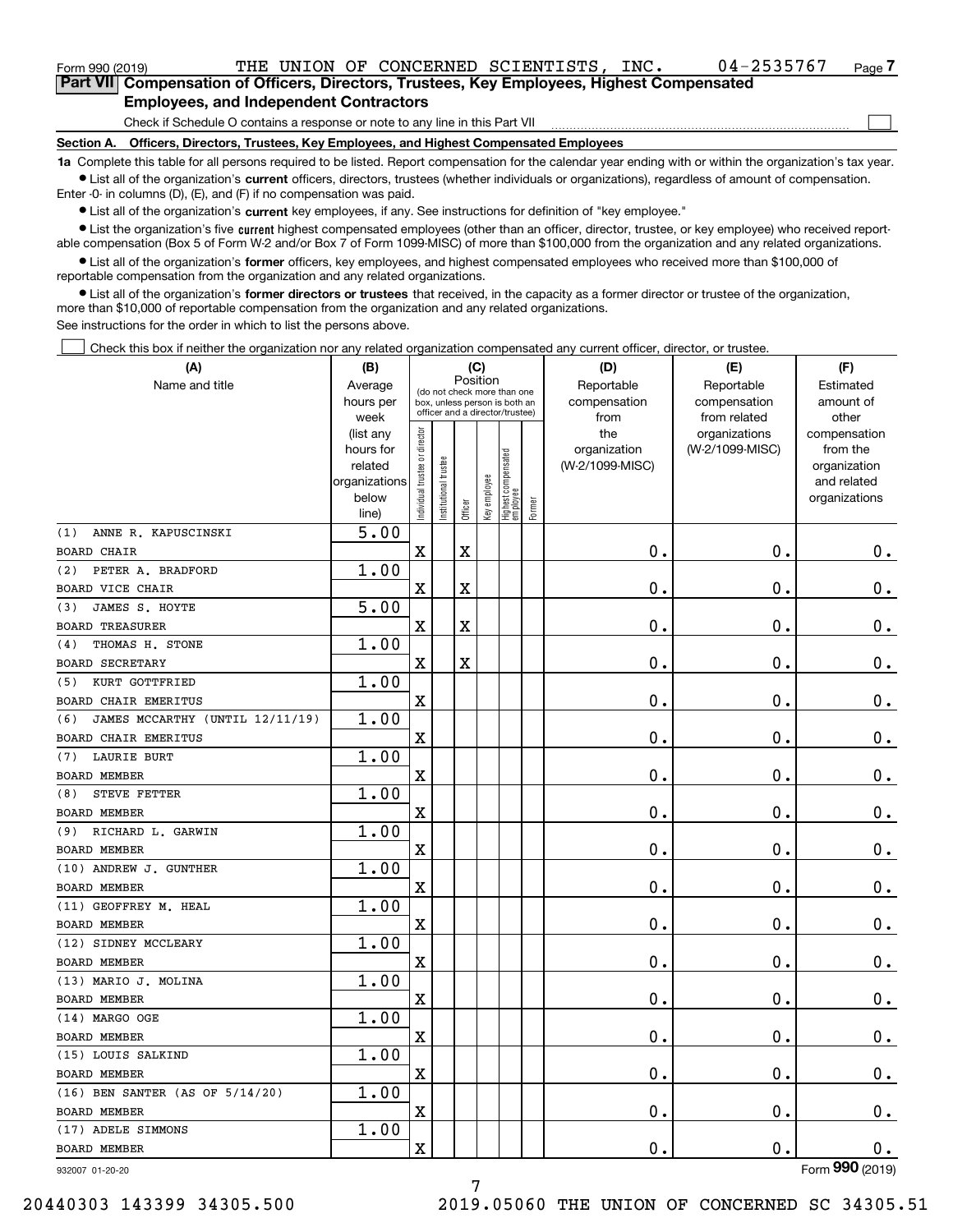| Form 990 (2019)                                                                             |                                                                              |  |  | THE UNION OF CONCERNED SCIENTISTS, | INC. | 04-2535767 | Page |  |  |  |  |
|---------------------------------------------------------------------------------------------|------------------------------------------------------------------------------|--|--|------------------------------------|------|------------|------|--|--|--|--|
| Part VIII Compensation of Officers, Directors, Trustees, Key Employees, Highest Compensated |                                                                              |  |  |                                    |      |            |      |  |  |  |  |
|                                                                                             | <b>Employees, and Independent Contractors</b>                                |  |  |                                    |      |            |      |  |  |  |  |
|                                                                                             | Check if Schedule O contains a response or note to any line in this Part VII |  |  |                                    |      |            |      |  |  |  |  |

**Section A. Officers, Directors, Trustees, Key Employees, and Highest Compensated Employees**

**1a**  Complete this table for all persons required to be listed. Report compensation for the calendar year ending with or within the organization's tax year. **•** List all of the organization's current officers, directors, trustees (whether individuals or organizations), regardless of amount of compensation.

Enter -0- in columns (D), (E), and (F) if no compensation was paid.

 $\bullet$  List all of the organization's  $\,$ current key employees, if any. See instructions for definition of "key employee."

• List the organization's five current highest compensated employees (other than an officer, director, trustee, or key employee) who received report-■ List the organization's five current highest compensated employees (other than an officer, director, trustee, or key employee) who received report-<br>able compensation (Box 5 of Form W-2 and/or Box 7 of Form 1099-MISC) of

**•** List all of the organization's former officers, key employees, and highest compensated employees who received more than \$100,000 of reportable compensation from the organization and any related organizations.

**former directors or trustees**  ¥ List all of the organization's that received, in the capacity as a former director or trustee of the organization, more than \$10,000 of reportable compensation from the organization and any related organizations.

See instructions for the order in which to list the persons above.

Check this box if neither the organization nor any related organization compensated any current officer, director, or trustee.  $\mathcal{L}^{\text{max}}$ 

| (A)                                    | (B)                    |                                         |                       | (C)                     |              |                                                                  |        | (D)             | (E)                           | (F)                   |  |  |
|----------------------------------------|------------------------|-----------------------------------------|-----------------------|-------------------------|--------------|------------------------------------------------------------------|--------|-----------------|-------------------------------|-----------------------|--|--|
| Name and title                         | Average                | Position<br>(do not check more than one |                       |                         |              |                                                                  |        | Reportable      | Reportable                    | Estimated             |  |  |
|                                        | hours per              |                                         |                       |                         |              | box, unless person is both an<br>officer and a director/trustee) |        | compensation    | compensation                  | amount of             |  |  |
|                                        | week                   |                                         |                       |                         |              |                                                                  |        | from<br>the     | from related<br>organizations | other<br>compensation |  |  |
|                                        | (list any<br>hours for |                                         |                       |                         |              |                                                                  |        | organization    | (W-2/1099-MISC)               | from the              |  |  |
|                                        | related                |                                         |                       |                         |              |                                                                  |        | (W-2/1099-MISC) |                               | organization          |  |  |
|                                        | organizations          |                                         |                       |                         |              |                                                                  |        |                 |                               | and related           |  |  |
|                                        | below                  | Individual trustee or director          | Institutional trustee |                         | Key employee | Highest compensated<br> employee                                 |        |                 |                               | organizations         |  |  |
|                                        | line)                  |                                         |                       | Officer                 |              |                                                                  | Former |                 |                               |                       |  |  |
| ANNE R. KAPUSCINSKI<br>(1)             | 5.00                   |                                         |                       |                         |              |                                                                  |        |                 |                               |                       |  |  |
| <b>BOARD CHAIR</b>                     |                        | $\mathbf X$                             |                       | X                       |              |                                                                  |        | 0.              | $\mathbf 0$ .                 | $\mathbf 0$ .         |  |  |
| PETER A. BRADFORD<br>(2)               | 1.00                   |                                         |                       |                         |              |                                                                  |        |                 |                               |                       |  |  |
| <b>BOARD VICE CHAIR</b>                |                        | X                                       |                       | X                       |              |                                                                  |        | 0.              | $\mathbf 0$ .                 | $\mathbf 0$ .         |  |  |
| JAMES S. HOYTE<br>(3)                  | 5.00                   |                                         |                       |                         |              |                                                                  |        |                 |                               |                       |  |  |
| <b>BOARD TREASURER</b>                 |                        | X                                       |                       | $\overline{\textbf{X}}$ |              |                                                                  |        | 0.              | $\mathbf 0$ .                 | $\mathbf 0$ .         |  |  |
| THOMAS H. STONE<br>(4)                 | 1.00                   |                                         |                       |                         |              |                                                                  |        |                 |                               |                       |  |  |
| <b>BOARD SECRETARY</b>                 |                        | $\overline{\text{X}}$                   |                       | $\overline{\mathbf{X}}$ |              |                                                                  |        | 0.              | $\mathbf{0}$ .                | $\mathbf 0$ .         |  |  |
| KURT GOTTFRIED<br>(5)                  | 1.00                   |                                         |                       |                         |              |                                                                  |        |                 |                               |                       |  |  |
| BOARD CHAIR EMERITUS                   |                        | $\mathbf x$                             |                       |                         |              |                                                                  |        | $\mathbf 0$ .   | $\mathbf 0$ .                 | $\mathbf 0$ .         |  |  |
| JAMES MCCARTHY (UNTIL 12/11/19)<br>(6) | 1.00                   |                                         |                       |                         |              |                                                                  |        |                 |                               |                       |  |  |
| BOARD CHAIR EMERITUS                   |                        | $\overline{\text{X}}$                   |                       |                         |              |                                                                  |        | 0.              | $\mathbf 0$ .                 | $0$ .                 |  |  |
| <b>LAURIE BURT</b><br>(7)              | 1.00                   |                                         |                       |                         |              |                                                                  |        |                 |                               |                       |  |  |
| <b>BOARD MEMBER</b>                    |                        | $\overline{\text{X}}$                   |                       |                         |              |                                                                  |        | 0.              | $\mathbf 0$ .                 | $\mathbf 0$ .         |  |  |
| <b>STEVE FETTER</b><br>(8)             | 1.00                   |                                         |                       |                         |              |                                                                  |        |                 |                               |                       |  |  |
| <b>BOARD MEMBER</b>                    |                        | X                                       |                       |                         |              |                                                                  |        | 0.              | $\mathbf 0$ .                 | $\mathbf 0$ .         |  |  |
| RICHARD L. GARWIN<br>(9)               | 1.00                   |                                         |                       |                         |              |                                                                  |        |                 |                               |                       |  |  |
| <b>BOARD MEMBER</b>                    |                        | X                                       |                       |                         |              |                                                                  |        | $\mathbf 0$ .   | $\mathbf 0$ .                 | $\mathbf 0$ .         |  |  |
| (10) ANDREW J. GUNTHER                 | 1.00                   |                                         |                       |                         |              |                                                                  |        |                 |                               |                       |  |  |
| <b>BOARD MEMBER</b>                    |                        | X                                       |                       |                         |              |                                                                  |        | $\mathbf 0$ .   | $\mathbf 0$ .                 | $\mathbf 0$ .         |  |  |
| (11) GEOFFREY M. HEAL                  | 1.00                   |                                         |                       |                         |              |                                                                  |        |                 |                               |                       |  |  |
| BOARD MEMBER                           |                        | X                                       |                       |                         |              |                                                                  |        | 0.              | 0.                            | $\mathbf 0$ .         |  |  |
| (12) SIDNEY MCCLEARY                   | 1.00                   |                                         |                       |                         |              |                                                                  |        |                 |                               |                       |  |  |
| BOARD MEMBER                           |                        | $\mathbf X$                             |                       |                         |              |                                                                  |        | 0.              | $\mathbf 0$ .                 | $0_{.}$               |  |  |
| (13) MARIO J. MOLINA                   | 1.00                   |                                         |                       |                         |              |                                                                  |        |                 |                               |                       |  |  |
| <b>BOARD MEMBER</b>                    |                        | X                                       |                       |                         |              |                                                                  |        | 0.              | 0.                            | 0.                    |  |  |
| (14) MARGO OGE                         | 1.00                   |                                         |                       |                         |              |                                                                  |        |                 |                               |                       |  |  |
| BOARD MEMBER                           |                        | $\mathbf X$                             |                       |                         |              |                                                                  |        | 0.              | $\mathbf 0$ .                 | $\mathbf 0$ .         |  |  |
| (15) LOUIS SALKIND                     | 1.00                   |                                         |                       |                         |              |                                                                  |        |                 |                               |                       |  |  |
| BOARD MEMBER                           |                        | X                                       |                       |                         |              |                                                                  |        | $\mathbf{0}$ .  | $\mathbf 0$ .                 | 0.                    |  |  |
| (16) BEN SANTER (AS OF 5/14/20)        | 1.00                   |                                         |                       |                         |              |                                                                  |        |                 |                               |                       |  |  |
| <b>BOARD MEMBER</b>                    |                        | X                                       |                       |                         |              |                                                                  |        | 0.              | 0.                            | 0.                    |  |  |
| (17) ADELE SIMMONS                     | 1.00                   |                                         |                       |                         |              |                                                                  |        |                 |                               |                       |  |  |
| BOARD MEMBER                           |                        | X                                       |                       |                         |              |                                                                  |        | 0.              | $\mathbf 0$ .                 | 0.                    |  |  |
|                                        |                        |                                         |                       |                         |              |                                                                  |        |                 |                               | nnn.                  |  |  |

932007 01-20-20

Form (2019) **990**

7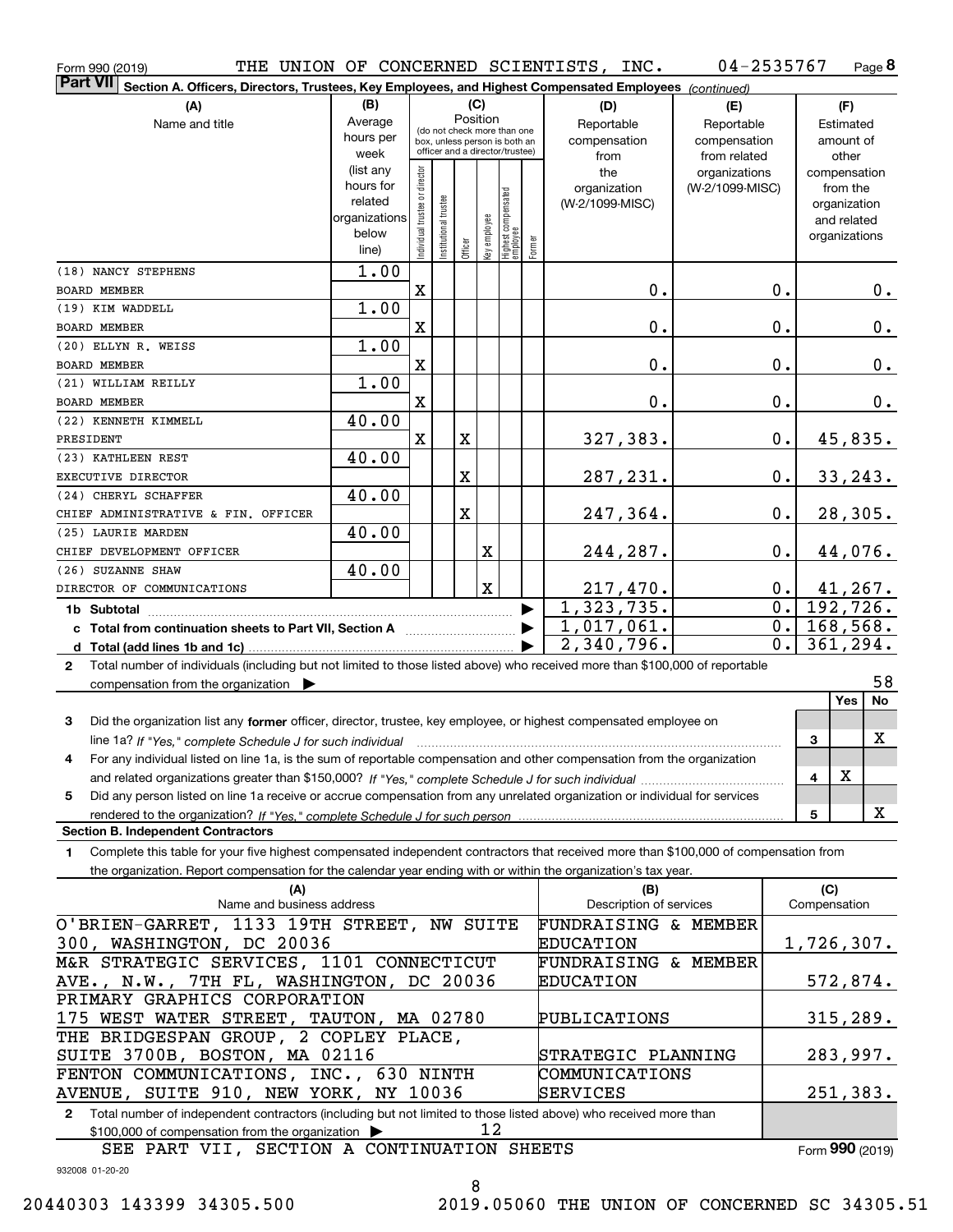| Form 990 (2019)                                                                                                                                 |                      |                                                                  |                       |                                         |             |                                                           |  | THE UNION OF CONCERNED SCIENTISTS, INC. | 04-2535767      |                  |              |                             | Page 8      |
|-------------------------------------------------------------------------------------------------------------------------------------------------|----------------------|------------------------------------------------------------------|-----------------------|-----------------------------------------|-------------|-----------------------------------------------------------|--|-----------------------------------------|-----------------|------------------|--------------|-----------------------------|-------------|
| <b>Part VII</b><br>Section A. Officers, Directors, Trustees, Key Employees, and Highest Compensated Employees (continued)                       |                      |                                                                  |                       |                                         |             |                                                           |  |                                         |                 |                  |              |                             |             |
| (A)                                                                                                                                             | (B)                  |                                                                  |                       |                                         | (C)         |                                                           |  | (D)                                     | (E)             |                  |              | (F)                         |             |
| Name and title                                                                                                                                  | Average              |                                                                  |                       | Position<br>(do not check more than one |             |                                                           |  | Reportable                              | Reportable      |                  |              | Estimated                   |             |
|                                                                                                                                                 | hours per            | box, unless person is both an<br>officer and a director/trustee) |                       |                                         |             |                                                           |  | compensation                            | compensation    |                  |              | amount of                   |             |
|                                                                                                                                                 | week                 |                                                                  |                       |                                         |             |                                                           |  | from                                    | from related    |                  |              | other                       |             |
|                                                                                                                                                 | (list any            |                                                                  |                       |                                         |             |                                                           |  | the                                     | organizations   |                  |              | compensation                |             |
|                                                                                                                                                 | hours for<br>related |                                                                  |                       |                                         |             |                                                           |  | organization                            | (W-2/1099-MISC) |                  |              | from the                    |             |
|                                                                                                                                                 | organizations        |                                                                  |                       |                                         |             |                                                           |  | (W-2/1099-MISC)                         |                 |                  |              | organization<br>and related |             |
|                                                                                                                                                 | below                |                                                                  |                       |                                         |             |                                                           |  |                                         |                 |                  |              | organizations               |             |
|                                                                                                                                                 | line)                | Individual trustee or director                                   | Institutional trustee | Officer                                 |             | key employee<br>Highest compensated<br>employee<br>Former |  |                                         |                 |                  |              |                             |             |
| (18) NANCY STEPHENS                                                                                                                             | 1.00                 |                                                                  |                       |                                         |             |                                                           |  |                                         |                 |                  |              |                             |             |
| <b>BOARD MEMBER</b>                                                                                                                             |                      | $\mathbf X$                                                      |                       |                                         |             |                                                           |  | 0.                                      |                 | 0.               |              |                             | $0$ .       |
| (19) KIM WADDELL                                                                                                                                | 1.00                 |                                                                  |                       |                                         |             |                                                           |  |                                         |                 |                  |              |                             |             |
| BOARD MEMBER                                                                                                                                    |                      | X                                                                |                       |                                         |             |                                                           |  | 0.                                      |                 | 0.               |              |                             | 0.          |
| (20) ELLYN R. WEISS                                                                                                                             | 1.00                 |                                                                  |                       |                                         |             |                                                           |  |                                         |                 |                  |              |                             |             |
| <b>BOARD MEMBER</b>                                                                                                                             |                      | X                                                                |                       |                                         |             |                                                           |  | 0.                                      |                 | 0.               |              |                             | 0.          |
| (21) WILLIAM REILLY                                                                                                                             | 1.00                 |                                                                  |                       |                                         |             |                                                           |  |                                         |                 |                  |              |                             |             |
| <b>BOARD MEMBER</b>                                                                                                                             |                      | X                                                                |                       |                                         |             |                                                           |  | $0$ .                                   |                 | 0.               |              |                             |             |
|                                                                                                                                                 | 40.00                |                                                                  |                       |                                         |             |                                                           |  |                                         |                 |                  |              |                             | 0.          |
| (22) KENNETH KIMMELL                                                                                                                            |                      |                                                                  |                       |                                         |             |                                                           |  |                                         |                 |                  |              |                             |             |
| PRESIDENT                                                                                                                                       |                      | $\mathbf X$                                                      |                       | $\mathbf X$                             |             |                                                           |  | 327,383.                                |                 | 0.               |              |                             | 45,835.     |
| (23) KATHLEEN REST                                                                                                                              | 40.00                |                                                                  |                       |                                         |             |                                                           |  |                                         |                 |                  |              |                             |             |
| EXECUTIVE DIRECTOR                                                                                                                              |                      |                                                                  |                       | X                                       |             |                                                           |  | 287,231.                                |                 | $0$ .            |              |                             | 33, 243.    |
| (24) CHERYL SCHAFFER                                                                                                                            | 40.00                |                                                                  |                       |                                         |             |                                                           |  |                                         |                 |                  |              |                             |             |
| CHIEF ADMINISTRATIVE & FIN. OFFICER                                                                                                             |                      |                                                                  |                       | X                                       |             |                                                           |  | 247,364.                                |                 | 0.               |              |                             | 28, 305.    |
| (25) LAURIE MARDEN                                                                                                                              | 40.00                |                                                                  |                       |                                         |             |                                                           |  |                                         |                 |                  |              |                             |             |
| CHIEF DEVELOPMENT OFFICER                                                                                                                       |                      |                                                                  |                       |                                         | X           |                                                           |  | 244,287.                                |                 | $0$ .            |              |                             | 44,076.     |
| (26) SUZANNE SHAW                                                                                                                               | 40.00                |                                                                  |                       |                                         |             |                                                           |  |                                         |                 |                  |              |                             |             |
| DIRECTOR OF COMMUNICATIONS                                                                                                                      |                      |                                                                  |                       |                                         | $\mathbf X$ |                                                           |  | 217,470.                                |                 | $0$ .            |              |                             | 41,267.     |
|                                                                                                                                                 |                      |                                                                  |                       |                                         |             |                                                           |  | 1,323,735.                              |                 |                  |              |                             | 0.192, 726. |
| c Total from continuation sheets to Part VII, Section A <b>Constanting the Continuum</b>                                                        |                      |                                                                  |                       |                                         |             |                                                           |  | 1,017,061.                              |                 | 0.1              |              |                             | 168,568.    |
|                                                                                                                                                 |                      |                                                                  |                       |                                         |             |                                                           |  | 2,340,796.                              |                 | $\overline{0}$ . |              |                             | 361, 294.   |
| Total number of individuals (including but not limited to those listed above) who received more than \$100,000 of reportable<br>$\mathbf{2}$    |                      |                                                                  |                       |                                         |             |                                                           |  |                                         |                 |                  |              |                             |             |
| compensation from the organization $\blacktriangleright$                                                                                        |                      |                                                                  |                       |                                         |             |                                                           |  |                                         |                 |                  |              |                             | 58          |
|                                                                                                                                                 |                      |                                                                  |                       |                                         |             |                                                           |  |                                         |                 |                  |              | Yes                         | No          |
| 3<br>Did the organization list any former officer, director, trustee, key employee, or highest compensated employee on                          |                      |                                                                  |                       |                                         |             |                                                           |  |                                         |                 |                  |              |                             |             |
| line 1a? If "Yes," complete Schedule J for such individual manufactured contained and the 1a? If "Yes," complete Schedule J for such individual |                      |                                                                  |                       |                                         |             |                                                           |  |                                         |                 |                  | 3            |                             | x           |
| For any individual listed on line 1a, is the sum of reportable compensation and other compensation from the organization                        |                      |                                                                  |                       |                                         |             |                                                           |  |                                         |                 |                  |              |                             |             |
|                                                                                                                                                 |                      |                                                                  |                       |                                         |             |                                                           |  |                                         |                 |                  | 4            | х                           |             |
| Did any person listed on line 1a receive or accrue compensation from any unrelated organization or individual for services<br>5                 |                      |                                                                  |                       |                                         |             |                                                           |  |                                         |                 |                  |              |                             |             |
|                                                                                                                                                 |                      |                                                                  |                       |                                         |             |                                                           |  |                                         |                 |                  | 5            |                             | x           |
| <b>Section B. Independent Contractors</b>                                                                                                       |                      |                                                                  |                       |                                         |             |                                                           |  |                                         |                 |                  |              |                             |             |
| Complete this table for your five highest compensated independent contractors that received more than \$100,000 of compensation from<br>1       |                      |                                                                  |                       |                                         |             |                                                           |  |                                         |                 |                  |              |                             |             |
| the organization. Report compensation for the calendar year ending with or within the organization's tax year.                                  |                      |                                                                  |                       |                                         |             |                                                           |  |                                         |                 |                  |              |                             |             |
| (A)                                                                                                                                             |                      |                                                                  |                       |                                         |             |                                                           |  | (B)                                     |                 |                  | (C)          |                             |             |
| Name and business address                                                                                                                       |                      |                                                                  |                       |                                         |             |                                                           |  | Description of services                 |                 |                  | Compensation |                             |             |
| O'BRIEN-GARRET, 1133 19TH STREET, NW SUITE                                                                                                      |                      |                                                                  |                       |                                         |             |                                                           |  | FUNDRAISING & MEMBER                    |                 |                  |              |                             |             |
| 300, WASHINGTON, DC 20036                                                                                                                       |                      |                                                                  |                       |                                         |             |                                                           |  | <b>EDUCATION</b>                        |                 |                  |              |                             | 1,726,307.  |
| M&R STRATEGIC SERVICES, 1101 CONNECTICUT                                                                                                        |                      |                                                                  |                       |                                         |             |                                                           |  | <b>FUNDRAISING &amp; MEMBER</b>         |                 |                  |              |                             |             |
| AVE., N.W., 7TH FL, WASHINGTON, DC 20036                                                                                                        |                      |                                                                  |                       |                                         |             |                                                           |  | <b>EDUCATION</b>                        |                 |                  |              |                             | 572,874.    |
| PRIMARY GRAPHICS CORPORATION                                                                                                                    |                      |                                                                  |                       |                                         |             |                                                           |  |                                         |                 |                  |              |                             |             |
| 175 WEST WATER STREET, TAUTON, MA 02780                                                                                                         |                      |                                                                  |                       |                                         |             |                                                           |  | PUBLICATIONS                            |                 |                  |              |                             | 315,289.    |
| THE BRIDGESPAN GROUP, 2 COPLEY PLACE,                                                                                                           |                      |                                                                  |                       |                                         |             |                                                           |  |                                         |                 |                  |              |                             |             |
| SUITE 3700B, BOSTON, MA 02116                                                                                                                   |                      |                                                                  |                       |                                         |             |                                                           |  | STRATEGIC PLANNING                      |                 |                  |              |                             | 283,997.    |
| FENTON COMMUNICATIONS, INC., 630 NINTH                                                                                                          |                      |                                                                  |                       |                                         |             |                                                           |  | COMMUNICATIONS                          |                 |                  |              |                             |             |
| AVENUE, SUITE 910, NEW YORK, NY 10036                                                                                                           |                      |                                                                  |                       |                                         |             |                                                           |  | SERVICES                                |                 |                  |              |                             | 251,383.    |
| 2 Total number of independent contractors (including but not limited to those listed above) who received more than                              |                      |                                                                  |                       |                                         |             |                                                           |  |                                         |                 |                  |              |                             |             |
| \$100,000 of compensation from the organization                                                                                                 |                      |                                                                  |                       |                                         | 12          |                                                           |  |                                         |                 |                  |              |                             |             |

932008 01-20-20 \$100,000 of compensation from the organization <sup>|</sup> SEE PART VII, SECTION A CONTINUATION SHEETS Form (2019) **990**

8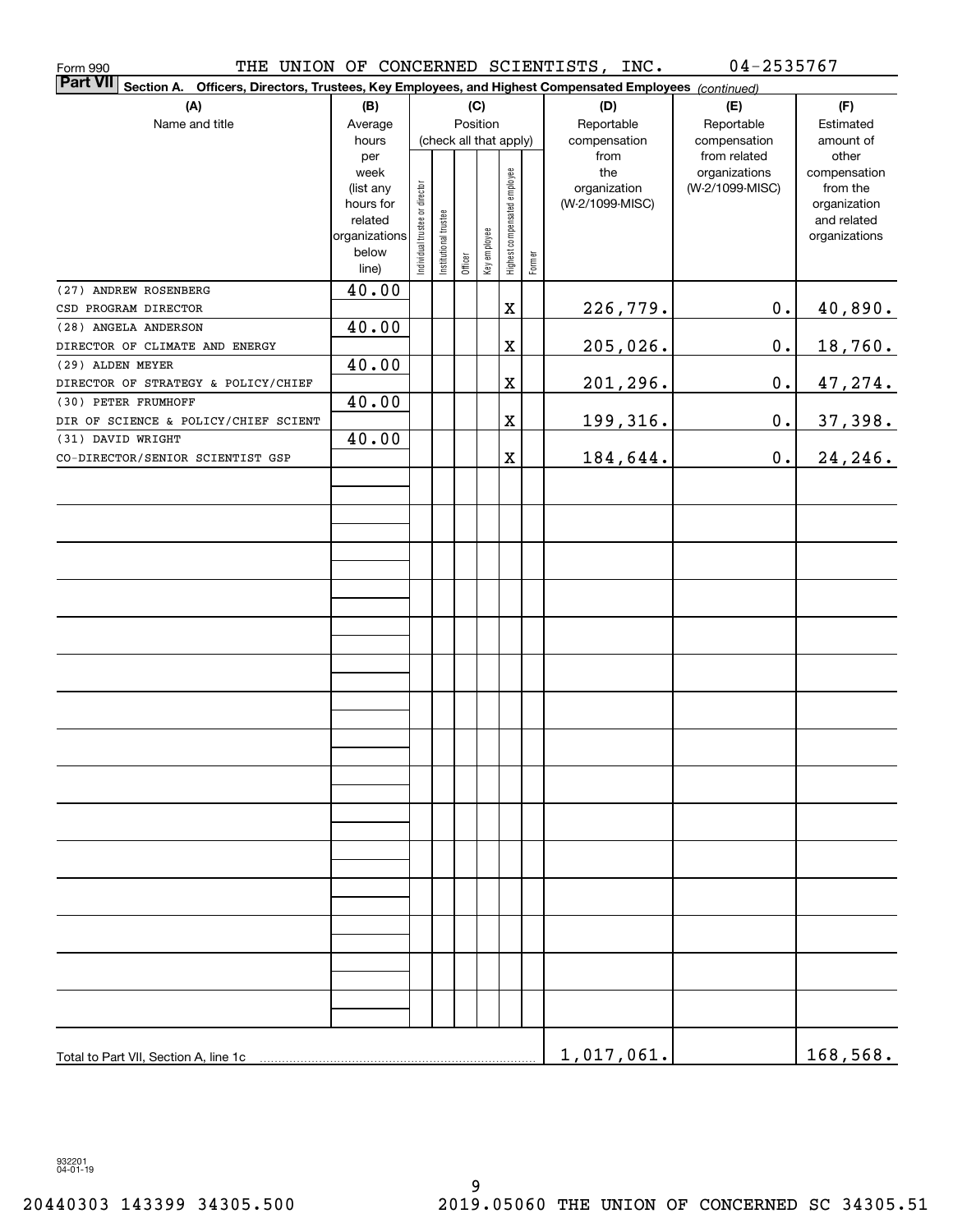| Form 990                              |                        |                                |                       |         |              |                              |        | THE UNION OF CONCERNED SCIENTISTS, INC. | 04-2535767                                                                                  |                          |  |  |
|---------------------------------------|------------------------|--------------------------------|-----------------------|---------|--------------|------------------------------|--------|-----------------------------------------|---------------------------------------------------------------------------------------------|--------------------------|--|--|
| <b>Part VII</b><br>Section A.         |                        |                                |                       |         |              |                              |        |                                         | Officers, Directors, Trustees, Key Employees, and Highest Compensated Employees (continued) |                          |  |  |
| (A)                                   | (B)                    |                                |                       |         | (C)          |                              |        | (D)                                     | (E)                                                                                         | (F)                      |  |  |
| Name and title                        | Average                |                                |                       |         | Position     |                              |        | Reportable                              | Reportable                                                                                  | Estimated                |  |  |
|                                       | hours                  |                                |                       |         |              | (check all that apply)       |        | compensation                            | compensation                                                                                | amount of                |  |  |
|                                       | per                    |                                |                       |         |              |                              |        | from                                    | from related                                                                                | other                    |  |  |
|                                       | week                   |                                |                       |         |              |                              |        | the                                     | organizations                                                                               | compensation             |  |  |
|                                       | (list any<br>hours for |                                |                       |         |              |                              |        | organization<br>(W-2/1099-MISC)         | (W-2/1099-MISC)                                                                             | from the<br>organization |  |  |
|                                       | related                |                                |                       |         |              |                              |        |                                         |                                                                                             | and related              |  |  |
|                                       | organizations          | Individual trustee or director | Institutional trustee |         |              | Highest compensated employee |        |                                         |                                                                                             | organizations            |  |  |
|                                       | below                  |                                |                       |         | Key employee |                              |        |                                         |                                                                                             |                          |  |  |
|                                       | line)                  |                                |                       | Officer |              |                              | Former |                                         |                                                                                             |                          |  |  |
| (27) ANDREW ROSENBERG                 | 40.00                  |                                |                       |         |              |                              |        |                                         |                                                                                             |                          |  |  |
| CSD PROGRAM DIRECTOR                  |                        |                                |                       |         |              | $\mathbf X$                  |        | 226,779.                                | $\mathbf 0$ .                                                                               | 40,890.                  |  |  |
| (28) ANGELA ANDERSON                  | 40.00                  |                                |                       |         |              |                              |        |                                         |                                                                                             |                          |  |  |
| DIRECTOR OF CLIMATE AND ENERGY        |                        |                                |                       |         |              | $\mathbf X$                  |        | 205,026.                                | $\mathbf 0$ .                                                                               | 18,760.                  |  |  |
| (29) ALDEN MEYER                      | 40.00                  |                                |                       |         |              |                              |        |                                         |                                                                                             |                          |  |  |
| DIRECTOR OF STRATEGY & POLICY/CHIEF   |                        |                                |                       |         |              | $\mathbf X$                  |        | 201,296.                                | $0$ .                                                                                       | 47,274.                  |  |  |
| (30) PETER FRUMHOFF                   | 40.00                  |                                |                       |         |              |                              |        |                                         |                                                                                             |                          |  |  |
| DIR OF SCIENCE & POLICY/CHIEF SCIENT  |                        |                                |                       |         |              | $\mathbf X$                  |        | <u>199,316.</u>                         | $\mathbf 0$ .                                                                               | 37,398.                  |  |  |
| (31) DAVID WRIGHT                     | 40.00                  |                                |                       |         |              |                              |        |                                         |                                                                                             |                          |  |  |
| CO-DIRECTOR/SENIOR SCIENTIST GSP      |                        |                                |                       |         |              | $\mathbf X$                  |        | 184,644.                                | $\mathbf 0$ .                                                                               | 24, 246.                 |  |  |
|                                       |                        |                                |                       |         |              |                              |        |                                         |                                                                                             |                          |  |  |
|                                       |                        |                                |                       |         |              |                              |        |                                         |                                                                                             |                          |  |  |
|                                       |                        |                                |                       |         |              |                              |        |                                         |                                                                                             |                          |  |  |
|                                       |                        |                                |                       |         |              |                              |        |                                         |                                                                                             |                          |  |  |
|                                       |                        |                                |                       |         |              |                              |        |                                         |                                                                                             |                          |  |  |
|                                       |                        |                                |                       |         |              |                              |        |                                         |                                                                                             |                          |  |  |
|                                       |                        |                                |                       |         |              |                              |        |                                         |                                                                                             |                          |  |  |
|                                       |                        |                                |                       |         |              |                              |        |                                         |                                                                                             |                          |  |  |
|                                       |                        |                                |                       |         |              |                              |        |                                         |                                                                                             |                          |  |  |
|                                       |                        |                                |                       |         |              |                              |        |                                         |                                                                                             |                          |  |  |
|                                       |                        |                                |                       |         |              |                              |        |                                         |                                                                                             |                          |  |  |
|                                       |                        |                                |                       |         |              |                              |        |                                         |                                                                                             |                          |  |  |
|                                       |                        |                                |                       |         |              |                              |        |                                         |                                                                                             |                          |  |  |
|                                       |                        |                                |                       |         |              |                              |        |                                         |                                                                                             |                          |  |  |
|                                       |                        |                                |                       |         |              |                              |        |                                         |                                                                                             |                          |  |  |
|                                       |                        |                                |                       |         |              |                              |        |                                         |                                                                                             |                          |  |  |
|                                       |                        |                                |                       |         |              |                              |        |                                         |                                                                                             |                          |  |  |
|                                       |                        |                                |                       |         |              |                              |        |                                         |                                                                                             |                          |  |  |
|                                       |                        |                                |                       |         |              |                              |        |                                         |                                                                                             |                          |  |  |
|                                       |                        |                                |                       |         |              |                              |        |                                         |                                                                                             |                          |  |  |
|                                       |                        |                                |                       |         |              |                              |        |                                         |                                                                                             |                          |  |  |
|                                       |                        |                                |                       |         |              |                              |        |                                         |                                                                                             |                          |  |  |
|                                       |                        |                                |                       |         |              |                              |        |                                         |                                                                                             |                          |  |  |
|                                       |                        |                                |                       |         |              |                              |        |                                         |                                                                                             |                          |  |  |
|                                       |                        |                                |                       |         |              |                              |        |                                         |                                                                                             |                          |  |  |
|                                       |                        |                                |                       |         |              |                              |        |                                         |                                                                                             |                          |  |  |
|                                       |                        |                                |                       |         |              |                              |        |                                         |                                                                                             |                          |  |  |
| Total to Part VII, Section A, line 1c |                        |                                |                       |         |              |                              |        | 1,017,061.                              |                                                                                             | 168,568.                 |  |  |

932201 04-01-19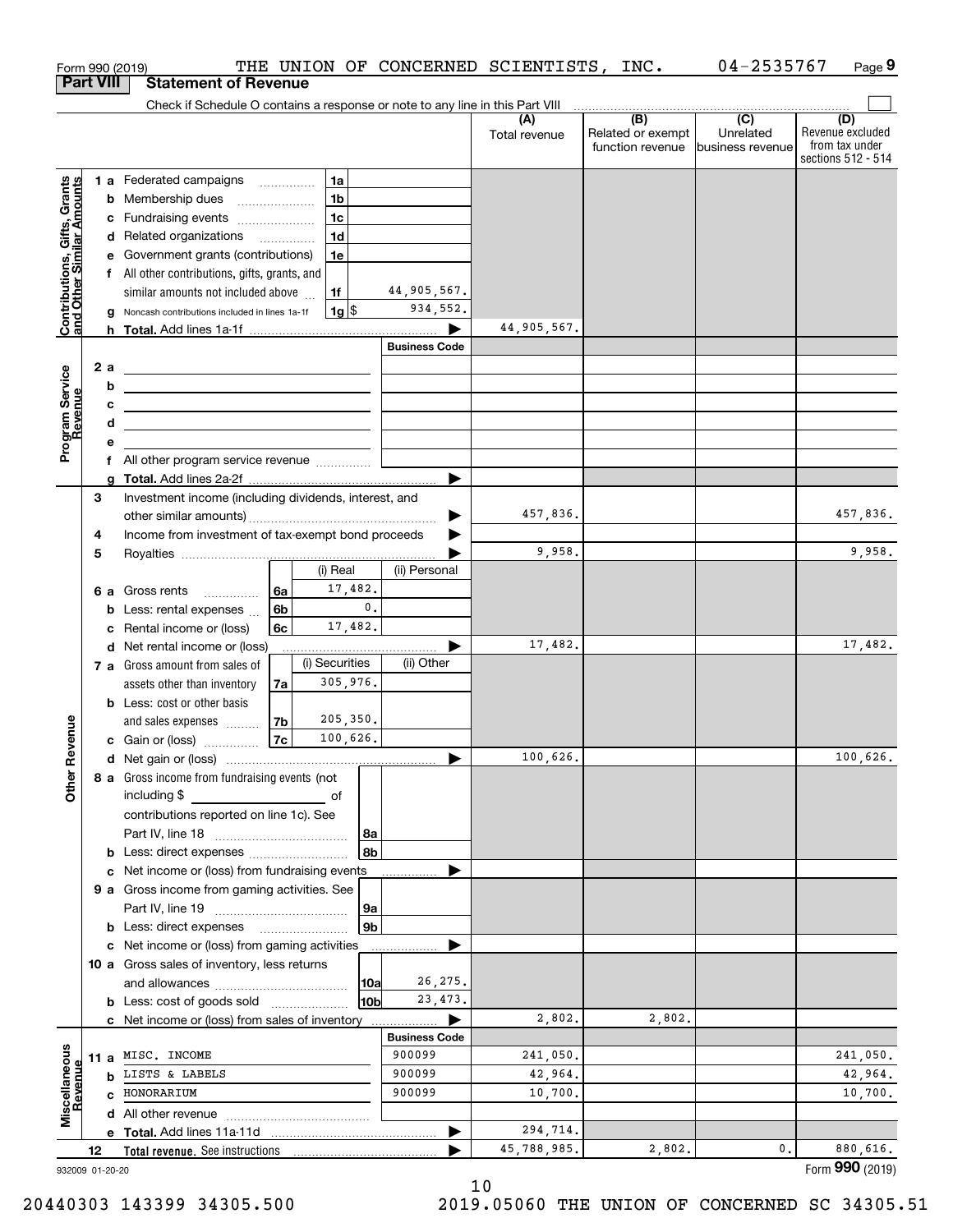|                                                           |    |    | THE UNION OF CONCERNED SCIENTISTS, INC.<br>Form 990 (2019)                                                            |                      |                      |                                       | 04-2535767                    | Page 9                                                   |
|-----------------------------------------------------------|----|----|-----------------------------------------------------------------------------------------------------------------------|----------------------|----------------------|---------------------------------------|-------------------------------|----------------------------------------------------------|
| <b>Part VIII</b>                                          |    |    | <b>Statement of Revenue</b>                                                                                           |                      |                      |                                       |                               |                                                          |
|                                                           |    |    | Check if Schedule O contains a response or note to any line in this Part VIII                                         |                      |                      | $\overline{(B)}$                      | (C)                           | (D)                                                      |
|                                                           |    |    |                                                                                                                       |                      | (A)<br>Total revenue | Related or exempt<br>function revenue | Unrelated<br>business revenue | Revenue excluded<br>from tax under<br>sections 512 - 514 |
|                                                           |    |    | 1a<br>1 a Federated campaigns                                                                                         |                      |                      |                                       |                               |                                                          |
| Contributions, Gifts, Grants<br>and Other Similar Amounts |    |    | 1 <sub>b</sub><br><b>b</b> Membership dues                                                                            |                      |                      |                                       |                               |                                                          |
|                                                           |    |    | 1 <sub>c</sub><br>c Fundraising events                                                                                |                      |                      |                                       |                               |                                                          |
|                                                           |    |    | 1 <sub>d</sub><br>d Related organizations                                                                             |                      |                      |                                       |                               |                                                          |
|                                                           |    |    | e Government grants (contributions)<br>1e                                                                             |                      |                      |                                       |                               |                                                          |
|                                                           |    |    | f All other contributions, gifts, grants, and                                                                         |                      |                      |                                       |                               |                                                          |
|                                                           |    |    | similar amounts not included above<br>1f                                                                              | 44,905,567.          |                      |                                       |                               |                                                          |
|                                                           |    |    | 1g  \$<br>g Noncash contributions included in lines 1a-1f                                                             | 934,552.             |                      |                                       |                               |                                                          |
|                                                           |    |    |                                                                                                                       |                      | 44,905,567.          |                                       |                               |                                                          |
|                                                           |    |    |                                                                                                                       | <b>Business Code</b> |                      |                                       |                               |                                                          |
|                                                           |    | 2a | <u> 1989 - Johann John Stein, markin f</u>                                                                            |                      |                      |                                       |                               |                                                          |
|                                                           |    | b  | <u> 1989 - Johann John Stone, markin f</u>                                                                            |                      |                      |                                       |                               |                                                          |
|                                                           |    | c  | <u> 1980 - Andrea Andrew Maria (h. 1980).</u>                                                                         |                      |                      |                                       |                               |                                                          |
|                                                           |    | d  | <u> 1980 - Jan Sterling von Berling von Berling von Berling von Berling von Berling von Berling von Berling von B</u> |                      |                      |                                       |                               |                                                          |
| Program Service<br>Revenue                                |    |    |                                                                                                                       |                      |                      |                                       |                               |                                                          |
|                                                           |    |    |                                                                                                                       |                      |                      |                                       |                               |                                                          |
|                                                           |    |    |                                                                                                                       |                      |                      |                                       |                               |                                                          |
|                                                           | З  |    | Investment income (including dividends, interest, and                                                                 |                      |                      |                                       |                               |                                                          |
|                                                           |    |    |                                                                                                                       | ▶                    | 457,836.             |                                       |                               | 457,836.                                                 |
|                                                           | 4  |    | Income from investment of tax-exempt bond proceeds                                                                    |                      |                      |                                       |                               |                                                          |
|                                                           | 5  |    |                                                                                                                       |                      | 9,958.               |                                       |                               | 9,958.                                                   |
|                                                           |    |    | (i) Real                                                                                                              | (ii) Personal        |                      |                                       |                               |                                                          |
|                                                           |    |    | 17,482.<br>6 a Gross rents<br>6a                                                                                      |                      |                      |                                       |                               |                                                          |
|                                                           |    |    | 0.<br>6b<br><b>b</b> Less: rental expenses                                                                            |                      |                      |                                       |                               |                                                          |
|                                                           |    |    | 17,482.<br>c Rental income or (loss)<br>6с                                                                            |                      |                      |                                       |                               |                                                          |
|                                                           |    |    | d Net rental income or (loss)                                                                                         |                      | 17,482.              |                                       |                               | 17,482.                                                  |
|                                                           |    |    | (i) Securities<br>7 a Gross amount from sales of                                                                      | (ii) Other           |                      |                                       |                               |                                                          |
|                                                           |    |    | 305,976.<br>assets other than inventory<br>7a                                                                         |                      |                      |                                       |                               |                                                          |
|                                                           |    |    | <b>b</b> Less: cost or other basis                                                                                    |                      |                      |                                       |                               |                                                          |
| wenue                                                     |    |    | 205, 350.<br>and sales expenses<br>7b                                                                                 |                      |                      |                                       |                               |                                                          |
|                                                           |    |    | 100,626.<br>7c<br><b>c</b> Gain or (loss) $\ldots$                                                                    |                      |                      |                                       |                               |                                                          |
|                                                           |    |    |                                                                                                                       |                      | 100,626.             |                                       |                               | 100,626.                                                 |
| Other R                                                   |    |    | 8 a Gross income from fundraising events (not                                                                         |                      |                      |                                       |                               |                                                          |
|                                                           |    |    | including \$                                                                                                          |                      |                      |                                       |                               |                                                          |
|                                                           |    |    | contributions reported on line 1c). See                                                                               |                      |                      |                                       |                               |                                                          |
|                                                           |    |    | l 8a                                                                                                                  |                      |                      |                                       |                               |                                                          |
|                                                           |    |    | 8b                                                                                                                    |                      |                      |                                       |                               |                                                          |
|                                                           |    |    | c Net income or (loss) from fundraising events                                                                        |                      |                      |                                       |                               |                                                          |
|                                                           |    |    | 9 a Gross income from gaming activities. See                                                                          |                      |                      |                                       |                               |                                                          |
|                                                           |    |    | 9a                                                                                                                    |                      |                      |                                       |                               |                                                          |
|                                                           |    |    | 9b<br><b>b</b> Less: direct expenses <b>manually</b>                                                                  |                      |                      |                                       |                               |                                                          |
|                                                           |    |    | c Net income or (loss) from gaming activities                                                                         |                      |                      |                                       |                               |                                                          |
|                                                           |    |    | 10 a Gross sales of inventory, less returns                                                                           | 26,275.              |                      |                                       |                               |                                                          |
|                                                           |    |    | 10a                                                                                                                   |                      |                      |                                       |                               |                                                          |
|                                                           |    |    | 10 <sub>b</sub><br><b>b</b> Less: cost of goods sold                                                                  | 23,473.              |                      | 2,802.                                |                               |                                                          |
|                                                           |    |    | c Net income or (loss) from sales of inventory                                                                        | <b>Business Code</b> | 2,802.               |                                       |                               |                                                          |
|                                                           |    |    | 11 a MISC. INCOME                                                                                                     | 900099               | 241,050.             |                                       |                               | 241,050.                                                 |
| Miscellaneous<br>Revenue                                  |    |    | <b>b</b> LISTS & LABELS                                                                                               | 900099               | 42,964.              |                                       |                               | 42,964.                                                  |
|                                                           |    |    | <b>c</b> HONORARIUM                                                                                                   | 900099               | 10,700.              |                                       |                               | 10,700.                                                  |
|                                                           |    |    |                                                                                                                       |                      |                      |                                       |                               |                                                          |
|                                                           |    |    |                                                                                                                       |                      |                      |                                       |                               |                                                          |
|                                                           |    |    |                                                                                                                       |                      | 294,714.             |                                       | 0.                            | 880,616.                                                 |
|                                                           | 12 |    | Total revenue. See instructions                                                                                       |                      | 45,788,985.          | 2,802.                                |                               |                                                          |
| 932009 01-20-20                                           |    |    |                                                                                                                       | 1 በ                  |                      |                                       |                               | Form 990 (2019)                                          |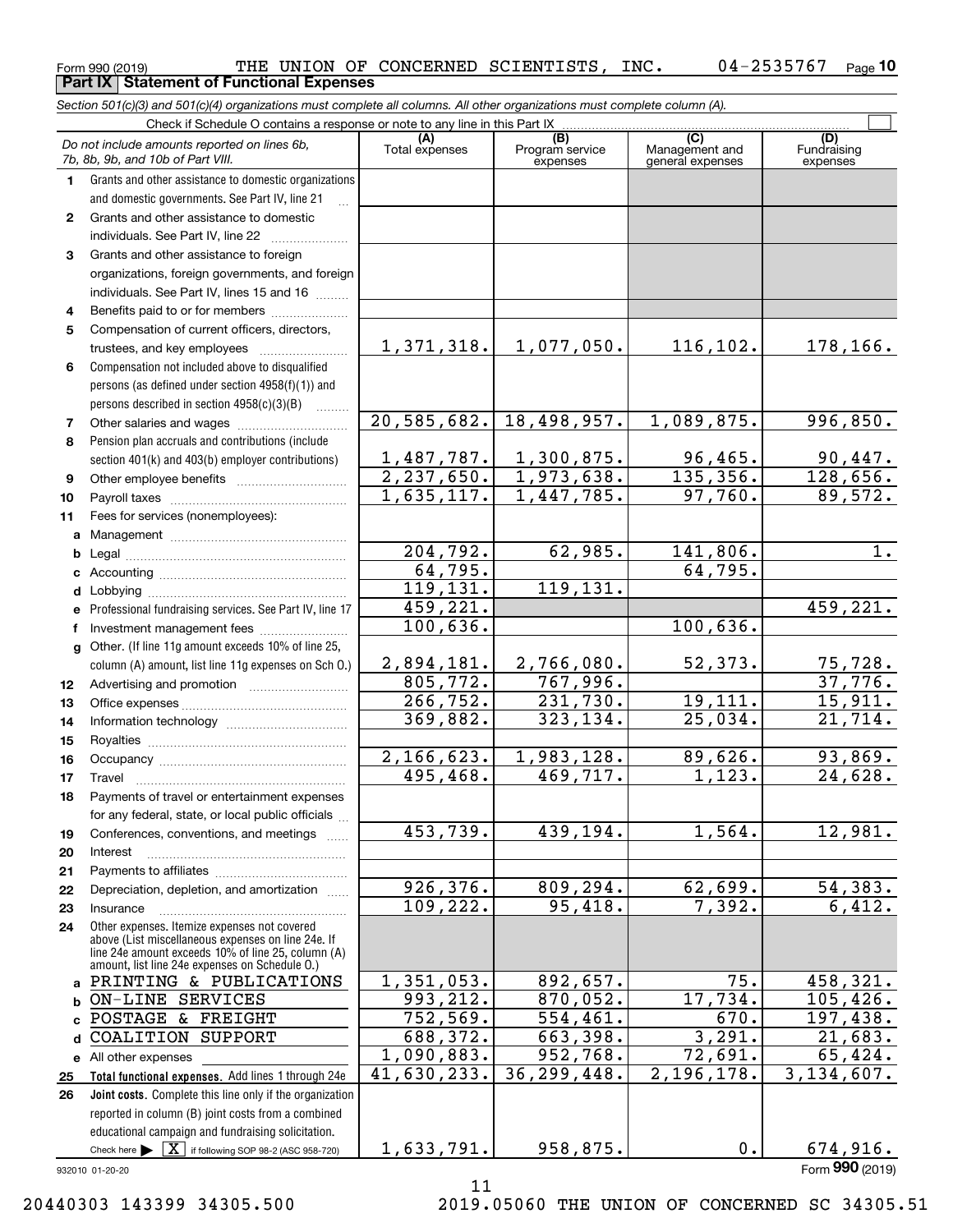|    | Section 501(c)(3) and 501(c)(4) organizations must complete all columns. All other organizations must complete column (A). |                         |                                    |                                           |                                |  |  |
|----|----------------------------------------------------------------------------------------------------------------------------|-------------------------|------------------------------------|-------------------------------------------|--------------------------------|--|--|
|    | Check if Schedule O contains a response or note to any line in this Part IX                                                |                         |                                    |                                           |                                |  |  |
|    | Do not include amounts reported on lines 6b,<br>7b, 8b, 9b, and 10b of Part VIII.                                          | (A)<br>Total expenses   | (B)<br>Program service<br>expenses | (C)<br>Management and<br>general expenses | (D)<br>Fundraising<br>expenses |  |  |
| 1. | Grants and other assistance to domestic organizations                                                                      |                         |                                    |                                           |                                |  |  |
|    | and domestic governments. See Part IV, line 21                                                                             |                         |                                    |                                           |                                |  |  |
| 2  | Grants and other assistance to domestic                                                                                    |                         |                                    |                                           |                                |  |  |
|    | individuals. See Part IV, line 22                                                                                          |                         |                                    |                                           |                                |  |  |
| З  | Grants and other assistance to foreign                                                                                     |                         |                                    |                                           |                                |  |  |
|    | organizations, foreign governments, and foreign                                                                            |                         |                                    |                                           |                                |  |  |
|    | individuals. See Part IV, lines 15 and 16                                                                                  |                         |                                    |                                           |                                |  |  |
| 4  | Benefits paid to or for members                                                                                            |                         |                                    |                                           |                                |  |  |
| 5  | Compensation of current officers, directors,                                                                               |                         |                                    |                                           |                                |  |  |
|    | trustees, and key employees                                                                                                | 1,371,318.              | 1,077,050.                         | 116,102.                                  | 178, 166.                      |  |  |
| 6  | Compensation not included above to disqualified                                                                            |                         |                                    |                                           |                                |  |  |
|    | persons (as defined under section 4958(f)(1)) and                                                                          |                         |                                    |                                           |                                |  |  |
|    | persons described in section 4958(c)(3)(B)                                                                                 |                         |                                    |                                           |                                |  |  |
| 7  | Other salaries and wages                                                                                                   | 20, 585, 682.           | 18,498,957.                        | 1,089,875.                                | 996,850.                       |  |  |
| 8  | Pension plan accruals and contributions (include                                                                           |                         |                                    |                                           |                                |  |  |
|    | section 401(k) and 403(b) employer contributions)                                                                          |                         | $1,487,787.$ 1,300,875.            | <u>96,465.</u>                            | <u>90,447.</u>                 |  |  |
| 9  |                                                                                                                            | $\overline{2,237,650.}$ | 1,973,638.                         | 135,356.                                  | 128,656.                       |  |  |
| 10 |                                                                                                                            | 1,635,117.              | 1,447,785.                         | 97,760.                                   | 89,572.                        |  |  |
| 11 | Fees for services (nonemployees):                                                                                          |                         |                                    |                                           |                                |  |  |
| a  |                                                                                                                            |                         |                                    |                                           |                                |  |  |
| b  |                                                                                                                            | 204, 792.<br>64,795.    | 62,985.                            | 141,806.<br>64,795.                       | $1$ .                          |  |  |
|    |                                                                                                                            | 119,131.                | 119,131.                           |                                           |                                |  |  |
|    |                                                                                                                            | 459,221.                |                                    |                                           | 459,221.                       |  |  |
|    | Professional fundraising services. See Part IV, line 17                                                                    | 100,636.                |                                    | 100,636.                                  |                                |  |  |
|    | Investment management fees<br>Other. (If line 11g amount exceeds 10% of line 25,                                           |                         |                                    |                                           |                                |  |  |
| g  | column (A) amount, list line 11g expenses on Sch O.)                                                                       | 2,894,181.              | 2,766,080.                         | 52,373.                                   | 75,728.                        |  |  |
| 12 |                                                                                                                            | 805,772.                | 767,996.                           |                                           | 37,776.                        |  |  |
| 13 |                                                                                                                            | 266, 752.               | 231,730.                           | 19, 111.                                  | 15,911.                        |  |  |
| 14 |                                                                                                                            | 369,882.                | 323,134.                           | 25,034.                                   | 21,714.                        |  |  |
| 15 |                                                                                                                            |                         |                                    |                                           |                                |  |  |
| 16 |                                                                                                                            | 2, 166, 623.            | 1,983,128.                         | 89,626.                                   | 93,869.                        |  |  |
| 17 |                                                                                                                            | 495,468.                | $\overline{469}$ , 717.            | 1,123.                                    | 24,628.                        |  |  |
| 18 | Payments of travel or entertainment expenses                                                                               |                         |                                    |                                           |                                |  |  |
|    | for any federal, state, or local public officials                                                                          |                         |                                    |                                           |                                |  |  |
| 19 | Conferences, conventions, and meetings                                                                                     | 453,739.                | 439,194.                           | 1,564.                                    | 12,981.                        |  |  |
| 20 | Interest                                                                                                                   |                         |                                    |                                           |                                |  |  |
| 21 |                                                                                                                            |                         |                                    |                                           |                                |  |  |
| 22 | Depreciation, depletion, and amortization                                                                                  | 926,376.                | 809,294.                           | 62,699.                                   | 54,383.                        |  |  |
| 23 | Insurance                                                                                                                  | 109, 222.               | 95,418.                            | 7,392.                                    | 6,412.                         |  |  |
| 24 | Other expenses. Itemize expenses not covered<br>above (List miscellaneous expenses on line 24e. If                         |                         |                                    |                                           |                                |  |  |
|    | line 24e amount exceeds 10% of line 25, column (A)                                                                         |                         |                                    |                                           |                                |  |  |
|    | amount, list line 24e expenses on Schedule O.)                                                                             |                         |                                    | 75.                                       |                                |  |  |
| a  | PRINTING & PUBLICATIONS                                                                                                    | 1,351,053.<br>993, 212. | 892,657.<br>870,052.               | 17,734.                                   | 458,321.<br>105,426.           |  |  |
| b  | ON-LINE SERVICES                                                                                                           | 752,569.                |                                    | 670.                                      | 197,438.                       |  |  |
| d  | POSTAGE & FREIGHT<br>COALITION SUPPORT                                                                                     | 688,372.                | 554,461.<br>663,398.               | 3,291.                                    | 21,683.                        |  |  |
|    |                                                                                                                            | 1,090,883.              | 952,768.                           | 72,691.                                   | 65,424.                        |  |  |
| 25 | e All other expenses<br>Total functional expenses. Add lines 1 through 24e                                                 | 41,630,233.             | 36,299,448.                        | 2,196,178.                                | 3,134,607.                     |  |  |
| 26 | Joint costs. Complete this line only if the organization                                                                   |                         |                                    |                                           |                                |  |  |
|    | reported in column (B) joint costs from a combined                                                                         |                         |                                    |                                           |                                |  |  |
|    | educational campaign and fundraising solicitation.                                                                         |                         |                                    |                                           |                                |  |  |
|    | x<br>if following SOP 98-2 (ASC 958-720)<br>Check here $\blacktriangleright$                                               | 1,633,791.              | 958,875.                           | 0.                                        | 674,916.                       |  |  |
|    | 932010 01-20-20                                                                                                            |                         |                                    |                                           | Form 990 (2019)                |  |  |
|    |                                                                                                                            | 11                      |                                    |                                           |                                |  |  |

11

20440303 143399 34305.500 2019.05060 THE UNION OF CONCERNED SC 34305.51

#### Form 990 (2019) THE UNION OF CONCERNED SCIENTISTS , INC 04-2535767 <sub>Page</sub><br>\_Part IX | Statement of Functional Expenses **10 Part IX Statement of Functional Expenses**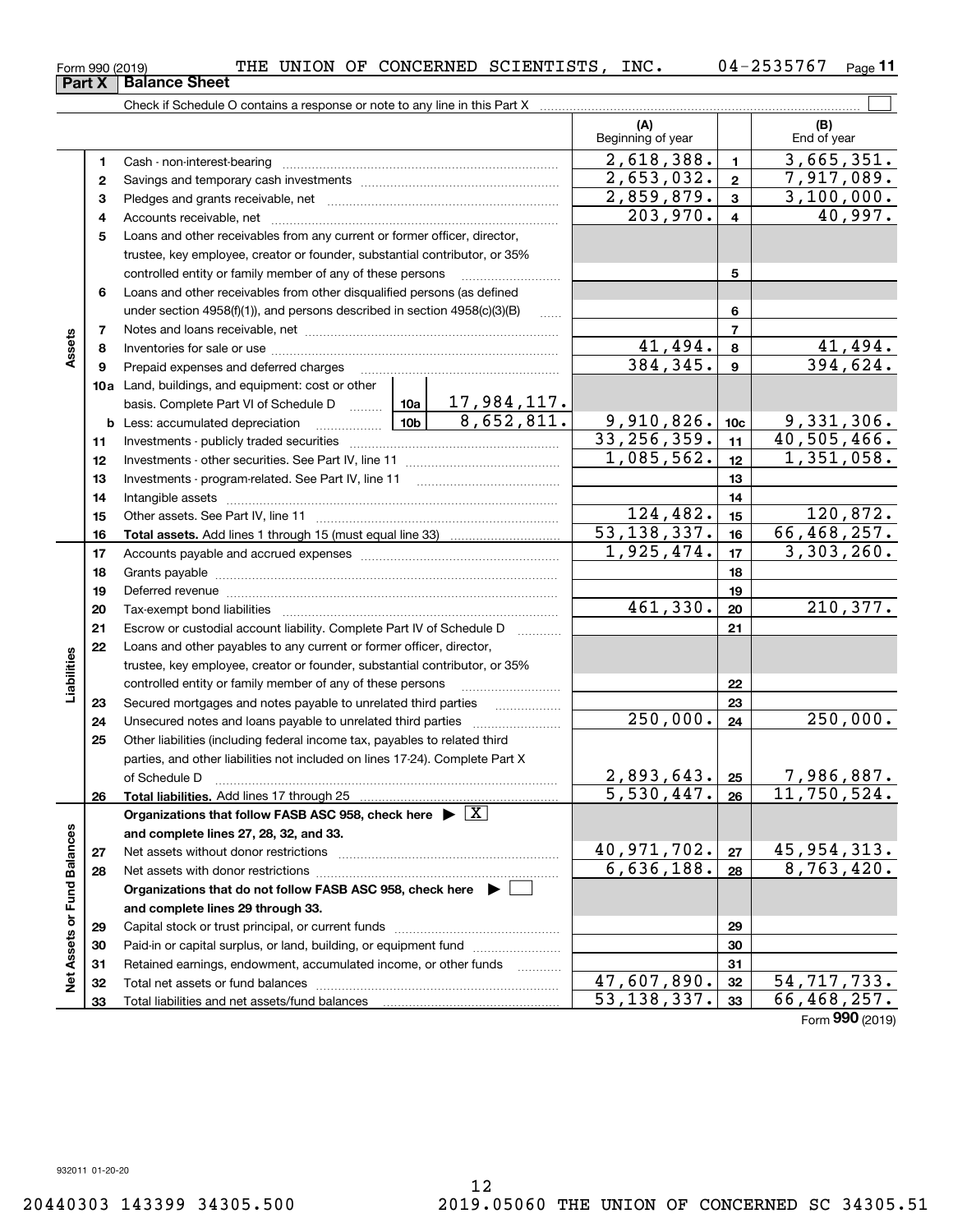**33**

Total liabilities and net assets/fund balances

**33**

Form (2019) **990**

53,138,337. 66,468,257.

**(A) (B) 123** Pledges and grants receivable, net  $\ldots$  **multimes contained and grants receivable**, net **multimes contained and grants receivable**, net **multimes contained and grants receivable 45**Loans and other receivables from any current or former officer, director, **678910a**Land, buildings, and equipment: cost or other **1112131415161718192021222324252627282930313212345678910c11121314151617181920212223242526b** Less: accumulated depreciation  $\ldots$  **10b** basis. Complete Part VI of Schedule D will aller **Total assets. Total liabilities. Organizations that follow FASB ASC 958, check here** Add lines 17 through 25 | X **and complete lines 27, 28, 32, and 33. 2728Organizations that do not follow FASB ASC 958, check here** | **and complete lines 29 through 33. 29303132Net Assets or Fund Balances** Beginning of year | Find of year Cash - non-interest-bearing ~~~~~~~~~~~~~~~~~~~~~~~~~ Savings and temporary cash investments ~~~~~~~~~~~~~~~~~~Accounts receivable, net ~~~~~~~~~~~~~~~~~~~~~~~~~~ trustee, key employee, creator or founder, substantial contributor, or 35% controlled entity or family member of any of these persons ............................ Loans and other receivables from other disqualified persons (as defined under section  $4958(f)(1)$ , and persons described in section  $4958(c)(3)(B)$ Notes and loans receivable, net ~~~~~~~~~~~~~~~~~~~~~~~Inventories for sale or use ~~~~~~~~~~~~~~~~~~~~~~~~~~ Prepaid expenses and deferred charges ~~~~~~~~~~~~~~~~~~ Investments - publicly traded securities ~~~~~~~~~~~~~~~~~~~ Investments - other securities. See Part IV, line 11 ~~~~~~~~~~~~~~ Investments - program-related. See Part IV, line 11 ~~~~~~~~~~~~~Intangible assets ~~~~~~~~~~~~~~~~~~~~~~~~~~~~~~ Other assets. See Part IV, line 11 ~~~~~~~~~~~~~~~~~~~~~~ Add lines 1 through 15 (must equal line 33) Accounts payable and accrued expenses ~~~~~~~~~~~~~~~~~~ Grants payable ~~~~~~~~~~~~~~~~~~~~~~~~~~~~~~~ Deferred revenue ~~~~~~~~~~~~~~~~~~~~~~~~~~~~~~Tax-exempt bond liabilities …………………………………………………………… Escrow or custodial account liability. Complete Part IV of Schedule D Loans and other payables to any current or former officer, director, trustee, key employee, creator or founder, substantial contributor, or 35% controlled entity or family member of any of these persons ~~~~~~~~~Secured mortgages and notes payable to unrelated third parties ~~~~~~~~~~~~~~~~<br>Unecoured notes and loops payable to unrelated third parties Unsecured notes and loans payable to unrelated third parties ~~~~~~~~~~~~~~~~~~~<br>Other ligbilities (including federal income tox, payables to related third Other liabilities (including federal income tax, payables to related third parties, and other liabilities not included on lines 17-24). Complete Part X of Schedule D ~~~~~~~~~~~~~~~~~~~~~~~~~~~~~~~ Net assets without donor restrictions <sub>…………………………………………………</sub>…… Net assets with donor restrictions ~~~~~~~~~~~~~~~~~~~~~~Capital stock or trust principal, or current funds ~~~~~~~~~~~~~~~ Paid-in or capital surplus, or land, building, or equipment fund www.commun.com Retained earnings, endowment, accumulated income, or other funds Total net assets or fund balances ~~~~~~~~~~~~~~~~~~~~~~  $\begin{array}{|c|c|c|c|c|c|}\n2,618,388. & 1 & 3,665,351. \\
\hline\n2,653,032. & 2 & 7,917,089. \\
\end{array}$  $203,970.$  4 40,997.  $2,859,879.$  3,100,000. 41,494. 41,494. 384,345. 394,624.  $\begin{array}{|c|c|c|c|c|c|c|c|}\n \hline\n 1,085,562. & \text{12} & \text{1,351,058}. \\
 \hline\n\end{array}$ 17,984,117.  $8,652,811.$  9,910,826. 10c 9,331,306.  $124,482.$  15 120,872.  $\begin{array}{|c|c|c|c|c|c|c|c|}\n \hline\n 53,138,337. & \text{16} & 66,468,257. \\
 \hline\n 1,925,474. & \text{17} & 3,303,260. \\
 \hline\n\end{array}$ 2,653,032. 7,917,089. 1,925,474. 2,893,643. 25 7,986,887.<br>5,530,447. 26 11,750,524. 11,750,524.  $\frac{40,971,702.}{6,636,188.}$   $\frac{27}{28}$   $\frac{45,954,313.}{8,763,420.}$ 6,636,188.  $\frac{47,607,890.|32|}{53,138,337.|33|}$  66,468,257. 461,330. 210,377. 1,085,562.  $250,000$ .  $24$  250,000.

Check if Schedule O contains a response or note to any line in this Part X

**11**

 $\mathcal{L}^{\text{max}}$ 

**Assets**

**Liabilities**

iabilities

Assets or Fund Balances

 $\frac{1}{2}$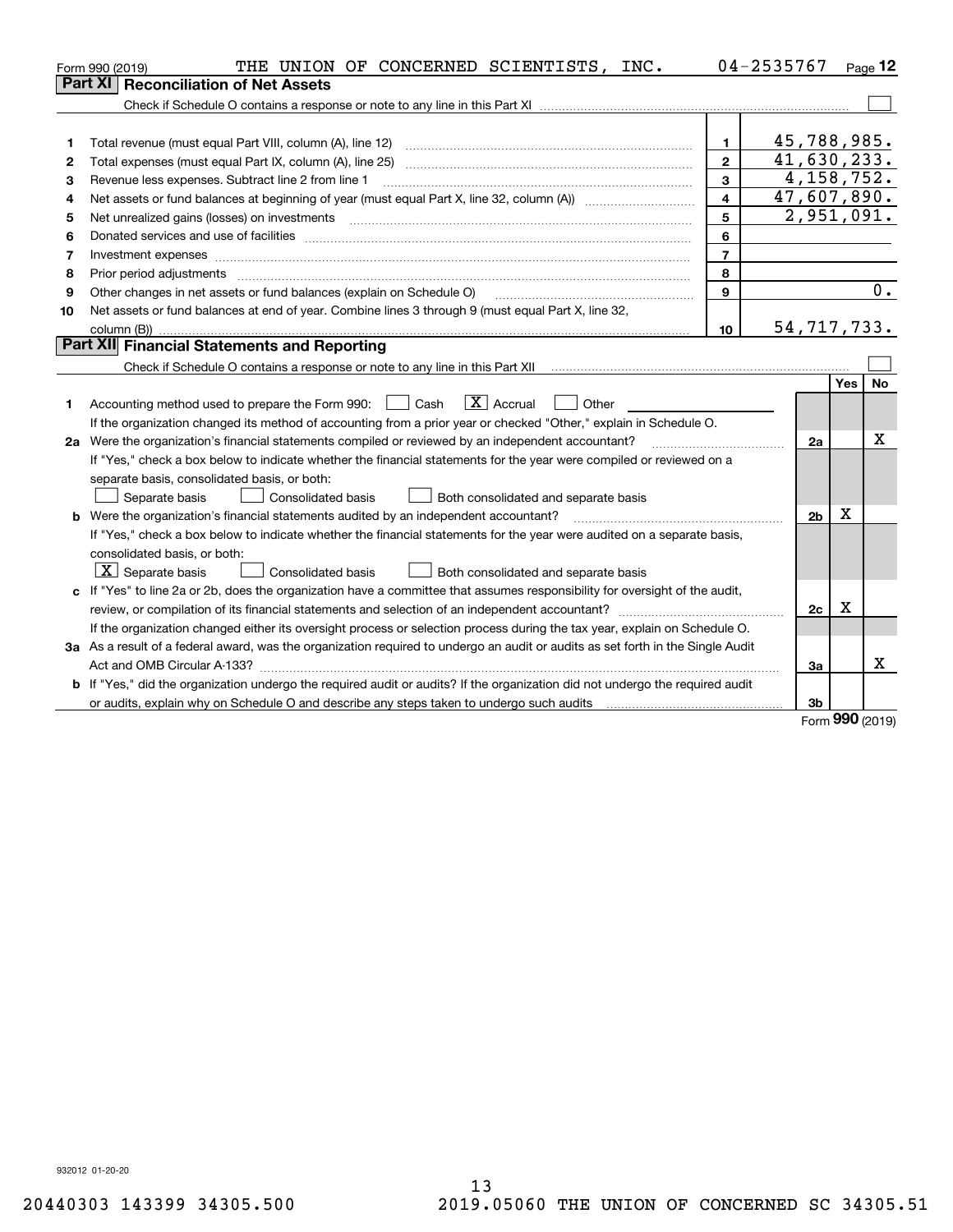|    | THE UNION OF CONCERNED SCIENTISTS, INC.<br>Form 990 (2019)                                                                                                                                                                     |                | 04-2535767  |                     | Page 12      |
|----|--------------------------------------------------------------------------------------------------------------------------------------------------------------------------------------------------------------------------------|----------------|-------------|---------------------|--------------|
|    | <b>Reconciliation of Net Assets</b><br>Part XI                                                                                                                                                                                 |                |             |                     |              |
|    |                                                                                                                                                                                                                                |                |             |                     |              |
|    |                                                                                                                                                                                                                                |                |             |                     |              |
| 1  | Total revenue (must equal Part VIII, column (A), line 12)                                                                                                                                                                      | $\mathbf{1}$   | 45,788,985. |                     |              |
| 2  | Total expenses (must equal Part IX, column (A), line 25)                                                                                                                                                                       | $\overline{2}$ | 41,630,233. |                     |              |
| 3  | Revenue less expenses. Subtract line 2 from line 1                                                                                                                                                                             | 3              |             |                     | 4, 158, 752. |
| 4  |                                                                                                                                                                                                                                | $\overline{4}$ | 47,607,890. |                     |              |
| 5  |                                                                                                                                                                                                                                | 5              |             |                     | 2,951,091.   |
| 6  | Donated services and use of facilities [111] Donated and the service of facilities [11] Donated services and use of facilities [11] Donated and the service of the service of the service of the service of the service of the | 6              |             |                     |              |
| 7  | Investment expenses www.communication.com/www.communication.com/www.communication.com/www.communication.com                                                                                                                    | $\overline{7}$ |             |                     |              |
| 8  | Prior period adjustments                                                                                                                                                                                                       | 8              |             |                     |              |
| 9  | Other changes in net assets or fund balances (explain on Schedule O)                                                                                                                                                           | 9              |             |                     | 0.           |
| 10 | Net assets or fund balances at end of year. Combine lines 3 through 9 (must equal Part X, line 32,                                                                                                                             |                |             |                     |              |
|    |                                                                                                                                                                                                                                | 10             | 54,717,733. |                     |              |
|    | Part XII Financial Statements and Reporting                                                                                                                                                                                    |                |             |                     |              |
|    |                                                                                                                                                                                                                                |                |             |                     |              |
|    |                                                                                                                                                                                                                                |                |             | Yes                 | <b>No</b>    |
| 1  | $\boxed{\mathbf{X}}$ Accrual<br>Accounting method used to prepare the Form 990: <u>June</u> Cash<br>Other                                                                                                                      |                |             |                     |              |
|    | If the organization changed its method of accounting from a prior year or checked "Other," explain in Schedule O.                                                                                                              |                |             |                     |              |
|    | 2a Were the organization's financial statements compiled or reviewed by an independent accountant?                                                                                                                             |                |             | 2a                  | х            |
|    | If "Yes," check a box below to indicate whether the financial statements for the year were compiled or reviewed on a                                                                                                           |                |             |                     |              |
|    | separate basis, consolidated basis, or both:                                                                                                                                                                                   |                |             |                     |              |
|    | Separate basis<br><b>Consolidated basis</b><br>Both consolidated and separate basis                                                                                                                                            |                |             |                     |              |
|    | <b>b</b> Were the organization's financial statements audited by an independent accountant?                                                                                                                                    |                |             | х<br>2 <sub>b</sub> |              |
|    | If "Yes," check a box below to indicate whether the financial statements for the year were audited on a separate basis,                                                                                                        |                |             |                     |              |
|    | consolidated basis, or both:                                                                                                                                                                                                   |                |             |                     |              |
|    | $ \mathbf{X} $ Separate basis<br>Consolidated basis<br>Both consolidated and separate basis                                                                                                                                    |                |             |                     |              |
|    | c If "Yes" to line 2a or 2b, does the organization have a committee that assumes responsibility for oversight of the audit,                                                                                                    |                |             |                     |              |
|    |                                                                                                                                                                                                                                |                |             | x<br>2c             |              |
|    | If the organization changed either its oversight process or selection process during the tax year, explain on Schedule O.                                                                                                      |                |             |                     |              |
|    | 3a As a result of a federal award, was the organization required to undergo an audit or audits as set forth in the Single Audit                                                                                                |                |             |                     |              |
|    |                                                                                                                                                                                                                                |                |             | За                  | x            |
|    | b If "Yes," did the organization undergo the required audit or audits? If the organization did not undergo the required audit                                                                                                  |                |             |                     |              |
|    |                                                                                                                                                                                                                                |                |             | 3 <sub>b</sub>      |              |

Form (2019) **990**

932012 01-20-20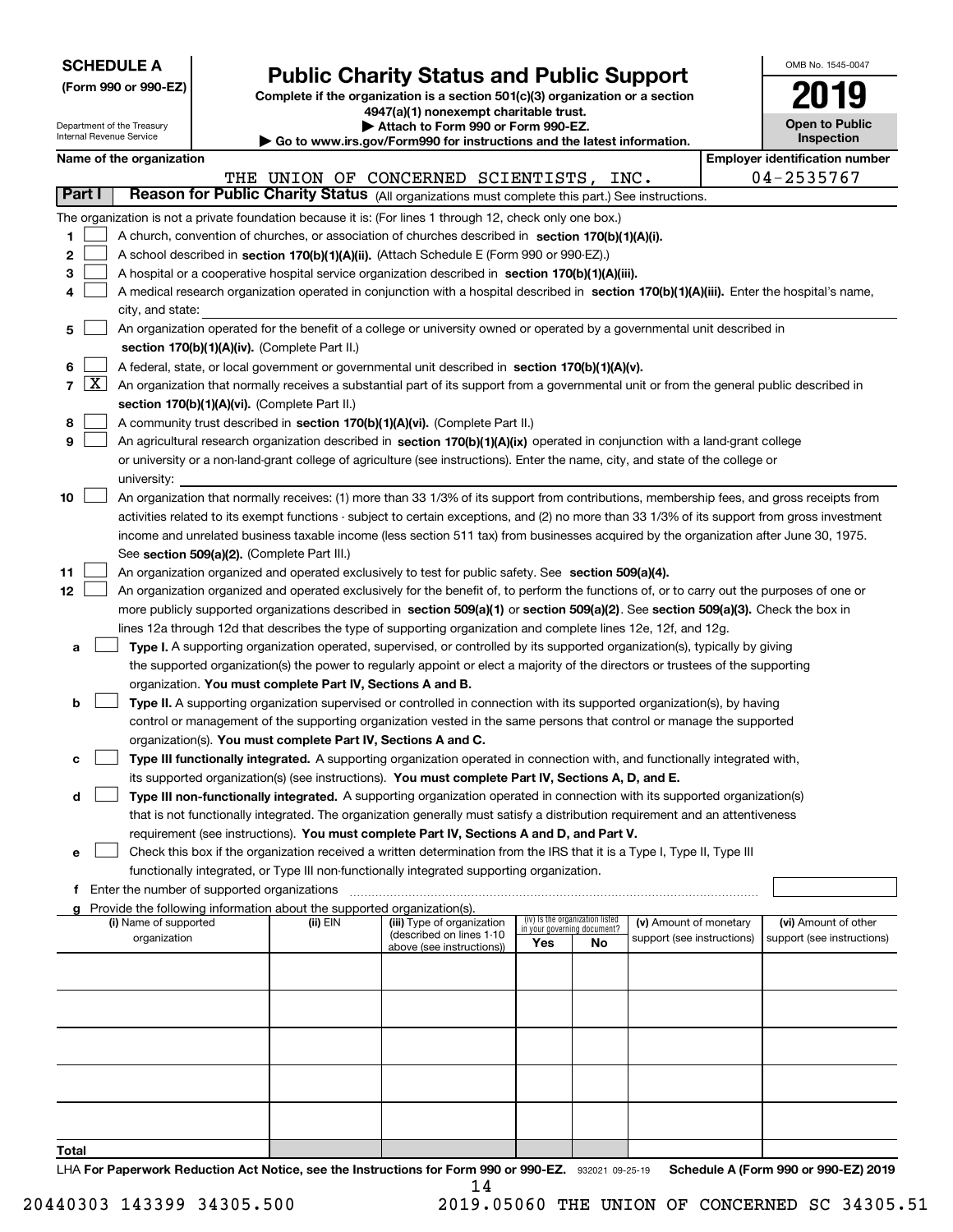| <b>SCHEDULE A</b> |
|-------------------|
|-------------------|

Department of the Treasury Internal Revenue Service

**(Form 990 or 990-EZ)**

## **Public Charity Status and Public Support**

**Complete if the organization is a section 501(c)(3) organization or a section 4947(a)(1) nonexempt charitable trust. | Attach to Form 990 or Form 990-EZ.** 

| Go to www.irs.gov/Form990 for instructions and the latest information. |  |  |
|------------------------------------------------------------------------|--|--|
|                                                                        |  |  |

| OMB No 1545-0047                    |
|-------------------------------------|
| 2019                                |
| <b>Open to Public</b><br>Inspection |

|               |                                                                                                                           |                                                                                                                                                                                                                                                    |          | $\blacktriangleright$ Go to www.irs.gov/Form990 for instructions and the latest information. |                                                                |    |                                                      |  | """""""""""""""                                    |  |
|---------------|---------------------------------------------------------------------------------------------------------------------------|----------------------------------------------------------------------------------------------------------------------------------------------------------------------------------------------------------------------------------------------------|----------|----------------------------------------------------------------------------------------------|----------------------------------------------------------------|----|------------------------------------------------------|--|----------------------------------------------------|--|
|               |                                                                                                                           | Name of the organization                                                                                                                                                                                                                           |          |                                                                                              |                                                                |    |                                                      |  | <b>Employer identification number</b>              |  |
| <b>Part I</b> |                                                                                                                           | Reason for Public Charity Status (All organizations must complete this part.) See instructions.                                                                                                                                                    |          | THE UNION OF CONCERNED SCIENTISTS, INC.                                                      |                                                                |    |                                                      |  | 04-2535767                                         |  |
|               |                                                                                                                           |                                                                                                                                                                                                                                                    |          |                                                                                              |                                                                |    |                                                      |  |                                                    |  |
| 1             |                                                                                                                           | The organization is not a private foundation because it is: (For lines 1 through 12, check only one box.)<br>A church, convention of churches, or association of churches described in section 170(b)(1)(A)(i).                                    |          |                                                                                              |                                                                |    |                                                      |  |                                                    |  |
| 2             |                                                                                                                           | A school described in section 170(b)(1)(A)(ii). (Attach Schedule E (Form 990 or 990-EZ).)                                                                                                                                                          |          |                                                                                              |                                                                |    |                                                      |  |                                                    |  |
|               |                                                                                                                           |                                                                                                                                                                                                                                                    |          |                                                                                              |                                                                |    |                                                      |  |                                                    |  |
| 3             |                                                                                                                           | A hospital or a cooperative hospital service organization described in section $170(b)(1)(A)(iii)$ .<br>A medical research organization operated in conjunction with a hospital described in section 170(b)(1)(A)(iii). Enter the hospital's name, |          |                                                                                              |                                                                |    |                                                      |  |                                                    |  |
| 4             |                                                                                                                           | city, and state:                                                                                                                                                                                                                                   |          |                                                                                              |                                                                |    |                                                      |  |                                                    |  |
| 5             | An organization operated for the benefit of a college or university owned or operated by a governmental unit described in |                                                                                                                                                                                                                                                    |          |                                                                                              |                                                                |    |                                                      |  |                                                    |  |
|               |                                                                                                                           | section 170(b)(1)(A)(iv). (Complete Part II.)                                                                                                                                                                                                      |          |                                                                                              |                                                                |    |                                                      |  |                                                    |  |
| 6             |                                                                                                                           | A federal, state, or local government or governmental unit described in section 170(b)(1)(A)(v).                                                                                                                                                   |          |                                                                                              |                                                                |    |                                                      |  |                                                    |  |
| 7             | $\lfloor x \rfloor$                                                                                                       | An organization that normally receives a substantial part of its support from a governmental unit or from the general public described in                                                                                                          |          |                                                                                              |                                                                |    |                                                      |  |                                                    |  |
|               |                                                                                                                           | section 170(b)(1)(A)(vi). (Complete Part II.)                                                                                                                                                                                                      |          |                                                                                              |                                                                |    |                                                      |  |                                                    |  |
| 8             |                                                                                                                           | A community trust described in section 170(b)(1)(A)(vi). (Complete Part II.)                                                                                                                                                                       |          |                                                                                              |                                                                |    |                                                      |  |                                                    |  |
| 9             |                                                                                                                           | An agricultural research organization described in section 170(b)(1)(A)(ix) operated in conjunction with a land-grant college                                                                                                                      |          |                                                                                              |                                                                |    |                                                      |  |                                                    |  |
|               |                                                                                                                           | or university or a non-land-grant college of agriculture (see instructions). Enter the name, city, and state of the college or                                                                                                                     |          |                                                                                              |                                                                |    |                                                      |  |                                                    |  |
|               |                                                                                                                           | university:                                                                                                                                                                                                                                        |          |                                                                                              |                                                                |    |                                                      |  |                                                    |  |
| 10            |                                                                                                                           | An organization that normally receives: (1) more than 33 1/3% of its support from contributions, membership fees, and gross receipts from                                                                                                          |          |                                                                                              |                                                                |    |                                                      |  |                                                    |  |
|               |                                                                                                                           | activities related to its exempt functions - subject to certain exceptions, and (2) no more than 33 1/3% of its support from gross investment                                                                                                      |          |                                                                                              |                                                                |    |                                                      |  |                                                    |  |
|               |                                                                                                                           | income and unrelated business taxable income (less section 511 tax) from businesses acquired by the organization after June 30, 1975.                                                                                                              |          |                                                                                              |                                                                |    |                                                      |  |                                                    |  |
|               |                                                                                                                           | See section 509(a)(2). (Complete Part III.)                                                                                                                                                                                                        |          |                                                                                              |                                                                |    |                                                      |  |                                                    |  |
| 11            |                                                                                                                           | An organization organized and operated exclusively to test for public safety. See section 509(a)(4).                                                                                                                                               |          |                                                                                              |                                                                |    |                                                      |  |                                                    |  |
| 12            |                                                                                                                           | An organization organized and operated exclusively for the benefit of, to perform the functions of, or to carry out the purposes of one or                                                                                                         |          |                                                                                              |                                                                |    |                                                      |  |                                                    |  |
|               |                                                                                                                           | more publicly supported organizations described in section 509(a)(1) or section 509(a)(2). See section 509(a)(3). Check the box in                                                                                                                 |          |                                                                                              |                                                                |    |                                                      |  |                                                    |  |
|               |                                                                                                                           | lines 12a through 12d that describes the type of supporting organization and complete lines 12e, 12f, and 12g.                                                                                                                                     |          |                                                                                              |                                                                |    |                                                      |  |                                                    |  |
| а             |                                                                                                                           | Type I. A supporting organization operated, supervised, or controlled by its supported organization(s), typically by giving                                                                                                                        |          |                                                                                              |                                                                |    |                                                      |  |                                                    |  |
|               |                                                                                                                           | the supported organization(s) the power to regularly appoint or elect a majority of the directors or trustees of the supporting                                                                                                                    |          |                                                                                              |                                                                |    |                                                      |  |                                                    |  |
|               |                                                                                                                           | organization. You must complete Part IV, Sections A and B.                                                                                                                                                                                         |          |                                                                                              |                                                                |    |                                                      |  |                                                    |  |
| b             |                                                                                                                           | Type II. A supporting organization supervised or controlled in connection with its supported organization(s), by having                                                                                                                            |          |                                                                                              |                                                                |    |                                                      |  |                                                    |  |
|               |                                                                                                                           | control or management of the supporting organization vested in the same persons that control or manage the supported                                                                                                                               |          |                                                                                              |                                                                |    |                                                      |  |                                                    |  |
|               |                                                                                                                           | organization(s). You must complete Part IV, Sections A and C.                                                                                                                                                                                      |          |                                                                                              |                                                                |    |                                                      |  |                                                    |  |
| с             |                                                                                                                           | Type III functionally integrated. A supporting organization operated in connection with, and functionally integrated with,                                                                                                                         |          |                                                                                              |                                                                |    |                                                      |  |                                                    |  |
|               |                                                                                                                           | its supported organization(s) (see instructions). You must complete Part IV, Sections A, D, and E.                                                                                                                                                 |          |                                                                                              |                                                                |    |                                                      |  |                                                    |  |
| d             |                                                                                                                           | Type III non-functionally integrated. A supporting organization operated in connection with its supported organization(s)                                                                                                                          |          |                                                                                              |                                                                |    |                                                      |  |                                                    |  |
|               |                                                                                                                           | that is not functionally integrated. The organization generally must satisfy a distribution requirement and an attentiveness                                                                                                                       |          |                                                                                              |                                                                |    |                                                      |  |                                                    |  |
|               |                                                                                                                           | requirement (see instructions). You must complete Part IV, Sections A and D, and Part V.                                                                                                                                                           |          |                                                                                              |                                                                |    |                                                      |  |                                                    |  |
| е             |                                                                                                                           | Check this box if the organization received a written determination from the IRS that it is a Type I, Type II, Type III                                                                                                                            |          |                                                                                              |                                                                |    |                                                      |  |                                                    |  |
|               |                                                                                                                           | functionally integrated, or Type III non-functionally integrated supporting organization.                                                                                                                                                          |          |                                                                                              |                                                                |    |                                                      |  |                                                    |  |
|               |                                                                                                                           | Enter the number of supported organizations                                                                                                                                                                                                        |          |                                                                                              |                                                                |    |                                                      |  |                                                    |  |
| g             |                                                                                                                           | Provide the following information about the supported organization(s).                                                                                                                                                                             |          |                                                                                              |                                                                |    |                                                      |  |                                                    |  |
|               |                                                                                                                           | (i) Name of supported<br>organization                                                                                                                                                                                                              | (ii) EIN | (iii) Type of organization<br>(described on lines 1-10                                       | (iv) Is the organization listed<br>in your governing document? |    | (v) Amount of monetary<br>support (see instructions) |  | (vi) Amount of other<br>support (see instructions) |  |
|               |                                                                                                                           |                                                                                                                                                                                                                                                    |          | above (see instructions))                                                                    | Yes                                                            | No |                                                      |  |                                                    |  |
|               |                                                                                                                           |                                                                                                                                                                                                                                                    |          |                                                                                              |                                                                |    |                                                      |  |                                                    |  |
|               |                                                                                                                           |                                                                                                                                                                                                                                                    |          |                                                                                              |                                                                |    |                                                      |  |                                                    |  |
|               |                                                                                                                           |                                                                                                                                                                                                                                                    |          |                                                                                              |                                                                |    |                                                      |  |                                                    |  |
|               |                                                                                                                           |                                                                                                                                                                                                                                                    |          |                                                                                              |                                                                |    |                                                      |  |                                                    |  |
|               |                                                                                                                           |                                                                                                                                                                                                                                                    |          |                                                                                              |                                                                |    |                                                      |  |                                                    |  |
|               |                                                                                                                           |                                                                                                                                                                                                                                                    |          |                                                                                              |                                                                |    |                                                      |  |                                                    |  |
|               |                                                                                                                           |                                                                                                                                                                                                                                                    |          |                                                                                              |                                                                |    |                                                      |  |                                                    |  |
|               |                                                                                                                           |                                                                                                                                                                                                                                                    |          |                                                                                              |                                                                |    |                                                      |  |                                                    |  |
| Total         |                                                                                                                           |                                                                                                                                                                                                                                                    |          |                                                                                              |                                                                |    |                                                      |  |                                                    |  |

LHA For Paperwork Reduction Act Notice, see the Instructions for Form 990 or 990-EZ. 932021 09-25-19 Schedule A (Form 990 or 990-EZ) 2019 14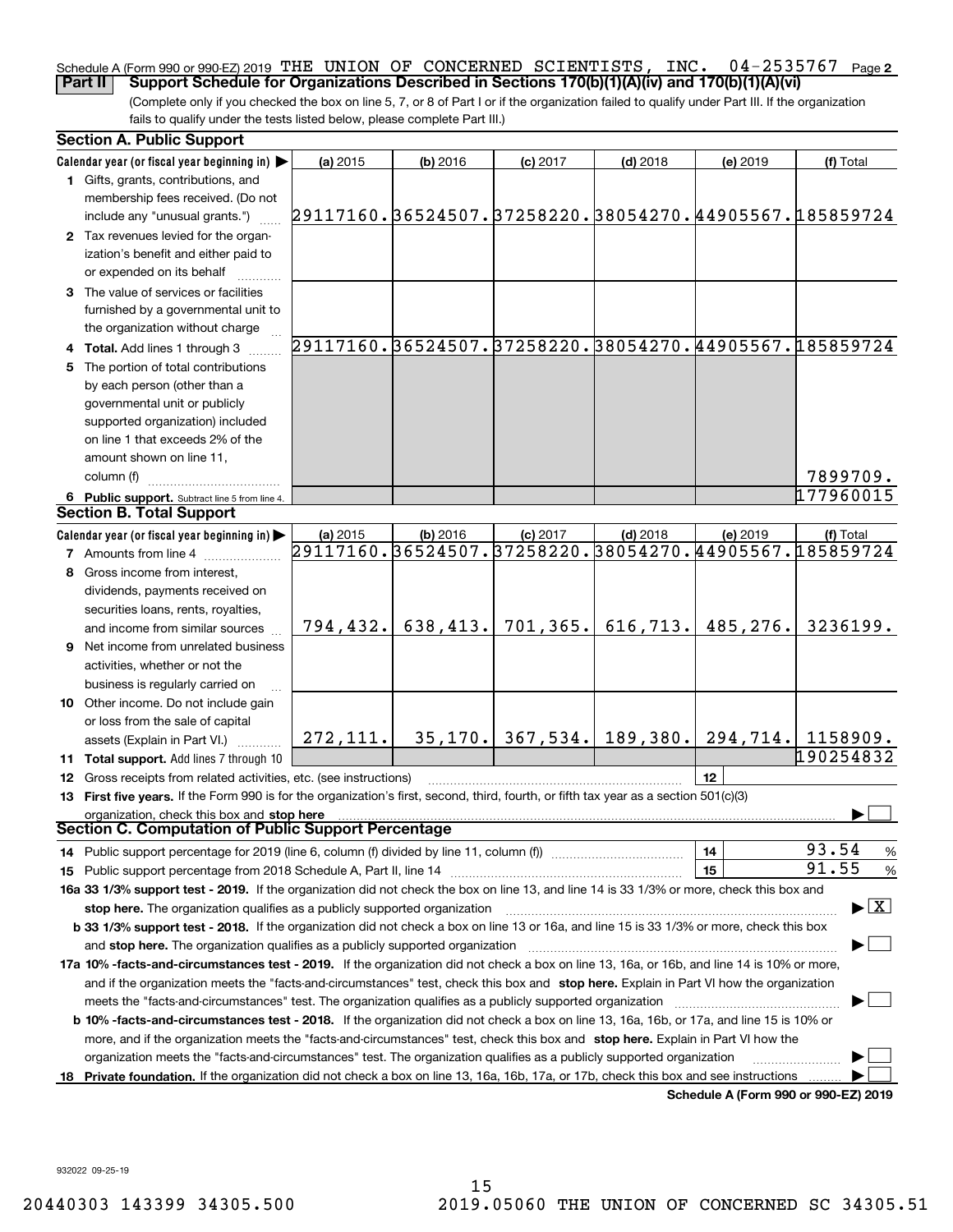#### **2** Schedule A (Form 990 or 990-EZ) 2019 THE UNION OF CONCERNED SCIENTISTS , INC 04–2535767 Page<br>LPart II L. Support Schedule for Organizations Described in Sections 170(b)(1)(A)(v) and 170(b)(1)(A)(vi) **Part II** | Support Schedule for Organizations Described in Sections 170(b)(1)(A)(iv) and 170(b)(1)(A)(vi)

(Complete only if you checked the box on line 5, 7, or 8 of Part I or if the organization failed to qualify under Part III. If the organization fails to qualify under the tests listed below, please complete Part III.)

| <b>Section A. Public Support</b>                                                                                                                                                                       |                                                        |            |            |                                          |          |                                                        |
|--------------------------------------------------------------------------------------------------------------------------------------------------------------------------------------------------------|--------------------------------------------------------|------------|------------|------------------------------------------|----------|--------------------------------------------------------|
| Calendar year (or fiscal year beginning in)                                                                                                                                                            | (a) 2015                                               | $(b)$ 2016 | $(c)$ 2017 | $(d)$ 2018                               | (e) 2019 | (f) Total                                              |
| 1 Gifts, grants, contributions, and<br>membership fees received. (Do not                                                                                                                               |                                                        |            |            |                                          |          |                                                        |
| include any "unusual grants.")                                                                                                                                                                         | 29117160.86524507.87258220.88054270.44905567.185859724 |            |            |                                          |          |                                                        |
| 2 Tax revenues levied for the organ-                                                                                                                                                                   |                                                        |            |            |                                          |          |                                                        |
| ization's benefit and either paid to                                                                                                                                                                   |                                                        |            |            |                                          |          |                                                        |
| or expended on its behalf                                                                                                                                                                              |                                                        |            |            |                                          |          |                                                        |
| 3 The value of services or facilities                                                                                                                                                                  |                                                        |            |            |                                          |          |                                                        |
| furnished by a governmental unit to                                                                                                                                                                    |                                                        |            |            |                                          |          |                                                        |
| the organization without charge                                                                                                                                                                        |                                                        |            |            |                                          |          |                                                        |
| 4 Total. Add lines 1 through 3                                                                                                                                                                         |                                                        |            |            |                                          |          | 29117160.36524507.37258220.38054270.44905567.185859724 |
| 5 The portion of total contributions                                                                                                                                                                   |                                                        |            |            |                                          |          |                                                        |
| by each person (other than a                                                                                                                                                                           |                                                        |            |            |                                          |          |                                                        |
| governmental unit or publicly                                                                                                                                                                          |                                                        |            |            |                                          |          |                                                        |
| supported organization) included                                                                                                                                                                       |                                                        |            |            |                                          |          |                                                        |
| on line 1 that exceeds 2% of the                                                                                                                                                                       |                                                        |            |            |                                          |          |                                                        |
| amount shown on line 11,                                                                                                                                                                               |                                                        |            |            |                                          |          |                                                        |
| column (f)                                                                                                                                                                                             |                                                        |            |            |                                          |          | 7899709.                                               |
| 6 Public support. Subtract line 5 from line 4.                                                                                                                                                         |                                                        |            |            |                                          |          | 177960015                                              |
| <b>Section B. Total Support</b>                                                                                                                                                                        |                                                        |            |            |                                          |          |                                                        |
| Calendar year (or fiscal year beginning in)                                                                                                                                                            | (a) 2015                                               | $(b)$ 2016 | $(c)$ 2017 | $(d)$ 2018                               | (e) 2019 | (f) Total                                              |
| <b>7</b> Amounts from line 4                                                                                                                                                                           | 29117160.36524507.37258220.38054270.44905567.185859724 |            |            |                                          |          |                                                        |
| 8 Gross income from interest,                                                                                                                                                                          |                                                        |            |            |                                          |          |                                                        |
| dividends, payments received on                                                                                                                                                                        |                                                        |            |            |                                          |          |                                                        |
| securities loans, rents, royalties,                                                                                                                                                                    |                                                        |            |            |                                          |          |                                                        |
| and income from similar sources                                                                                                                                                                        | 794, 432.                                              | 638, 413.  | 701, 365.  | 616, 713.                                | 485,276. | 3236199.                                               |
| 9 Net income from unrelated business                                                                                                                                                                   |                                                        |            |            |                                          |          |                                                        |
| activities, whether or not the                                                                                                                                                                         |                                                        |            |            |                                          |          |                                                        |
| business is regularly carried on                                                                                                                                                                       |                                                        |            |            |                                          |          |                                                        |
| <b>10</b> Other income. Do not include gain                                                                                                                                                            |                                                        |            |            |                                          |          |                                                        |
| or loss from the sale of capital                                                                                                                                                                       |                                                        |            |            |                                          |          |                                                        |
| assets (Explain in Part VI.)                                                                                                                                                                           | 272, 111.                                              |            |            | $35, 170.$ 367, 534. 189, 380. 294, 714. |          | 1158909.                                               |
| <b>11 Total support.</b> Add lines 7 through 10                                                                                                                                                        |                                                        |            |            |                                          |          | 190254832                                              |
| 12 Gross receipts from related activities, etc. (see instructions)                                                                                                                                     |                                                        |            |            |                                          | 12       |                                                        |
| 13 First five years. If the Form 990 is for the organization's first, second, third, fourth, or fifth tax year as a section 501(c)(3)                                                                  |                                                        |            |            |                                          |          |                                                        |
| organization, check this box and stop here<br>Section C. Computation of Public Support Percentage                                                                                                      |                                                        |            |            |                                          |          |                                                        |
| 14 Public support percentage for 2019 (line 6, column (f) divided by line 11, column (f) <i>manumeronominimi</i> ng.                                                                                   |                                                        |            |            |                                          | 14       | 93.54<br>$\frac{9}{6}$                                 |
|                                                                                                                                                                                                        |                                                        |            |            |                                          | 15       | 91.55<br>%                                             |
| 16a 33 1/3% support test - 2019. If the organization did not check the box on line 13, and line 14 is 33 1/3% or more, check this box and                                                              |                                                        |            |            |                                          |          |                                                        |
| stop here. The organization qualifies as a publicly supported organization                                                                                                                             |                                                        |            |            |                                          |          | $\blacktriangleright$ $\vert$ X                        |
| b 33 1/3% support test - 2018. If the organization did not check a box on line 13 or 16a, and line 15 is 33 1/3% or more, check this box                                                               |                                                        |            |            |                                          |          |                                                        |
| and stop here. The organization qualifies as a publicly supported organization manufactured content and stop here. The organization qualifies as a publicly supported organization manufactured and an |                                                        |            |            |                                          |          |                                                        |
| 17a 10% -facts-and-circumstances test - 2019. If the organization did not check a box on line 13, 16a, or 16b, and line 14 is 10% or more,                                                             |                                                        |            |            |                                          |          |                                                        |
| and if the organization meets the "facts-and-circumstances" test, check this box and stop here. Explain in Part VI how the organization                                                                |                                                        |            |            |                                          |          |                                                        |
|                                                                                                                                                                                                        |                                                        |            |            |                                          |          |                                                        |
| <b>b 10% -facts-and-circumstances test - 2018.</b> If the organization did not check a box on line 13, 16a, 16b, or 17a, and line 15 is 10% or                                                         |                                                        |            |            |                                          |          |                                                        |
| more, and if the organization meets the "facts-and-circumstances" test, check this box and stop here. Explain in Part VI how the                                                                       |                                                        |            |            |                                          |          |                                                        |
| organization meets the "facts-and-circumstances" test. The organization qualifies as a publicly supported organization                                                                                 |                                                        |            |            |                                          |          |                                                        |
| 18 Private foundation. If the organization did not check a box on line 13, 16a, 16b, 17a, or 17b, check this box and see instructions                                                                  |                                                        |            |            |                                          |          |                                                        |
|                                                                                                                                                                                                        |                                                        |            |            |                                          |          | Schedule A (Form 990 or 990-EZ) 2019                   |

932022 09-25-19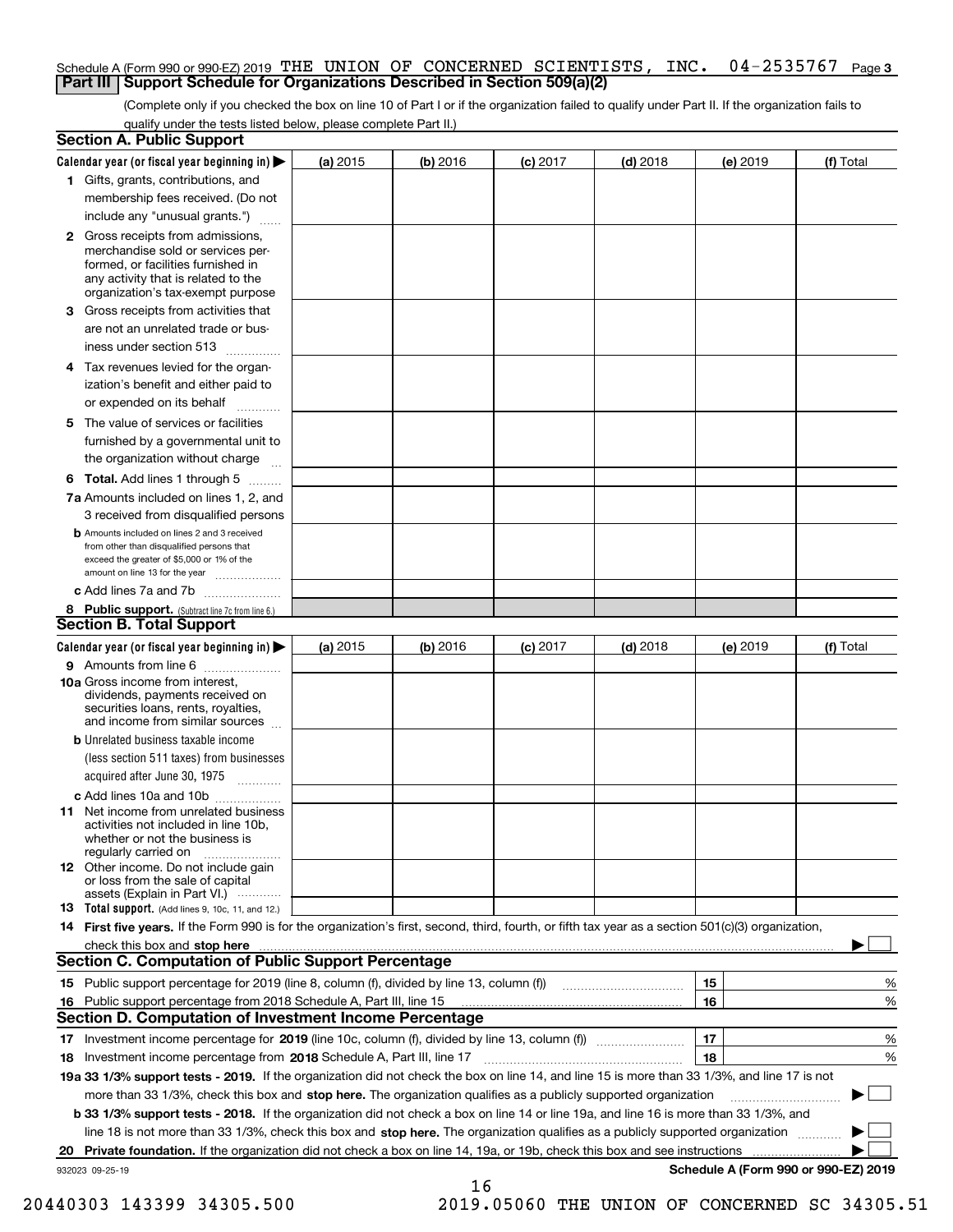## Schedule A (Form 990 or 990-EZ) 2019 THE UNION OF CONCERNED SCIENTISTS , INC. 04–2535767 Page 3<br>L**Part III LSupport Schedule for Organizations Described in Section 509(a)(2) Part III** | Support Schedule for Organizations Described in Section 509(a)(2)

(Complete only if you checked the box on line 10 of Part I or if the organization failed to qualify under Part II. If the organization fails to qualify under the tests listed below, please complete Part II.)

|    | <b>Section A. Public Support</b>                                                                                                                                                                |          |          |                 |            |          |                                      |
|----|-------------------------------------------------------------------------------------------------------------------------------------------------------------------------------------------------|----------|----------|-----------------|------------|----------|--------------------------------------|
|    | Calendar year (or fiscal year beginning in) $\blacktriangleright$                                                                                                                               | (a) 2015 | (b) 2016 | <b>(c)</b> 2017 | $(d)$ 2018 | (e) 2019 | (f) Total                            |
|    | 1 Gifts, grants, contributions, and                                                                                                                                                             |          |          |                 |            |          |                                      |
|    | membership fees received. (Do not                                                                                                                                                               |          |          |                 |            |          |                                      |
|    | include any "unusual grants.")                                                                                                                                                                  |          |          |                 |            |          |                                      |
|    | <b>2</b> Gross receipts from admissions,<br>merchandise sold or services per-<br>formed, or facilities furnished in<br>any activity that is related to the<br>organization's tax-exempt purpose |          |          |                 |            |          |                                      |
|    | 3 Gross receipts from activities that<br>are not an unrelated trade or bus-                                                                                                                     |          |          |                 |            |          |                                      |
|    | iness under section 513<br>4 Tax revenues levied for the organ-                                                                                                                                 |          |          |                 |            |          |                                      |
|    | ization's benefit and either paid to                                                                                                                                                            |          |          |                 |            |          |                                      |
|    | or expended on its behalf<br>.                                                                                                                                                                  |          |          |                 |            |          |                                      |
|    | 5 The value of services or facilities<br>furnished by a governmental unit to<br>the organization without charge                                                                                 |          |          |                 |            |          |                                      |
|    | <b>6 Total.</b> Add lines 1 through 5                                                                                                                                                           |          |          |                 |            |          |                                      |
|    | 7a Amounts included on lines 1, 2, and<br>3 received from disqualified persons                                                                                                                  |          |          |                 |            |          |                                      |
|    | <b>b</b> Amounts included on lines 2 and 3 received                                                                                                                                             |          |          |                 |            |          |                                      |
|    | from other than disqualified persons that<br>exceed the greater of \$5,000 or 1% of the<br>amount on line 13 for the year                                                                       |          |          |                 |            |          |                                      |
|    | c Add lines 7a and 7b                                                                                                                                                                           |          |          |                 |            |          |                                      |
|    | 8 Public support. (Subtract line 7c from line 6.)                                                                                                                                               |          |          |                 |            |          |                                      |
|    | <b>Section B. Total Support</b>                                                                                                                                                                 |          |          |                 |            |          |                                      |
|    | Calendar year (or fiscal year beginning in)                                                                                                                                                     | (a) 2015 | (b) 2016 | $(c)$ 2017      | $(d)$ 2018 | (e) 2019 | (f) Total                            |
|    | 9 Amounts from line 6                                                                                                                                                                           |          |          |                 |            |          |                                      |
|    | 10a Gross income from interest,<br>dividends, payments received on<br>securities loans, rents, royalties,<br>and income from similar sources                                                    |          |          |                 |            |          |                                      |
|    | <b>b</b> Unrelated business taxable income                                                                                                                                                      |          |          |                 |            |          |                                      |
|    | (less section 511 taxes) from businesses                                                                                                                                                        |          |          |                 |            |          |                                      |
|    | acquired after June 30, 1975                                                                                                                                                                    |          |          |                 |            |          |                                      |
|    | c Add lines 10a and 10b<br>11 Net income from unrelated business<br>activities not included in line 10b,<br>whether or not the business is<br>regularly carried on                              |          |          |                 |            |          |                                      |
|    | 12 Other income. Do not include gain<br>or loss from the sale of capital<br>assets (Explain in Part VI.)                                                                                        |          |          |                 |            |          |                                      |
|    | <b>13</b> Total support. (Add lines 9, 10c, 11, and 12.)                                                                                                                                        |          |          |                 |            |          |                                      |
|    | 14 First five years. If the Form 990 is for the organization's first, second, third, fourth, or fifth tax year as a section 501(c)(3) organization,                                             |          |          |                 |            |          |                                      |
|    | check this box and stop here measurements are constructed as the state of the state of the state and stop here                                                                                  |          |          |                 |            |          |                                      |
|    | <b>Section C. Computation of Public Support Percentage</b>                                                                                                                                      |          |          |                 |            |          |                                      |
|    |                                                                                                                                                                                                 |          |          |                 |            | 15       | %                                    |
|    | 16 Public support percentage from 2018 Schedule A, Part III, line 15                                                                                                                            |          |          |                 |            | 16       | %                                    |
|    | <b>Section D. Computation of Investment Income Percentage</b>                                                                                                                                   |          |          |                 |            |          |                                      |
|    | 17 Investment income percentage for 2019 (line 10c, column (f), divided by line 13, column (f))                                                                                                 |          |          |                 |            | 17       | %                                    |
|    | 18 Investment income percentage from 2018 Schedule A, Part III, line 17                                                                                                                         |          |          |                 |            | 18       | %                                    |
|    | 19a 33 1/3% support tests - 2019. If the organization did not check the box on line 14, and line 15 is more than 33 1/3%, and line 17 is not                                                    |          |          |                 |            |          |                                      |
|    | more than 33 1/3%, check this box and stop here. The organization qualifies as a publicly supported organization                                                                                |          |          |                 |            |          |                                      |
|    | b 33 1/3% support tests - 2018. If the organization did not check a box on line 14 or line 19a, and line 16 is more than 33 1/3%, and                                                           |          |          |                 |            |          |                                      |
|    | line 18 is not more than 33 1/3%, check this box and stop here. The organization qualifies as a publicly supported organization                                                                 |          |          |                 |            |          |                                      |
| 20 | <b>Private foundation.</b> If the organization did not check a box on line 14, 19a, or 19b, check this box and see instructions                                                                 |          |          |                 |            |          |                                      |
|    | 932023 09-25-19                                                                                                                                                                                 |          |          |                 |            |          | Schedule A (Form 990 or 990-EZ) 2019 |

16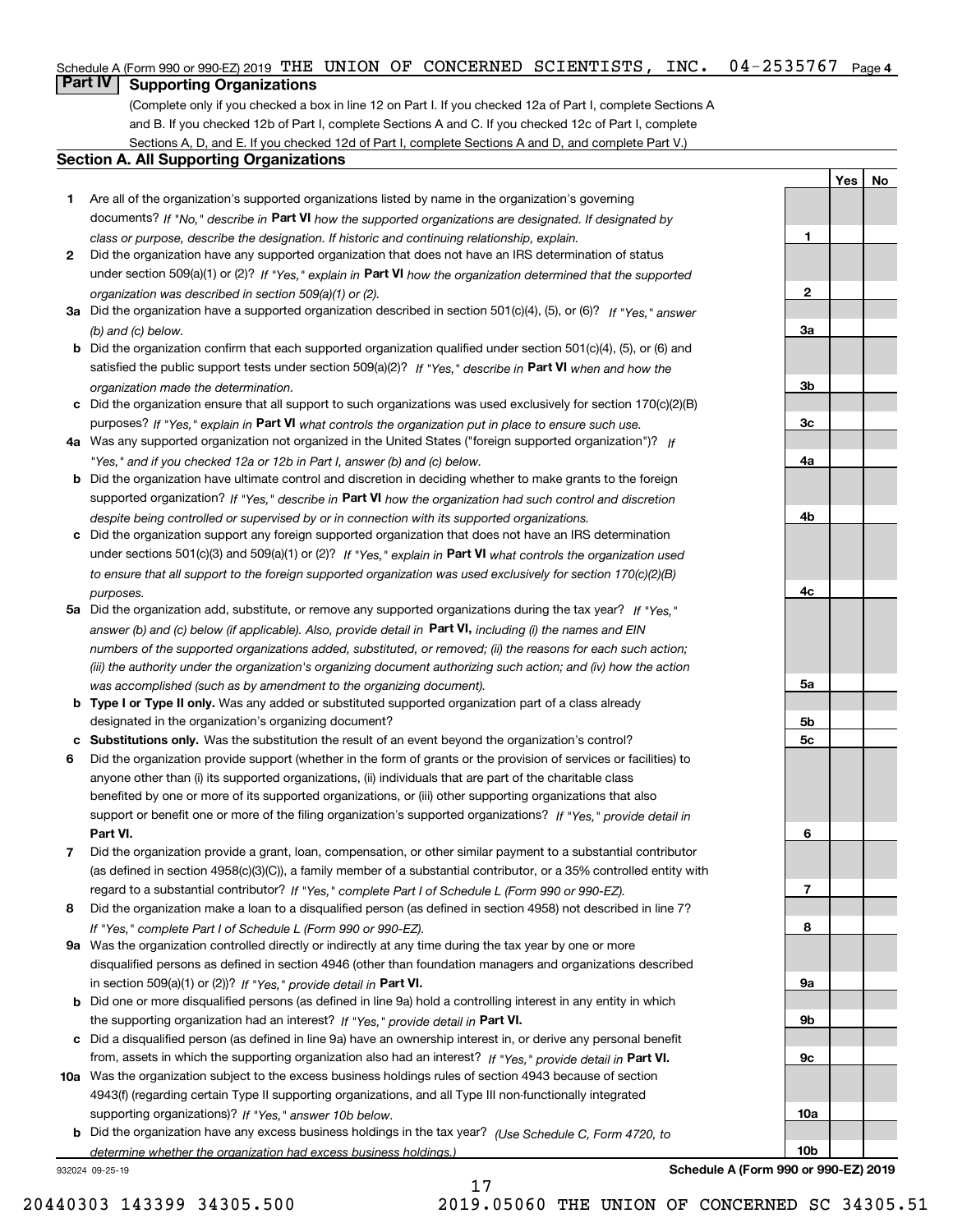## Schedule A (Form 990 or 990-EZ) 2019 THE UNION OF CONCERNED SCIENTISTS , INC. 04-2535767 Page 4<br>L**Part IV L. Supporting Organizations**

## **Part IV Supporting Organizations**

(Complete only if you checked a box in line 12 on Part I. If you checked 12a of Part I, complete Sections A and B. If you checked 12b of Part I, complete Sections A and C. If you checked 12c of Part I, complete Sections A, D, and E. If you checked 12d of Part I, complete Sections A and D, and complete Part V.)

### **Section A. All Supporting Organizations**

- **1** Are all of the organization's supported organizations listed by name in the organization's governing documents? If "No," describe in **Part VI** how the supported organizations are designated. If designated by *class or purpose, describe the designation. If historic and continuing relationship, explain.*
- **2** Did the organization have any supported organization that does not have an IRS determination of status under section 509(a)(1) or (2)? If "Yes," explain in Part VI how the organization determined that the supported *organization was described in section 509(a)(1) or (2).*
- **3a** Did the organization have a supported organization described in section 501(c)(4), (5), or (6)? If "Yes," answer *(b) and (c) below.*
- **b** Did the organization confirm that each supported organization qualified under section 501(c)(4), (5), or (6) and satisfied the public support tests under section 509(a)(2)? If "Yes," describe in **Part VI** when and how the *organization made the determination.*
- **c**Did the organization ensure that all support to such organizations was used exclusively for section 170(c)(2)(B) purposes? If "Yes," explain in **Part VI** what controls the organization put in place to ensure such use.
- **4a***If* Was any supported organization not organized in the United States ("foreign supported organization")? *"Yes," and if you checked 12a or 12b in Part I, answer (b) and (c) below.*
- **b** Did the organization have ultimate control and discretion in deciding whether to make grants to the foreign supported organization? If "Yes," describe in **Part VI** how the organization had such control and discretion *despite being controlled or supervised by or in connection with its supported organizations.*
- **c** Did the organization support any foreign supported organization that does not have an IRS determination under sections 501(c)(3) and 509(a)(1) or (2)? If "Yes," explain in **Part VI** what controls the organization used *to ensure that all support to the foreign supported organization was used exclusively for section 170(c)(2)(B) purposes.*
- **5a** Did the organization add, substitute, or remove any supported organizations during the tax year? If "Yes," answer (b) and (c) below (if applicable). Also, provide detail in **Part VI,** including (i) the names and EIN *numbers of the supported organizations added, substituted, or removed; (ii) the reasons for each such action; (iii) the authority under the organization's organizing document authorizing such action; and (iv) how the action was accomplished (such as by amendment to the organizing document).*
- **b** Type I or Type II only. Was any added or substituted supported organization part of a class already designated in the organization's organizing document?
- **cSubstitutions only.**  Was the substitution the result of an event beyond the organization's control?
- **6** Did the organization provide support (whether in the form of grants or the provision of services or facilities) to **Part VI.** *If "Yes," provide detail in* support or benefit one or more of the filing organization's supported organizations? anyone other than (i) its supported organizations, (ii) individuals that are part of the charitable class benefited by one or more of its supported organizations, or (iii) other supporting organizations that also
- **7**Did the organization provide a grant, loan, compensation, or other similar payment to a substantial contributor *If "Yes," complete Part I of Schedule L (Form 990 or 990-EZ).* regard to a substantial contributor? (as defined in section 4958(c)(3)(C)), a family member of a substantial contributor, or a 35% controlled entity with
- **8** Did the organization make a loan to a disqualified person (as defined in section 4958) not described in line 7? *If "Yes," complete Part I of Schedule L (Form 990 or 990-EZ).*
- **9a** Was the organization controlled directly or indirectly at any time during the tax year by one or more in section 509(a)(1) or (2))? If "Yes," *provide detail in* <code>Part VI.</code> disqualified persons as defined in section 4946 (other than foundation managers and organizations described
- **b** Did one or more disqualified persons (as defined in line 9a) hold a controlling interest in any entity in which the supporting organization had an interest? If "Yes," provide detail in P**art VI**.
- **c**Did a disqualified person (as defined in line 9a) have an ownership interest in, or derive any personal benefit from, assets in which the supporting organization also had an interest? If "Yes," provide detail in P**art VI.**
- **10a** Was the organization subject to the excess business holdings rules of section 4943 because of section supporting organizations)? If "Yes," answer 10b below. 4943(f) (regarding certain Type II supporting organizations, and all Type III non-functionally integrated
- **b** Did the organization have any excess business holdings in the tax year? (Use Schedule C, Form 4720, to *determine whether the organization had excess business holdings.)*

17

932024 09-25-19

**10bSchedule A (Form 990 or 990-EZ) 2019**

**Yes No**

**1**

**2**

**3a**

**3b**

**3c**

**4a**

**4b**

**4c**

**5a**

**5b5c**

**6**

**7**

**8**

**9a**

**9b**

**9c**

**10a**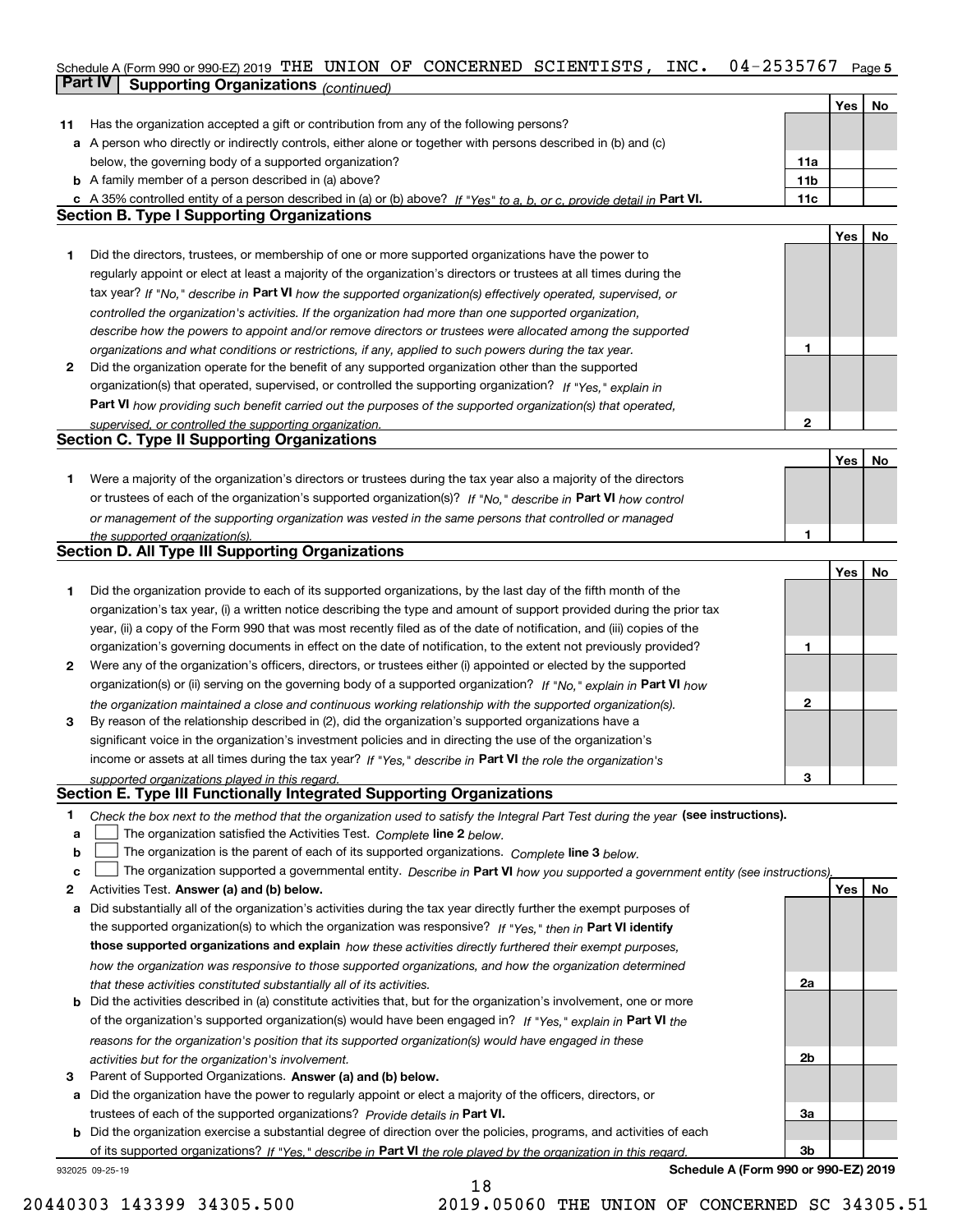## Schedule A (Form 990 or 990-EZ) 2019 THE UNION OF CONCERNED SCIENTISTS , INC. 04-2535767 Page 5<br>L**Part IV L. Supporting Organizations** . . . . . . . **Part IV Supporting Organizations** *(continued)*

|    |                                                                                                                                   |                 | Yes | No |
|----|-----------------------------------------------------------------------------------------------------------------------------------|-----------------|-----|----|
| 11 | Has the organization accepted a gift or contribution from any of the following persons?                                           |                 |     |    |
|    | a A person who directly or indirectly controls, either alone or together with persons described in (b) and (c)                    |                 |     |    |
|    | below, the governing body of a supported organization?                                                                            | 11a             |     |    |
|    | <b>b</b> A family member of a person described in (a) above?                                                                      | 11 <sub>b</sub> |     |    |
|    | c A 35% controlled entity of a person described in (a) or (b) above? If "Yes" to a, b, or c, provide detail in Part VI.           | 11c             |     |    |
|    | <b>Section B. Type I Supporting Organizations</b>                                                                                 |                 |     |    |
|    |                                                                                                                                   |                 | Yes | No |
| 1  | Did the directors, trustees, or membership of one or more supported organizations have the power to                               |                 |     |    |
|    | regularly appoint or elect at least a majority of the organization's directors or trustees at all times during the                |                 |     |    |
|    |                                                                                                                                   |                 |     |    |
|    | tax year? If "No," describe in Part VI how the supported organization(s) effectively operated, supervised, or                     |                 |     |    |
|    | controlled the organization's activities. If the organization had more than one supported organization,                           |                 |     |    |
|    | describe how the powers to appoint and/or remove directors or trustees were allocated among the supported                         |                 |     |    |
|    | organizations and what conditions or restrictions, if any, applied to such powers during the tax year.                            | 1               |     |    |
| 2  | Did the organization operate for the benefit of any supported organization other than the supported                               |                 |     |    |
|    | organization(s) that operated, supervised, or controlled the supporting organization? If "Yes," explain in                        |                 |     |    |
|    | Part VI how providing such benefit carried out the purposes of the supported organization(s) that operated,                       |                 |     |    |
|    | supervised, or controlled the supporting organization.                                                                            | 2               |     |    |
|    | <b>Section C. Type II Supporting Organizations</b>                                                                                |                 |     |    |
|    |                                                                                                                                   |                 | Yes | No |
| 1. | Were a majority of the organization's directors or trustees during the tax year also a majority of the directors                  |                 |     |    |
|    | or trustees of each of the organization's supported organization(s)? If "No." describe in Part VI how control                     |                 |     |    |
|    | or management of the supporting organization was vested in the same persons that controlled or managed                            |                 |     |    |
|    | the supported organization(s).                                                                                                    | 1               |     |    |
|    | <b>Section D. All Type III Supporting Organizations</b>                                                                           |                 |     |    |
|    |                                                                                                                                   |                 | Yes | No |
| 1  | Did the organization provide to each of its supported organizations, by the last day of the fifth month of the                    |                 |     |    |
|    | organization's tax year, (i) a written notice describing the type and amount of support provided during the prior tax             |                 |     |    |
|    | year, (ii) a copy of the Form 990 that was most recently filed as of the date of notification, and (iii) copies of the            |                 |     |    |
|    | organization's governing documents in effect on the date of notification, to the extent not previously provided?                  | 1               |     |    |
| 2  | Were any of the organization's officers, directors, or trustees either (i) appointed or elected by the supported                  |                 |     |    |
|    | organization(s) or (ii) serving on the governing body of a supported organization? If "No," explain in Part VI how                |                 |     |    |
|    | the organization maintained a close and continuous working relationship with the supported organization(s).                       | 2               |     |    |
| 3  | By reason of the relationship described in (2), did the organization's supported organizations have a                             |                 |     |    |
|    | significant voice in the organization's investment policies and in directing the use of the organization's                        |                 |     |    |
|    | income or assets at all times during the tax year? If "Yes," describe in Part VI the role the organization's                      |                 |     |    |
|    | supported organizations played in this regard.                                                                                    | з               |     |    |
|    | Section E. Type III Functionally Integrated Supporting Organizations                                                              |                 |     |    |
| 1  | Check the box next to the method that the organization used to satisfy the Integral Part Test during the year (see instructions). |                 |     |    |
| а  | The organization satisfied the Activities Test. Complete line 2 below.                                                            |                 |     |    |
| b  |                                                                                                                                   |                 |     |    |
|    | The organization is the parent of each of its supported organizations. Complete line 3 below.                                     |                 |     |    |
| c  | The organization supported a governmental entity. Describe in Part VI how you supported a government entity (see instructions).   |                 | Yes |    |
| 2  | Activities Test. Answer (a) and (b) below.                                                                                        |                 |     | No |
| а  | Did substantially all of the organization's activities during the tax year directly further the exempt purposes of                |                 |     |    |
|    | the supported organization(s) to which the organization was responsive? If "Yes," then in Part VI identify                        |                 |     |    |
|    | those supported organizations and explain how these activities directly furthered their exempt purposes,                          |                 |     |    |
|    | how the organization was responsive to those supported organizations, and how the organization determined                         |                 |     |    |
|    | that these activities constituted substantially all of its activities.                                                            | 2a              |     |    |
| b  | Did the activities described in (a) constitute activities that, but for the organization's involvement, one or more               |                 |     |    |
|    | of the organization's supported organization(s) would have been engaged in? If "Yes," explain in Part VI the                      |                 |     |    |
|    | reasons for the organization's position that its supported organization(s) would have engaged in these                            |                 |     |    |
|    | activities but for the organization's involvement.                                                                                | 2b              |     |    |
| 3  | Parent of Supported Organizations. Answer (a) and (b) below.                                                                      |                 |     |    |
| а  | Did the organization have the power to regularly appoint or elect a majority of the officers, directors, or                       |                 |     |    |
|    | trustees of each of the supported organizations? Provide details in Part VI.                                                      | За              |     |    |
| b  | Did the organization exercise a substantial degree of direction over the policies, programs, and activities of each               |                 |     |    |
|    | of its supported organizations? If "Yes," describe in Part VI the role played by the organization in this regard.                 | 3b              |     |    |
|    | Schedule A (Form 990 or 990-EZ) 2019<br>932025 09-25-19                                                                           |                 |     |    |

**Schedule A (Form 990 or 990-EZ) 2019**

18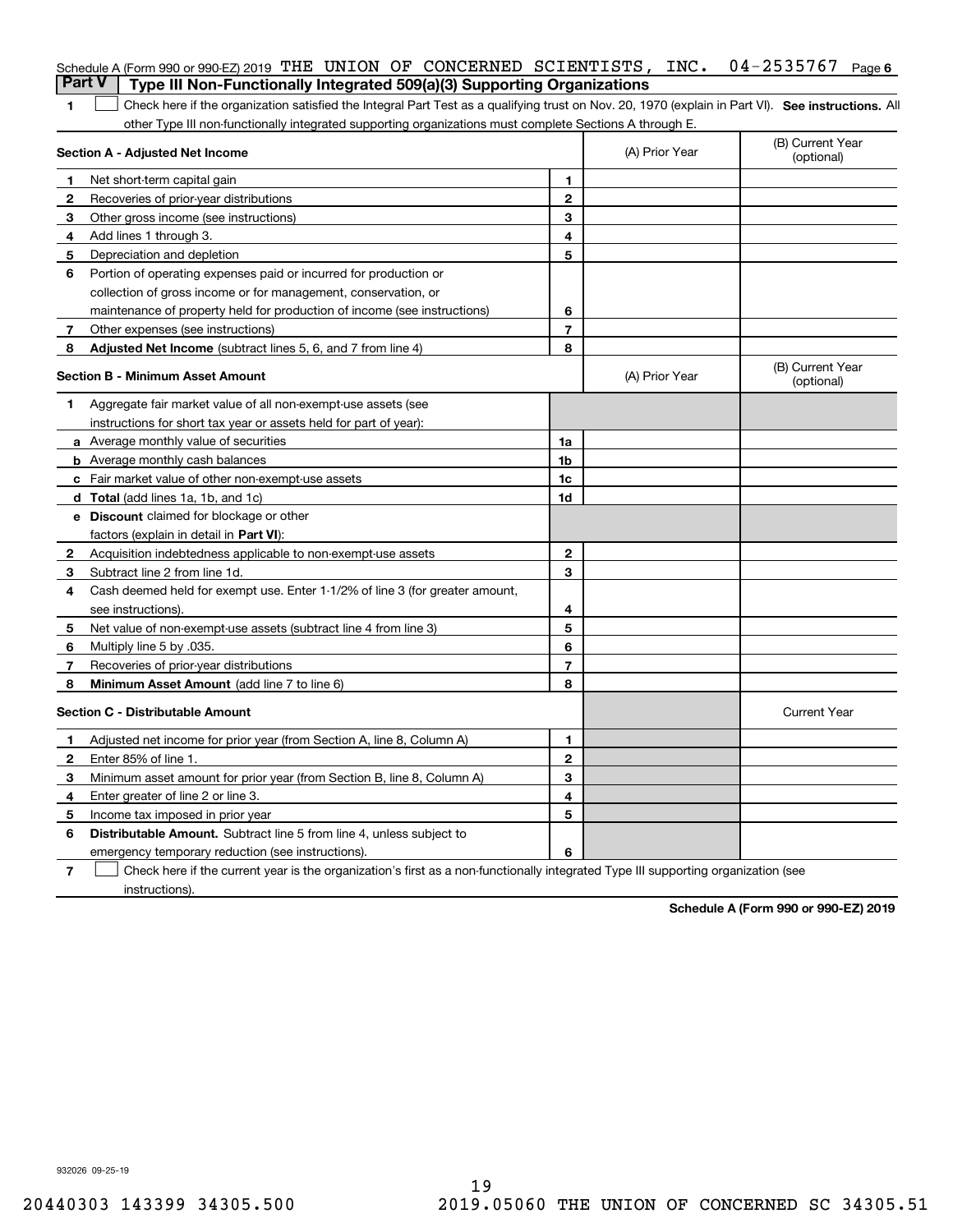| <b>Part V</b>           | Schedule A (Form 990 or 990-EZ) 2019 THE UNION OF CONCERNED SCIENTISTS, INC.<br>Type III Non-Functionally Integrated 509(a)(3) Supporting Organizations |                |                | 04-2535767<br>Page 6           |
|-------------------------|---------------------------------------------------------------------------------------------------------------------------------------------------------|----------------|----------------|--------------------------------|
| 1                       | Check here if the organization satisfied the Integral Part Test as a qualifying trust on Nov. 20, 1970 (explain in Part VI). See instructions. Al       |                |                |                                |
|                         | other Type III non-functionally integrated supporting organizations must complete Sections A through E.                                                 |                |                |                                |
|                         | <b>Section A - Adjusted Net Income</b>                                                                                                                  |                | (A) Prior Year | (B) Current Year<br>(optional) |
| 1                       | Net short-term capital gain                                                                                                                             | 1              |                |                                |
| 2                       | Recoveries of prior-year distributions                                                                                                                  | $\mathbf{2}$   |                |                                |
| 3                       | Other gross income (see instructions)                                                                                                                   | 3              |                |                                |
| 4                       | Add lines 1 through 3.                                                                                                                                  | 4              |                |                                |
| 5                       | Depreciation and depletion                                                                                                                              | 5              |                |                                |
| 6                       | Portion of operating expenses paid or incurred for production or                                                                                        |                |                |                                |
|                         | collection of gross income or for management, conservation, or                                                                                          |                |                |                                |
|                         | maintenance of property held for production of income (see instructions)                                                                                | 6              |                |                                |
| 7                       | Other expenses (see instructions)                                                                                                                       | $\overline{7}$ |                |                                |
| 8                       | <b>Adjusted Net Income</b> (subtract lines 5, 6, and 7 from line 4)                                                                                     | 8              |                |                                |
|                         | <b>Section B - Minimum Asset Amount</b>                                                                                                                 |                | (A) Prior Year | (B) Current Year<br>(optional) |
| 1.                      | Aggregate fair market value of all non-exempt-use assets (see                                                                                           |                |                |                                |
|                         | instructions for short tax year or assets held for part of year):                                                                                       |                |                |                                |
|                         | <b>a</b> Average monthly value of securities                                                                                                            | 1a             |                |                                |
|                         | <b>b</b> Average monthly cash balances                                                                                                                  | 1b             |                |                                |
|                         | c Fair market value of other non-exempt-use assets                                                                                                      | 1c             |                |                                |
|                         | <b>d</b> Total (add lines 1a, 1b, and 1c)                                                                                                               | 1d             |                |                                |
|                         | <b>e</b> Discount claimed for blockage or other                                                                                                         |                |                |                                |
|                         | factors (explain in detail in Part VI):                                                                                                                 |                |                |                                |
| 2                       | Acquisition indebtedness applicable to non-exempt-use assets                                                                                            | $\mathbf{2}$   |                |                                |
| 3                       | Subtract line 2 from line 1d.                                                                                                                           | 3              |                |                                |
| 4                       | Cash deemed held for exempt use. Enter 1-1/2% of line 3 (for greater amount,                                                                            |                |                |                                |
|                         | see instructions).                                                                                                                                      | 4              |                |                                |
| 5                       | Net value of non-exempt-use assets (subtract line 4 from line 3)                                                                                        | 5              |                |                                |
| 6                       | Multiply line 5 by .035.                                                                                                                                | 6              |                |                                |
| 7                       | Recoveries of prior-year distributions                                                                                                                  | $\overline{7}$ |                |                                |
| 8                       | <b>Minimum Asset Amount</b> (add line 7 to line 6)                                                                                                      | 8              |                |                                |
|                         | <b>Section C - Distributable Amount</b>                                                                                                                 |                |                | <b>Current Year</b>            |
| 1.                      | Adjusted net income for prior year (from Section A, line 8, Column A)                                                                                   | 1              |                |                                |
| 2                       | Enter 85% of line 1.                                                                                                                                    | 2              |                |                                |
| 3                       | Minimum asset amount for prior year (from Section B, line 8, Column A)                                                                                  | 3              |                |                                |
| 4                       | Enter greater of line 2 or line 3.                                                                                                                      | 4              |                |                                |
| 5                       | Income tax imposed in prior year                                                                                                                        | 5              |                |                                |
| 6                       | Distributable Amount. Subtract line 5 from line 4, unless subject to                                                                                    |                |                |                                |
|                         | emergency temporary reduction (see instructions).                                                                                                       | 6              |                |                                |
| $\overline{\mathbf{r}}$ | Check here if the current year is the organization's first as a non-functionally integrated Type III supporting organization (see                       |                |                |                                |

instructions).

**Schedule A (Form 990 or 990-EZ) 2019**

932026 09-25-19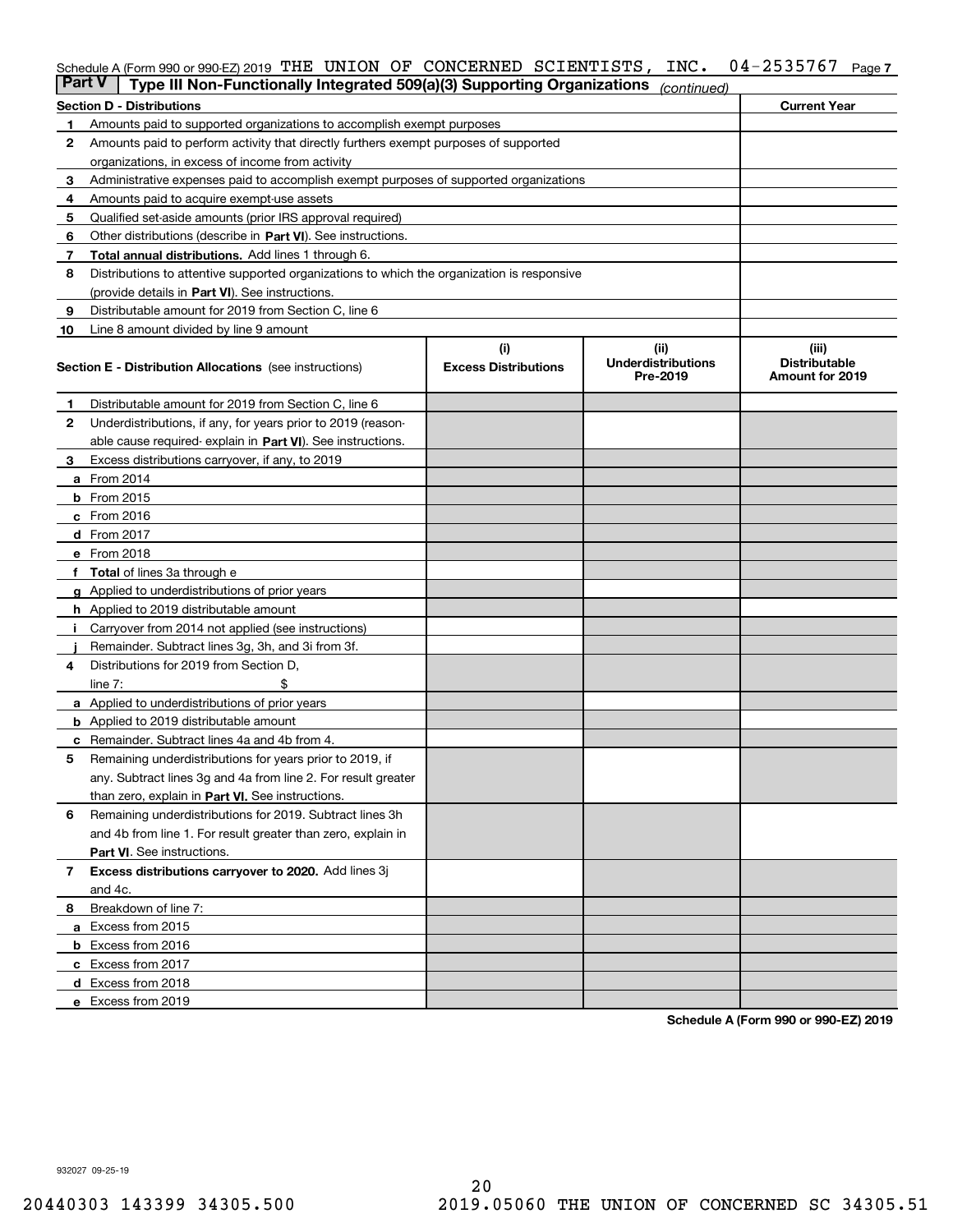## Schedule A (Form 990 or 990-EZ) 2019 THE UNION OF CONCERNED SCIENTISTS , INC. 04-2535767 Page 7<br>L**Part V** L. Type III Non-Eunotionally Integrated 509(a)(3) Supporting Organizations

| <b>Part V</b> | Type III Non-Functionally Integrated 509(a)(3) Supporting Organizations                    |                                    | (continued)                                   |                                                         |  |  |  |  |  |  |
|---------------|--------------------------------------------------------------------------------------------|------------------------------------|-----------------------------------------------|---------------------------------------------------------|--|--|--|--|--|--|
|               | <b>Section D - Distributions</b>                                                           |                                    |                                               | <b>Current Year</b>                                     |  |  |  |  |  |  |
| 1             | Amounts paid to supported organizations to accomplish exempt purposes                      |                                    |                                               |                                                         |  |  |  |  |  |  |
| 2             | Amounts paid to perform activity that directly furthers exempt purposes of supported       |                                    |                                               |                                                         |  |  |  |  |  |  |
|               | organizations, in excess of income from activity                                           |                                    |                                               |                                                         |  |  |  |  |  |  |
| 3             | Administrative expenses paid to accomplish exempt purposes of supported organizations      |                                    |                                               |                                                         |  |  |  |  |  |  |
| 4             | Amounts paid to acquire exempt-use assets                                                  |                                    |                                               |                                                         |  |  |  |  |  |  |
| 5             | Qualified set-aside amounts (prior IRS approval required)                                  |                                    |                                               |                                                         |  |  |  |  |  |  |
| 6             | Other distributions (describe in Part VI). See instructions.                               |                                    |                                               |                                                         |  |  |  |  |  |  |
| 7             | <b>Total annual distributions.</b> Add lines 1 through 6.                                  |                                    |                                               |                                                         |  |  |  |  |  |  |
| 8             | Distributions to attentive supported organizations to which the organization is responsive |                                    |                                               |                                                         |  |  |  |  |  |  |
|               | (provide details in Part VI). See instructions.                                            |                                    |                                               |                                                         |  |  |  |  |  |  |
| 9             | Distributable amount for 2019 from Section C, line 6                                       |                                    |                                               |                                                         |  |  |  |  |  |  |
| 10            | Line 8 amount divided by line 9 amount                                                     |                                    |                                               |                                                         |  |  |  |  |  |  |
|               | <b>Section E - Distribution Allocations</b> (see instructions)                             | (i)<br><b>Excess Distributions</b> | (ii)<br><b>Underdistributions</b><br>Pre-2019 | (iii)<br><b>Distributable</b><br><b>Amount for 2019</b> |  |  |  |  |  |  |
| 1             | Distributable amount for 2019 from Section C, line 6                                       |                                    |                                               |                                                         |  |  |  |  |  |  |
| 2             | Underdistributions, if any, for years prior to 2019 (reason-                               |                                    |                                               |                                                         |  |  |  |  |  |  |
|               | able cause required- explain in Part VI). See instructions.                                |                                    |                                               |                                                         |  |  |  |  |  |  |
| З             | Excess distributions carryover, if any, to 2019                                            |                                    |                                               |                                                         |  |  |  |  |  |  |
|               | <b>a</b> From 2014                                                                         |                                    |                                               |                                                         |  |  |  |  |  |  |
|               | <b>b</b> From $2015$                                                                       |                                    |                                               |                                                         |  |  |  |  |  |  |
|               | $c$ From 2016                                                                              |                                    |                                               |                                                         |  |  |  |  |  |  |
|               | d From 2017                                                                                |                                    |                                               |                                                         |  |  |  |  |  |  |
|               | e From 2018                                                                                |                                    |                                               |                                                         |  |  |  |  |  |  |
|               | Total of lines 3a through e                                                                |                                    |                                               |                                                         |  |  |  |  |  |  |
| g             | Applied to underdistributions of prior years                                               |                                    |                                               |                                                         |  |  |  |  |  |  |
|               | h Applied to 2019 distributable amount                                                     |                                    |                                               |                                                         |  |  |  |  |  |  |
|               | Carryover from 2014 not applied (see instructions)                                         |                                    |                                               |                                                         |  |  |  |  |  |  |
|               | Remainder. Subtract lines 3g, 3h, and 3i from 3f.                                          |                                    |                                               |                                                         |  |  |  |  |  |  |
| 4             | Distributions for 2019 from Section D,                                                     |                                    |                                               |                                                         |  |  |  |  |  |  |
|               | line $7:$                                                                                  |                                    |                                               |                                                         |  |  |  |  |  |  |
|               | <b>a</b> Applied to underdistributions of prior years                                      |                                    |                                               |                                                         |  |  |  |  |  |  |
|               | <b>b</b> Applied to 2019 distributable amount                                              |                                    |                                               |                                                         |  |  |  |  |  |  |
|               | c Remainder. Subtract lines 4a and 4b from 4.                                              |                                    |                                               |                                                         |  |  |  |  |  |  |
| 5             | Remaining underdistributions for years prior to 2019, if                                   |                                    |                                               |                                                         |  |  |  |  |  |  |
|               | any. Subtract lines 3g and 4a from line 2. For result greater                              |                                    |                                               |                                                         |  |  |  |  |  |  |
|               | than zero, explain in Part VI. See instructions.                                           |                                    |                                               |                                                         |  |  |  |  |  |  |
| 6             | Remaining underdistributions for 2019. Subtract lines 3h                                   |                                    |                                               |                                                         |  |  |  |  |  |  |
|               | and 4b from line 1. For result greater than zero, explain in                               |                                    |                                               |                                                         |  |  |  |  |  |  |
|               | Part VI. See instructions.                                                                 |                                    |                                               |                                                         |  |  |  |  |  |  |
| 7             | Excess distributions carryover to 2020. Add lines 3j                                       |                                    |                                               |                                                         |  |  |  |  |  |  |
|               | and 4c.                                                                                    |                                    |                                               |                                                         |  |  |  |  |  |  |
| 8             | Breakdown of line 7:                                                                       |                                    |                                               |                                                         |  |  |  |  |  |  |
|               | a Excess from 2015                                                                         |                                    |                                               |                                                         |  |  |  |  |  |  |
|               | <b>b</b> Excess from 2016                                                                  |                                    |                                               |                                                         |  |  |  |  |  |  |
|               | c Excess from 2017                                                                         |                                    |                                               |                                                         |  |  |  |  |  |  |
|               | d Excess from 2018                                                                         |                                    |                                               |                                                         |  |  |  |  |  |  |
|               | e Excess from 2019                                                                         |                                    |                                               |                                                         |  |  |  |  |  |  |

**Schedule A (Form 990 or 990-EZ) 2019**

932027 09-25-19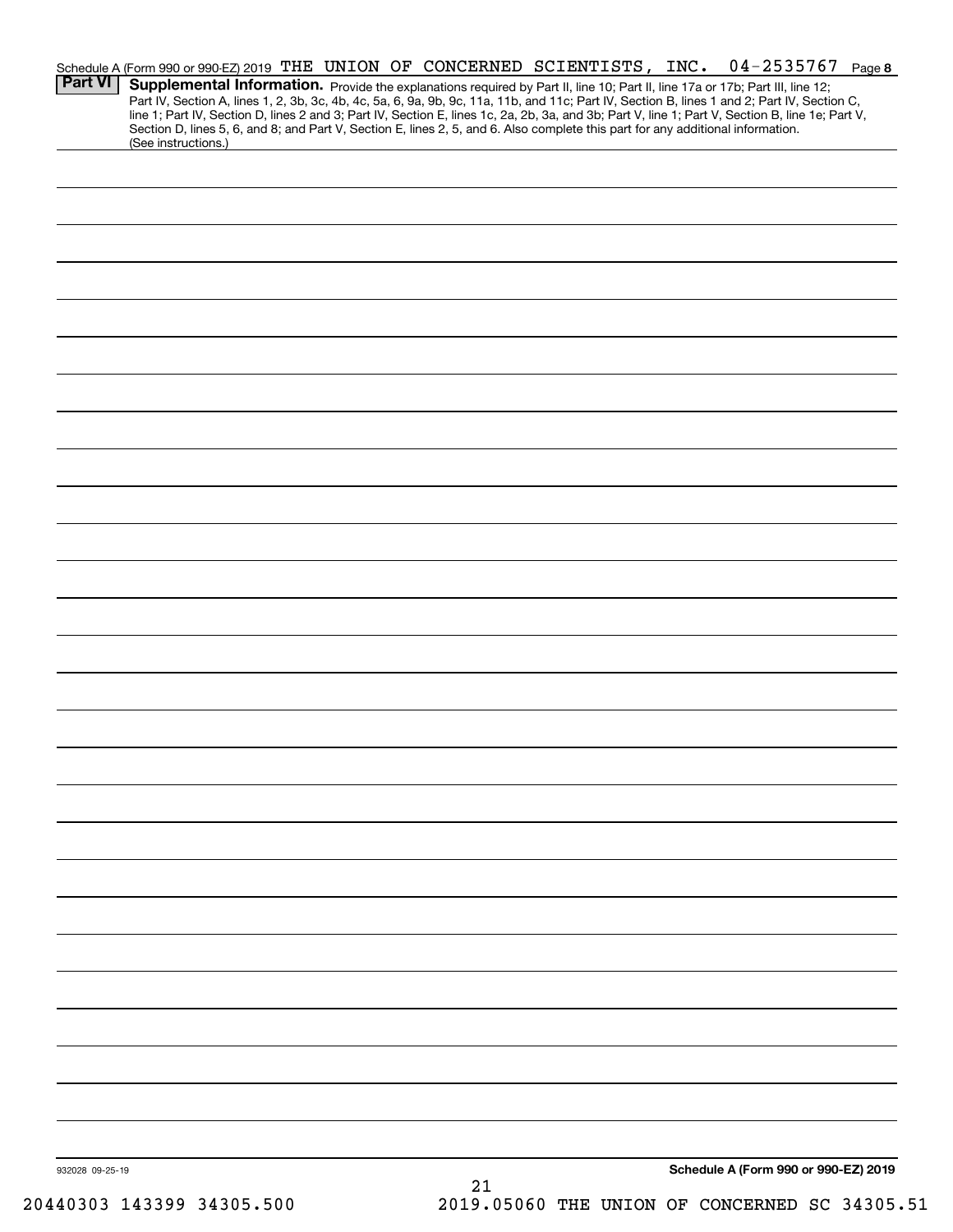|                 | Schedule A (Form 990 or 990-EZ) 2019 THE UNION OF CONCERNED SCIENTISTS, INC.                                                                                                                                                                                                                                                                                                                                                                                                                                                                                         |  |  |    |  |  | $04 - 2535767$ Page 8                |  |
|-----------------|----------------------------------------------------------------------------------------------------------------------------------------------------------------------------------------------------------------------------------------------------------------------------------------------------------------------------------------------------------------------------------------------------------------------------------------------------------------------------------------------------------------------------------------------------------------------|--|--|----|--|--|--------------------------------------|--|
| <b>Part VI</b>  | Supplemental Information. Provide the explanations required by Part II, line 10; Part II, line 17a or 17b; Part III, line 12;<br>Part IV, Section A, lines 1, 2, 3b, 3c, 4b, 4c, 5a, 6, 9a, 9b, 9c, 11a, 11b, and 11c; Part IV, Section B, lines 1 and 2; Part IV, Section C,<br>line 1; Part IV, Section D, lines 2 and 3; Part IV, Section E, lines 1c, 2a, 2b, 3a, and 3b; Part V, line 1; Part V, Section B, line 1e; Part V,<br>Section D, lines 5, 6, and 8; and Part V, Section E, lines 2, 5, and 6. Also complete this part for any additional information. |  |  |    |  |  |                                      |  |
|                 | (See instructions.)                                                                                                                                                                                                                                                                                                                                                                                                                                                                                                                                                  |  |  |    |  |  |                                      |  |
|                 |                                                                                                                                                                                                                                                                                                                                                                                                                                                                                                                                                                      |  |  |    |  |  |                                      |  |
|                 |                                                                                                                                                                                                                                                                                                                                                                                                                                                                                                                                                                      |  |  |    |  |  |                                      |  |
|                 |                                                                                                                                                                                                                                                                                                                                                                                                                                                                                                                                                                      |  |  |    |  |  |                                      |  |
|                 |                                                                                                                                                                                                                                                                                                                                                                                                                                                                                                                                                                      |  |  |    |  |  |                                      |  |
|                 |                                                                                                                                                                                                                                                                                                                                                                                                                                                                                                                                                                      |  |  |    |  |  |                                      |  |
|                 |                                                                                                                                                                                                                                                                                                                                                                                                                                                                                                                                                                      |  |  |    |  |  |                                      |  |
|                 |                                                                                                                                                                                                                                                                                                                                                                                                                                                                                                                                                                      |  |  |    |  |  |                                      |  |
|                 |                                                                                                                                                                                                                                                                                                                                                                                                                                                                                                                                                                      |  |  |    |  |  |                                      |  |
|                 |                                                                                                                                                                                                                                                                                                                                                                                                                                                                                                                                                                      |  |  |    |  |  |                                      |  |
|                 |                                                                                                                                                                                                                                                                                                                                                                                                                                                                                                                                                                      |  |  |    |  |  |                                      |  |
|                 |                                                                                                                                                                                                                                                                                                                                                                                                                                                                                                                                                                      |  |  |    |  |  |                                      |  |
|                 |                                                                                                                                                                                                                                                                                                                                                                                                                                                                                                                                                                      |  |  |    |  |  |                                      |  |
|                 |                                                                                                                                                                                                                                                                                                                                                                                                                                                                                                                                                                      |  |  |    |  |  |                                      |  |
|                 |                                                                                                                                                                                                                                                                                                                                                                                                                                                                                                                                                                      |  |  |    |  |  |                                      |  |
|                 |                                                                                                                                                                                                                                                                                                                                                                                                                                                                                                                                                                      |  |  |    |  |  |                                      |  |
|                 |                                                                                                                                                                                                                                                                                                                                                                                                                                                                                                                                                                      |  |  |    |  |  |                                      |  |
|                 |                                                                                                                                                                                                                                                                                                                                                                                                                                                                                                                                                                      |  |  |    |  |  |                                      |  |
|                 |                                                                                                                                                                                                                                                                                                                                                                                                                                                                                                                                                                      |  |  |    |  |  |                                      |  |
|                 |                                                                                                                                                                                                                                                                                                                                                                                                                                                                                                                                                                      |  |  |    |  |  |                                      |  |
|                 |                                                                                                                                                                                                                                                                                                                                                                                                                                                                                                                                                                      |  |  |    |  |  |                                      |  |
|                 |                                                                                                                                                                                                                                                                                                                                                                                                                                                                                                                                                                      |  |  |    |  |  |                                      |  |
|                 |                                                                                                                                                                                                                                                                                                                                                                                                                                                                                                                                                                      |  |  |    |  |  |                                      |  |
|                 |                                                                                                                                                                                                                                                                                                                                                                                                                                                                                                                                                                      |  |  |    |  |  |                                      |  |
|                 |                                                                                                                                                                                                                                                                                                                                                                                                                                                                                                                                                                      |  |  |    |  |  |                                      |  |
|                 |                                                                                                                                                                                                                                                                                                                                                                                                                                                                                                                                                                      |  |  |    |  |  |                                      |  |
|                 |                                                                                                                                                                                                                                                                                                                                                                                                                                                                                                                                                                      |  |  |    |  |  |                                      |  |
|                 |                                                                                                                                                                                                                                                                                                                                                                                                                                                                                                                                                                      |  |  |    |  |  |                                      |  |
|                 |                                                                                                                                                                                                                                                                                                                                                                                                                                                                                                                                                                      |  |  |    |  |  |                                      |  |
|                 |                                                                                                                                                                                                                                                                                                                                                                                                                                                                                                                                                                      |  |  |    |  |  |                                      |  |
|                 |                                                                                                                                                                                                                                                                                                                                                                                                                                                                                                                                                                      |  |  |    |  |  |                                      |  |
|                 |                                                                                                                                                                                                                                                                                                                                                                                                                                                                                                                                                                      |  |  |    |  |  |                                      |  |
|                 |                                                                                                                                                                                                                                                                                                                                                                                                                                                                                                                                                                      |  |  |    |  |  |                                      |  |
|                 |                                                                                                                                                                                                                                                                                                                                                                                                                                                                                                                                                                      |  |  |    |  |  |                                      |  |
|                 |                                                                                                                                                                                                                                                                                                                                                                                                                                                                                                                                                                      |  |  |    |  |  |                                      |  |
| 932028 09-25-19 |                                                                                                                                                                                                                                                                                                                                                                                                                                                                                                                                                                      |  |  |    |  |  | Schedule A (Form 990 or 990-EZ) 2019 |  |
|                 |                                                                                                                                                                                                                                                                                                                                                                                                                                                                                                                                                                      |  |  | 21 |  |  |                                      |  |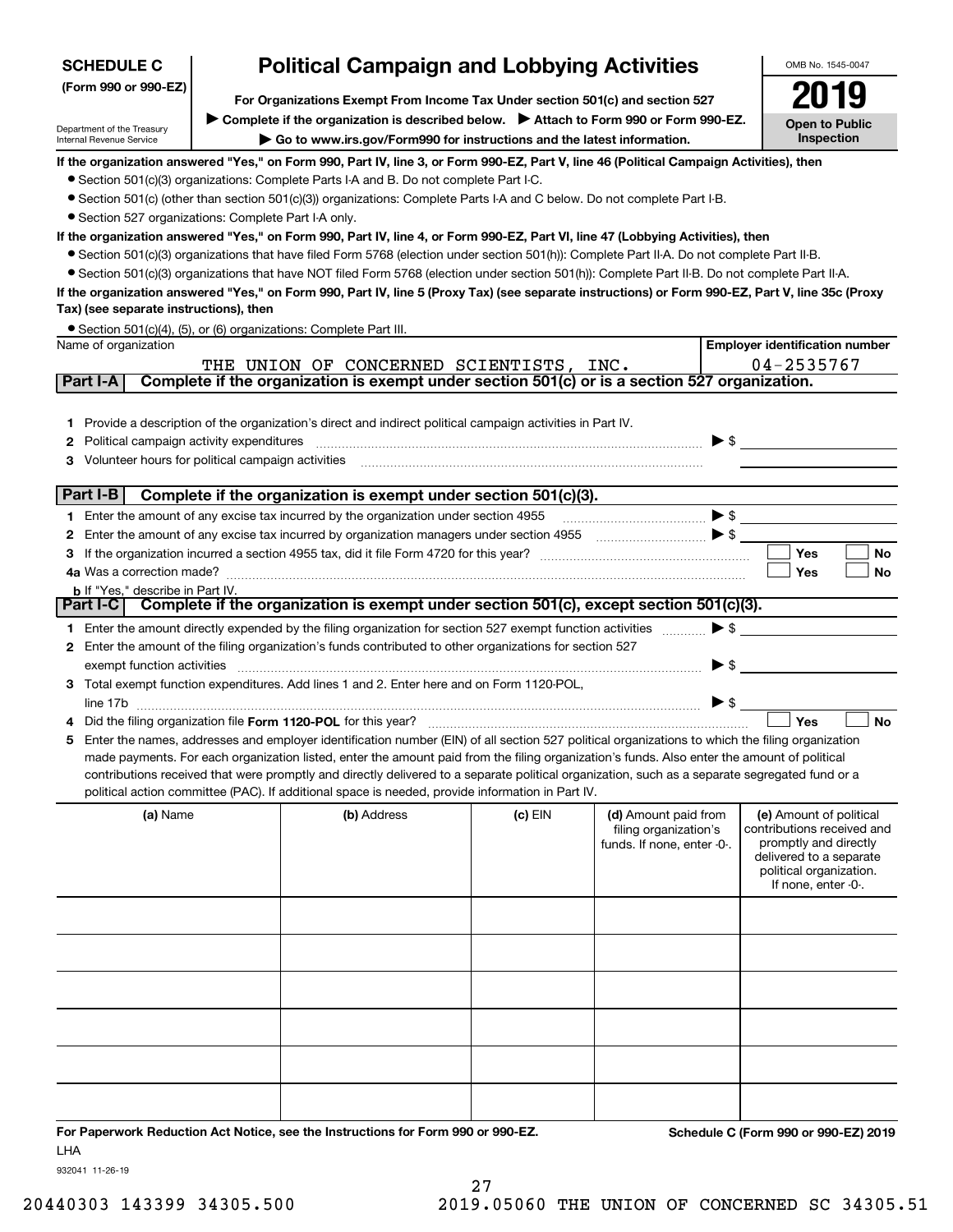| <b>SCHEDULE C</b>                                                                                                                                                    |  | <b>Political Campaign and Lobbying Activities</b>                                                                                                                                                                                                  |           |                                               |                          | OMB No. 1545-0047                                     |  |  |  |
|----------------------------------------------------------------------------------------------------------------------------------------------------------------------|--|----------------------------------------------------------------------------------------------------------------------------------------------------------------------------------------------------------------------------------------------------|-----------|-----------------------------------------------|--------------------------|-------------------------------------------------------|--|--|--|
| (Form 990 or 990-EZ)                                                                                                                                                 |  |                                                                                                                                                                                                                                                    |           |                                               |                          |                                                       |  |  |  |
| For Organizations Exempt From Income Tax Under section 501(c) and section 527<br>Complete if the organization is described below. Attach to Form 990 or Form 990-EZ. |  |                                                                                                                                                                                                                                                    |           |                                               |                          |                                                       |  |  |  |
| Department of the Treasury<br>Internal Revenue Service                                                                                                               |  | Go to www.irs.gov/Form990 for instructions and the latest information.                                                                                                                                                                             |           |                                               |                          | Open to Public<br>Inspection                          |  |  |  |
|                                                                                                                                                                      |  | If the organization answered "Yes," on Form 990, Part IV, line 3, or Form 990-EZ, Part V, line 46 (Political Campaign Activities), then                                                                                                            |           |                                               |                          |                                                       |  |  |  |
|                                                                                                                                                                      |  | • Section 501(c)(3) organizations: Complete Parts I-A and B. Do not complete Part I-C.                                                                                                                                                             |           |                                               |                          |                                                       |  |  |  |
|                                                                                                                                                                      |  | • Section 501(c) (other than section 501(c)(3)) organizations: Complete Parts I-A and C below. Do not complete Part I-B.                                                                                                                           |           |                                               |                          |                                                       |  |  |  |
| • Section 527 organizations: Complete Part I-A only.                                                                                                                 |  |                                                                                                                                                                                                                                                    |           |                                               |                          |                                                       |  |  |  |
|                                                                                                                                                                      |  | If the organization answered "Yes," on Form 990, Part IV, line 4, or Form 990-EZ, Part VI, line 47 (Lobbying Activities), then                                                                                                                     |           |                                               |                          |                                                       |  |  |  |
|                                                                                                                                                                      |  | ● Section 501(c)(3) organizations that have filed Form 5768 (election under section 501(h)): Complete Part II-A. Do not complete Part II-B.                                                                                                        |           |                                               |                          |                                                       |  |  |  |
|                                                                                                                                                                      |  | • Section 501(c)(3) organizations that have NOT filed Form 5768 (election under section 501(h)): Complete Part II-B. Do not complete Part II-A.                                                                                                    |           |                                               |                          |                                                       |  |  |  |
| Tax) (see separate instructions), then                                                                                                                               |  | If the organization answered "Yes," on Form 990, Part IV, line 5 (Proxy Tax) (see separate instructions) or Form 990-EZ, Part V, line 35c (Proxy                                                                                                   |           |                                               |                          |                                                       |  |  |  |
|                                                                                                                                                                      |  | • Section 501(c)(4), (5), or (6) organizations: Complete Part III.                                                                                                                                                                                 |           |                                               |                          |                                                       |  |  |  |
| Name of organization                                                                                                                                                 |  |                                                                                                                                                                                                                                                    |           |                                               |                          | <b>Employer identification number</b>                 |  |  |  |
|                                                                                                                                                                      |  | THE UNION OF CONCERNED SCIENTISTS, INC.                                                                                                                                                                                                            |           |                                               |                          | 04-2535767                                            |  |  |  |
| Part I-A                                                                                                                                                             |  | Complete if the organization is exempt under section 501(c) or is a section 527 organization.                                                                                                                                                      |           |                                               |                          |                                                       |  |  |  |
|                                                                                                                                                                      |  |                                                                                                                                                                                                                                                    |           |                                               |                          |                                                       |  |  |  |
|                                                                                                                                                                      |  | 1 Provide a description of the organization's direct and indirect political campaign activities in Part IV.                                                                                                                                        |           |                                               |                          |                                                       |  |  |  |
| 2 Political campaign activity expenditures                                                                                                                           |  |                                                                                                                                                                                                                                                    |           |                                               | $\blacktriangleright$ \$ |                                                       |  |  |  |
| 3 Volunteer hours for political campaign activities                                                                                                                  |  |                                                                                                                                                                                                                                                    |           |                                               |                          |                                                       |  |  |  |
| Part I-B                                                                                                                                                             |  | Complete if the organization is exempt under section 501(c)(3).                                                                                                                                                                                    |           |                                               |                          |                                                       |  |  |  |
|                                                                                                                                                                      |  | 1 Enter the amount of any excise tax incurred by the organization under section 4955                                                                                                                                                               |           |                                               |                          |                                                       |  |  |  |
|                                                                                                                                                                      |  | 2 Enter the amount of any excise tax incurred by organization managers under section 4955                                                                                                                                                          |           |                                               |                          |                                                       |  |  |  |
|                                                                                                                                                                      |  |                                                                                                                                                                                                                                                    |           |                                               |                          | <b>Yes</b><br><b>No</b>                               |  |  |  |
|                                                                                                                                                                      |  |                                                                                                                                                                                                                                                    |           |                                               |                          | Yes<br>No                                             |  |  |  |
| <b>b</b> If "Yes," describe in Part IV.                                                                                                                              |  |                                                                                                                                                                                                                                                    |           |                                               |                          |                                                       |  |  |  |
|                                                                                                                                                                      |  | Part I-C   Complete if the organization is exempt under section 501(c), except section 501(c)(3).                                                                                                                                                  |           |                                               |                          |                                                       |  |  |  |
|                                                                                                                                                                      |  | 1 Enter the amount directly expended by the filing organization for section 527 exempt function activities                                                                                                                                         |           |                                               | $\blacktriangleright$ \$ |                                                       |  |  |  |
| exempt function activities                                                                                                                                           |  | 2 Enter the amount of the filing organization's funds contributed to other organizations for section 527                                                                                                                                           |           |                                               | $\triangleright$ \$      |                                                       |  |  |  |
|                                                                                                                                                                      |  | 3 Total exempt function expenditures. Add lines 1 and 2. Enter here and on Form 1120-POL,                                                                                                                                                          |           |                                               |                          |                                                       |  |  |  |
|                                                                                                                                                                      |  |                                                                                                                                                                                                                                                    |           |                                               | $\triangleright$ \$      |                                                       |  |  |  |
|                                                                                                                                                                      |  |                                                                                                                                                                                                                                                    |           |                                               |                          | Yes<br><b>No</b>                                      |  |  |  |
|                                                                                                                                                                      |  | 5 Enter the names, addresses and employer identification number (EIN) of all section 527 political organizations to which the filing organization                                                                                                  |           |                                               |                          |                                                       |  |  |  |
|                                                                                                                                                                      |  | made payments. For each organization listed, enter the amount paid from the filing organization's funds. Also enter the amount of political                                                                                                        |           |                                               |                          |                                                       |  |  |  |
|                                                                                                                                                                      |  | contributions received that were promptly and directly delivered to a separate political organization, such as a separate segregated fund or a<br>political action committee (PAC). If additional space is needed, provide information in Part IV. |           |                                               |                          |                                                       |  |  |  |
|                                                                                                                                                                      |  |                                                                                                                                                                                                                                                    |           |                                               |                          |                                                       |  |  |  |
| (a) Name                                                                                                                                                             |  | (b) Address                                                                                                                                                                                                                                        | $(c)$ EIN | (d) Amount paid from<br>filing organization's |                          | (e) Amount of political<br>contributions received and |  |  |  |
|                                                                                                                                                                      |  |                                                                                                                                                                                                                                                    |           | funds. If none, enter -0-.                    |                          | promptly and directly                                 |  |  |  |
|                                                                                                                                                                      |  |                                                                                                                                                                                                                                                    |           |                                               |                          | delivered to a separate<br>political organization.    |  |  |  |
| If none, enter -0-.                                                                                                                                                  |  |                                                                                                                                                                                                                                                    |           |                                               |                          |                                                       |  |  |  |
|                                                                                                                                                                      |  |                                                                                                                                                                                                                                                    |           |                                               |                          |                                                       |  |  |  |
|                                                                                                                                                                      |  |                                                                                                                                                                                                                                                    |           |                                               |                          |                                                       |  |  |  |
|                                                                                                                                                                      |  |                                                                                                                                                                                                                                                    |           |                                               |                          |                                                       |  |  |  |
|                                                                                                                                                                      |  |                                                                                                                                                                                                                                                    |           |                                               |                          |                                                       |  |  |  |
|                                                                                                                                                                      |  |                                                                                                                                                                                                                                                    |           |                                               |                          |                                                       |  |  |  |
|                                                                                                                                                                      |  |                                                                                                                                                                                                                                                    |           |                                               |                          |                                                       |  |  |  |
|                                                                                                                                                                      |  |                                                                                                                                                                                                                                                    |           |                                               |                          |                                                       |  |  |  |
|                                                                                                                                                                      |  |                                                                                                                                                                                                                                                    |           |                                               |                          |                                                       |  |  |  |
|                                                                                                                                                                      |  |                                                                                                                                                                                                                                                    |           |                                               |                          |                                                       |  |  |  |
|                                                                                                                                                                      |  |                                                                                                                                                                                                                                                    |           |                                               |                          |                                                       |  |  |  |

**For Paperwork Reduction Act Notice, see the Instructions for Form 990 or 990-EZ. Schedule C (Form 990 or 990-EZ) 2019** LHA

932041 11-26-19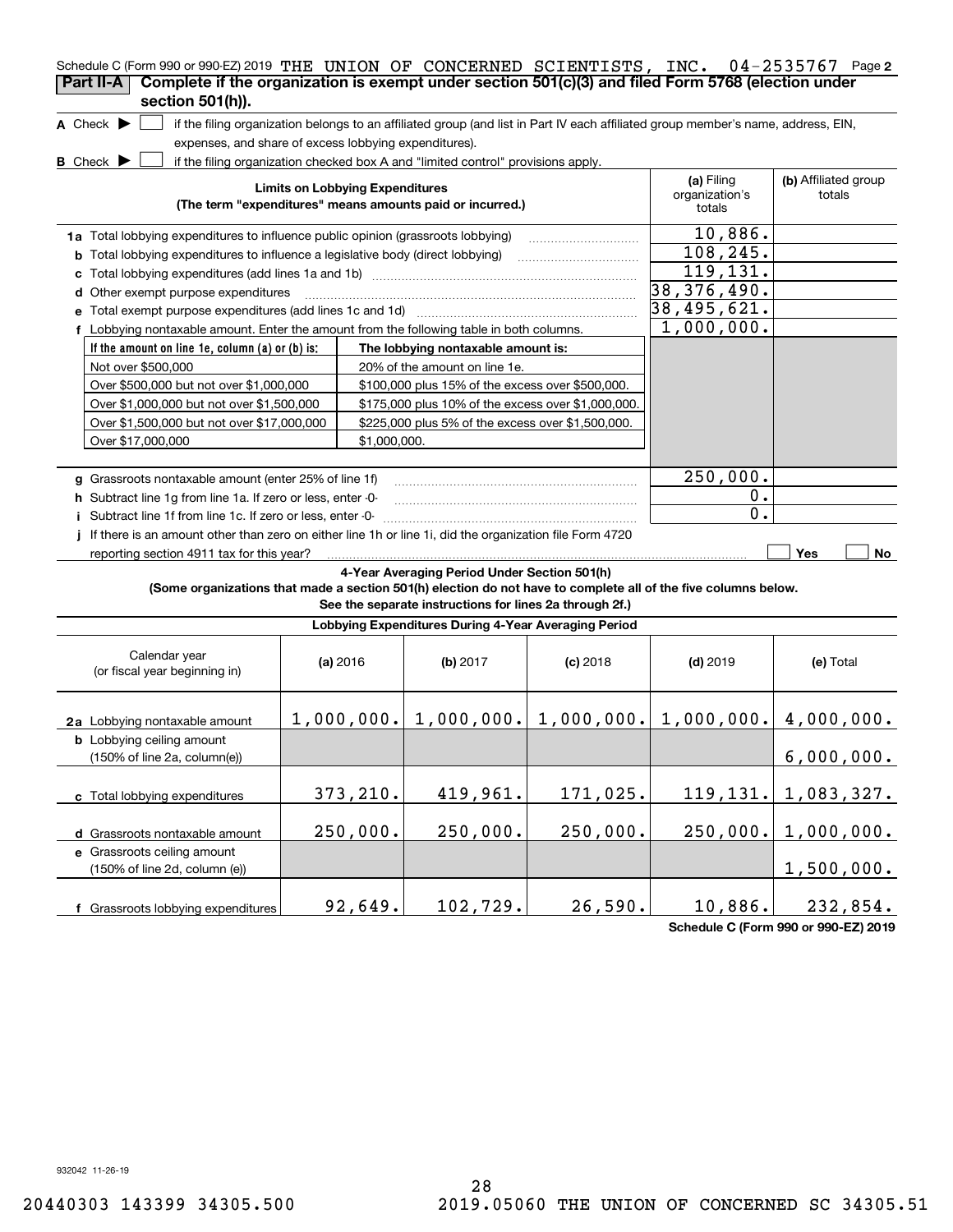| Schedule C (Form 990 or 990-EZ) 2019 THE UNION OF CONCERNED SCIENTISTS, INC. 04-2535767 Page 2<br>Complete if the organization is exempt under section 501(c)(3) and filed Form 5768 (election under<br>Part II-A |  |          |                                                                                                         |            |                                                                                                                                   |            |  |  |  |  |
|-------------------------------------------------------------------------------------------------------------------------------------------------------------------------------------------------------------------|--|----------|---------------------------------------------------------------------------------------------------------|------------|-----------------------------------------------------------------------------------------------------------------------------------|------------|--|--|--|--|
| section 501(h)).                                                                                                                                                                                                  |  |          |                                                                                                         |            |                                                                                                                                   |            |  |  |  |  |
| A Check $\blacktriangleright$                                                                                                                                                                                     |  |          |                                                                                                         |            | if the filing organization belongs to an affiliated group (and list in Part IV each affiliated group member's name, address, EIN, |            |  |  |  |  |
| expenses, and share of excess lobbying expenditures).                                                                                                                                                             |  |          |                                                                                                         |            |                                                                                                                                   |            |  |  |  |  |
| B_Check ▶                                                                                                                                                                                                         |  |          | if the filing organization checked box A and "limited control" provisions apply.                        |            |                                                                                                                                   |            |  |  |  |  |
| (a) Filing<br>(b) Affiliated group<br><b>Limits on Lobbying Expenditures</b><br>organization's<br>totals<br>(The term "expenditures" means amounts paid or incurred.)<br>totals                                   |  |          |                                                                                                         |            |                                                                                                                                   |            |  |  |  |  |
| 10,886.<br>1a Total lobbying expenditures to influence public opinion (grassroots lobbying)                                                                                                                       |  |          |                                                                                                         |            |                                                                                                                                   |            |  |  |  |  |
| <b>b</b> Total lobbying expenditures to influence a legislative body (direct lobbying)                                                                                                                            |  |          |                                                                                                         |            | 108, 245.                                                                                                                         |            |  |  |  |  |
| c                                                                                                                                                                                                                 |  |          |                                                                                                         |            | 119, 131.                                                                                                                         |            |  |  |  |  |
| Other exempt purpose expenditures<br>d                                                                                                                                                                            |  |          |                                                                                                         |            | 38, 376, 490.                                                                                                                     |            |  |  |  |  |
|                                                                                                                                                                                                                   |  |          |                                                                                                         |            | 38,495,621.                                                                                                                       |            |  |  |  |  |
| f Lobbying nontaxable amount. Enter the amount from the following table in both columns.                                                                                                                          |  |          |                                                                                                         |            | 1,000,000.                                                                                                                        |            |  |  |  |  |
| If the amount on line 1e, column (a) or (b) is:                                                                                                                                                                   |  |          | The lobbying nontaxable amount is:                                                                      |            |                                                                                                                                   |            |  |  |  |  |
| Not over \$500,000                                                                                                                                                                                                |  |          | 20% of the amount on line 1e.                                                                           |            |                                                                                                                                   |            |  |  |  |  |
| Over \$500,000 but not over \$1,000,000                                                                                                                                                                           |  |          | \$100,000 plus 15% of the excess over \$500,000.                                                        |            |                                                                                                                                   |            |  |  |  |  |
| Over \$1,000,000 but not over \$1,500,000                                                                                                                                                                         |  |          | \$175,000 plus 10% of the excess over \$1,000,000.                                                      |            |                                                                                                                                   |            |  |  |  |  |
| Over \$1,500,000 but not over \$17,000,000                                                                                                                                                                        |  |          | \$225,000 plus 5% of the excess over \$1,500,000.                                                       |            |                                                                                                                                   |            |  |  |  |  |
| Over \$17,000,000<br>\$1,000,000.                                                                                                                                                                                 |  |          |                                                                                                         |            |                                                                                                                                   |            |  |  |  |  |
|                                                                                                                                                                                                                   |  |          |                                                                                                         |            |                                                                                                                                   |            |  |  |  |  |
| 250,000.<br>g Grassroots nontaxable amount (enter 25% of line 1f)                                                                                                                                                 |  |          |                                                                                                         |            |                                                                                                                                   |            |  |  |  |  |
| h Subtract line 1g from line 1a. If zero or less, enter -0-                                                                                                                                                       |  |          |                                                                                                         |            | 0.                                                                                                                                |            |  |  |  |  |
| i Subtract line 1f from line 1c. If zero or less, enter -0-                                                                                                                                                       |  |          |                                                                                                         |            | 0.                                                                                                                                |            |  |  |  |  |
| j If there is an amount other than zero on either line 1h or line 1i, did the organization file Form 4720                                                                                                         |  |          |                                                                                                         |            |                                                                                                                                   |            |  |  |  |  |
| reporting section 4911 tax for this year?                                                                                                                                                                         |  |          |                                                                                                         |            |                                                                                                                                   | Yes<br>No  |  |  |  |  |
| (Some organizations that made a section 501(h) election do not have to complete all of the five columns below.                                                                                                    |  |          | 4-Year Averaging Period Under Section 501(h)<br>See the separate instructions for lines 2a through 2f.) |            |                                                                                                                                   |            |  |  |  |  |
|                                                                                                                                                                                                                   |  |          | Lobbying Expenditures During 4-Year Averaging Period                                                    |            |                                                                                                                                   |            |  |  |  |  |
| Calendar year<br>(or fiscal year beginning in)                                                                                                                                                                    |  | (a) 2016 | (b) 2017                                                                                                | $(c)$ 2018 | $(d)$ 2019                                                                                                                        | (e) Total  |  |  |  |  |
| 2a Lobbying nontaxable amount                                                                                                                                                                                     |  |          |                                                                                                         |            | $1,000,000.$ $\vert 1,000,000.$ $\vert 1,000,000.$ $\vert 1,000,000.$ $\vert 4,000,000.$                                          |            |  |  |  |  |
| <b>b</b> Lobbying ceiling amount<br>(150% of line 2a, column(e))                                                                                                                                                  |  |          |                                                                                                         |            |                                                                                                                                   | 6,000,000. |  |  |  |  |
| c Total lobbying expenditures                                                                                                                                                                                     |  | 373,210. | 419,961.                                                                                                | 171,025.   | 119,131.                                                                                                                          | 1,083,327. |  |  |  |  |
| d Grassroots nontaxable amount                                                                                                                                                                                    |  | 250,000. | 250,000.                                                                                                | 250,000.   | 250,000.                                                                                                                          | 1,000,000. |  |  |  |  |
| e Grassroots ceiling amount<br>(150% of line 2d, column (e))                                                                                                                                                      |  |          |                                                                                                         |            |                                                                                                                                   | 1,500,000. |  |  |  |  |
| f Grassroots lobbying expenditures                                                                                                                                                                                |  | 92,649.  | 102,729.                                                                                                | 26,590.    | 10,886.                                                                                                                           | 232,854.   |  |  |  |  |

**Schedule C (Form 990 or 990-EZ) 2019**

932042 11-26-19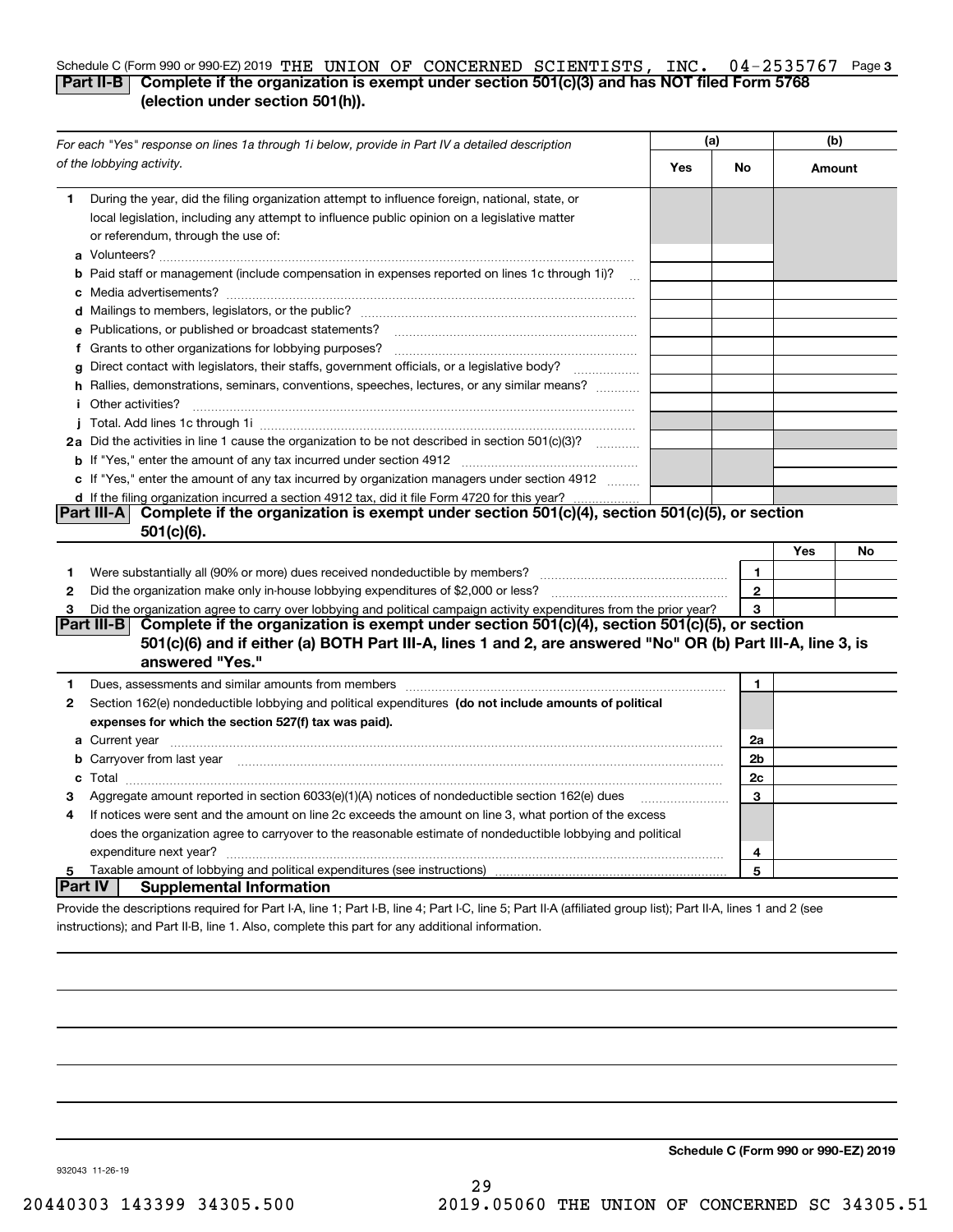## Schedule C (Form 990 or 990-EZ) 2019 THE UNION OF CONCERNED SCIENTISTS , INC 04–2535767 Page 3<br>I Part IL-B L. Complete if the organization is exempt under section 501(c)(3) and has NOT filed Form 576 **Part II-B** Complete if the organization is exempt under section 501(c)(3) and has NOT filed Form 5768 **(election under section 501(h)).**

|              | For each "Yes" response on lines 1a through 1i below, provide in Part IV a detailed description                                                                                                                                               | (a) |              | (b)    |    |  |  |  |  |
|--------------|-----------------------------------------------------------------------------------------------------------------------------------------------------------------------------------------------------------------------------------------------|-----|--------------|--------|----|--|--|--|--|
|              | of the lobbying activity.                                                                                                                                                                                                                     | Yes | No           | Amount |    |  |  |  |  |
| 1            | During the year, did the filing organization attempt to influence foreign, national, state, or<br>local legislation, including any attempt to influence public opinion on a legislative matter<br>or referendum, through the use of:          |     |              |        |    |  |  |  |  |
|              | <b>b</b> Paid staff or management (include compensation in expenses reported on lines 1c through 1i)?                                                                                                                                         |     |              |        |    |  |  |  |  |
|              |                                                                                                                                                                                                                                               |     |              |        |    |  |  |  |  |
|              | e Publications, or published or broadcast statements?                                                                                                                                                                                         |     |              |        |    |  |  |  |  |
|              | f Grants to other organizations for lobbying purposes?                                                                                                                                                                                        |     |              |        |    |  |  |  |  |
|              | g Direct contact with legislators, their staffs, government officials, or a legislative body?                                                                                                                                                 |     |              |        |    |  |  |  |  |
|              | h Rallies, demonstrations, seminars, conventions, speeches, lectures, or any similar means?                                                                                                                                                   |     |              |        |    |  |  |  |  |
|              | <i>i</i> Other activities?                                                                                                                                                                                                                    |     |              |        |    |  |  |  |  |
|              |                                                                                                                                                                                                                                               |     |              |        |    |  |  |  |  |
|              | 2a Did the activities in line 1 cause the organization to be not described in section 501(c)(3)?                                                                                                                                              |     |              |        |    |  |  |  |  |
|              |                                                                                                                                                                                                                                               |     |              |        |    |  |  |  |  |
|              | c If "Yes," enter the amount of any tax incurred by organization managers under section 4912                                                                                                                                                  |     |              |        |    |  |  |  |  |
|              | d If the filing organization incurred a section 4912 tax, did it file Form 4720 for this year?                                                                                                                                                |     |              |        |    |  |  |  |  |
|              | Complete if the organization is exempt under section 501(c)(4), section 501(c)(5), or section<br> Part III-A  <br>$501(c)(6)$ .                                                                                                               |     |              |        |    |  |  |  |  |
|              |                                                                                                                                                                                                                                               |     |              | Yes    | No |  |  |  |  |
| 1            |                                                                                                                                                                                                                                               |     | $\mathbf{1}$ |        |    |  |  |  |  |
| $\mathbf{2}$ |                                                                                                                                                                                                                                               |     | $\mathbf{2}$ |        |    |  |  |  |  |
| 3            | Did the organization agree to carry over lobbying and political campaign activity expenditures from the prior year?                                                                                                                           |     | 3            |        |    |  |  |  |  |
|              | Complete if the organization is exempt under section 501(c)(4), section 501(c)(5), or section<br>Part III-B<br>501(c)(6) and if either (a) BOTH Part III-A, lines 1 and 2, are answered "No" OR (b) Part III-A, line 3, is<br>answered "Yes." |     |              |        |    |  |  |  |  |
| 1            |                                                                                                                                                                                                                                               |     | 1            |        |    |  |  |  |  |
| 2            | Section 162(e) nondeductible lobbying and political expenditures (do not include amounts of political                                                                                                                                         |     |              |        |    |  |  |  |  |
|              | expenses for which the section 527(f) tax was paid).                                                                                                                                                                                          |     |              |        |    |  |  |  |  |
|              |                                                                                                                                                                                                                                               |     | 2a           |        |    |  |  |  |  |
|              | <b>b</b> Carryover from last year                                                                                                                                                                                                             |     | 2b           |        |    |  |  |  |  |
|              |                                                                                                                                                                                                                                               |     | 2c           |        |    |  |  |  |  |
| 3            | Aggregate amount reported in section 6033(e)(1)(A) notices of nondeductible section 162(e) dues                                                                                                                                               |     | 3            |        |    |  |  |  |  |
| 4            | If notices were sent and the amount on line 2c exceeds the amount on line 3, what portion of the excess                                                                                                                                       |     |              |        |    |  |  |  |  |
|              | does the organization agree to carryover to the reasonable estimate of nondeductible lobbying and political                                                                                                                                   |     |              |        |    |  |  |  |  |
|              |                                                                                                                                                                                                                                               |     | 4            |        |    |  |  |  |  |
| 5            |                                                                                                                                                                                                                                               |     | 5            |        |    |  |  |  |  |
| Part IV      | <b>Supplemental Information</b>                                                                                                                                                                                                               |     |              |        |    |  |  |  |  |
|              | Provide the descriptions required for Part I-A, line 1; Part I-B, line 4; Part I-C, line 5; Part II-A (affiliated group list); Part II-A, lines 1 and 2 (see                                                                                  |     |              |        |    |  |  |  |  |

instructions); and Part II-B, line 1. Also, complete this part for any additional information.

**Schedule C (Form 990 or 990-EZ) 2019**

932043 11-26-19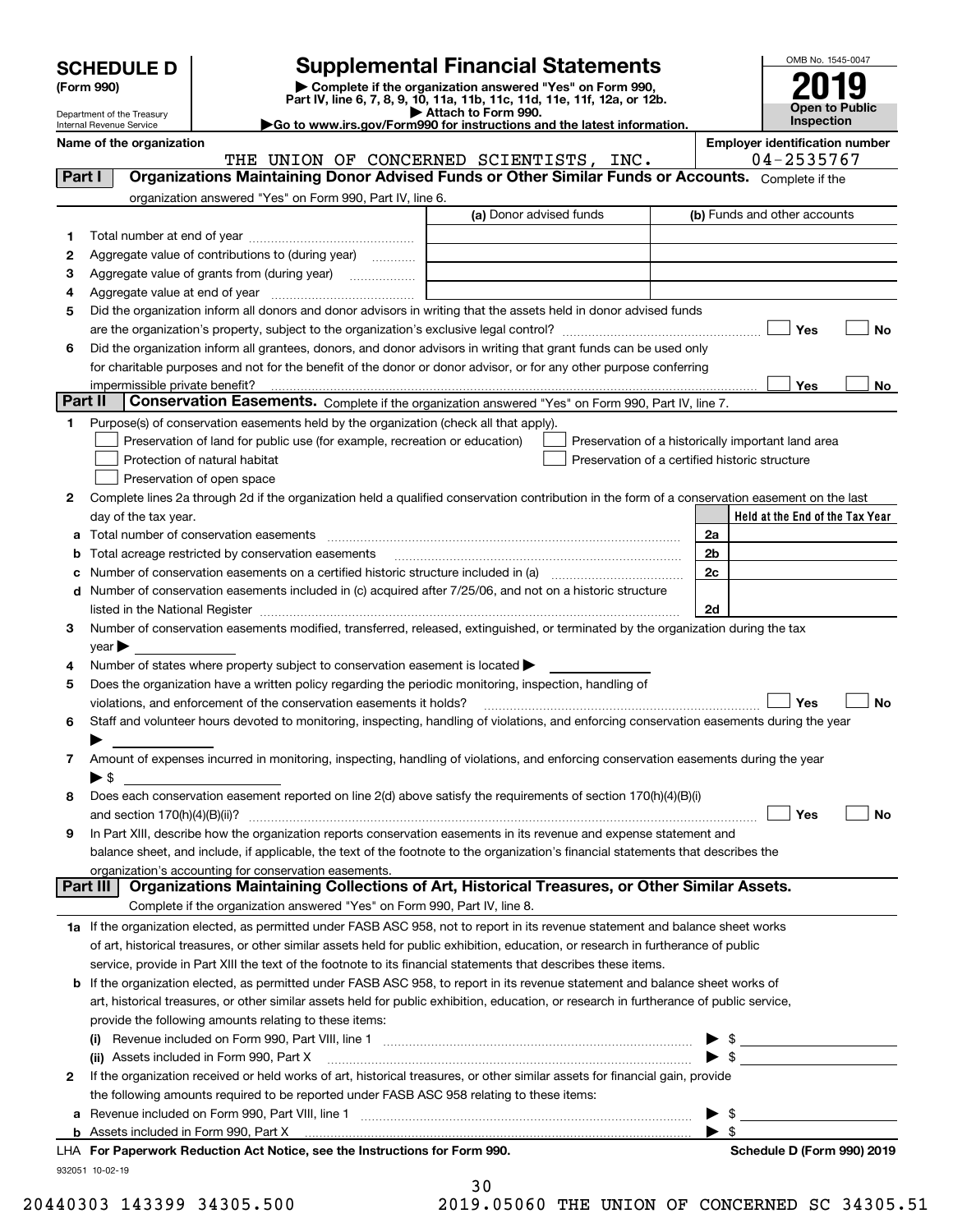| <b>SCHEDULE D</b> |  |
|-------------------|--|
|-------------------|--|

## **Supplemental Financial Statements**

(Form 990)<br>
Pepartment of the Treasury<br>
Department of the Treasury<br>
Department of the Treasury<br>
Department of the Treasury<br> **Co to www.irs.gov/Form990 for instructions and the latest information.**<br> **Co to www.irs.gov/Form9** 



Department of the Treasury Internal Revenue Service

**Name of the organization**<br>THE IINTON OF CONCERNED SCTENTISTS TNC (04-2535767

|         | THE UNION OF CONCERNED SCIENTISTS, INC.                                                                                                                                  | 04-2535767                                         |
|---------|--------------------------------------------------------------------------------------------------------------------------------------------------------------------------|----------------------------------------------------|
| Part I  | Organizations Maintaining Donor Advised Funds or Other Similar Funds or Accounts. Complete if the                                                                        |                                                    |
|         | organization answered "Yes" on Form 990, Part IV, line 6.                                                                                                                |                                                    |
|         | (a) Donor advised funds                                                                                                                                                  | (b) Funds and other accounts                       |
| 1       |                                                                                                                                                                          |                                                    |
| 2       | Aggregate value of contributions to (during year)                                                                                                                        |                                                    |
| з       | Aggregate value of grants from (during year)                                                                                                                             |                                                    |
| 4       |                                                                                                                                                                          |                                                    |
| 5       | Did the organization inform all donors and donor advisors in writing that the assets held in donor advised funds                                                         |                                                    |
|         |                                                                                                                                                                          | Yes<br>No                                          |
| 6       | Did the organization inform all grantees, donors, and donor advisors in writing that grant funds can be used only                                                        |                                                    |
|         | for charitable purposes and not for the benefit of the donor or donor advisor, or for any other purpose conferring                                                       |                                                    |
|         | impermissible private benefit?                                                                                                                                           | Yes<br>No                                          |
| Part II | Conservation Easements. Complete if the organization answered "Yes" on Form 990, Part IV, line 7.                                                                        |                                                    |
| 1       | Purpose(s) of conservation easements held by the organization (check all that apply).                                                                                    |                                                    |
|         | Preservation of land for public use (for example, recreation or education)                                                                                               | Preservation of a historically important land area |
|         | Protection of natural habitat                                                                                                                                            | Preservation of a certified historic structure     |
|         | Preservation of open space                                                                                                                                               |                                                    |
| 2       | Complete lines 2a through 2d if the organization held a qualified conservation contribution in the form of a conservation easement on the last                           |                                                    |
|         | day of the tax year.                                                                                                                                                     | Held at the End of the Tax Year                    |
| а       | Total number of conservation easements                                                                                                                                   | 2a                                                 |
|         | Total acreage restricted by conservation easements                                                                                                                       | 2 <sub>b</sub>                                     |
| c       | Number of conservation easements on a certified historic structure included in (a) manufacture included in (a)                                                           | 2 <sub>c</sub>                                     |
| d       | Number of conservation easements included in (c) acquired after 7/25/06, and not on a historic structure                                                                 |                                                    |
|         |                                                                                                                                                                          | 2d                                                 |
| 3       | Number of conservation easements modified, transferred, released, extinguished, or terminated by the organization during the tax                                         |                                                    |
|         | year                                                                                                                                                                     |                                                    |
| 4       | Number of states where property subject to conservation easement is located >                                                                                            |                                                    |
| 5       | Does the organization have a written policy regarding the periodic monitoring, inspection, handling of                                                                   |                                                    |
|         | violations, and enforcement of the conservation easements it holds?                                                                                                      | Yes<br>No                                          |
| 6       | Staff and volunteer hours devoted to monitoring, inspecting, handling of violations, and enforcing conservation easements during the year                                |                                                    |
|         |                                                                                                                                                                          |                                                    |
| 7.      | Amount of expenses incurred in monitoring, inspecting, handling of violations, and enforcing conservation easements during the year                                      |                                                    |
|         | ▶ \$                                                                                                                                                                     |                                                    |
| 8       | Does each conservation easement reported on line 2(d) above satisfy the requirements of section 170(h)(4)(B)(i)                                                          |                                                    |
|         |                                                                                                                                                                          | Yes<br>No                                          |
| 9       | In Part XIII, describe how the organization reports conservation easements in its revenue and expense statement and                                                      |                                                    |
|         | balance sheet, and include, if applicable, the text of the footnote to the organization's financial statements that describes the                                        |                                                    |
|         | organization's accounting for conservation easements.<br>Organizations Maintaining Collections of Art, Historical Treasures, or Other Similar Assets.<br><b>Part III</b> |                                                    |
|         | Complete if the organization answered "Yes" on Form 990, Part IV, line 8.                                                                                                |                                                    |
|         |                                                                                                                                                                          |                                                    |
|         | 1a If the organization elected, as permitted under FASB ASC 958, not to report in its revenue statement and balance sheet works                                          |                                                    |
|         | of art, historical treasures, or other similar assets held for public exhibition, education, or research in furtherance of public                                        |                                                    |
|         | service, provide in Part XIII the text of the footnote to its financial statements that describes these items.                                                           |                                                    |
| b       | If the organization elected, as permitted under FASB ASC 958, to report in its revenue statement and balance sheet works of                                              |                                                    |
|         | art, historical treasures, or other similar assets held for public exhibition, education, or research in furtherance of public service,                                  |                                                    |
|         | provide the following amounts relating to these items:                                                                                                                   |                                                    |
|         |                                                                                                                                                                          | \$<br>$\blacktriangleright$ s                      |
|         | (ii) Assets included in Form 990, Part X                                                                                                                                 |                                                    |
| 2       | If the organization received or held works of art, historical treasures, or other similar assets for financial gain, provide                                             |                                                    |
|         | the following amounts required to be reported under FASB ASC 958 relating to these items:                                                                                |                                                    |
|         |                                                                                                                                                                          | \$<br>$\blacktriangleright$ s                      |
| b       | Assets included in Form 990, Part X<br>LHA For Paperwork Reduction Act Notice, see the Instructions for Form 990.                                                        | Schedule D (Form 990) 2019                         |
|         |                                                                                                                                                                          |                                                    |

932051 10-02-19

|  | 30 |   |   |
|--|----|---|---|
|  |    | ~ | ∼ |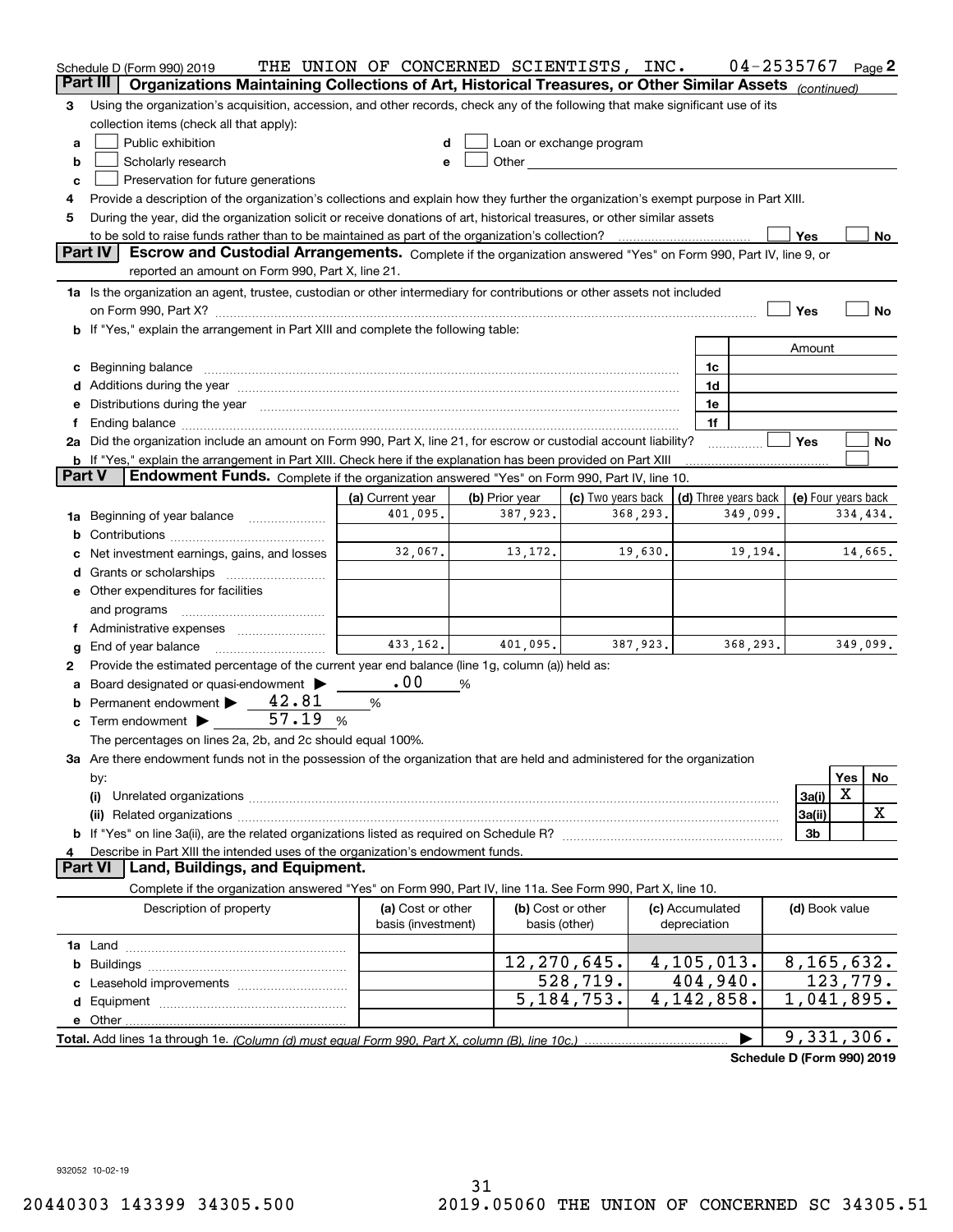| Part III<br>Organizations Maintaining Collections of Art, Historical Treasures, or Other Similar Assets (continued)<br>Using the organization's acquisition, accession, and other records, check any of the following that make significant use of its<br>3<br>collection items (check all that apply):<br>Public exhibition<br>Loan or exchange program<br>d<br>a<br>Scholarly research<br>Other and the contract of the contract of the contract of the contract of the contract of the contract of the contract of the contract of the contract of the contract of the contract of the contract of the contract of the<br>b<br>e<br>Preservation for future generations<br>c<br>Provide a description of the organization's collections and explain how they further the organization's exempt purpose in Part XIII.<br>4<br>During the year, did the organization solicit or receive donations of art, historical treasures, or other similar assets<br>5<br>Yes<br>No<br><b>Part IV</b><br>Escrow and Custodial Arrangements. Complete if the organization answered "Yes" on Form 990, Part IV, line 9, or<br>reported an amount on Form 990, Part X, line 21.<br>1a Is the organization an agent, trustee, custodian or other intermediary for contributions or other assets not included<br>Yes<br>on Form 990, Part X? [11] The Content of The Content of The Content of The Content of The Content of The Content of The Content of The Content of The Content of The Content of The Content of The Content of The Content of T<br>No<br><b>b</b> If "Yes," explain the arrangement in Part XIII and complete the following table:<br>Amount<br>c Beginning balance measurements and the contract of the contract of the contract of the contract of the contract of the contract of the contract of the contract of the contract of the contract of the contract of the contr<br>1c<br>d Additions during the year measurement contains and a statement of a distribution of the statement of the statement of the statement of the statement of the statement of the statement of the statement of the statement of<br>1d<br>e Distributions during the year manufactured and a control of the year manufactured and a Distributions during the year<br>1e<br>1f<br>f<br>2a Did the organization include an amount on Form 990, Part X, line 21, for escrow or custodial account liability?<br>Yes<br>No<br><b>b</b> If "Yes," explain the arrangement in Part XIII. Check here if the explanation has been provided on Part XIII<br>Part V<br>Endowment Funds. Complete if the organization answered "Yes" on Form 990, Part IV, line 10.<br>(c) Two years back<br>(d) Three years back $ $ (e) Four years back<br>(a) Current year<br>(b) Prior year<br>401,095.<br>387,923.<br>368,293.<br>349,099.<br>334,434.<br><b>1a</b> Beginning of year balance <i>manumumum</i><br>14,665.<br>32,067.<br>13, 172.<br>19,630.<br>19,194.<br>c Net investment earnings, gains, and losses<br>d Grants or scholarships<br>e Other expenditures for facilities<br>and programs<br>433, 162.<br>387,923.<br>368,293.<br>401,095.<br>349,099.<br>End of year balance<br>g<br>Provide the estimated percentage of the current year end balance (line 1g, column (a)) held as:<br>2<br>.00<br>a Board designated or quasi-endowment ><br>%<br><b>b</b> Permanent endowment $\blacktriangleright$ 42.81<br>%<br>57.19%<br>$\mathbf c$ Term endowment $\blacktriangleright$<br>The percentages on lines 2a, 2b, and 2c should equal 100%.<br>3a Are there endowment funds not in the possession of the organization that are held and administered for the organization<br>Yes<br>No<br>by:<br>$\mathbf X$<br>(i)<br>3a(i)<br>X<br>3a(ii)<br>3b<br>Describe in Part XIII the intended uses of the organization's endowment funds.<br>4<br>Land, Buildings, and Equipment.<br><b>Part VI</b><br>Complete if the organization answered "Yes" on Form 990, Part IV, line 11a. See Form 990, Part X, line 10.<br>(d) Book value<br>Description of property<br>(a) Cost or other<br>(b) Cost or other<br>(c) Accumulated<br>basis (investment)<br>basis (other)<br>depreciation<br>12,270,645.<br>4,105,013.<br>8,165,632.<br>528,719.<br>404,940.<br>123,779.<br>$\overline{5,184,753}$ .<br>$\overline{1,041},895.$<br>4, 142, 858.<br>9,331,306. | Schedule D (Form 990) 2019 | THE UNION OF CONCERNED SCIENTISTS, INC. |  |  |  |  | 04-2535767 |  |  | Page 2 |
|--------------------------------------------------------------------------------------------------------------------------------------------------------------------------------------------------------------------------------------------------------------------------------------------------------------------------------------------------------------------------------------------------------------------------------------------------------------------------------------------------------------------------------------------------------------------------------------------------------------------------------------------------------------------------------------------------------------------------------------------------------------------------------------------------------------------------------------------------------------------------------------------------------------------------------------------------------------------------------------------------------------------------------------------------------------------------------------------------------------------------------------------------------------------------------------------------------------------------------------------------------------------------------------------------------------------------------------------------------------------------------------------------------------------------------------------------------------------------------------------------------------------------------------------------------------------------------------------------------------------------------------------------------------------------------------------------------------------------------------------------------------------------------------------------------------------------------------------------------------------------------------------------------------------------------------------------------------------------------------------------------------------------------------------------------------------------------------------------------------------------------------------------------------------------------------------------------------------------------------------------------------------------------------------------------------------------------------------------------------------------------------------------------------------------------------------------------------------------------------------------------------------------------------------------------------------------------------------------------------------------------------------------------------------------------------------------------------------------------------------------------------------------------------------------------------------------------------------------------------------------------------------------------------------------------------------------------------------------------------------------------------------------------------------------------------------------------------------------------------------------------------------------------------------------------------------------------------------------------------------------------------------------------------------------------------------------------------------------------------------------------------------------------------------------------------------------------------------------------------------------------------------------------------------------------------------------------------------------------------------------------------------------------------------------------------------------------------------------------------------------------------------------------------------------------------------------------------------------------------------------------------------------------------------------------------------------------------------------------------------------------------------------------------------------------------------------------------------------------------------------------------------------------------------------------------------------------------------------------------------------------------------------------------------------------------------------------------------|----------------------------|-----------------------------------------|--|--|--|--|------------|--|--|--------|
|                                                                                                                                                                                                                                                                                                                                                                                                                                                                                                                                                                                                                                                                                                                                                                                                                                                                                                                                                                                                                                                                                                                                                                                                                                                                                                                                                                                                                                                                                                                                                                                                                                                                                                                                                                                                                                                                                                                                                                                                                                                                                                                                                                                                                                                                                                                                                                                                                                                                                                                                                                                                                                                                                                                                                                                                                                                                                                                                                                                                                                                                                                                                                                                                                                                                                                                                                                                                                                                                                                                                                                                                                                                                                                                                                                                                                                                                                                                                                                                                                                                                                                                                                                                                                                                                                                                                            |                            |                                         |  |  |  |  |            |  |  |        |
|                                                                                                                                                                                                                                                                                                                                                                                                                                                                                                                                                                                                                                                                                                                                                                                                                                                                                                                                                                                                                                                                                                                                                                                                                                                                                                                                                                                                                                                                                                                                                                                                                                                                                                                                                                                                                                                                                                                                                                                                                                                                                                                                                                                                                                                                                                                                                                                                                                                                                                                                                                                                                                                                                                                                                                                                                                                                                                                                                                                                                                                                                                                                                                                                                                                                                                                                                                                                                                                                                                                                                                                                                                                                                                                                                                                                                                                                                                                                                                                                                                                                                                                                                                                                                                                                                                                                            |                            |                                         |  |  |  |  |            |  |  |        |
|                                                                                                                                                                                                                                                                                                                                                                                                                                                                                                                                                                                                                                                                                                                                                                                                                                                                                                                                                                                                                                                                                                                                                                                                                                                                                                                                                                                                                                                                                                                                                                                                                                                                                                                                                                                                                                                                                                                                                                                                                                                                                                                                                                                                                                                                                                                                                                                                                                                                                                                                                                                                                                                                                                                                                                                                                                                                                                                                                                                                                                                                                                                                                                                                                                                                                                                                                                                                                                                                                                                                                                                                                                                                                                                                                                                                                                                                                                                                                                                                                                                                                                                                                                                                                                                                                                                                            |                            |                                         |  |  |  |  |            |  |  |        |
|                                                                                                                                                                                                                                                                                                                                                                                                                                                                                                                                                                                                                                                                                                                                                                                                                                                                                                                                                                                                                                                                                                                                                                                                                                                                                                                                                                                                                                                                                                                                                                                                                                                                                                                                                                                                                                                                                                                                                                                                                                                                                                                                                                                                                                                                                                                                                                                                                                                                                                                                                                                                                                                                                                                                                                                                                                                                                                                                                                                                                                                                                                                                                                                                                                                                                                                                                                                                                                                                                                                                                                                                                                                                                                                                                                                                                                                                                                                                                                                                                                                                                                                                                                                                                                                                                                                                            |                            |                                         |  |  |  |  |            |  |  |        |
|                                                                                                                                                                                                                                                                                                                                                                                                                                                                                                                                                                                                                                                                                                                                                                                                                                                                                                                                                                                                                                                                                                                                                                                                                                                                                                                                                                                                                                                                                                                                                                                                                                                                                                                                                                                                                                                                                                                                                                                                                                                                                                                                                                                                                                                                                                                                                                                                                                                                                                                                                                                                                                                                                                                                                                                                                                                                                                                                                                                                                                                                                                                                                                                                                                                                                                                                                                                                                                                                                                                                                                                                                                                                                                                                                                                                                                                                                                                                                                                                                                                                                                                                                                                                                                                                                                                                            |                            |                                         |  |  |  |  |            |  |  |        |
|                                                                                                                                                                                                                                                                                                                                                                                                                                                                                                                                                                                                                                                                                                                                                                                                                                                                                                                                                                                                                                                                                                                                                                                                                                                                                                                                                                                                                                                                                                                                                                                                                                                                                                                                                                                                                                                                                                                                                                                                                                                                                                                                                                                                                                                                                                                                                                                                                                                                                                                                                                                                                                                                                                                                                                                                                                                                                                                                                                                                                                                                                                                                                                                                                                                                                                                                                                                                                                                                                                                                                                                                                                                                                                                                                                                                                                                                                                                                                                                                                                                                                                                                                                                                                                                                                                                                            |                            |                                         |  |  |  |  |            |  |  |        |
|                                                                                                                                                                                                                                                                                                                                                                                                                                                                                                                                                                                                                                                                                                                                                                                                                                                                                                                                                                                                                                                                                                                                                                                                                                                                                                                                                                                                                                                                                                                                                                                                                                                                                                                                                                                                                                                                                                                                                                                                                                                                                                                                                                                                                                                                                                                                                                                                                                                                                                                                                                                                                                                                                                                                                                                                                                                                                                                                                                                                                                                                                                                                                                                                                                                                                                                                                                                                                                                                                                                                                                                                                                                                                                                                                                                                                                                                                                                                                                                                                                                                                                                                                                                                                                                                                                                                            |                            |                                         |  |  |  |  |            |  |  |        |
|                                                                                                                                                                                                                                                                                                                                                                                                                                                                                                                                                                                                                                                                                                                                                                                                                                                                                                                                                                                                                                                                                                                                                                                                                                                                                                                                                                                                                                                                                                                                                                                                                                                                                                                                                                                                                                                                                                                                                                                                                                                                                                                                                                                                                                                                                                                                                                                                                                                                                                                                                                                                                                                                                                                                                                                                                                                                                                                                                                                                                                                                                                                                                                                                                                                                                                                                                                                                                                                                                                                                                                                                                                                                                                                                                                                                                                                                                                                                                                                                                                                                                                                                                                                                                                                                                                                                            |                            |                                         |  |  |  |  |            |  |  |        |
|                                                                                                                                                                                                                                                                                                                                                                                                                                                                                                                                                                                                                                                                                                                                                                                                                                                                                                                                                                                                                                                                                                                                                                                                                                                                                                                                                                                                                                                                                                                                                                                                                                                                                                                                                                                                                                                                                                                                                                                                                                                                                                                                                                                                                                                                                                                                                                                                                                                                                                                                                                                                                                                                                                                                                                                                                                                                                                                                                                                                                                                                                                                                                                                                                                                                                                                                                                                                                                                                                                                                                                                                                                                                                                                                                                                                                                                                                                                                                                                                                                                                                                                                                                                                                                                                                                                                            |                            |                                         |  |  |  |  |            |  |  |        |
|                                                                                                                                                                                                                                                                                                                                                                                                                                                                                                                                                                                                                                                                                                                                                                                                                                                                                                                                                                                                                                                                                                                                                                                                                                                                                                                                                                                                                                                                                                                                                                                                                                                                                                                                                                                                                                                                                                                                                                                                                                                                                                                                                                                                                                                                                                                                                                                                                                                                                                                                                                                                                                                                                                                                                                                                                                                                                                                                                                                                                                                                                                                                                                                                                                                                                                                                                                                                                                                                                                                                                                                                                                                                                                                                                                                                                                                                                                                                                                                                                                                                                                                                                                                                                                                                                                                                            |                            |                                         |  |  |  |  |            |  |  |        |
|                                                                                                                                                                                                                                                                                                                                                                                                                                                                                                                                                                                                                                                                                                                                                                                                                                                                                                                                                                                                                                                                                                                                                                                                                                                                                                                                                                                                                                                                                                                                                                                                                                                                                                                                                                                                                                                                                                                                                                                                                                                                                                                                                                                                                                                                                                                                                                                                                                                                                                                                                                                                                                                                                                                                                                                                                                                                                                                                                                                                                                                                                                                                                                                                                                                                                                                                                                                                                                                                                                                                                                                                                                                                                                                                                                                                                                                                                                                                                                                                                                                                                                                                                                                                                                                                                                                                            |                            |                                         |  |  |  |  |            |  |  |        |
|                                                                                                                                                                                                                                                                                                                                                                                                                                                                                                                                                                                                                                                                                                                                                                                                                                                                                                                                                                                                                                                                                                                                                                                                                                                                                                                                                                                                                                                                                                                                                                                                                                                                                                                                                                                                                                                                                                                                                                                                                                                                                                                                                                                                                                                                                                                                                                                                                                                                                                                                                                                                                                                                                                                                                                                                                                                                                                                                                                                                                                                                                                                                                                                                                                                                                                                                                                                                                                                                                                                                                                                                                                                                                                                                                                                                                                                                                                                                                                                                                                                                                                                                                                                                                                                                                                                                            |                            |                                         |  |  |  |  |            |  |  |        |
|                                                                                                                                                                                                                                                                                                                                                                                                                                                                                                                                                                                                                                                                                                                                                                                                                                                                                                                                                                                                                                                                                                                                                                                                                                                                                                                                                                                                                                                                                                                                                                                                                                                                                                                                                                                                                                                                                                                                                                                                                                                                                                                                                                                                                                                                                                                                                                                                                                                                                                                                                                                                                                                                                                                                                                                                                                                                                                                                                                                                                                                                                                                                                                                                                                                                                                                                                                                                                                                                                                                                                                                                                                                                                                                                                                                                                                                                                                                                                                                                                                                                                                                                                                                                                                                                                                                                            |                            |                                         |  |  |  |  |            |  |  |        |
|                                                                                                                                                                                                                                                                                                                                                                                                                                                                                                                                                                                                                                                                                                                                                                                                                                                                                                                                                                                                                                                                                                                                                                                                                                                                                                                                                                                                                                                                                                                                                                                                                                                                                                                                                                                                                                                                                                                                                                                                                                                                                                                                                                                                                                                                                                                                                                                                                                                                                                                                                                                                                                                                                                                                                                                                                                                                                                                                                                                                                                                                                                                                                                                                                                                                                                                                                                                                                                                                                                                                                                                                                                                                                                                                                                                                                                                                                                                                                                                                                                                                                                                                                                                                                                                                                                                                            |                            |                                         |  |  |  |  |            |  |  |        |
|                                                                                                                                                                                                                                                                                                                                                                                                                                                                                                                                                                                                                                                                                                                                                                                                                                                                                                                                                                                                                                                                                                                                                                                                                                                                                                                                                                                                                                                                                                                                                                                                                                                                                                                                                                                                                                                                                                                                                                                                                                                                                                                                                                                                                                                                                                                                                                                                                                                                                                                                                                                                                                                                                                                                                                                                                                                                                                                                                                                                                                                                                                                                                                                                                                                                                                                                                                                                                                                                                                                                                                                                                                                                                                                                                                                                                                                                                                                                                                                                                                                                                                                                                                                                                                                                                                                                            |                            |                                         |  |  |  |  |            |  |  |        |
|                                                                                                                                                                                                                                                                                                                                                                                                                                                                                                                                                                                                                                                                                                                                                                                                                                                                                                                                                                                                                                                                                                                                                                                                                                                                                                                                                                                                                                                                                                                                                                                                                                                                                                                                                                                                                                                                                                                                                                                                                                                                                                                                                                                                                                                                                                                                                                                                                                                                                                                                                                                                                                                                                                                                                                                                                                                                                                                                                                                                                                                                                                                                                                                                                                                                                                                                                                                                                                                                                                                                                                                                                                                                                                                                                                                                                                                                                                                                                                                                                                                                                                                                                                                                                                                                                                                                            |                            |                                         |  |  |  |  |            |  |  |        |
|                                                                                                                                                                                                                                                                                                                                                                                                                                                                                                                                                                                                                                                                                                                                                                                                                                                                                                                                                                                                                                                                                                                                                                                                                                                                                                                                                                                                                                                                                                                                                                                                                                                                                                                                                                                                                                                                                                                                                                                                                                                                                                                                                                                                                                                                                                                                                                                                                                                                                                                                                                                                                                                                                                                                                                                                                                                                                                                                                                                                                                                                                                                                                                                                                                                                                                                                                                                                                                                                                                                                                                                                                                                                                                                                                                                                                                                                                                                                                                                                                                                                                                                                                                                                                                                                                                                                            |                            |                                         |  |  |  |  |            |  |  |        |
|                                                                                                                                                                                                                                                                                                                                                                                                                                                                                                                                                                                                                                                                                                                                                                                                                                                                                                                                                                                                                                                                                                                                                                                                                                                                                                                                                                                                                                                                                                                                                                                                                                                                                                                                                                                                                                                                                                                                                                                                                                                                                                                                                                                                                                                                                                                                                                                                                                                                                                                                                                                                                                                                                                                                                                                                                                                                                                                                                                                                                                                                                                                                                                                                                                                                                                                                                                                                                                                                                                                                                                                                                                                                                                                                                                                                                                                                                                                                                                                                                                                                                                                                                                                                                                                                                                                                            |                            |                                         |  |  |  |  |            |  |  |        |
|                                                                                                                                                                                                                                                                                                                                                                                                                                                                                                                                                                                                                                                                                                                                                                                                                                                                                                                                                                                                                                                                                                                                                                                                                                                                                                                                                                                                                                                                                                                                                                                                                                                                                                                                                                                                                                                                                                                                                                                                                                                                                                                                                                                                                                                                                                                                                                                                                                                                                                                                                                                                                                                                                                                                                                                                                                                                                                                                                                                                                                                                                                                                                                                                                                                                                                                                                                                                                                                                                                                                                                                                                                                                                                                                                                                                                                                                                                                                                                                                                                                                                                                                                                                                                                                                                                                                            |                            |                                         |  |  |  |  |            |  |  |        |
|                                                                                                                                                                                                                                                                                                                                                                                                                                                                                                                                                                                                                                                                                                                                                                                                                                                                                                                                                                                                                                                                                                                                                                                                                                                                                                                                                                                                                                                                                                                                                                                                                                                                                                                                                                                                                                                                                                                                                                                                                                                                                                                                                                                                                                                                                                                                                                                                                                                                                                                                                                                                                                                                                                                                                                                                                                                                                                                                                                                                                                                                                                                                                                                                                                                                                                                                                                                                                                                                                                                                                                                                                                                                                                                                                                                                                                                                                                                                                                                                                                                                                                                                                                                                                                                                                                                                            |                            |                                         |  |  |  |  |            |  |  |        |
|                                                                                                                                                                                                                                                                                                                                                                                                                                                                                                                                                                                                                                                                                                                                                                                                                                                                                                                                                                                                                                                                                                                                                                                                                                                                                                                                                                                                                                                                                                                                                                                                                                                                                                                                                                                                                                                                                                                                                                                                                                                                                                                                                                                                                                                                                                                                                                                                                                                                                                                                                                                                                                                                                                                                                                                                                                                                                                                                                                                                                                                                                                                                                                                                                                                                                                                                                                                                                                                                                                                                                                                                                                                                                                                                                                                                                                                                                                                                                                                                                                                                                                                                                                                                                                                                                                                                            |                            |                                         |  |  |  |  |            |  |  |        |
|                                                                                                                                                                                                                                                                                                                                                                                                                                                                                                                                                                                                                                                                                                                                                                                                                                                                                                                                                                                                                                                                                                                                                                                                                                                                                                                                                                                                                                                                                                                                                                                                                                                                                                                                                                                                                                                                                                                                                                                                                                                                                                                                                                                                                                                                                                                                                                                                                                                                                                                                                                                                                                                                                                                                                                                                                                                                                                                                                                                                                                                                                                                                                                                                                                                                                                                                                                                                                                                                                                                                                                                                                                                                                                                                                                                                                                                                                                                                                                                                                                                                                                                                                                                                                                                                                                                                            |                            |                                         |  |  |  |  |            |  |  |        |
|                                                                                                                                                                                                                                                                                                                                                                                                                                                                                                                                                                                                                                                                                                                                                                                                                                                                                                                                                                                                                                                                                                                                                                                                                                                                                                                                                                                                                                                                                                                                                                                                                                                                                                                                                                                                                                                                                                                                                                                                                                                                                                                                                                                                                                                                                                                                                                                                                                                                                                                                                                                                                                                                                                                                                                                                                                                                                                                                                                                                                                                                                                                                                                                                                                                                                                                                                                                                                                                                                                                                                                                                                                                                                                                                                                                                                                                                                                                                                                                                                                                                                                                                                                                                                                                                                                                                            |                            |                                         |  |  |  |  |            |  |  |        |
|                                                                                                                                                                                                                                                                                                                                                                                                                                                                                                                                                                                                                                                                                                                                                                                                                                                                                                                                                                                                                                                                                                                                                                                                                                                                                                                                                                                                                                                                                                                                                                                                                                                                                                                                                                                                                                                                                                                                                                                                                                                                                                                                                                                                                                                                                                                                                                                                                                                                                                                                                                                                                                                                                                                                                                                                                                                                                                                                                                                                                                                                                                                                                                                                                                                                                                                                                                                                                                                                                                                                                                                                                                                                                                                                                                                                                                                                                                                                                                                                                                                                                                                                                                                                                                                                                                                                            |                            |                                         |  |  |  |  |            |  |  |        |
|                                                                                                                                                                                                                                                                                                                                                                                                                                                                                                                                                                                                                                                                                                                                                                                                                                                                                                                                                                                                                                                                                                                                                                                                                                                                                                                                                                                                                                                                                                                                                                                                                                                                                                                                                                                                                                                                                                                                                                                                                                                                                                                                                                                                                                                                                                                                                                                                                                                                                                                                                                                                                                                                                                                                                                                                                                                                                                                                                                                                                                                                                                                                                                                                                                                                                                                                                                                                                                                                                                                                                                                                                                                                                                                                                                                                                                                                                                                                                                                                                                                                                                                                                                                                                                                                                                                                            |                            |                                         |  |  |  |  |            |  |  |        |
|                                                                                                                                                                                                                                                                                                                                                                                                                                                                                                                                                                                                                                                                                                                                                                                                                                                                                                                                                                                                                                                                                                                                                                                                                                                                                                                                                                                                                                                                                                                                                                                                                                                                                                                                                                                                                                                                                                                                                                                                                                                                                                                                                                                                                                                                                                                                                                                                                                                                                                                                                                                                                                                                                                                                                                                                                                                                                                                                                                                                                                                                                                                                                                                                                                                                                                                                                                                                                                                                                                                                                                                                                                                                                                                                                                                                                                                                                                                                                                                                                                                                                                                                                                                                                                                                                                                                            |                            |                                         |  |  |  |  |            |  |  |        |
|                                                                                                                                                                                                                                                                                                                                                                                                                                                                                                                                                                                                                                                                                                                                                                                                                                                                                                                                                                                                                                                                                                                                                                                                                                                                                                                                                                                                                                                                                                                                                                                                                                                                                                                                                                                                                                                                                                                                                                                                                                                                                                                                                                                                                                                                                                                                                                                                                                                                                                                                                                                                                                                                                                                                                                                                                                                                                                                                                                                                                                                                                                                                                                                                                                                                                                                                                                                                                                                                                                                                                                                                                                                                                                                                                                                                                                                                                                                                                                                                                                                                                                                                                                                                                                                                                                                                            |                            |                                         |  |  |  |  |            |  |  |        |
|                                                                                                                                                                                                                                                                                                                                                                                                                                                                                                                                                                                                                                                                                                                                                                                                                                                                                                                                                                                                                                                                                                                                                                                                                                                                                                                                                                                                                                                                                                                                                                                                                                                                                                                                                                                                                                                                                                                                                                                                                                                                                                                                                                                                                                                                                                                                                                                                                                                                                                                                                                                                                                                                                                                                                                                                                                                                                                                                                                                                                                                                                                                                                                                                                                                                                                                                                                                                                                                                                                                                                                                                                                                                                                                                                                                                                                                                                                                                                                                                                                                                                                                                                                                                                                                                                                                                            |                            |                                         |  |  |  |  |            |  |  |        |
|                                                                                                                                                                                                                                                                                                                                                                                                                                                                                                                                                                                                                                                                                                                                                                                                                                                                                                                                                                                                                                                                                                                                                                                                                                                                                                                                                                                                                                                                                                                                                                                                                                                                                                                                                                                                                                                                                                                                                                                                                                                                                                                                                                                                                                                                                                                                                                                                                                                                                                                                                                                                                                                                                                                                                                                                                                                                                                                                                                                                                                                                                                                                                                                                                                                                                                                                                                                                                                                                                                                                                                                                                                                                                                                                                                                                                                                                                                                                                                                                                                                                                                                                                                                                                                                                                                                                            |                            |                                         |  |  |  |  |            |  |  |        |
|                                                                                                                                                                                                                                                                                                                                                                                                                                                                                                                                                                                                                                                                                                                                                                                                                                                                                                                                                                                                                                                                                                                                                                                                                                                                                                                                                                                                                                                                                                                                                                                                                                                                                                                                                                                                                                                                                                                                                                                                                                                                                                                                                                                                                                                                                                                                                                                                                                                                                                                                                                                                                                                                                                                                                                                                                                                                                                                                                                                                                                                                                                                                                                                                                                                                                                                                                                                                                                                                                                                                                                                                                                                                                                                                                                                                                                                                                                                                                                                                                                                                                                                                                                                                                                                                                                                                            |                            |                                         |  |  |  |  |            |  |  |        |
|                                                                                                                                                                                                                                                                                                                                                                                                                                                                                                                                                                                                                                                                                                                                                                                                                                                                                                                                                                                                                                                                                                                                                                                                                                                                                                                                                                                                                                                                                                                                                                                                                                                                                                                                                                                                                                                                                                                                                                                                                                                                                                                                                                                                                                                                                                                                                                                                                                                                                                                                                                                                                                                                                                                                                                                                                                                                                                                                                                                                                                                                                                                                                                                                                                                                                                                                                                                                                                                                                                                                                                                                                                                                                                                                                                                                                                                                                                                                                                                                                                                                                                                                                                                                                                                                                                                                            |                            |                                         |  |  |  |  |            |  |  |        |
|                                                                                                                                                                                                                                                                                                                                                                                                                                                                                                                                                                                                                                                                                                                                                                                                                                                                                                                                                                                                                                                                                                                                                                                                                                                                                                                                                                                                                                                                                                                                                                                                                                                                                                                                                                                                                                                                                                                                                                                                                                                                                                                                                                                                                                                                                                                                                                                                                                                                                                                                                                                                                                                                                                                                                                                                                                                                                                                                                                                                                                                                                                                                                                                                                                                                                                                                                                                                                                                                                                                                                                                                                                                                                                                                                                                                                                                                                                                                                                                                                                                                                                                                                                                                                                                                                                                                            |                            |                                         |  |  |  |  |            |  |  |        |
|                                                                                                                                                                                                                                                                                                                                                                                                                                                                                                                                                                                                                                                                                                                                                                                                                                                                                                                                                                                                                                                                                                                                                                                                                                                                                                                                                                                                                                                                                                                                                                                                                                                                                                                                                                                                                                                                                                                                                                                                                                                                                                                                                                                                                                                                                                                                                                                                                                                                                                                                                                                                                                                                                                                                                                                                                                                                                                                                                                                                                                                                                                                                                                                                                                                                                                                                                                                                                                                                                                                                                                                                                                                                                                                                                                                                                                                                                                                                                                                                                                                                                                                                                                                                                                                                                                                                            |                            |                                         |  |  |  |  |            |  |  |        |
|                                                                                                                                                                                                                                                                                                                                                                                                                                                                                                                                                                                                                                                                                                                                                                                                                                                                                                                                                                                                                                                                                                                                                                                                                                                                                                                                                                                                                                                                                                                                                                                                                                                                                                                                                                                                                                                                                                                                                                                                                                                                                                                                                                                                                                                                                                                                                                                                                                                                                                                                                                                                                                                                                                                                                                                                                                                                                                                                                                                                                                                                                                                                                                                                                                                                                                                                                                                                                                                                                                                                                                                                                                                                                                                                                                                                                                                                                                                                                                                                                                                                                                                                                                                                                                                                                                                                            |                            |                                         |  |  |  |  |            |  |  |        |
|                                                                                                                                                                                                                                                                                                                                                                                                                                                                                                                                                                                                                                                                                                                                                                                                                                                                                                                                                                                                                                                                                                                                                                                                                                                                                                                                                                                                                                                                                                                                                                                                                                                                                                                                                                                                                                                                                                                                                                                                                                                                                                                                                                                                                                                                                                                                                                                                                                                                                                                                                                                                                                                                                                                                                                                                                                                                                                                                                                                                                                                                                                                                                                                                                                                                                                                                                                                                                                                                                                                                                                                                                                                                                                                                                                                                                                                                                                                                                                                                                                                                                                                                                                                                                                                                                                                                            |                            |                                         |  |  |  |  |            |  |  |        |
|                                                                                                                                                                                                                                                                                                                                                                                                                                                                                                                                                                                                                                                                                                                                                                                                                                                                                                                                                                                                                                                                                                                                                                                                                                                                                                                                                                                                                                                                                                                                                                                                                                                                                                                                                                                                                                                                                                                                                                                                                                                                                                                                                                                                                                                                                                                                                                                                                                                                                                                                                                                                                                                                                                                                                                                                                                                                                                                                                                                                                                                                                                                                                                                                                                                                                                                                                                                                                                                                                                                                                                                                                                                                                                                                                                                                                                                                                                                                                                                                                                                                                                                                                                                                                                                                                                                                            |                            |                                         |  |  |  |  |            |  |  |        |
|                                                                                                                                                                                                                                                                                                                                                                                                                                                                                                                                                                                                                                                                                                                                                                                                                                                                                                                                                                                                                                                                                                                                                                                                                                                                                                                                                                                                                                                                                                                                                                                                                                                                                                                                                                                                                                                                                                                                                                                                                                                                                                                                                                                                                                                                                                                                                                                                                                                                                                                                                                                                                                                                                                                                                                                                                                                                                                                                                                                                                                                                                                                                                                                                                                                                                                                                                                                                                                                                                                                                                                                                                                                                                                                                                                                                                                                                                                                                                                                                                                                                                                                                                                                                                                                                                                                                            |                            |                                         |  |  |  |  |            |  |  |        |
|                                                                                                                                                                                                                                                                                                                                                                                                                                                                                                                                                                                                                                                                                                                                                                                                                                                                                                                                                                                                                                                                                                                                                                                                                                                                                                                                                                                                                                                                                                                                                                                                                                                                                                                                                                                                                                                                                                                                                                                                                                                                                                                                                                                                                                                                                                                                                                                                                                                                                                                                                                                                                                                                                                                                                                                                                                                                                                                                                                                                                                                                                                                                                                                                                                                                                                                                                                                                                                                                                                                                                                                                                                                                                                                                                                                                                                                                                                                                                                                                                                                                                                                                                                                                                                                                                                                                            |                            |                                         |  |  |  |  |            |  |  |        |
|                                                                                                                                                                                                                                                                                                                                                                                                                                                                                                                                                                                                                                                                                                                                                                                                                                                                                                                                                                                                                                                                                                                                                                                                                                                                                                                                                                                                                                                                                                                                                                                                                                                                                                                                                                                                                                                                                                                                                                                                                                                                                                                                                                                                                                                                                                                                                                                                                                                                                                                                                                                                                                                                                                                                                                                                                                                                                                                                                                                                                                                                                                                                                                                                                                                                                                                                                                                                                                                                                                                                                                                                                                                                                                                                                                                                                                                                                                                                                                                                                                                                                                                                                                                                                                                                                                                                            |                            |                                         |  |  |  |  |            |  |  |        |
|                                                                                                                                                                                                                                                                                                                                                                                                                                                                                                                                                                                                                                                                                                                                                                                                                                                                                                                                                                                                                                                                                                                                                                                                                                                                                                                                                                                                                                                                                                                                                                                                                                                                                                                                                                                                                                                                                                                                                                                                                                                                                                                                                                                                                                                                                                                                                                                                                                                                                                                                                                                                                                                                                                                                                                                                                                                                                                                                                                                                                                                                                                                                                                                                                                                                                                                                                                                                                                                                                                                                                                                                                                                                                                                                                                                                                                                                                                                                                                                                                                                                                                                                                                                                                                                                                                                                            |                            |                                         |  |  |  |  |            |  |  |        |
|                                                                                                                                                                                                                                                                                                                                                                                                                                                                                                                                                                                                                                                                                                                                                                                                                                                                                                                                                                                                                                                                                                                                                                                                                                                                                                                                                                                                                                                                                                                                                                                                                                                                                                                                                                                                                                                                                                                                                                                                                                                                                                                                                                                                                                                                                                                                                                                                                                                                                                                                                                                                                                                                                                                                                                                                                                                                                                                                                                                                                                                                                                                                                                                                                                                                                                                                                                                                                                                                                                                                                                                                                                                                                                                                                                                                                                                                                                                                                                                                                                                                                                                                                                                                                                                                                                                                            |                            |                                         |  |  |  |  |            |  |  |        |
|                                                                                                                                                                                                                                                                                                                                                                                                                                                                                                                                                                                                                                                                                                                                                                                                                                                                                                                                                                                                                                                                                                                                                                                                                                                                                                                                                                                                                                                                                                                                                                                                                                                                                                                                                                                                                                                                                                                                                                                                                                                                                                                                                                                                                                                                                                                                                                                                                                                                                                                                                                                                                                                                                                                                                                                                                                                                                                                                                                                                                                                                                                                                                                                                                                                                                                                                                                                                                                                                                                                                                                                                                                                                                                                                                                                                                                                                                                                                                                                                                                                                                                                                                                                                                                                                                                                                            |                            |                                         |  |  |  |  |            |  |  |        |
|                                                                                                                                                                                                                                                                                                                                                                                                                                                                                                                                                                                                                                                                                                                                                                                                                                                                                                                                                                                                                                                                                                                                                                                                                                                                                                                                                                                                                                                                                                                                                                                                                                                                                                                                                                                                                                                                                                                                                                                                                                                                                                                                                                                                                                                                                                                                                                                                                                                                                                                                                                                                                                                                                                                                                                                                                                                                                                                                                                                                                                                                                                                                                                                                                                                                                                                                                                                                                                                                                                                                                                                                                                                                                                                                                                                                                                                                                                                                                                                                                                                                                                                                                                                                                                                                                                                                            |                            |                                         |  |  |  |  |            |  |  |        |
|                                                                                                                                                                                                                                                                                                                                                                                                                                                                                                                                                                                                                                                                                                                                                                                                                                                                                                                                                                                                                                                                                                                                                                                                                                                                                                                                                                                                                                                                                                                                                                                                                                                                                                                                                                                                                                                                                                                                                                                                                                                                                                                                                                                                                                                                                                                                                                                                                                                                                                                                                                                                                                                                                                                                                                                                                                                                                                                                                                                                                                                                                                                                                                                                                                                                                                                                                                                                                                                                                                                                                                                                                                                                                                                                                                                                                                                                                                                                                                                                                                                                                                                                                                                                                                                                                                                                            |                            |                                         |  |  |  |  |            |  |  |        |
|                                                                                                                                                                                                                                                                                                                                                                                                                                                                                                                                                                                                                                                                                                                                                                                                                                                                                                                                                                                                                                                                                                                                                                                                                                                                                                                                                                                                                                                                                                                                                                                                                                                                                                                                                                                                                                                                                                                                                                                                                                                                                                                                                                                                                                                                                                                                                                                                                                                                                                                                                                                                                                                                                                                                                                                                                                                                                                                                                                                                                                                                                                                                                                                                                                                                                                                                                                                                                                                                                                                                                                                                                                                                                                                                                                                                                                                                                                                                                                                                                                                                                                                                                                                                                                                                                                                                            |                            |                                         |  |  |  |  |            |  |  |        |
|                                                                                                                                                                                                                                                                                                                                                                                                                                                                                                                                                                                                                                                                                                                                                                                                                                                                                                                                                                                                                                                                                                                                                                                                                                                                                                                                                                                                                                                                                                                                                                                                                                                                                                                                                                                                                                                                                                                                                                                                                                                                                                                                                                                                                                                                                                                                                                                                                                                                                                                                                                                                                                                                                                                                                                                                                                                                                                                                                                                                                                                                                                                                                                                                                                                                                                                                                                                                                                                                                                                                                                                                                                                                                                                                                                                                                                                                                                                                                                                                                                                                                                                                                                                                                                                                                                                                            |                            |                                         |  |  |  |  |            |  |  |        |
|                                                                                                                                                                                                                                                                                                                                                                                                                                                                                                                                                                                                                                                                                                                                                                                                                                                                                                                                                                                                                                                                                                                                                                                                                                                                                                                                                                                                                                                                                                                                                                                                                                                                                                                                                                                                                                                                                                                                                                                                                                                                                                                                                                                                                                                                                                                                                                                                                                                                                                                                                                                                                                                                                                                                                                                                                                                                                                                                                                                                                                                                                                                                                                                                                                                                                                                                                                                                                                                                                                                                                                                                                                                                                                                                                                                                                                                                                                                                                                                                                                                                                                                                                                                                                                                                                                                                            |                            |                                         |  |  |  |  |            |  |  |        |
|                                                                                                                                                                                                                                                                                                                                                                                                                                                                                                                                                                                                                                                                                                                                                                                                                                                                                                                                                                                                                                                                                                                                                                                                                                                                                                                                                                                                                                                                                                                                                                                                                                                                                                                                                                                                                                                                                                                                                                                                                                                                                                                                                                                                                                                                                                                                                                                                                                                                                                                                                                                                                                                                                                                                                                                                                                                                                                                                                                                                                                                                                                                                                                                                                                                                                                                                                                                                                                                                                                                                                                                                                                                                                                                                                                                                                                                                                                                                                                                                                                                                                                                                                                                                                                                                                                                                            |                            |                                         |  |  |  |  |            |  |  |        |
|                                                                                                                                                                                                                                                                                                                                                                                                                                                                                                                                                                                                                                                                                                                                                                                                                                                                                                                                                                                                                                                                                                                                                                                                                                                                                                                                                                                                                                                                                                                                                                                                                                                                                                                                                                                                                                                                                                                                                                                                                                                                                                                                                                                                                                                                                                                                                                                                                                                                                                                                                                                                                                                                                                                                                                                                                                                                                                                                                                                                                                                                                                                                                                                                                                                                                                                                                                                                                                                                                                                                                                                                                                                                                                                                                                                                                                                                                                                                                                                                                                                                                                                                                                                                                                                                                                                                            |                            |                                         |  |  |  |  |            |  |  |        |
|                                                                                                                                                                                                                                                                                                                                                                                                                                                                                                                                                                                                                                                                                                                                                                                                                                                                                                                                                                                                                                                                                                                                                                                                                                                                                                                                                                                                                                                                                                                                                                                                                                                                                                                                                                                                                                                                                                                                                                                                                                                                                                                                                                                                                                                                                                                                                                                                                                                                                                                                                                                                                                                                                                                                                                                                                                                                                                                                                                                                                                                                                                                                                                                                                                                                                                                                                                                                                                                                                                                                                                                                                                                                                                                                                                                                                                                                                                                                                                                                                                                                                                                                                                                                                                                                                                                                            |                            |                                         |  |  |  |  |            |  |  |        |
|                                                                                                                                                                                                                                                                                                                                                                                                                                                                                                                                                                                                                                                                                                                                                                                                                                                                                                                                                                                                                                                                                                                                                                                                                                                                                                                                                                                                                                                                                                                                                                                                                                                                                                                                                                                                                                                                                                                                                                                                                                                                                                                                                                                                                                                                                                                                                                                                                                                                                                                                                                                                                                                                                                                                                                                                                                                                                                                                                                                                                                                                                                                                                                                                                                                                                                                                                                                                                                                                                                                                                                                                                                                                                                                                                                                                                                                                                                                                                                                                                                                                                                                                                                                                                                                                                                                                            |                            |                                         |  |  |  |  |            |  |  |        |
|                                                                                                                                                                                                                                                                                                                                                                                                                                                                                                                                                                                                                                                                                                                                                                                                                                                                                                                                                                                                                                                                                                                                                                                                                                                                                                                                                                                                                                                                                                                                                                                                                                                                                                                                                                                                                                                                                                                                                                                                                                                                                                                                                                                                                                                                                                                                                                                                                                                                                                                                                                                                                                                                                                                                                                                                                                                                                                                                                                                                                                                                                                                                                                                                                                                                                                                                                                                                                                                                                                                                                                                                                                                                                                                                                                                                                                                                                                                                                                                                                                                                                                                                                                                                                                                                                                                                            |                            |                                         |  |  |  |  |            |  |  |        |

**Schedule D (Form 990) 2019**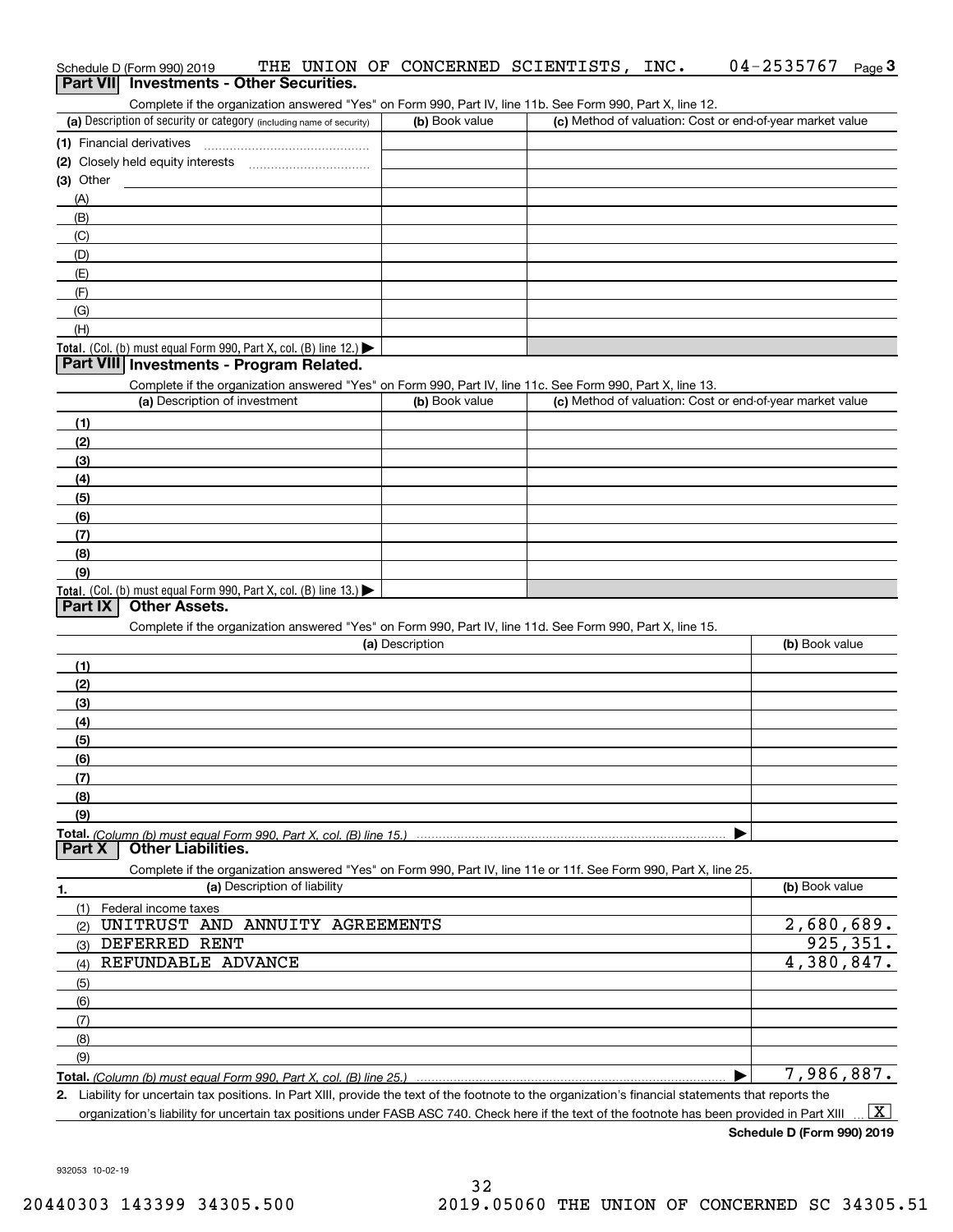| Schedule D (Form 990) 2019                                                                                 |  |  |  |  | THE UNION OF CONCERNED SCIENTISTS. | INC. | $04 - 2535767$ Page 3 |  |
|------------------------------------------------------------------------------------------------------------|--|--|--|--|------------------------------------|------|-----------------------|--|
| <b>Part VII</b> Investments - Other Securities.                                                            |  |  |  |  |                                    |      |                       |  |
| Complete if the organization answered "Yes" on Form 990, Part IV, line 11b. See Form 990, Part X, line 12. |  |  |  |  |                                    |      |                       |  |

| (a) Description of security or category (including name of security) | (b) Book value | (c) Method of valuation: Cost or end-of-year market value |
|----------------------------------------------------------------------|----------------|-----------------------------------------------------------|
| (1) Financial derivatives                                            |                |                                                           |
| (2) Closely held equity interests                                    |                |                                                           |
| (3) Other                                                            |                |                                                           |
| (A)                                                                  |                |                                                           |
| (B)                                                                  |                |                                                           |
| (C)                                                                  |                |                                                           |
| (D)                                                                  |                |                                                           |
| (E)                                                                  |                |                                                           |
| (F)                                                                  |                |                                                           |
| (G)                                                                  |                |                                                           |
| (H)                                                                  |                |                                                           |
| Total. (Col. (b) must equal Form 990, Part X, col. (B) line $12$ .)  |                |                                                           |

#### **Part VIII Investments - Program Related.**

Complete if the organization answered "Yes" on Form 990, Part IV, line 11c. See Form 990, Part X, line 13.

| (a) Description of investment                                       | (b) Book value | (c) Method of valuation: Cost or end-of-year market value |
|---------------------------------------------------------------------|----------------|-----------------------------------------------------------|
| (1)                                                                 |                |                                                           |
| (2)                                                                 |                |                                                           |
| $\frac{1}{2}$                                                       |                |                                                           |
| (4)                                                                 |                |                                                           |
| $\left(5\right)$                                                    |                |                                                           |
| (6)                                                                 |                |                                                           |
| (7)                                                                 |                |                                                           |
| (8)                                                                 |                |                                                           |
| (9)                                                                 |                |                                                           |
| Total. (Col. (b) must equal Form 990, Part X, col. (B) line $13.$ ) |                |                                                           |

### **Part IX Other Assets.**

Complete if the organization answered "Yes" on Form 990, Part IV, line 11d. See Form 990, Part X, line 15.

| (a) Description | (b) Book value |
|-----------------|----------------|
| (1)             |                |
| (2)             |                |
| (3)             |                |
| (4)             |                |
| (5)             |                |
| (6)             |                |
|                 |                |
| (8)             |                |
| (9)             |                |
|                 |                |
|                 |                |

**1.(a)** Description of liability **Book value** Book value Book value Book value Book value Complete if the organization answered "Yes" on Form 990, Part IV, line 11e or 11f. See Form 990, Part X, line 25. **Part X Other Liabilities.** (1)Federal income taxes (2)(3)(4)(5)(6)(7)(8)(9)UNITRUST AND ANNUITY AGREEMENTS DEFERRED RENT REFUNDABLE ADVANCE 2,680,689. 925,351. 4,380,847. 7,986,887.

**Total.**  *(Column (b) must equal Form 990, Part X, col. (B) line 25.)* | Liability for uncertain tax positions. In Part XIII, provide the text of the footnote to the organization's financial statements that reports the

**2.**organization's liability for uncertain tax positions under FASB ASC 740. Check here if the text of the footnote has been provided in Part XIII  $\boxed{\text{X}}$ 

**Schedule D (Form 990) 2019**

932053 10-02-19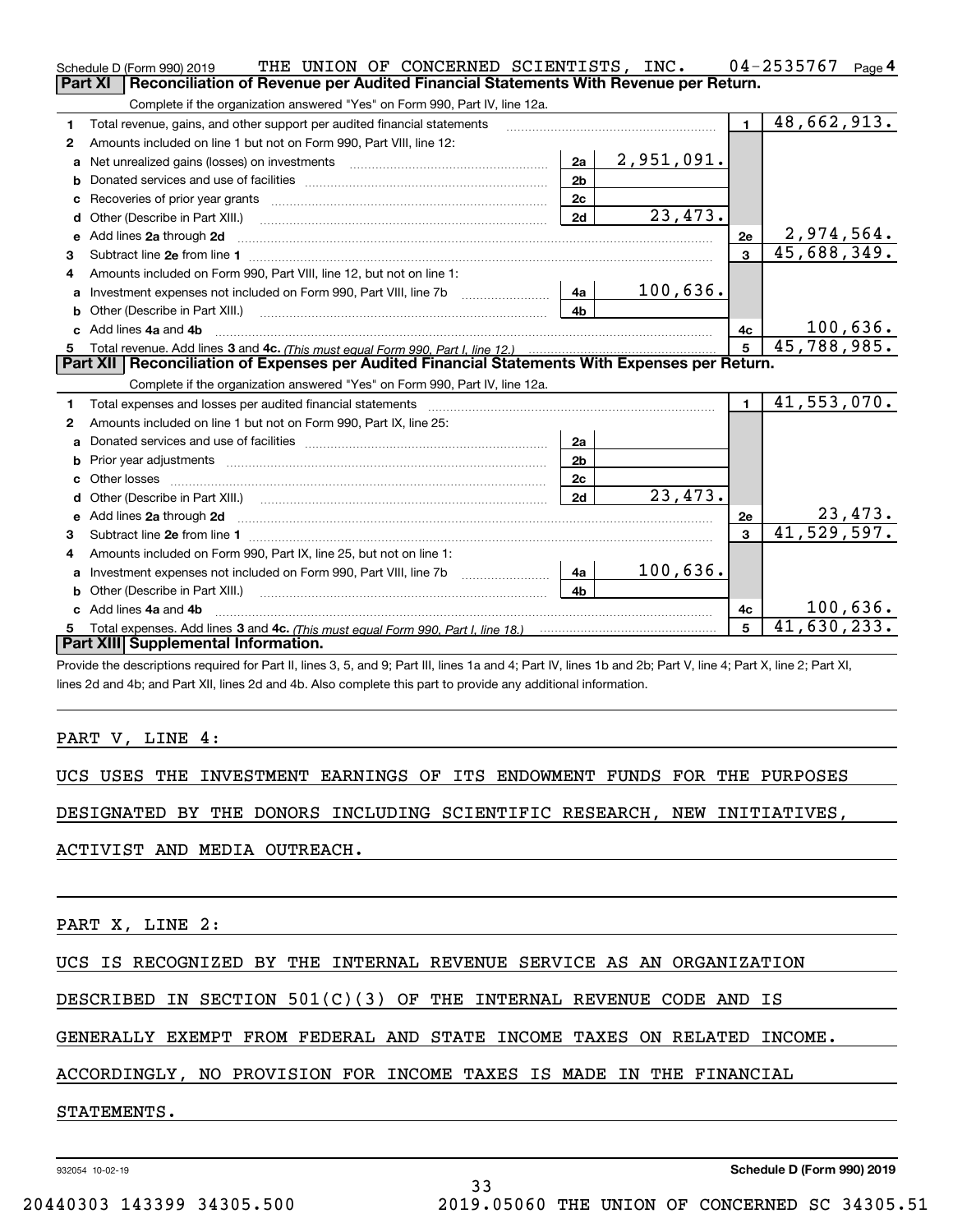|    | THE UNION OF CONCERNED SCIENTISTS, INC.<br>Schedule D (Form 990) 2019                                                                                                                                                                |                |            |                         | 04-2535767<br>Page 4        |
|----|--------------------------------------------------------------------------------------------------------------------------------------------------------------------------------------------------------------------------------------|----------------|------------|-------------------------|-----------------------------|
|    | Reconciliation of Revenue per Audited Financial Statements With Revenue per Return.<br>Part XI                                                                                                                                       |                |            |                         |                             |
|    | Complete if the organization answered "Yes" on Form 990, Part IV, line 12a.                                                                                                                                                          |                |            |                         |                             |
| 1  | Total revenue, gains, and other support per audited financial statements                                                                                                                                                             |                |            | $\blacksquare$          | 48,662,913.                 |
| 2  | Amounts included on line 1 but not on Form 990, Part VIII, line 12:                                                                                                                                                                  |                |            |                         |                             |
| a  |                                                                                                                                                                                                                                      | 2a             | 2,951,091. |                         |                             |
| b  |                                                                                                                                                                                                                                      | 2 <sub>b</sub> |            |                         |                             |
|    | Recoveries of prior year grants [11,111] Recoveries of prior year grants [11,111] Recoveries of prior year grants                                                                                                                    | 2c             |            |                         |                             |
|    |                                                                                                                                                                                                                                      | 2d             | 23,473.    |                         |                             |
|    | e Add lines 2a through 2d                                                                                                                                                                                                            |                |            | 2e                      | 2,974,564.                  |
| 3  |                                                                                                                                                                                                                                      |                |            | $\overline{3}$          | 45,688,349.                 |
| 4  | Amounts included on Form 990, Part VIII, line 12, but not on line 1:                                                                                                                                                                 |                |            |                         |                             |
| a  | Investment expenses not included on Form 990, Part VIII, line 7b [1001111111111111111111111111111111                                                                                                                                 | 4a             | 100,636.   |                         |                             |
|    |                                                                                                                                                                                                                                      | 4 <sub>b</sub> |            |                         |                             |
|    | Add lines 4a and 4b                                                                                                                                                                                                                  |                |            | 4c                      | 100,636.                    |
|    |                                                                                                                                                                                                                                      |                |            | 5                       | $\overline{45}$ , 788, 985. |
|    | Part XII   Reconciliation of Expenses per Audited Financial Statements With Expenses per Return.                                                                                                                                     |                |            |                         |                             |
|    | Complete if the organization answered "Yes" on Form 990, Part IV, line 12a.                                                                                                                                                          |                |            |                         |                             |
| 1. |                                                                                                                                                                                                                                      |                |            | $\blacksquare$          | $\overline{41}$ , 553, 070. |
| 2  | Amounts included on line 1 but not on Form 990, Part IX, line 25:                                                                                                                                                                    |                |            |                         |                             |
| a  |                                                                                                                                                                                                                                      | 2a             |            |                         |                             |
| b  |                                                                                                                                                                                                                                      | 2 <sub>b</sub> |            |                         |                             |
|    |                                                                                                                                                                                                                                      | 2c             |            |                         |                             |
|    |                                                                                                                                                                                                                                      | 2d             | 23,473.    |                         |                             |
| е  | Add lines 2a through 2d <b>continuum contract and all contract and all contract and all contract and all contract and all contract and all contract and all contract and all contract and all contract and all contract and all </b> |                |            | 2e                      | 23,473.                     |
| 3  |                                                                                                                                                                                                                                      |                |            | $\overline{\mathbf{3}}$ | 41,529,597.                 |
| 4  | Amounts included on Form 990, Part IX, line 25, but not on line 1:                                                                                                                                                                   |                |            |                         |                             |
| a  |                                                                                                                                                                                                                                      | 4a             | 100,636.   |                         |                             |
|    |                                                                                                                                                                                                                                      | 4 <sub>h</sub> |            |                         |                             |
|    | Add lines 4a and 4b                                                                                                                                                                                                                  |                |            | 4c                      | 100,636.                    |
| 5. |                                                                                                                                                                                                                                      |                |            | $\overline{5}$          | 41,630,233.                 |
|    | Part XIII Supplemental Information.                                                                                                                                                                                                  |                |            |                         |                             |
|    | Provide the descriptions required for Part II, lines 3, 5, and 9; Part III, lines 1a and 4; Part IV, lines 1b and 2b; Part V, line 4; Part X, line 2; Part XI,                                                                       |                |            |                         |                             |

lines 2d and 4b; and Part XII, lines 2d and 4b. Also complete this part to provide any additional information.

### PART V, LINE 4:

UCS USES THE INVESTMENT EARNINGS OF ITS ENDOWMENT FUNDS FOR THE PURPOSES

DESIGNATED BY THE DONORS INCLUDING SCIENTIFIC RESEARCH, NEW INITIATIVES,

ACTIVIST AND MEDIA OUTREACH.

PART X, LINE 2:

UCS IS RECOGNIZED BY THE INTERNAL REVENUE SERVICE AS AN ORGANIZATION

DESCRIBED IN SECTION 501(C)(3) OF THE INTERNAL REVENUE CODE AND IS

GENERALLY EXEMPT FROM FEDERAL AND STATE INCOME TAXES ON RELATED INCOME.

33

ACCORDINGLY, NO PROVISION FOR INCOME TAXES IS MADE IN THE FINANCIAL

## STATEMENTS.

932054 10-02-19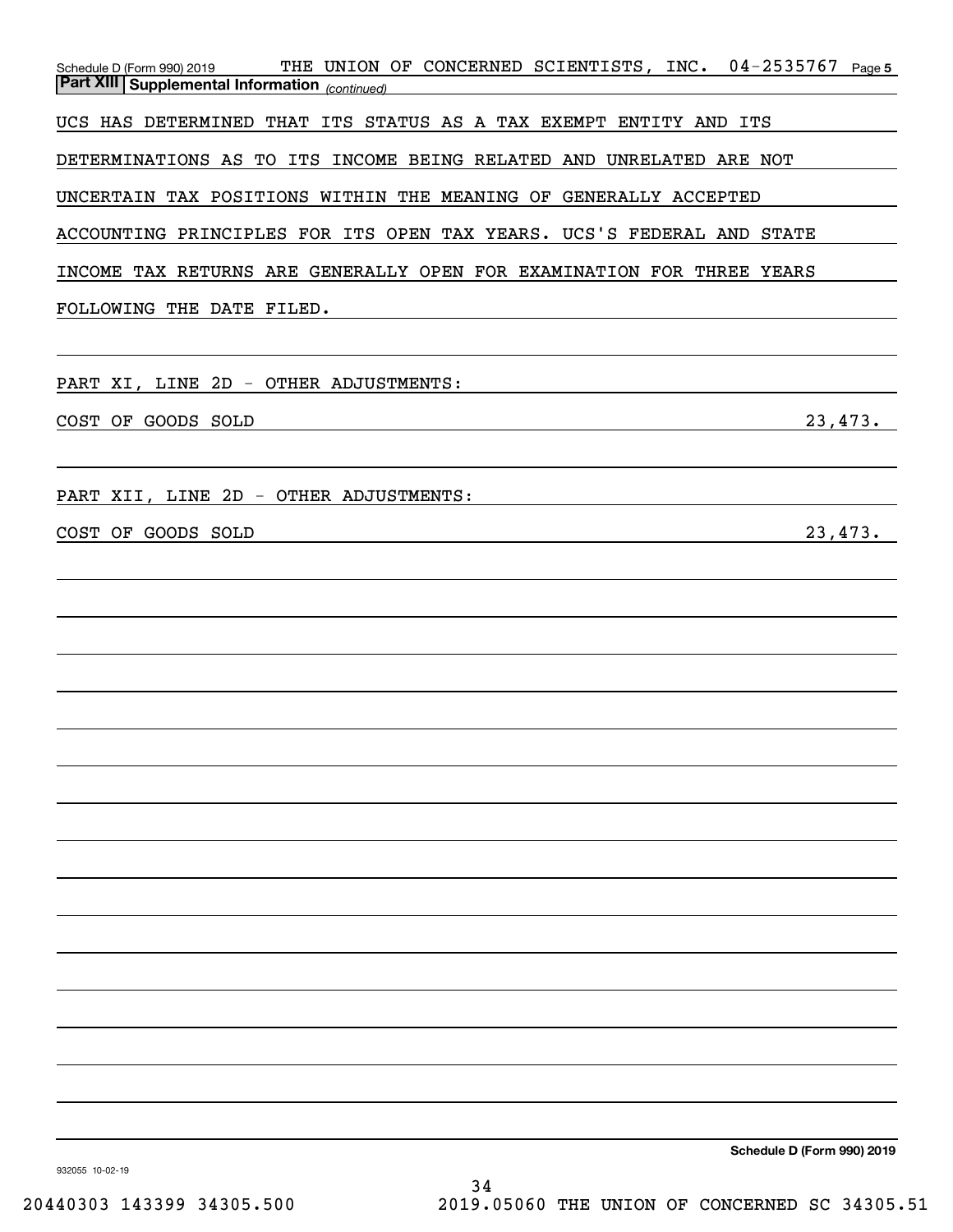| 04-2535767<br>THE UNION OF CONCERNED SCIENTISTS, INC.<br>Schedule D (Form 990) 2019<br>Page 5<br><b>Part XIII Supplemental Information</b> (continued) |
|--------------------------------------------------------------------------------------------------------------------------------------------------------|
| UCS HAS DETERMINED THAT ITS STATUS AS A TAX EXEMPT ENTITY AND ITS                                                                                      |
| DETERMINATIONS AS TO ITS INCOME BEING RELATED AND UNRELATED ARE NOT                                                                                    |
| UNCERTAIN TAX POSITIONS WITHIN THE MEANING OF GENERALLY ACCEPTED                                                                                       |
| ACCOUNTING PRINCIPLES FOR ITS OPEN TAX YEARS. UCS'S FEDERAL AND STATE                                                                                  |
| INCOME TAX RETURNS ARE GENERALLY OPEN FOR EXAMINATION FOR THREE YEARS                                                                                  |
| FOLLOWING THE DATE FILED.                                                                                                                              |
|                                                                                                                                                        |
| PART XI, LINE 2D - OTHER ADJUSTMENTS:                                                                                                                  |
| 23,473.<br>COST OF GOODS SOLD                                                                                                                          |
|                                                                                                                                                        |
| PART XII, LINE 2D - OTHER ADJUSTMENTS:                                                                                                                 |
| 23,473.<br>COST OF GOODS SOLD                                                                                                                          |
|                                                                                                                                                        |
|                                                                                                                                                        |
|                                                                                                                                                        |
|                                                                                                                                                        |
|                                                                                                                                                        |
|                                                                                                                                                        |
|                                                                                                                                                        |
|                                                                                                                                                        |
|                                                                                                                                                        |
|                                                                                                                                                        |
|                                                                                                                                                        |
|                                                                                                                                                        |
|                                                                                                                                                        |
|                                                                                                                                                        |
|                                                                                                                                                        |
| Schedule D (Form 990) 2019                                                                                                                             |

932055 10-02-19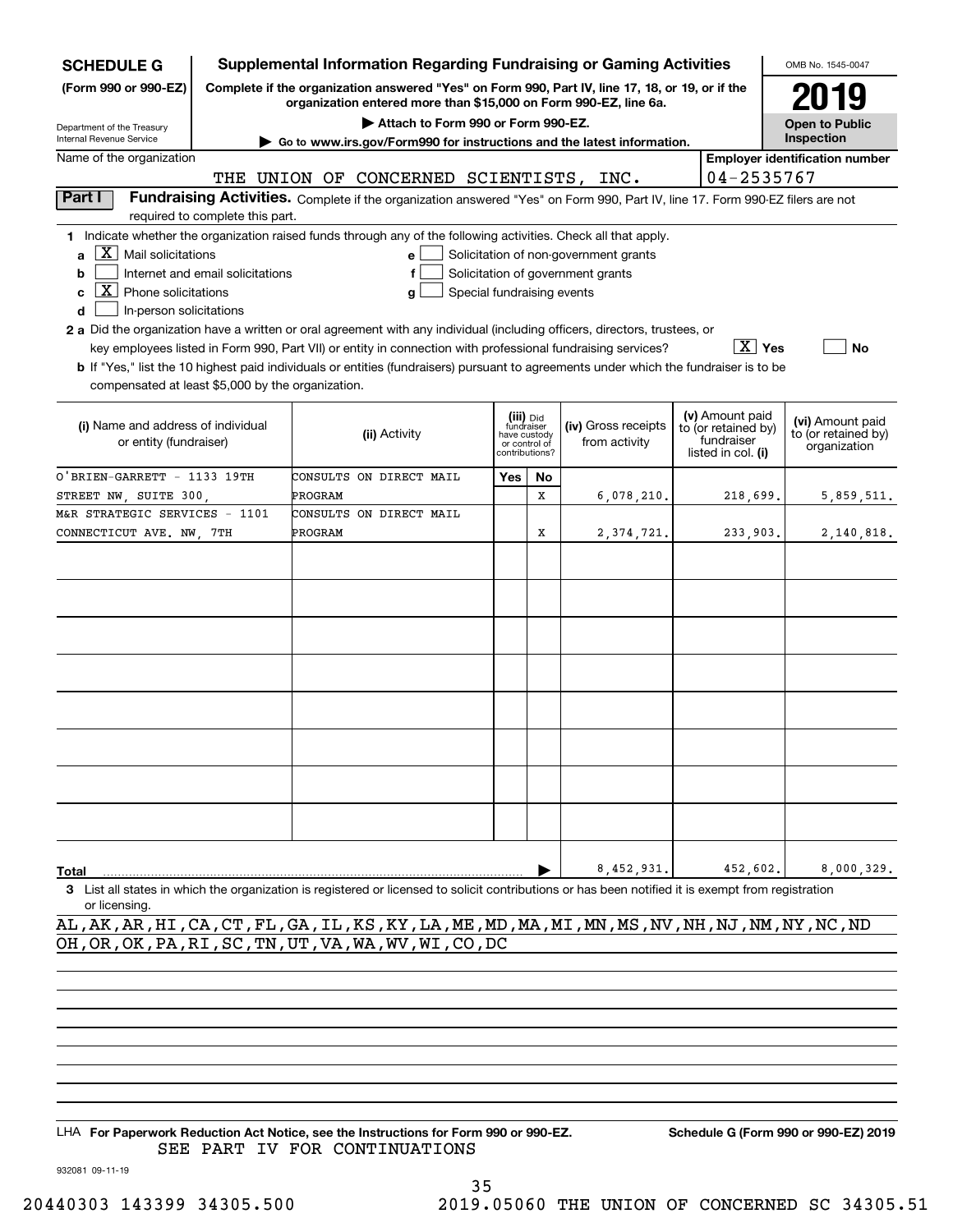| <b>SCHEDULE G</b>                                                                                                  |                                                             | <b>Supplemental Information Regarding Fundraising or Gaming Activities</b>                                                                                                  |                            |                                 |                                       |  |                                   | OMB No. 1545-0047                     |  |
|--------------------------------------------------------------------------------------------------------------------|-------------------------------------------------------------|-----------------------------------------------------------------------------------------------------------------------------------------------------------------------------|----------------------------|---------------------------------|---------------------------------------|--|-----------------------------------|---------------------------------------|--|
| (Form 990 or 990-EZ)                                                                                               |                                                             | Complete if the organization answered "Yes" on Form 990, Part IV, line 17, 18, or 19, or if the<br>2019<br>organization entered more than \$15,000 on Form 990-EZ, line 6a. |                            |                                 |                                       |  |                                   |                                       |  |
| Department of the Treasury                                                                                         | Attach to Form 990 or Form 990-EZ.<br><b>Open to Public</b> |                                                                                                                                                                             |                            |                                 |                                       |  |                                   |                                       |  |
| Inspection<br>Internal Revenue Service<br>► Go to www.irs.gov/Form990 for instructions and the latest information. |                                                             |                                                                                                                                                                             |                            |                                 |                                       |  |                                   |                                       |  |
| Name of the organization                                                                                           |                                                             |                                                                                                                                                                             |                            |                                 |                                       |  |                                   | <b>Employer identification number</b> |  |
|                                                                                                                    |                                                             | THE UNION OF CONCERNED SCIENTISTS, INC.                                                                                                                                     |                            |                                 |                                       |  | 04-2535767                        |                                       |  |
| Part I                                                                                                             | required to complete this part.                             | Fundraising Activities. Complete if the organization answered "Yes" on Form 990, Part IV, line 17. Form 990-EZ filers are not                                               |                            |                                 |                                       |  |                                   |                                       |  |
|                                                                                                                    |                                                             | 1 Indicate whether the organization raised funds through any of the following activities. Check all that apply.                                                             |                            |                                 |                                       |  |                                   |                                       |  |
| X  <br>Mail solicitations<br>a                                                                                     |                                                             | e                                                                                                                                                                           |                            |                                 | Solicitation of non-government grants |  |                                   |                                       |  |
| b                                                                                                                  | Internet and email solicitations                            | f                                                                                                                                                                           |                            |                                 | Solicitation of government grants     |  |                                   |                                       |  |
| $\overline{X}$ Phone solicitations<br>c                                                                            |                                                             | g                                                                                                                                                                           | Special fundraising events |                                 |                                       |  |                                   |                                       |  |
| In-person solicitations<br>d                                                                                       |                                                             |                                                                                                                                                                             |                            |                                 |                                       |  |                                   |                                       |  |
|                                                                                                                    |                                                             | 2 a Did the organization have a written or oral agreement with any individual (including officers, directors, trustees, or                                                  |                            |                                 |                                       |  |                                   |                                       |  |
|                                                                                                                    |                                                             | key employees listed in Form 990, Part VII) or entity in connection with professional fundraising services?                                                                 |                            |                                 |                                       |  | $X \vert Y$ es                    | <b>No</b>                             |  |
|                                                                                                                    |                                                             | <b>b</b> If "Yes," list the 10 highest paid individuals or entities (fundraisers) pursuant to agreements under which the fundraiser is to be                                |                            |                                 |                                       |  |                                   |                                       |  |
| compensated at least \$5,000 by the organization.                                                                  |                                                             |                                                                                                                                                                             |                            |                                 |                                       |  |                                   |                                       |  |
|                                                                                                                    |                                                             |                                                                                                                                                                             |                            |                                 |                                       |  |                                   |                                       |  |
|                                                                                                                    |                                                             |                                                                                                                                                                             |                            | (iii) Did<br>fundraiser         |                                       |  | (v) Amount paid                   | (vi) Amount paid                      |  |
| (i) Name and address of individual                                                                                 |                                                             | (ii) Activity                                                                                                                                                               |                            | have custody                    | (iv) Gross receipts<br>from activity  |  | to (or retained by)<br>fundraiser | to (or retained by)                   |  |
| or entity (fundraiser)                                                                                             |                                                             |                                                                                                                                                                             |                            | or control of<br>contributions? |                                       |  | listed in col. (i)                | organization                          |  |
| O'BRIEN-GARRETT - 1133 19TH                                                                                        |                                                             | CONSULTS ON DIRECT MAIL                                                                                                                                                     | Yes                        | No                              |                                       |  |                                   |                                       |  |
| STREET NW, SUITE 300,                                                                                              |                                                             | PROGRAM                                                                                                                                                                     |                            | x                               | 6,078,210.                            |  | 218,699.                          | 5,859,511.                            |  |
| M&R STRATEGIC SERVICES - 1101                                                                                      |                                                             | CONSULTS ON DIRECT MAIL                                                                                                                                                     |                            |                                 |                                       |  |                                   |                                       |  |
| CONNECTICUT AVE. NW. 7TH                                                                                           |                                                             | PROGRAM                                                                                                                                                                     |                            | X                               | 2, 374, 721.                          |  | 233,903.                          | 2,140,818.                            |  |
|                                                                                                                    |                                                             |                                                                                                                                                                             |                            |                                 |                                       |  |                                   |                                       |  |
|                                                                                                                    |                                                             |                                                                                                                                                                             |                            |                                 |                                       |  |                                   |                                       |  |
|                                                                                                                    |                                                             |                                                                                                                                                                             |                            |                                 |                                       |  |                                   |                                       |  |
|                                                                                                                    |                                                             |                                                                                                                                                                             |                            |                                 |                                       |  |                                   |                                       |  |
|                                                                                                                    |                                                             |                                                                                                                                                                             |                            |                                 |                                       |  |                                   |                                       |  |
|                                                                                                                    |                                                             |                                                                                                                                                                             |                            |                                 |                                       |  |                                   |                                       |  |
|                                                                                                                    |                                                             |                                                                                                                                                                             |                            |                                 |                                       |  |                                   |                                       |  |
|                                                                                                                    |                                                             |                                                                                                                                                                             |                            |                                 |                                       |  |                                   |                                       |  |
|                                                                                                                    |                                                             |                                                                                                                                                                             |                            |                                 |                                       |  |                                   |                                       |  |
|                                                                                                                    |                                                             |                                                                                                                                                                             |                            |                                 |                                       |  |                                   |                                       |  |
|                                                                                                                    |                                                             |                                                                                                                                                                             |                            |                                 |                                       |  |                                   |                                       |  |
|                                                                                                                    |                                                             |                                                                                                                                                                             |                            |                                 |                                       |  |                                   |                                       |  |
|                                                                                                                    |                                                             |                                                                                                                                                                             |                            |                                 |                                       |  |                                   |                                       |  |
|                                                                                                                    |                                                             |                                                                                                                                                                             |                            |                                 |                                       |  |                                   |                                       |  |
|                                                                                                                    |                                                             |                                                                                                                                                                             |                            |                                 |                                       |  |                                   |                                       |  |
|                                                                                                                    |                                                             |                                                                                                                                                                             |                            |                                 |                                       |  |                                   |                                       |  |
|                                                                                                                    |                                                             |                                                                                                                                                                             |                            |                                 |                                       |  |                                   |                                       |  |
|                                                                                                                    |                                                             |                                                                                                                                                                             |                            |                                 | 8,452,931                             |  | 452,602.                          | 8,000,329.                            |  |
| Total                                                                                                              |                                                             |                                                                                                                                                                             |                            |                                 |                                       |  |                                   |                                       |  |
| or licensing.                                                                                                      |                                                             | 3 List all states in which the organization is registered or licensed to solicit contributions or has been notified it is exempt from registration                          |                            |                                 |                                       |  |                                   |                                       |  |

AL,AK,AR,HI,CA,CT,FL,GA,IL,KS,KY,LA,ME,MD,MA,MI,MN,MS,NV,NH,NJ,NM,NY,NC,ND OH,OR,OK,PA,RI,SC,TN,UT,VA,WA,WV,WI,CO,DC

LHA For Paperwork Reduction Act Notice, see the Instructions for Form 990 or 990-EZ. Schedule G (Form 990 or 990-EZ) 2019 SEE PART IV FOR CONTINUATIONS

932081 09-11-19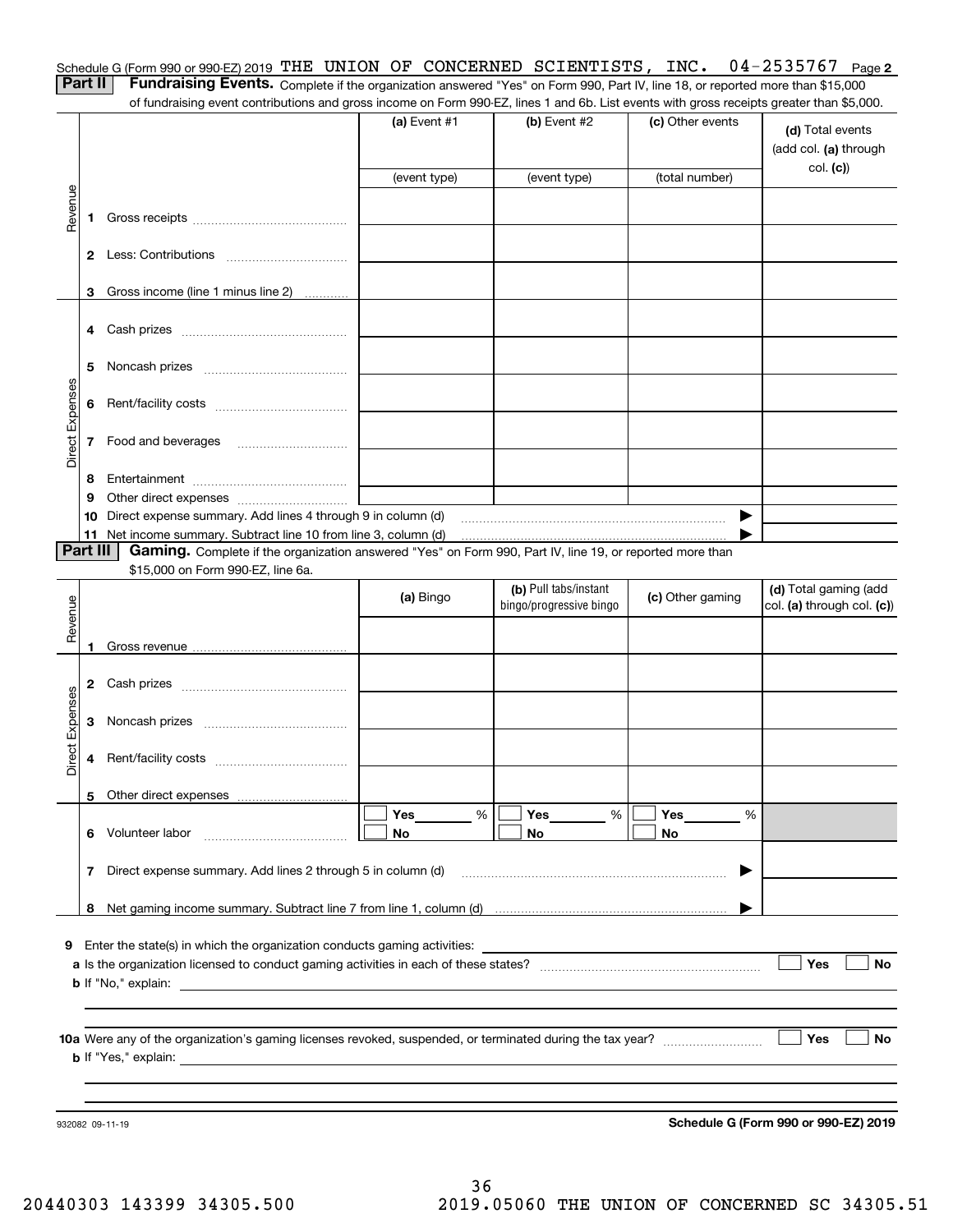| Schedule G (Form 990 or 990-EZ) 2019 THE UNION OF CONCERNED SCIENTISTS, INC. $04-2535767$ Page 2                                   |  |  |  |  |
|------------------------------------------------------------------------------------------------------------------------------------|--|--|--|--|
| Dart II Fundraising Events, Complete it the experience assumed IV call as Ferma 000 Bact IV line 10, or wearded many than 015,000. |  |  |  |  |

**Part II Fundraising Events.** Complete if the organization answered "Yes" on Form 990, Part IV, line 18, or reported more than \$15,000<br>15.000 of fundraising event contributions and gross income on Form 990-EZ. lines 1 an of fundraising event contributions and gross income on Form 990-EZ, lines 1 and 6b. List events with gross receipts greater than \$5,000.

|                 |                | ה ומחמומוסותן כעטות וסטומוסווט מחט קוסטט וווטטווט טודו טוחו טטט בב, ווווטט דמווט טט. בוטג כעטותט אומדקוסטט וטטטועט קוסמטר מומד                                                                                                            |                |                         |                  |                                           |
|-----------------|----------------|-------------------------------------------------------------------------------------------------------------------------------------------------------------------------------------------------------------------------------------------|----------------|-------------------------|------------------|-------------------------------------------|
|                 |                |                                                                                                                                                                                                                                           | (a) Event $#1$ | $(b)$ Event #2          | (c) Other events | (d) Total events<br>(add col. (a) through |
|                 |                |                                                                                                                                                                                                                                           | (event type)   | (event type)            | (total number)   | col. (c))                                 |
|                 |                |                                                                                                                                                                                                                                           |                |                         |                  |                                           |
| Revenue         | 1              |                                                                                                                                                                                                                                           |                |                         |                  |                                           |
|                 |                |                                                                                                                                                                                                                                           |                |                         |                  |                                           |
|                 | 3              | Gross income (line 1 minus line 2)                                                                                                                                                                                                        |                |                         |                  |                                           |
|                 | 4              | Cash prizes [111] Cash prizes [11] Cash prizes [11] Cash prizes [11] Casar Dividend Dividend Dividend Dividend D                                                                                                                          |                |                         |                  |                                           |
|                 | 5              |                                                                                                                                                                                                                                           |                |                         |                  |                                           |
|                 | 6              |                                                                                                                                                                                                                                           |                |                         |                  |                                           |
| Direct Expenses | 7              | Food and beverages                                                                                                                                                                                                                        |                |                         |                  |                                           |
|                 | 8              |                                                                                                                                                                                                                                           |                |                         |                  |                                           |
|                 | 9              |                                                                                                                                                                                                                                           |                |                         |                  |                                           |
|                 | 10             | Direct expense summary. Add lines 4 through 9 in column (d)                                                                                                                                                                               |                |                         | ▶                |                                           |
|                 | 11<br>Part III |                                                                                                                                                                                                                                           |                |                         |                  |                                           |
|                 |                | Gaming. Complete if the organization answered "Yes" on Form 990, Part IV, line 19, or reported more than<br>\$15,000 on Form 990-EZ, line 6a.                                                                                             |                |                         |                  |                                           |
|                 |                |                                                                                                                                                                                                                                           |                | (b) Pull tabs/instant   |                  | (d) Total gaming (add                     |
|                 |                |                                                                                                                                                                                                                                           | (a) Bingo      | bingo/progressive bingo | (c) Other gaming | col. (a) through col. (c))                |
| Revenue         |                |                                                                                                                                                                                                                                           |                |                         |                  |                                           |
|                 | 1              |                                                                                                                                                                                                                                           |                |                         |                  |                                           |
|                 | 2              |                                                                                                                                                                                                                                           |                |                         |                  |                                           |
|                 | 3              |                                                                                                                                                                                                                                           |                |                         |                  |                                           |
| Direct Expenses | 4              |                                                                                                                                                                                                                                           |                |                         |                  |                                           |
|                 |                |                                                                                                                                                                                                                                           |                |                         |                  |                                           |
|                 |                |                                                                                                                                                                                                                                           | Yes<br>%       | Yes<br>%                | Yes<br>%         |                                           |
|                 | 6              | Volunteer labor                                                                                                                                                                                                                           | No             | No                      | No               |                                           |
|                 | 7              | Direct expense summary. Add lines 2 through 5 in column (d)                                                                                                                                                                               |                |                         |                  |                                           |
|                 | 8              |                                                                                                                                                                                                                                           |                |                         |                  |                                           |
|                 |                |                                                                                                                                                                                                                                           |                |                         |                  |                                           |
| 9               |                | Enter the state(s) in which the organization conducts gaming activities:                                                                                                                                                                  |                |                         |                  |                                           |
|                 |                |                                                                                                                                                                                                                                           |                |                         |                  | Yes<br>No                                 |
|                 |                | <b>b</b> If "No," explain:<br><u>and the state of the state of the state of the state of the state of the state of the state of the state of th</u>                                                                                       |                |                         |                  |                                           |
|                 |                |                                                                                                                                                                                                                                           |                |                         |                  |                                           |
|                 |                |                                                                                                                                                                                                                                           |                |                         |                  |                                           |
|                 |                |                                                                                                                                                                                                                                           |                |                         |                  |                                           |
|                 |                |                                                                                                                                                                                                                                           |                |                         |                  | <b>Yes</b><br>No                          |
|                 |                | <b>b</b> If "Yes," explain: <u>example and a set of the set of the set of the set of the set of the set of the set of the set of the set of the set of the set of the set of the set of the set of the set of the set of the set of t</u> |                |                         |                  |                                           |
|                 |                |                                                                                                                                                                                                                                           |                |                         |                  |                                           |
|                 |                | 932082 09-11-19                                                                                                                                                                                                                           |                |                         |                  | Schedule G (Form 990 or 990-EZ) 2019      |

**Schedule G (Form 990 or 990-EZ) 2019**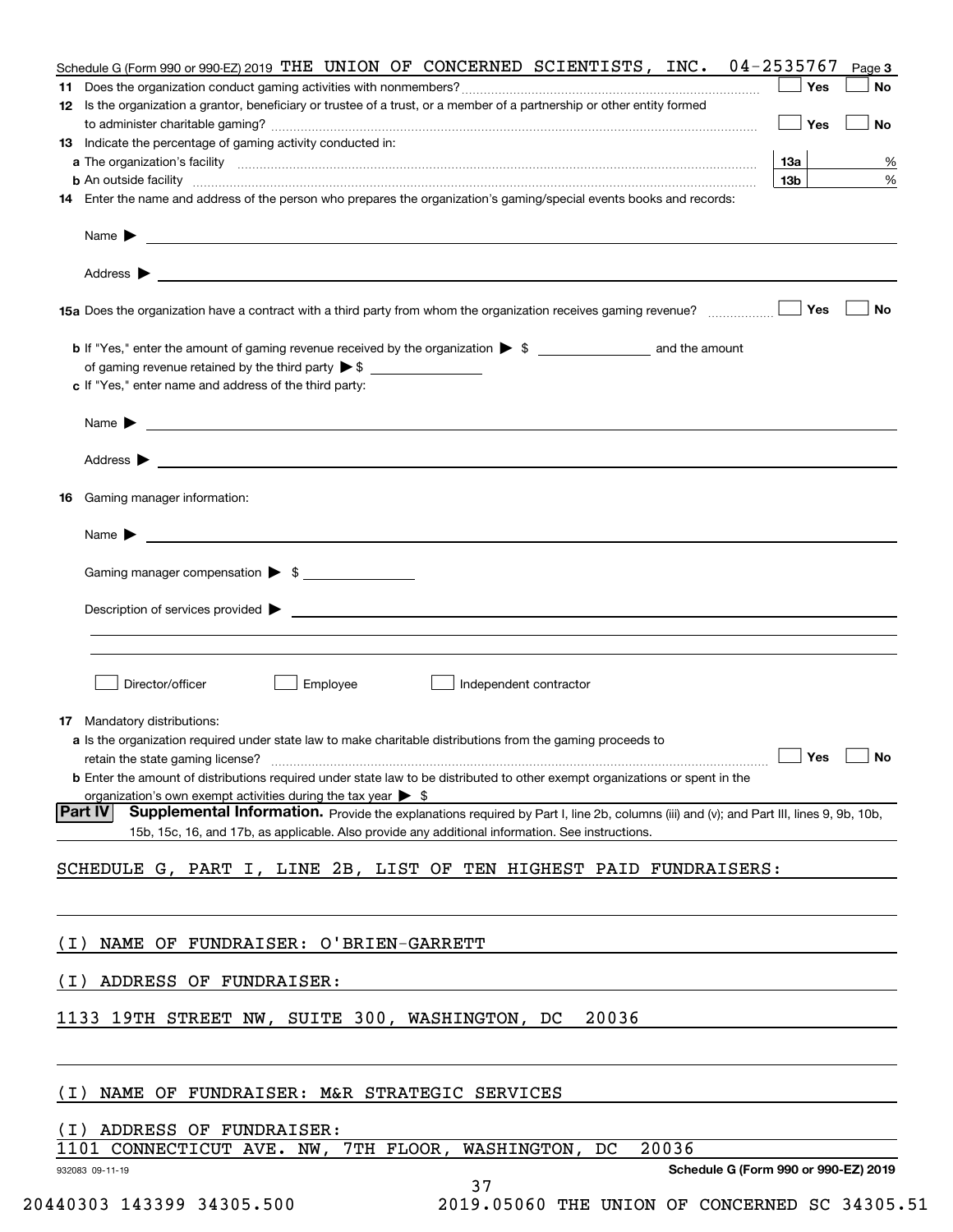|       | Schedule G (Form 990 or 990-EZ) 2019 THE UNION OF CONCERNED SCIENTISTS, INC. 04-2535767<br>Page 3                                                                                                                                                            |
|-------|--------------------------------------------------------------------------------------------------------------------------------------------------------------------------------------------------------------------------------------------------------------|
|       | Yes<br>No<br>12 Is the organization a grantor, beneficiary or trustee of a trust, or a member of a partnership or other entity formed                                                                                                                        |
|       | Yes<br>No<br>$\perp$                                                                                                                                                                                                                                         |
|       | 13 Indicate the percentage of gaming activity conducted in:<br>13a<br>%                                                                                                                                                                                      |
|       | 13 <sub>b</sub><br>%                                                                                                                                                                                                                                         |
|       | 14 Enter the name and address of the person who prepares the organization's gaming/special events books and records:                                                                                                                                         |
|       |                                                                                                                                                                                                                                                              |
|       |                                                                                                                                                                                                                                                              |
|       | Yes<br>No                                                                                                                                                                                                                                                    |
|       |                                                                                                                                                                                                                                                              |
|       | c If "Yes," enter name and address of the third party:                                                                                                                                                                                                       |
|       | Name $\sum_{n=1}^{\infty}$                                                                                                                                                                                                                                   |
|       |                                                                                                                                                                                                                                                              |
|       | 16 Gaming manager information:                                                                                                                                                                                                                               |
|       |                                                                                                                                                                                                                                                              |
|       | Gaming manager compensation > \$                                                                                                                                                                                                                             |
|       |                                                                                                                                                                                                                                                              |
|       |                                                                                                                                                                                                                                                              |
|       | Director/officer<br>Employee<br>Independent contractor                                                                                                                                                                                                       |
|       | 17 Mandatory distributions:                                                                                                                                                                                                                                  |
|       | a Is the organization required under state law to make charitable distributions from the gaming proceeds to                                                                                                                                                  |
|       | $\Box$ Yes<br>$\Box$ No<br>retain the state gaming license?<br><b>b</b> Enter the amount of distributions required under state law to be distributed to other exempt organizations or spent in the                                                           |
|       | organization's own exempt activities during the tax year $\triangleright$ \$                                                                                                                                                                                 |
|       | <b>Part IV</b><br>Supplemental Information. Provide the explanations required by Part I, line 2b, columns (iii) and (v); and Part III, lines 9, 9b, 10b,<br>15b, 15c, 16, and 17b, as applicable. Also provide any additional information. See instructions. |
|       | SCHEDULE G, PART I, LINE 2B, LIST OF TEN HIGHEST PAID FUNDRAISERS:                                                                                                                                                                                           |
|       |                                                                                                                                                                                                                                                              |
| ( I ) | NAME OF FUNDRAISER: O'BRIEN-GARRETT                                                                                                                                                                                                                          |
| ( I ) | ADDRESS OF FUNDRAISER:                                                                                                                                                                                                                                       |
|       | 1133 19TH STREET NW, SUITE 300, WASHINGTON, DC<br>20036                                                                                                                                                                                                      |
|       |                                                                                                                                                                                                                                                              |
| ( I ) | NAME OF FUNDRAISER: M&R STRATEGIC SERVICES                                                                                                                                                                                                                   |
| (I)   | ADDRESS OF FUNDRAISER:                                                                                                                                                                                                                                       |
| 1101  | WASHINGTON,<br>20036<br>CONNECTICUT AVE. NW, 7TH FLOOR,<br>DC                                                                                                                                                                                                |
|       | Schedule G (Form 990 or 990-EZ) 2019<br>932083 09-11-19<br>37                                                                                                                                                                                                |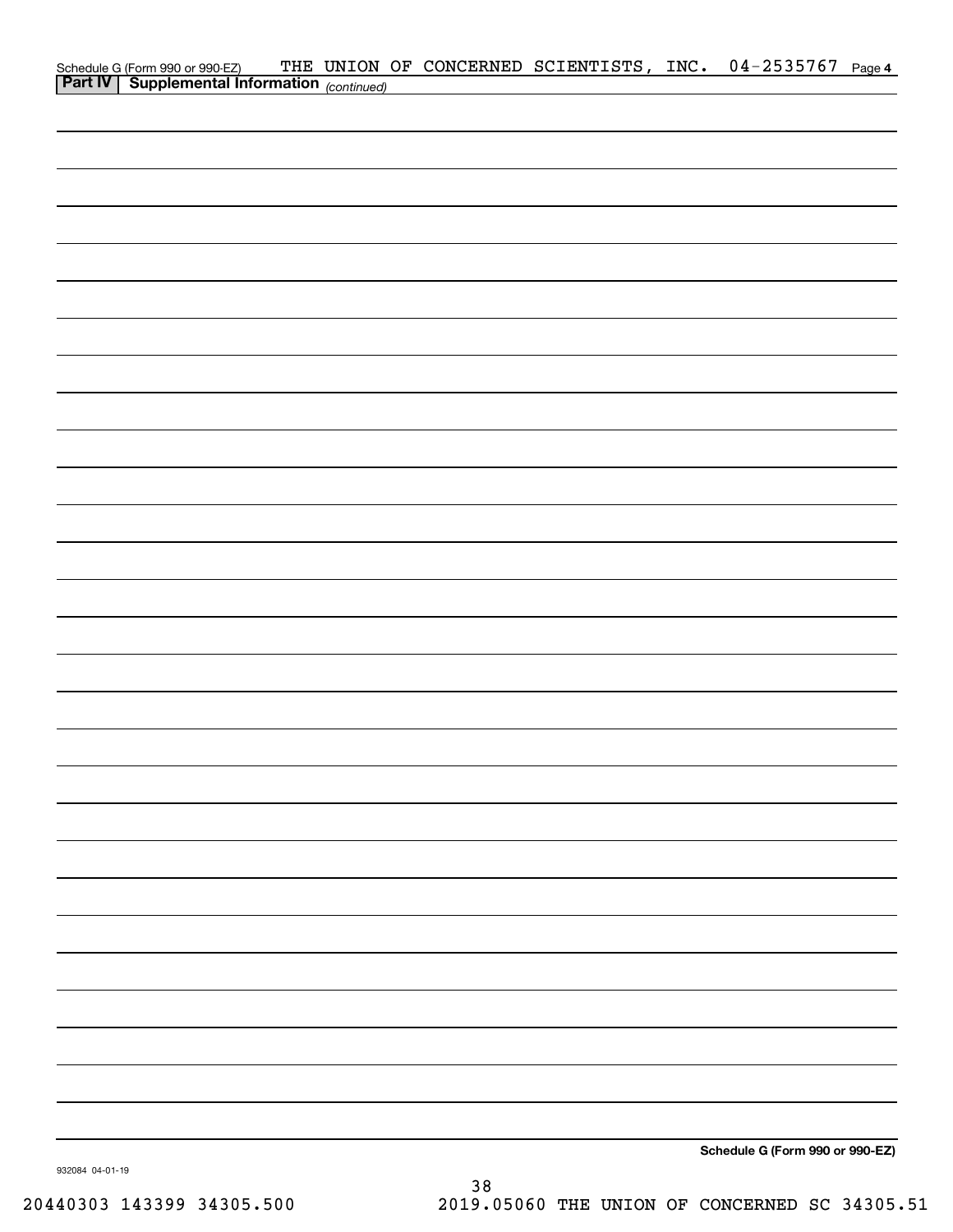| Schedule G (Form 990 or 990-EZ) THE UNION<br><b>Part IV</b> Supplemental Information (continued) |  |  | THE UNION OF CONCERNED SCIENTISTS, INC. 04-2535767 Page 4 |                                 |  |
|--------------------------------------------------------------------------------------------------|--|--|-----------------------------------------------------------|---------------------------------|--|
|                                                                                                  |  |  |                                                           |                                 |  |
|                                                                                                  |  |  |                                                           |                                 |  |
|                                                                                                  |  |  |                                                           |                                 |  |
|                                                                                                  |  |  |                                                           |                                 |  |
|                                                                                                  |  |  |                                                           |                                 |  |
|                                                                                                  |  |  |                                                           |                                 |  |
|                                                                                                  |  |  |                                                           |                                 |  |
|                                                                                                  |  |  |                                                           |                                 |  |
|                                                                                                  |  |  |                                                           |                                 |  |
|                                                                                                  |  |  |                                                           |                                 |  |
|                                                                                                  |  |  |                                                           |                                 |  |
|                                                                                                  |  |  |                                                           |                                 |  |
|                                                                                                  |  |  |                                                           |                                 |  |
|                                                                                                  |  |  |                                                           |                                 |  |
|                                                                                                  |  |  |                                                           |                                 |  |
|                                                                                                  |  |  |                                                           |                                 |  |
|                                                                                                  |  |  |                                                           |                                 |  |
|                                                                                                  |  |  |                                                           |                                 |  |
|                                                                                                  |  |  |                                                           |                                 |  |
|                                                                                                  |  |  |                                                           |                                 |  |
|                                                                                                  |  |  |                                                           |                                 |  |
|                                                                                                  |  |  |                                                           |                                 |  |
|                                                                                                  |  |  |                                                           |                                 |  |
|                                                                                                  |  |  |                                                           |                                 |  |
|                                                                                                  |  |  |                                                           |                                 |  |
|                                                                                                  |  |  |                                                           |                                 |  |
|                                                                                                  |  |  |                                                           |                                 |  |
|                                                                                                  |  |  |                                                           |                                 |  |
|                                                                                                  |  |  |                                                           |                                 |  |
|                                                                                                  |  |  |                                                           |                                 |  |
|                                                                                                  |  |  |                                                           |                                 |  |
|                                                                                                  |  |  |                                                           |                                 |  |
|                                                                                                  |  |  |                                                           |                                 |  |
|                                                                                                  |  |  |                                                           |                                 |  |
|                                                                                                  |  |  |                                                           |                                 |  |
|                                                                                                  |  |  |                                                           |                                 |  |
|                                                                                                  |  |  |                                                           |                                 |  |
|                                                                                                  |  |  |                                                           |                                 |  |
|                                                                                                  |  |  |                                                           | Schedule G (Form 990 or 990-EZ) |  |

932084 04-01-19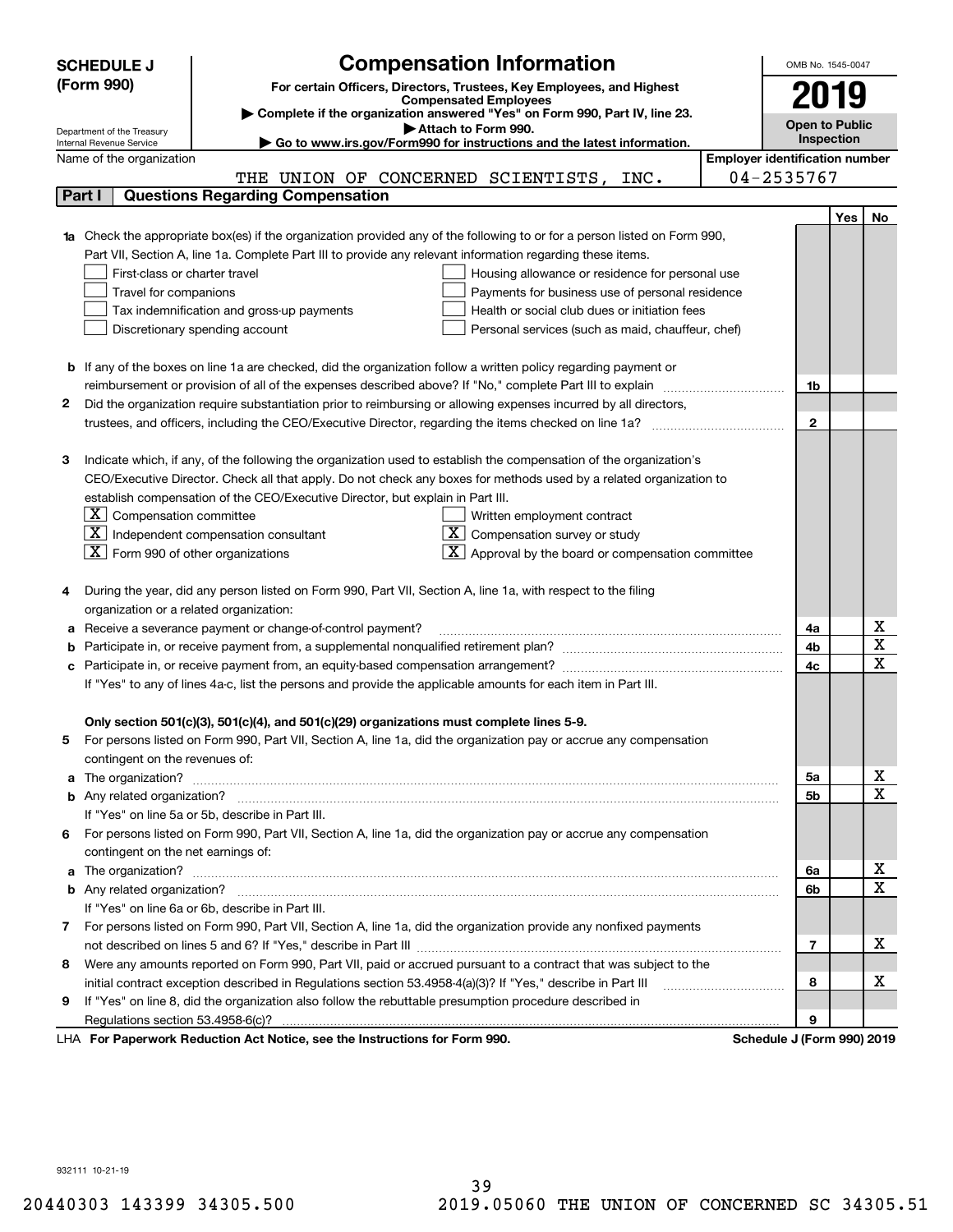|    | <b>Compensation Information</b><br><b>SCHEDULE J</b><br>(Form 990)<br>For certain Officers, Directors, Trustees, Key Employees, and Highest<br><b>Compensated Employees</b><br>Complete if the organization answered "Yes" on Form 990, Part IV, line 23.                                                                                                                                                                                                                                                                                                                                                                                           |                                       | OMB No. 1545-0047<br>2019                  |     |                              |  |
|----|-----------------------------------------------------------------------------------------------------------------------------------------------------------------------------------------------------------------------------------------------------------------------------------------------------------------------------------------------------------------------------------------------------------------------------------------------------------------------------------------------------------------------------------------------------------------------------------------------------------------------------------------------------|---------------------------------------|--------------------------------------------|-----|------------------------------|--|
|    | Attach to Form 990.<br>Department of the Treasury                                                                                                                                                                                                                                                                                                                                                                                                                                                                                                                                                                                                   |                                       | <b>Open to Public</b><br><b>Inspection</b> |     |                              |  |
|    | Go to www.irs.gov/Form990 for instructions and the latest information.<br>Internal Revenue Service<br>Name of the organization                                                                                                                                                                                                                                                                                                                                                                                                                                                                                                                      | <b>Employer identification number</b> |                                            |     |                              |  |
|    | THE UNION OF CONCERNED SCIENTISTS, INC.                                                                                                                                                                                                                                                                                                                                                                                                                                                                                                                                                                                                             |                                       | 04-2535767                                 |     |                              |  |
|    | <b>Questions Regarding Compensation</b><br>Part I                                                                                                                                                                                                                                                                                                                                                                                                                                                                                                                                                                                                   |                                       |                                            |     |                              |  |
|    |                                                                                                                                                                                                                                                                                                                                                                                                                                                                                                                                                                                                                                                     |                                       |                                            | Yes | No                           |  |
|    | 1a Check the appropriate box(es) if the organization provided any of the following to or for a person listed on Form 990,<br>Part VII, Section A, line 1a. Complete Part III to provide any relevant information regarding these items.<br>First-class or charter travel<br>Housing allowance or residence for personal use<br>Travel for companions<br>Payments for business use of personal residence<br>Tax indemnification and gross-up payments<br>Health or social club dues or initiation fees<br>Discretionary spending account<br>Personal services (such as maid, chauffeur, chef)                                                        |                                       |                                            |     |                              |  |
|    | <b>b</b> If any of the boxes on line 1a are checked, did the organization follow a written policy regarding payment or                                                                                                                                                                                                                                                                                                                                                                                                                                                                                                                              |                                       |                                            |     |                              |  |
|    | reimbursement or provision of all of the expenses described above? If "No," complete Part III to explain                                                                                                                                                                                                                                                                                                                                                                                                                                                                                                                                            |                                       | 1b                                         |     |                              |  |
| 2  | Did the organization require substantiation prior to reimbursing or allowing expenses incurred by all directors,                                                                                                                                                                                                                                                                                                                                                                                                                                                                                                                                    |                                       |                                            |     |                              |  |
|    | trustees, and officers, including the CEO/Executive Director, regarding the items checked on line 1a?                                                                                                                                                                                                                                                                                                                                                                                                                                                                                                                                               |                                       | $\mathbf{2}$                               |     |                              |  |
|    |                                                                                                                                                                                                                                                                                                                                                                                                                                                                                                                                                                                                                                                     |                                       |                                            |     |                              |  |
| з  | Indicate which, if any, of the following the organization used to establish the compensation of the organization's<br>CEO/Executive Director. Check all that apply. Do not check any boxes for methods used by a related organization to<br>establish compensation of the CEO/Executive Director, but explain in Part III.<br>$\lfloor \texttt{X} \rfloor$ Compensation committee<br>Written employment contract<br>$\boxed{\text{X}}$ Independent compensation consultant<br>$X$ Compensation survey or study<br>$ \mathbf{X} $ Form 990 of other organizations<br>$\lfloor \underline{X} \rfloor$ Approval by the board or compensation committee |                                       |                                            |     |                              |  |
|    | During the year, did any person listed on Form 990, Part VII, Section A, line 1a, with respect to the filing                                                                                                                                                                                                                                                                                                                                                                                                                                                                                                                                        |                                       |                                            |     |                              |  |
|    | organization or a related organization:                                                                                                                                                                                                                                                                                                                                                                                                                                                                                                                                                                                                             |                                       |                                            |     |                              |  |
| а  | Receive a severance payment or change-of-control payment?                                                                                                                                                                                                                                                                                                                                                                                                                                                                                                                                                                                           |                                       | 4a                                         |     | х<br>$\overline{\texttt{x}}$ |  |
|    |                                                                                                                                                                                                                                                                                                                                                                                                                                                                                                                                                                                                                                                     |                                       |                                            |     |                              |  |
| с  |                                                                                                                                                                                                                                                                                                                                                                                                                                                                                                                                                                                                                                                     |                                       |                                            |     |                              |  |
|    | If "Yes" to any of lines 4a-c, list the persons and provide the applicable amounts for each item in Part III.                                                                                                                                                                                                                                                                                                                                                                                                                                                                                                                                       |                                       |                                            |     |                              |  |
|    | Only section 501(c)(3), 501(c)(4), and 501(c)(29) organizations must complete lines 5-9.<br>For persons listed on Form 990, Part VII, Section A, line 1a, did the organization pay or accrue any compensation<br>contingent on the revenues of:                                                                                                                                                                                                                                                                                                                                                                                                     |                                       |                                            |     |                              |  |
|    | a The organization? <b>Entitled Strategies and Strategies and Strategies and Strategies and Strategies and Strategies and Strategies and Strategies and Strategies and Strategies and Strategies and Strategies and Strategies a</b>                                                                                                                                                                                                                                                                                                                                                                                                                |                                       | 5а                                         |     | x<br>$\overline{\text{x}}$   |  |
|    |                                                                                                                                                                                                                                                                                                                                                                                                                                                                                                                                                                                                                                                     |                                       | <b>5b</b>                                  |     |                              |  |
|    | If "Yes" on line 5a or 5b, describe in Part III.                                                                                                                                                                                                                                                                                                                                                                                                                                                                                                                                                                                                    |                                       |                                            |     |                              |  |
| 6. | For persons listed on Form 990, Part VII, Section A, line 1a, did the organization pay or accrue any compensation                                                                                                                                                                                                                                                                                                                                                                                                                                                                                                                                   |                                       |                                            |     |                              |  |
|    | contingent on the net earnings of:                                                                                                                                                                                                                                                                                                                                                                                                                                                                                                                                                                                                                  |                                       | 6a                                         |     | x                            |  |
|    | a The organization? <b>Entitled Strategies and Strategies and Strategies and Strategies and Strategies and Strategies and Strategies and Strategies and Strategies and Strategies and Strategies and Strategies and Strategies a</b>                                                                                                                                                                                                                                                                                                                                                                                                                |                                       | 6b                                         |     | $\overline{\text{x}}$        |  |
|    | If "Yes" on line 6a or 6b, describe in Part III.                                                                                                                                                                                                                                                                                                                                                                                                                                                                                                                                                                                                    |                                       |                                            |     |                              |  |
|    | 7 For persons listed on Form 990, Part VII, Section A, line 1a, did the organization provide any nonfixed payments                                                                                                                                                                                                                                                                                                                                                                                                                                                                                                                                  |                                       |                                            |     |                              |  |
|    |                                                                                                                                                                                                                                                                                                                                                                                                                                                                                                                                                                                                                                                     |                                       | 7                                          |     | х                            |  |
| 8  | Were any amounts reported on Form 990, Part VII, paid or accrued pursuant to a contract that was subject to the                                                                                                                                                                                                                                                                                                                                                                                                                                                                                                                                     |                                       |                                            |     |                              |  |
|    | initial contract exception described in Regulations section 53.4958-4(a)(3)? If "Yes," describe in Part III                                                                                                                                                                                                                                                                                                                                                                                                                                                                                                                                         |                                       | 8                                          |     | x                            |  |
| 9  | If "Yes" on line 8, did the organization also follow the rebuttable presumption procedure described in                                                                                                                                                                                                                                                                                                                                                                                                                                                                                                                                              |                                       |                                            |     |                              |  |
|    | Regulations section 53.4958-6(c)?                                                                                                                                                                                                                                                                                                                                                                                                                                                                                                                                                                                                                   |                                       | 9                                          |     |                              |  |
|    | LHA For Paperwork Reduction Act Notice, see the Instructions for Form 990.                                                                                                                                                                                                                                                                                                                                                                                                                                                                                                                                                                          |                                       | Schedule J (Form 990) 2019                 |     |                              |  |

932111 10-21-19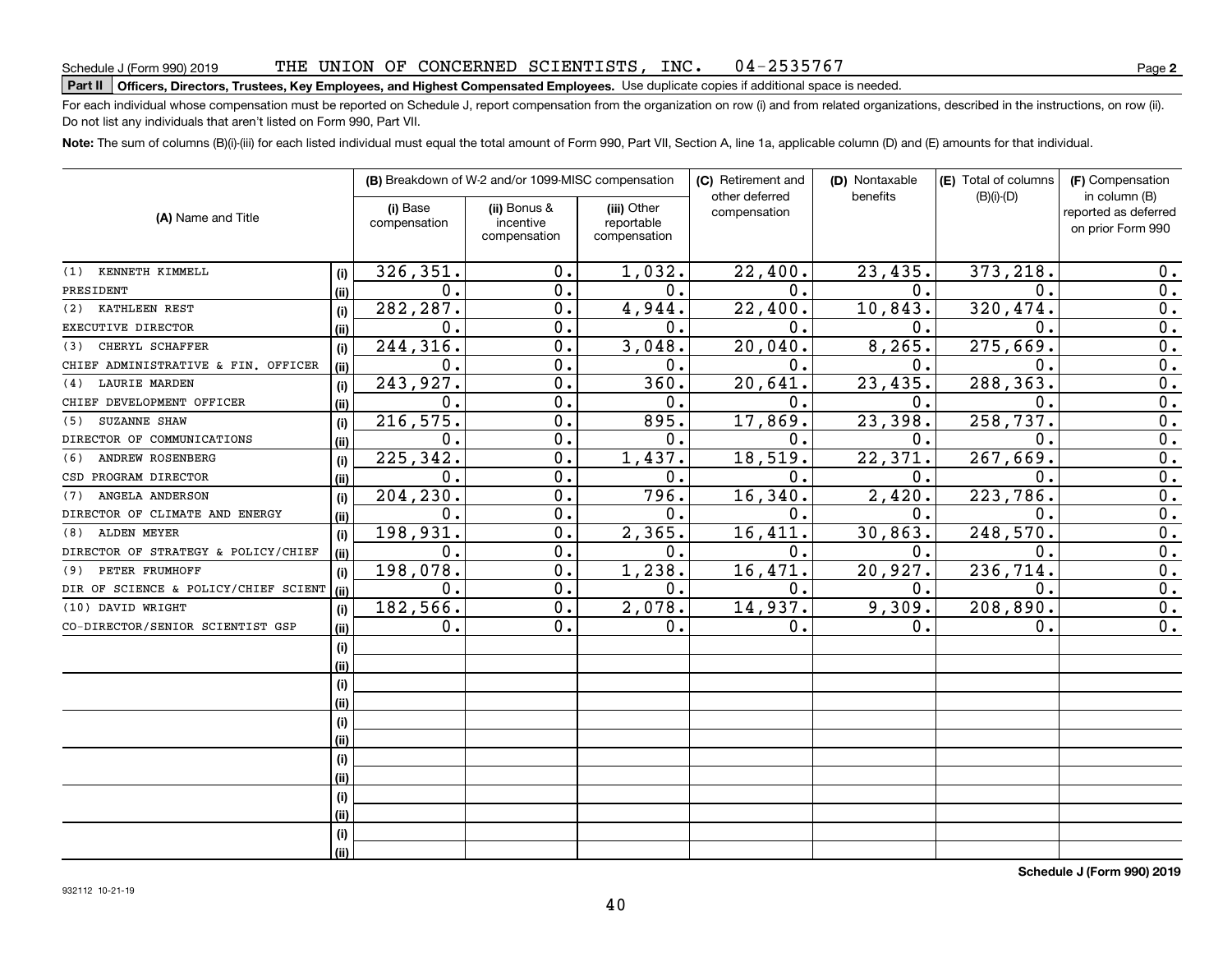# **Part II Officers, Directors, Trustees, Key Employees, and Highest Compensated Employees.**  Schedule J (Form 990) 2019 Page Use duplicate copies if additional space is needed.

For each individual whose compensation must be reported on Schedule J, report compensation from the organization on row (i) and from related organizations, described in the instructions, on row (ii). Do not list any individuals that aren't listed on Form 990, Part VII.

04-2535767

**Note:**  The sum of columns (B)(i)-(iii) for each listed individual must equal the total amount of Form 990, Part VII, Section A, line 1a, applicable column (D) and (E) amounts for that individual.

| (A) Name and Title                   |      | (B) Breakdown of W-2 and/or 1099-MISC compensation |                                           |                                           | (C) Retirement and<br>other deferred | (D) Nontaxable<br>benefits | (E) Total of columns | (F) Compensation<br>in column (B)         |  |
|--------------------------------------|------|----------------------------------------------------|-------------------------------------------|-------------------------------------------|--------------------------------------|----------------------------|----------------------|-------------------------------------------|--|
|                                      |      | (i) Base<br>compensation                           | (ii) Bonus &<br>incentive<br>compensation | (iii) Other<br>reportable<br>compensation | compensation                         |                            | $(B)(i)-(D)$         | reported as deferred<br>on prior Form 990 |  |
| (1) KENNETH KIMMELL                  | (i)  | 326,351.                                           | $\mathbf 0$ .                             | 1,032.                                    | 22,400.                              | 23,435.                    | 373,218.             | 0.                                        |  |
| PRESIDENT                            | (ii) | 0.                                                 | $\mathbf 0$ .                             | 0.                                        | $\mathbf 0$ .                        | 0.                         | $\mathbf 0$ .        | 0.                                        |  |
| KATHLEEN REST<br>(2)                 | (i)  | 282,287.                                           | $\mathbf 0$ .                             | 4,944.                                    | 22,400.                              | 10,843.                    | 320,474.             | 0.                                        |  |
| EXECUTIVE DIRECTOR                   | (ii) | 0.                                                 | $\overline{0}$ .                          | 0.                                        | Ω.                                   | $\mathbf 0$ .              | $\mathbf 0$          | $\overline{0}$ .                          |  |
| CHERYL SCHAFFER<br>(3)               | (i)  | 244,316.                                           | $\overline{0}$ .                          | 3,048.                                    | 20,040.                              | 8, 265.                    | 275,669.             | $\overline{0}$ .                          |  |
| CHIEF ADMINISTRATIVE & FIN. OFFICER  | (ii) | 0.                                                 | 0.                                        | 0.                                        | $\mathbf 0$ .                        | $\mathbf 0$ .              | $\Omega$ .           | $\overline{0}$ .                          |  |
| <b>LAURIE MARDEN</b><br>(4)          | (i)  | 243,927.                                           | 0.                                        | 360.                                      | 20,641.                              | 23,435.                    | 288, 363.            | 0.                                        |  |
| CHIEF DEVELOPMENT OFFICER            | (ii) | 0.                                                 | $\mathbf 0$ .                             | 0.                                        | $\mathbf 0$ .                        | 0.                         | $\Omega$ .           | 0.                                        |  |
| SUZANNE SHAW<br>(5)                  | (i)  | 216, 575.                                          | 0.                                        | 895.                                      | 17,869.                              | 23,398.                    | 258,737.             | $\overline{0}$ .                          |  |
| DIRECTOR OF COMMUNICATIONS           | (ii) | 0.                                                 | $\mathbf 0$ .                             | 0.                                        | 0.                                   | 0.                         | $\mathbf 0$ .        | $\overline{0}$ .                          |  |
| ANDREW ROSENBERG<br>(6)              | (i)  | 225,342.                                           | $\mathbf 0$ .                             | 1,437.                                    | 18,519                               | 22,371.                    | 267,669              | $\mathbf 0$ .                             |  |
| CSD PROGRAM DIRECTOR                 | (ii) | $\mathbf 0$ .                                      | 0.                                        | 0.                                        | $\mathbf 0$ .                        | $\mathbf 0$ .              | $\mathbf 0$ .        | 0.                                        |  |
| ANGELA ANDERSON<br>(7)               | (i)  | 204,230.                                           | 0.                                        | 796.                                      | 16, 340.                             | 2,420.                     | 223,786.             | $\overline{0}$ .                          |  |
| DIRECTOR OF CLIMATE AND ENERGY       | (ii) | 0.                                                 | $\mathbf 0$ .                             | 0.                                        | 0.                                   | 0.                         | $\mathbf 0$ .        | $\overline{0}$ .                          |  |
| <b>ALDEN MEYER</b><br>(8)            | (i)  | 198,931.                                           | $\mathbf 0$ .                             | 2,365.                                    | 16,411.                              | 30,863.                    | 248,570              | 0.                                        |  |
| DIRECTOR OF STRATEGY & POLICY/CHIEF  | (ii) | 0.                                                 | 0.                                        | 0.                                        | $\mathbf 0$ .                        | 0.                         | $\mathbf 0$ .        | 0.                                        |  |
| PETER FRUMHOFF<br>(9)                | (i)  | 198,078.                                           | 0.                                        | 1,238.                                    | 16,471.                              | 20,927.                    | 236, 714.            | $\overline{0}$ .                          |  |
| DIR OF SCIENCE & POLICY/CHIEF SCIENT | (ii) | 0.                                                 | $\mathbf 0$ .                             | 0.                                        | $\mathbf 0$ .                        | 0.                         | 0.                   | $\mathbf 0$ .                             |  |
| (10) DAVID WRIGHT                    | (i)  | 182,566.                                           | 0.                                        | 2,078.                                    | 14,937.                              | 9,309.                     | 208,890              | $\mathbf 0$ .                             |  |
| CO-DIRECTOR/SENIOR SCIENTIST GSP     | (ii) | 0.                                                 | 0.                                        | 0.                                        | $\mathbf 0$ .                        | 0.                         | $\mathbf 0$ .        | 0.                                        |  |
|                                      | (i)  |                                                    |                                           |                                           |                                      |                            |                      |                                           |  |
|                                      | (ii) |                                                    |                                           |                                           |                                      |                            |                      |                                           |  |
|                                      | (i)  |                                                    |                                           |                                           |                                      |                            |                      |                                           |  |
|                                      | (ii) |                                                    |                                           |                                           |                                      |                            |                      |                                           |  |
|                                      | (i)  |                                                    |                                           |                                           |                                      |                            |                      |                                           |  |
|                                      | (ii) |                                                    |                                           |                                           |                                      |                            |                      |                                           |  |
|                                      | (i)  |                                                    |                                           |                                           |                                      |                            |                      |                                           |  |
|                                      | (ii) |                                                    |                                           |                                           |                                      |                            |                      |                                           |  |
|                                      | (i)  |                                                    |                                           |                                           |                                      |                            |                      |                                           |  |
|                                      | (ii) |                                                    |                                           |                                           |                                      |                            |                      |                                           |  |
|                                      | (i)  |                                                    |                                           |                                           |                                      |                            |                      |                                           |  |
|                                      | (ii) |                                                    |                                           |                                           |                                      |                            |                      |                                           |  |

**Schedule J (Form 990) 2019**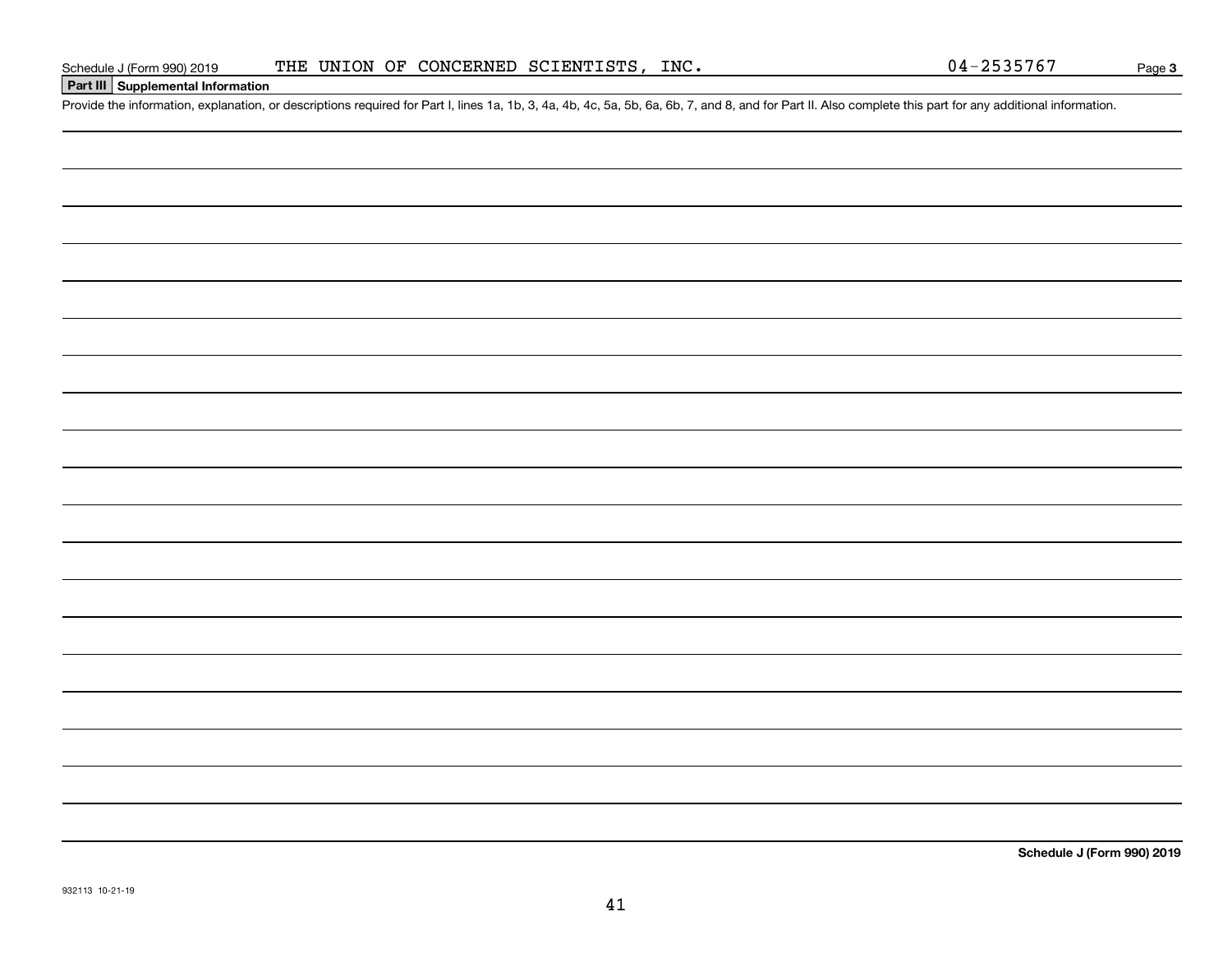**Schedule J (Form 990) 2019**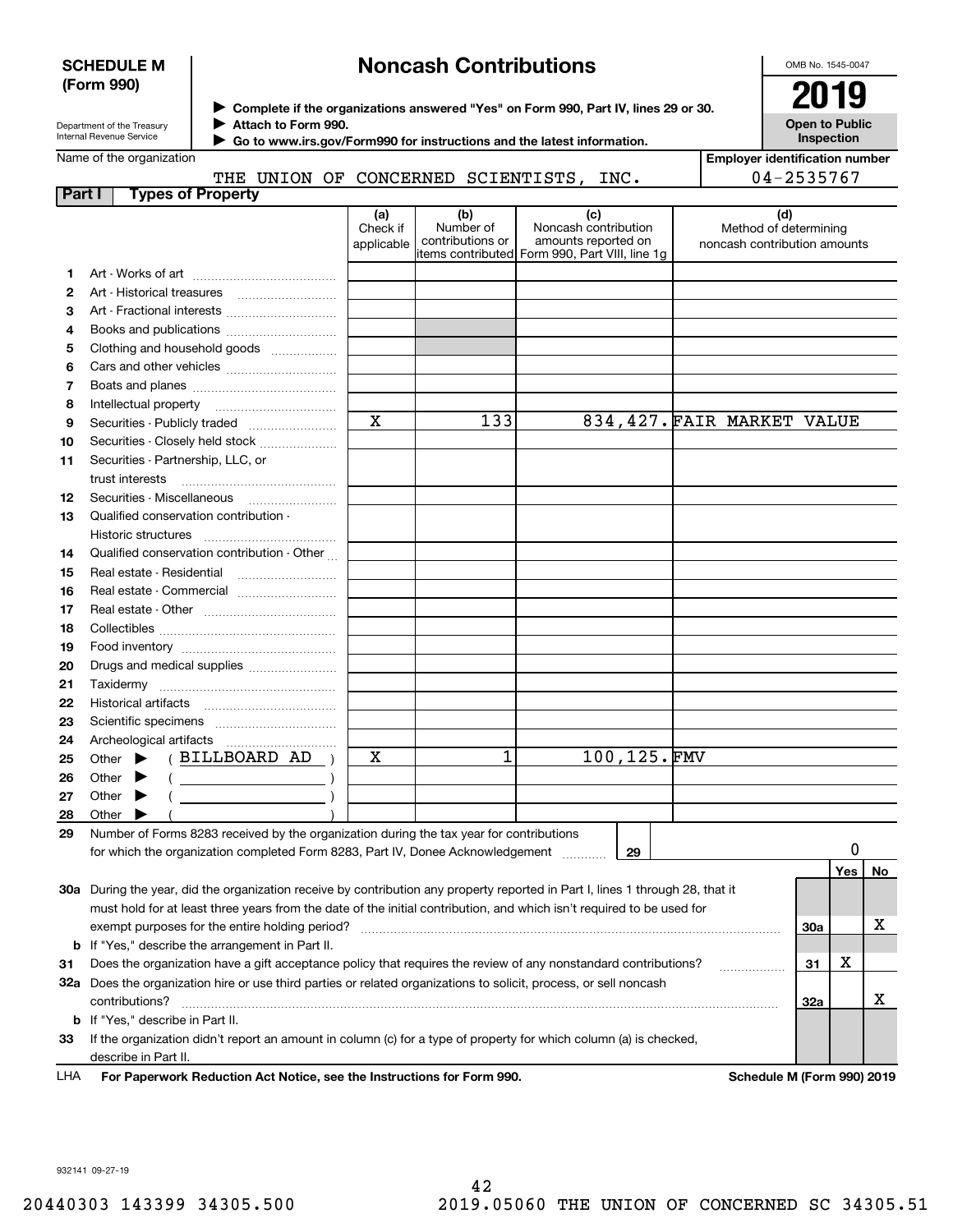## **SCHEDULE M (Form 990)**

# **Noncash Contributions**

OMB No. 1545-0047

| Department of the Treasury |
|----------------------------|
| Internal Revenue Service   |

**Complete if the organizations answered "Yes" on Form 990, Part IV, lines 29 or 30. Attach to Form 990.**  $\triangleright$  Complete if the organizations answered "Yes" on Form 990, Part IV, lines 29 or 30.  $2019$  $\blacktriangleright$ 

**Open to Public Inspection**

| Name of the organization |
|--------------------------|

 **Go to www.irs.gov/Form990 for instructions and the latest information.** J

| Name of the organization  |     |       |    |                      |      | <b>Employer identification number</b> |
|---------------------------|-----|-------|----|----------------------|------|---------------------------------------|
|                           | THE | UNION | OF | CONCERNED SCIENTISTS | INC. | 04-2535767                            |
| Part<br>Tvpes of Propertv |     |       |    |                      |      |                                       |

|     |                                                                                                                                | (a)<br>Check if | (b)<br>Number of | (c)<br>Noncash contribution                     | (d)<br>Method of determining |     |     |    |
|-----|--------------------------------------------------------------------------------------------------------------------------------|-----------------|------------------|-------------------------------------------------|------------------------------|-----|-----|----|
|     |                                                                                                                                | applicable      | contributions or | amounts reported on                             | noncash contribution amounts |     |     |    |
|     |                                                                                                                                |                 |                  | litems contributed Form 990, Part VIII, line 1g |                              |     |     |    |
| 1.  |                                                                                                                                |                 |                  |                                                 |                              |     |     |    |
| 2   |                                                                                                                                |                 |                  |                                                 |                              |     |     |    |
| з   | Art - Fractional interests                                                                                                     |                 |                  |                                                 |                              |     |     |    |
| 4   | Books and publications                                                                                                         |                 |                  |                                                 |                              |     |     |    |
| 5   | Clothing and household goods                                                                                                   |                 |                  |                                                 |                              |     |     |    |
| 6   |                                                                                                                                |                 |                  |                                                 |                              |     |     |    |
| 7   |                                                                                                                                |                 |                  |                                                 |                              |     |     |    |
| 8   |                                                                                                                                |                 |                  |                                                 |                              |     |     |    |
| 9   | Securities - Publicly traded                                                                                                   | $\mathbf x$     | 133              |                                                 | 834, 427. FAIR MARKET VALUE  |     |     |    |
| 10  | Securities - Closely held stock                                                                                                |                 |                  |                                                 |                              |     |     |    |
| 11  | Securities - Partnership, LLC, or                                                                                              |                 |                  |                                                 |                              |     |     |    |
|     | trust interests                                                                                                                |                 |                  |                                                 |                              |     |     |    |
| 12  |                                                                                                                                |                 |                  |                                                 |                              |     |     |    |
| 13  | Qualified conservation contribution -                                                                                          |                 |                  |                                                 |                              |     |     |    |
|     | Historic structures                                                                                                            |                 |                  |                                                 |                              |     |     |    |
| 14  | Qualified conservation contribution - Other                                                                                    |                 |                  |                                                 |                              |     |     |    |
| 15  | Real estate - Residential                                                                                                      |                 |                  |                                                 |                              |     |     |    |
| 16  | Real estate - Commercial                                                                                                       |                 |                  |                                                 |                              |     |     |    |
| 17  |                                                                                                                                |                 |                  |                                                 |                              |     |     |    |
| 18  |                                                                                                                                |                 |                  |                                                 |                              |     |     |    |
| 19  |                                                                                                                                |                 |                  |                                                 |                              |     |     |    |
| 20  | Drugs and medical supplies                                                                                                     |                 |                  |                                                 |                              |     |     |    |
| 21  |                                                                                                                                |                 |                  |                                                 |                              |     |     |    |
| 22  |                                                                                                                                |                 |                  |                                                 |                              |     |     |    |
| 23  |                                                                                                                                |                 |                  |                                                 |                              |     |     |    |
| 24  |                                                                                                                                |                 |                  |                                                 |                              |     |     |    |
| 25  | (BILLBOARD AD )<br>Other $\blacktriangleright$                                                                                 | Χ               | 1                | 100,125.FMV                                     |                              |     |     |    |
| 26  | Other $\blacktriangleright$<br>$\left(\begin{array}{ccc}\n&\quad&\quad&\quad\end{array}\right)$                                |                 |                  |                                                 |                              |     |     |    |
| 27  | $($ $)$<br>Other $\blacktriangleright$                                                                                         |                 |                  |                                                 |                              |     |     |    |
| 28  | Other $\blacktriangleright$                                                                                                    |                 |                  |                                                 |                              |     |     |    |
| 29  | Number of Forms 8283 received by the organization during the tax year for contributions                                        |                 |                  |                                                 |                              |     |     |    |
|     | for which the organization completed Form 8283, Part IV, Donee Acknowledgement                                                 |                 |                  | 29                                              |                              |     | 0   |    |
|     |                                                                                                                                |                 |                  |                                                 |                              |     | Yes | No |
|     | 30a During the year, did the organization receive by contribution any property reported in Part I, lines 1 through 28, that it |                 |                  |                                                 |                              |     |     |    |
|     | must hold for at least three years from the date of the initial contribution, and which isn't required to be used for          |                 |                  |                                                 |                              |     |     |    |
|     | exempt purposes for the entire holding period?<br>30a                                                                          |                 |                  |                                                 |                              |     |     | x  |
| b   | If "Yes," describe the arrangement in Part II.                                                                                 |                 |                  |                                                 |                              |     |     |    |
| 31  | Does the organization have a gift acceptance policy that requires the review of any nonstandard contributions?                 |                 |                  |                                                 |                              |     | х   |    |
|     | 32a Does the organization hire or use third parties or related organizations to solicit, process, or sell noncash              |                 |                  |                                                 |                              | 31  |     |    |
|     | contributions?                                                                                                                 |                 |                  |                                                 |                              | 32a |     | х  |
| b   | If "Yes," describe in Part II.                                                                                                 |                 |                  |                                                 |                              |     |     |    |
| 33  | If the organization didn't report an amount in column (c) for a type of property for which column (a) is checked,              |                 |                  |                                                 |                              |     |     |    |
|     | describe in Part II.                                                                                                           |                 |                  |                                                 |                              |     |     |    |
| LHA | For Paperwork Reduction Act Notice, see the Instructions for Form 990.                                                         |                 |                  |                                                 | Schedule M (Form 990) 2019   |     |     |    |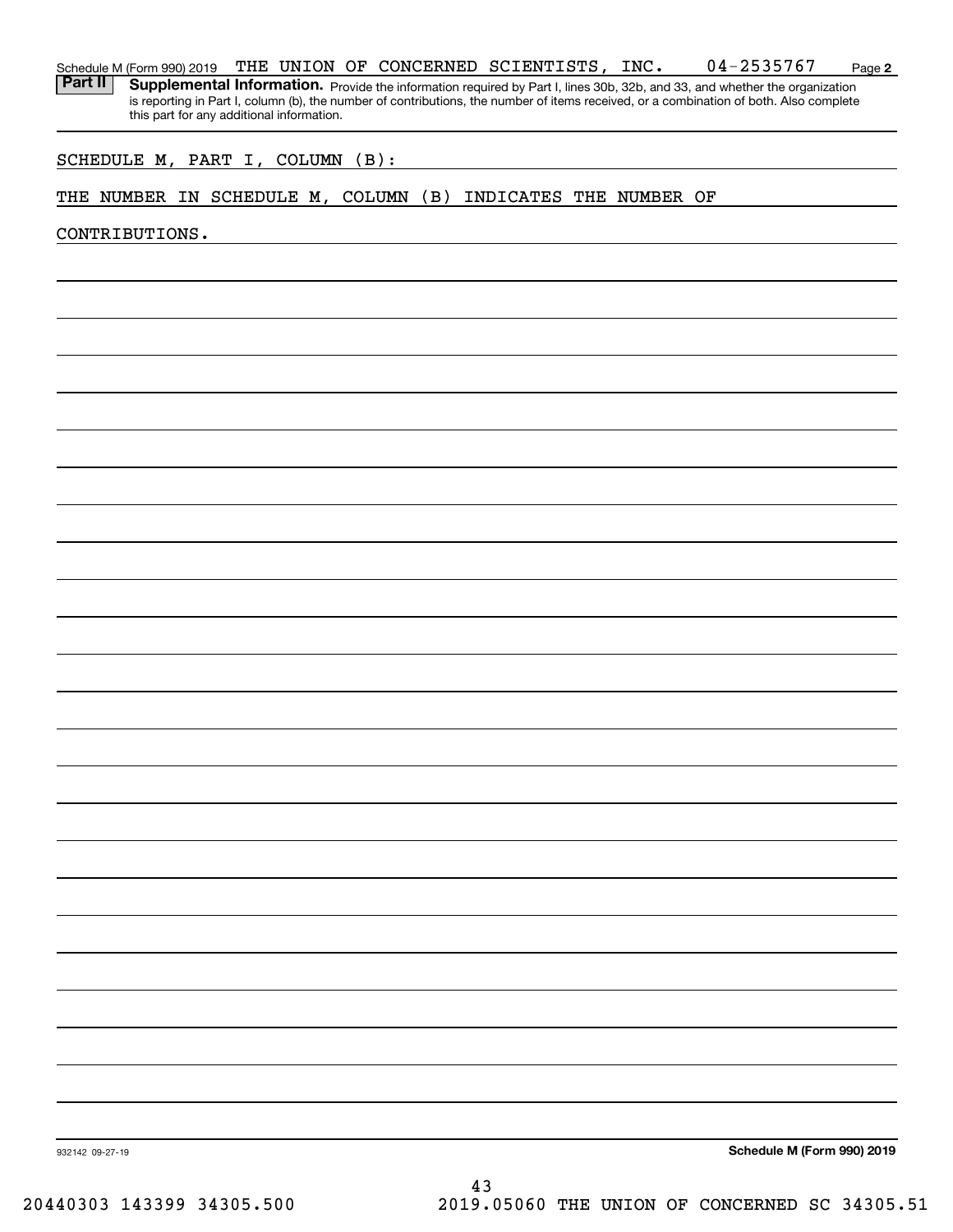#### **2** Schedule M (Form 990) 2019 Page THE UNION OF CONCERNED SCIENTISTS, INC. 04-2535767

Part II | Supplemental Information. Provide the information required by Part I, lines 30b, 32b, and 33, and whether the organization is reporting in Part I, column (b), the number of contributions, the number of items received, or a combination of both. Also complete this part for any additional information.

### SCHEDULE M, PART I, COLUMN (B):

## THE NUMBER IN SCHEDULE M, COLUMN (B) INDICATES THE NUMBER OF

CONTRIBUTIONS.

**Schedule M (Form 990) 2019**

932142 09-27-19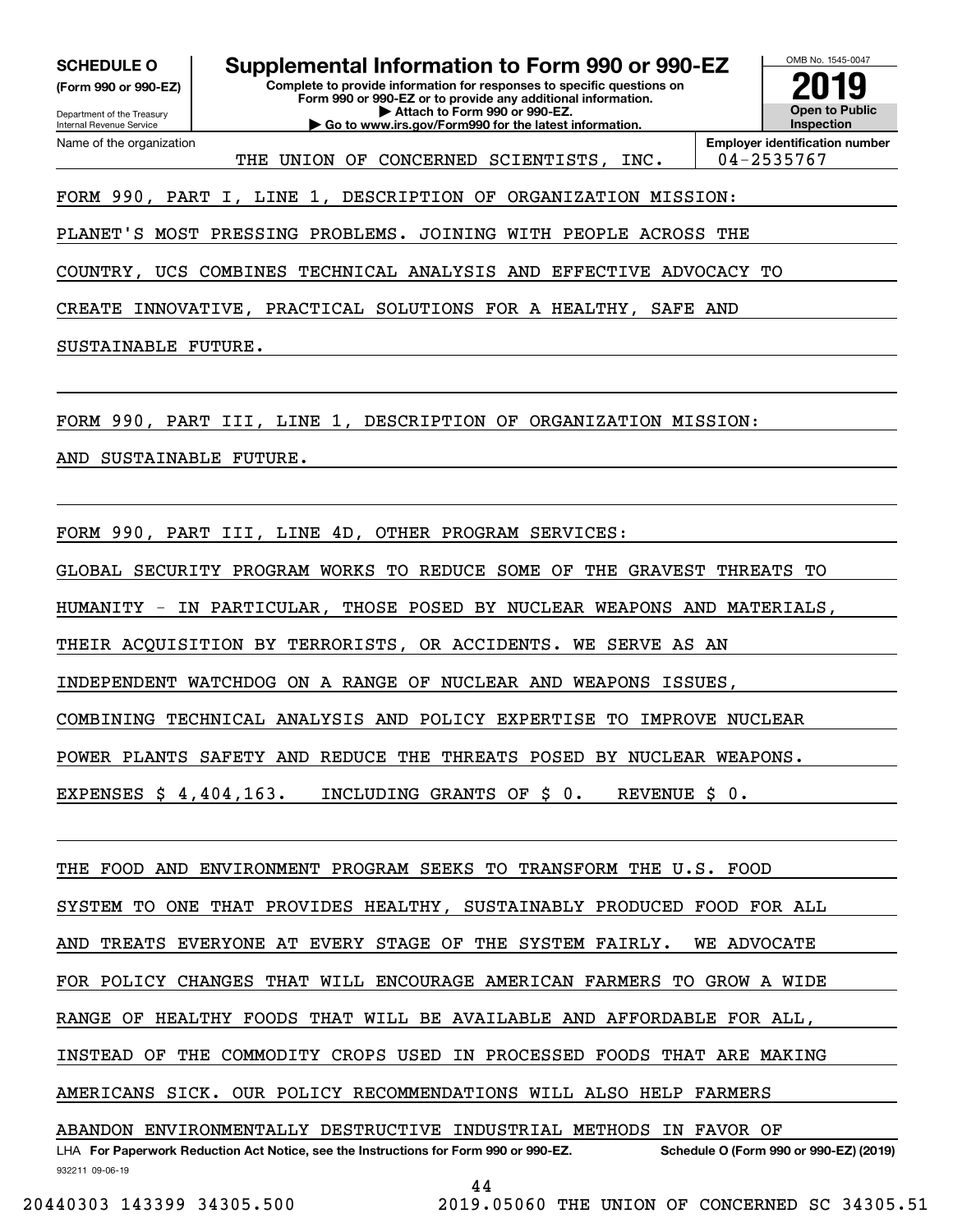**(Form 990 or 990-EZ)**

Department of the Treasury Internal Revenue Service Name of the organization

**SCHEDULE O Supplemental Information to Form 990 or 990-EZ**

**Complete to provide information for responses to specific questions on Form 990 or 990-EZ or to provide any additional information. | Attach to Form 990 or 990-EZ.**

**| Go to www.irs.gov/Form990 for the latest information.**



**Employer identification number** THE UNION OF CONCERNED SCIENTISTS, INC. | 04-2535767

FORM 990, PART I, LINE 1, DESCRIPTION OF ORGANIZATION MISSION:

PLANET'S MOST PRESSING PROBLEMS. JOINING WITH PEOPLE ACROSS THE

COUNTRY, UCS COMBINES TECHNICAL ANALYSIS AND EFFECTIVE ADVOCACY TO

CREATE INNOVATIVE, PRACTICAL SOLUTIONS FOR A HEALTHY, SAFE AND

SUSTAINABLE FUTURE.

FORM 990, PART III, LINE 1, DESCRIPTION OF ORGANIZATION MISSION:

AND SUSTAINABLE FUTURE.

FORM 990, PART III, LINE 4D, OTHER PROGRAM SERVICES:

GLOBAL SECURITY PROGRAM WORKS TO REDUCE SOME OF THE GRAVEST THREATS TO

HUMANITY - IN PARTICULAR, THOSE POSED BY NUCLEAR WEAPONS AND MATERIALS,

THEIR ACQUISITION BY TERRORISTS, OR ACCIDENTS. WE SERVE AS AN

INDEPENDENT WATCHDOG ON A RANGE OF NUCLEAR AND WEAPONS ISSUES,

COMBINING TECHNICAL ANALYSIS AND POLICY EXPERTISE TO IMPROVE NUCLEAR

POWER PLANTS SAFETY AND REDUCE THE THREATS POSED BY NUCLEAR WEAPONS.

EXPENSES \$ 4,404,163. INCLUDING GRANTS OF \$ 0. REVENUE \$ 0.

THE FOOD AND ENVIRONMENT PROGRAM SEEKS TO TRANSFORM THE U.S. FOOD SYSTEM TO ONE THAT PROVIDES HEALTHY, SUSTAINABLY PRODUCED FOOD FOR ALL AND TREATS EVERYONE AT EVERY STAGE OF THE SYSTEM FAIRLY. WE ADVOCATE FOR POLICY CHANGES THAT WILL ENCOURAGE AMERICAN FARMERS TO GROW A WIDE RANGE OF HEALTHY FOODS THAT WILL BE AVAILABLE AND AFFORDABLE FOR ALL, INSTEAD OF THE COMMODITY CROPS USED IN PROCESSED FOODS THAT ARE MAKING AMERICANS SICK. OUR POLICY RECOMMENDATIONS WILL ALSO HELP FARMERS ABANDON ENVIRONMENTALLY DESTRUCTIVE INDUSTRIAL METHODS IN FAVOR OF

932211 09-06-19 LHA For Paperwork Reduction Act Notice, see the Instructions for Form 990 or 990-EZ. Schedule O (Form 990 or 990-EZ) (2019) 44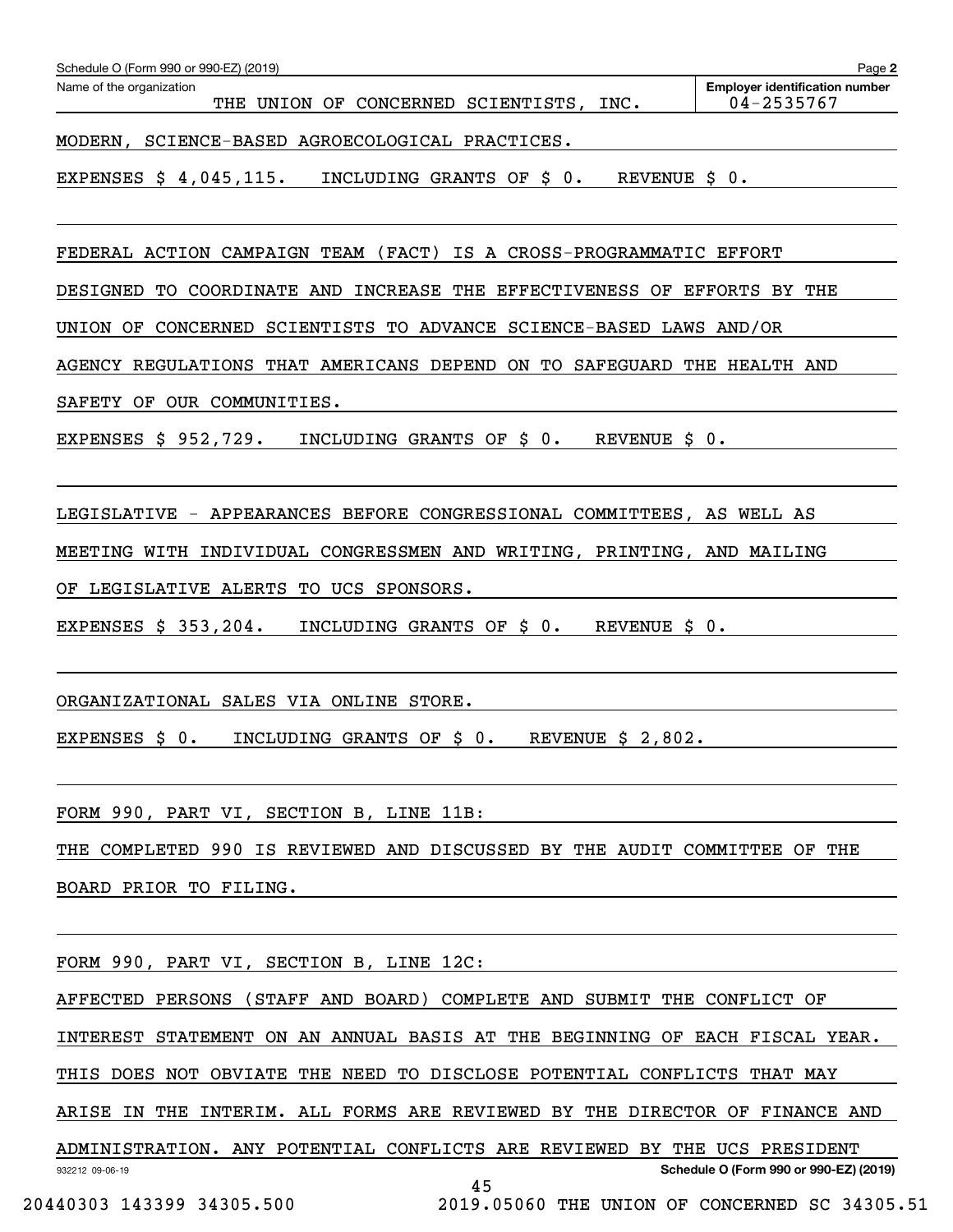| Schedule O (Form 990 or 990-EZ) (2019)                                           | Page 2                                                  |
|----------------------------------------------------------------------------------|---------------------------------------------------------|
| Name of the organization<br>THE UNION OF CONCERNED SCIENTISTS, INC.              | <b>Emplover identification number</b><br>$04 - 2535767$ |
| MODERN, SCIENCE-BASED AGROECOLOGICAL PRACTICES.                                  |                                                         |
| INCLUDING GRANTS OF \$ 0.<br>EXPENSES \$ 4,045,115.<br>REVENUE S 0.              |                                                         |
|                                                                                  |                                                         |
| FEDERAL ACTION CAMPAIGN TEAM (FACT) IS A CROSS-PROGRAMMATIC EFFORT               |                                                         |
| DESIGNED TO COORDINATE AND INCREASE THE EFFECTIVENESS OF EFFORTS BY THE          |                                                         |
| UNION OF CONCERNED SCIENTISTS TO ADVANCE SCIENCE-BASED LAWS AND/OR               |                                                         |
| AGENCY REGULATIONS THAT AMERICANS DEPEND ON TO SAFEGUARD THE HEALTH AND          |                                                         |
| SAFETY OF OUR COMMUNITIES.                                                       |                                                         |
| EXPENSES \$ 952,729.<br>INCLUDING GRANTS OF \$0.<br>REVENUE S 0.                 |                                                         |
|                                                                                  |                                                         |
| LEGISLATIVE - APPEARANCES BEFORE CONGRESSIONAL COMMITTEES, AS WELL AS            |                                                         |
| MEETING WITH INDIVIDUAL CONGRESSMEN AND WRITING, PRINTING, AND MAILING           |                                                         |
| OF LEGISLATIVE ALERTS TO UCS SPONSORS.                                           |                                                         |
| EXPENSES \$ 353,204.<br>INCLUDING GRANTS OF \$0.<br>REVENUE S 0.                 |                                                         |
|                                                                                  |                                                         |
| ORGANIZATIONAL SALES VIA ONLINE STORE.                                           |                                                         |
| INCLUDING GRANTS OF \$ 0.<br>REVENUE $$2,802$ .                                  |                                                         |
| EXPENSES \$ 0.                                                                   |                                                         |
| FORM 990, PART VI, SECTION B, LINE 11B:                                          |                                                         |
| THE COMPLETED 990 IS REVIEWED AND DISCUSSED BY THE AUDIT COMMITTEE OF THE        |                                                         |
|                                                                                  |                                                         |
| BOARD PRIOR TO FILING.                                                           |                                                         |
| FORM 990, PART VI, SECTION B, LINE 12C:                                          |                                                         |
| AFFECTED PERSONS (STAFF AND BOARD) COMPLETE AND SUBMIT THE CONFLICT OF           |                                                         |
| INTEREST STATEMENT ON AN ANNUAL BASIS AT THE BEGINNING OF EACH FISCAL YEAR.      |                                                         |
| THIS DOES NOT OBVIATE THE NEED TO DISCLOSE POTENTIAL CONFLICTS THAT MAY          |                                                         |
| ARISE IN THE INTERIM. ALL FORMS ARE REVIEWED BY THE DIRECTOR OF FINANCE AND      |                                                         |
| ADMINISTRATION. ANY POTENTIAL CONFLICTS ARE REVIEWED BY THE UCS PRESIDENT        |                                                         |
| 932212 09-06-19                                                                  | Schedule O (Form 990 or 990-EZ) (2019)                  |
| 45<br>20440303 143399 34305.500<br>2019.05060 THE UNION OF CONCERNED SC 34305.51 |                                                         |
|                                                                                  |                                                         |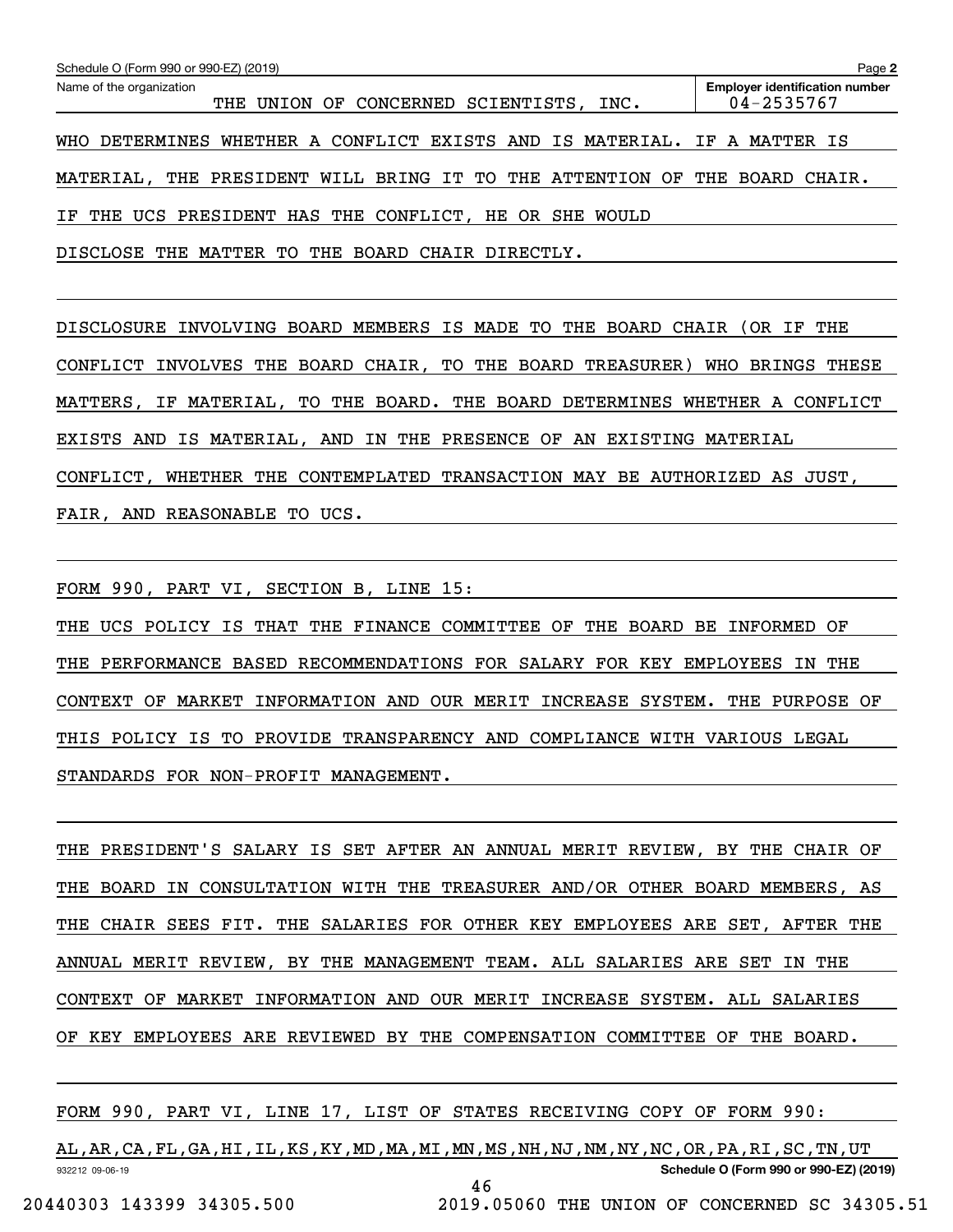| Schedule O (Form 990 or 990-EZ) (2019)<br>Page 2                            |                                                     |  |  |  |  |
|-----------------------------------------------------------------------------|-----------------------------------------------------|--|--|--|--|
| Name of the organization<br>UNION OF CONCERNED SCIENTISTS, INC.<br>THE      | <b>Employer identification number</b><br>04-2535767 |  |  |  |  |
| DETERMINES WHETHER A CONFLICT EXISTS AND IS MATERIAL. IF A MATTER IS<br>WHO |                                                     |  |  |  |  |
| MATERIAL, THE PRESIDENT WILL BRING IT TO THE ATTENTION OF THE               | BOARD CHAIR.                                        |  |  |  |  |
| IF THE UCS PRESIDENT HAS THE CONFLICT, HE OR SHE<br>WOULD                   |                                                     |  |  |  |  |
| MATTER TO THE BOARD CHAIR DIRECTLY.<br>DISCLOSE THE                         |                                                     |  |  |  |  |

DISCLOSURE INVOLVING BOARD MEMBERS IS MADE TO THE BOARD CHAIR (OR IF THE CONFLICT INVOLVES THE BOARD CHAIR, TO THE BOARD TREASURER) WHO BRINGS THESE MATTERS, IF MATERIAL, TO THE BOARD. THE BOARD DETERMINES WHETHER A CONFLICT EXISTS AND IS MATERIAL, AND IN THE PRESENCE OF AN EXISTING MATERIAL CONFLICT, WHETHER THE CONTEMPLATED TRANSACTION MAY BE AUTHORIZED AS JUST, FAIR, AND REASONABLE TO UCS.

FORM 990, PART VI, SECTION B, LINE 15:

THE UCS POLICY IS THAT THE FINANCE COMMITTEE OF THE BOARD BE INFORMED OF THE PERFORMANCE BASED RECOMMENDATIONS FOR SALARY FOR KEY EMPLOYEES IN THE CONTEXT OF MARKET INFORMATION AND OUR MERIT INCREASE SYSTEM. THE PURPOSE OF THIS POLICY IS TO PROVIDE TRANSPARENCY AND COMPLIANCE WITH VARIOUS LEGAL STANDARDS FOR NON-PROFIT MANAGEMENT.

THE PRESIDENT'S SALARY IS SET AFTER AN ANNUAL MERIT REVIEW, BY THE CHAIR OF THE BOARD IN CONSULTATION WITH THE TREASURER AND/OR OTHER BOARD MEMBERS, AS THE CHAIR SEES FIT. THE SALARIES FOR OTHER KEY EMPLOYEES ARE SET, AFTER THE ANNUAL MERIT REVIEW, BY THE MANAGEMENT TEAM. ALL SALARIES ARE SET IN THE CONTEXT OF MARKET INFORMATION AND OUR MERIT INCREASE SYSTEM. ALL SALARIES OF KEY EMPLOYEES ARE REVIEWED BY THE COMPENSATION COMMITTEE OF THE BOARD.

FORM 990, PART VI, LINE 17, LIST OF STATES RECEIVING COPY OF FORM 990:

932212 09-06-19 **Schedule O (Form 990 or 990-EZ) (2019)** AL,AR,CA,FL,GA,HI,IL,KS,KY,MD,MA,MI,MN,MS,NH,NJ,NM,NY,NC,OR,PA,RI,SC,TN,UT 46